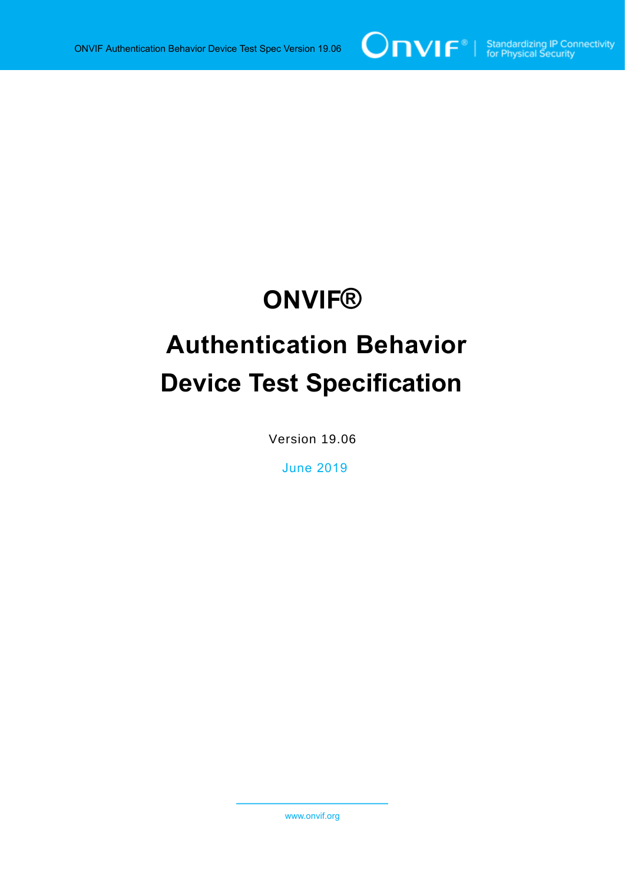

# **ONVIF®**

# **Authentication Behavior Device Test Specification**

Version 19.06

June 2019

www.onvif.org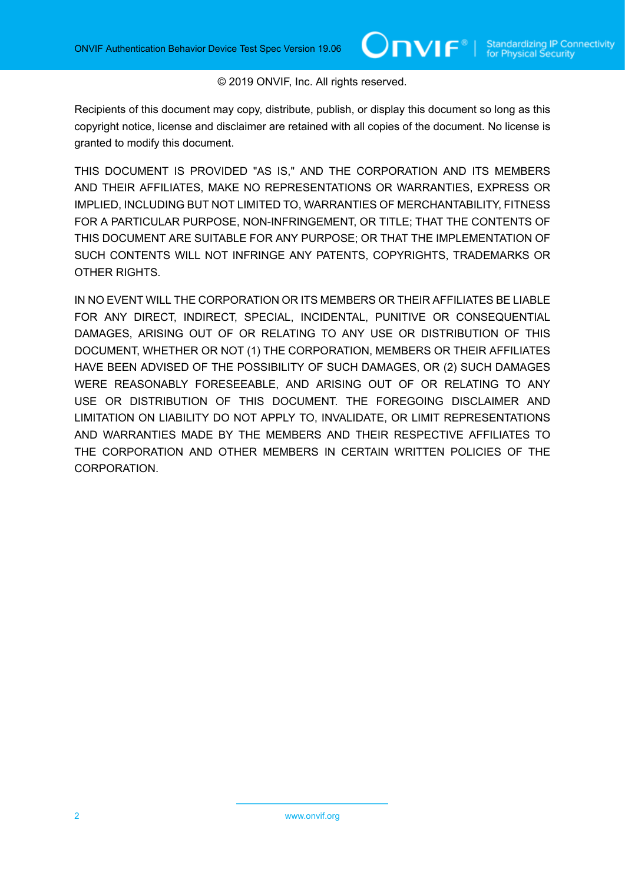#### © 2019 ONVIF, Inc. All rights reserved.

Recipients of this document may copy, distribute, publish, or display this document so long as this copyright notice, license and disclaimer are retained with all copies of the document. No license is granted to modify this document.

THIS DOCUMENT IS PROVIDED "AS IS," AND THE CORPORATION AND ITS MEMBERS AND THEIR AFFILIATES, MAKE NO REPRESENTATIONS OR WARRANTIES, EXPRESS OR IMPLIED, INCLUDING BUT NOT LIMITED TO, WARRANTIES OF MERCHANTABILITY, FITNESS FOR A PARTICULAR PURPOSE, NON-INFRINGEMENT, OR TITLE; THAT THE CONTENTS OF THIS DOCUMENT ARE SUITABLE FOR ANY PURPOSE; OR THAT THE IMPLEMENTATION OF SUCH CONTENTS WILL NOT INFRINGE ANY PATENTS, COPYRIGHTS, TRADEMARKS OR OTHER RIGHTS.

IN NO EVENT WILL THE CORPORATION OR ITS MEMBERS OR THEIR AFFILIATES BE LIABLE FOR ANY DIRECT, INDIRECT, SPECIAL, INCIDENTAL, PUNITIVE OR CONSEQUENTIAL DAMAGES, ARISING OUT OF OR RELATING TO ANY USE OR DISTRIBUTION OF THIS DOCUMENT, WHETHER OR NOT (1) THE CORPORATION, MEMBERS OR THEIR AFFILIATES HAVE BEEN ADVISED OF THE POSSIBILITY OF SUCH DAMAGES, OR (2) SUCH DAMAGES WERE REASONABLY FORESEEABLE, AND ARISING OUT OF OR RELATING TO ANY USE OR DISTRIBUTION OF THIS DOCUMENT. THE FOREGOING DISCLAIMER AND LIMITATION ON LIABILITY DO NOT APPLY TO, INVALIDATE, OR LIMIT REPRESENTATIONS AND WARRANTIES MADE BY THE MEMBERS AND THEIR RESPECTIVE AFFILIATES TO THE CORPORATION AND OTHER MEMBERS IN CERTAIN WRITTEN POLICIES OF THE CORPORATION.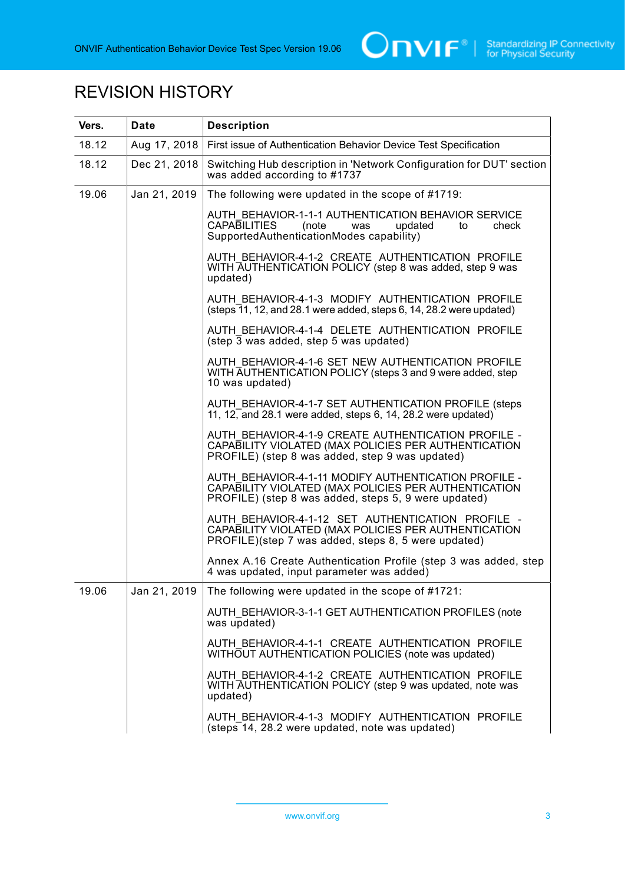

# REVISION HISTORY

| Vers. | <b>Date</b>  | <b>Description</b>                                                                                                                                                    |
|-------|--------------|-----------------------------------------------------------------------------------------------------------------------------------------------------------------------|
| 18.12 | Aug 17, 2018 | First issue of Authentication Behavior Device Test Specification                                                                                                      |
| 18.12 | Dec 21, 2018 | Switching Hub description in 'Network Configuration for DUT' section<br>was added according to #1737                                                                  |
| 19.06 | Jan 21, 2019 | The following were updated in the scope of #1719:                                                                                                                     |
|       |              | AUTH BEHAVIOR-1-1-1 AUTHENTICATION BEHAVIOR SERVICE<br><b>CAPABILITIES</b><br>check<br>updated<br>(note<br>was<br>to<br>SupportedAuthenticationModes capability)      |
|       |              | AUTH BEHAVIOR-4-1-2 CREATE AUTHENTICATION PROFILE<br>WITH AUTHENTICATION POLICY (step 8 was added, step 9 was<br>updated)                                             |
|       |              | AUTH BEHAVIOR-4-1-3 MODIFY AUTHENTICATION PROFILE<br>$(\text{steps} \bar{1}1, 12, \text{and} 28.1 \text{ were added}, \text{steps} 6, 14, 28.2 \text{ were updated})$ |
|       |              | AUTH BEHAVIOR-4-1-4 DELETE AUTHENTICATION PROFILE<br>$(\text{step } \overline{3} \text{ was added}, \text{step } 5 \text{ was updated})$                              |
|       |              | AUTH BEHAVIOR-4-1-6 SET NEW AUTHENTICATION PROFILE<br>WITH AUTHENTICATION POLICY (steps 3 and 9 were added, step<br>10 was updated)                                   |
|       |              | AUTH BEHAVIOR-4-1-7 SET AUTHENTICATION PROFILE (steps<br>11, $12$ , and 28.1 were added, steps 6, 14, 28.2 were updated)                                              |
|       |              | AUTH BEHAVIOR-4-1-9 CREATE AUTHENTICATION PROFILE -<br>CAPABILITY VIOLATED (MAX POLICIES PER AUTHENTICATION<br>PROFILE) (step 8 was added, step 9 was updated)        |
|       |              | AUTH BEHAVIOR-4-1-11 MODIFY AUTHENTICATION PROFILE -<br>CAPABILITY VIOLATED (MAX POLICIES PER AUTHENTICATION<br>PROFILE) (step 8 was added, steps 5, 9 were updated)  |
|       |              | AUTH BEHAVIOR-4-1-12 SET AUTHENTICATION PROFILE -<br>CAPABILITY VIOLATED (MAX POLICIES PER AUTHENTICATION<br>PROFILE)(step 7 was added, steps 8, 5 were updated)      |
|       |              | Annex A.16 Create Authentication Profile (step 3 was added, step<br>4 was updated, input parameter was added)                                                         |
| 19.06 | Jan 21, 2019 | The following were updated in the scope of #1721:                                                                                                                     |
|       |              | AUTH BEHAVIOR-3-1-1 GET AUTHENTICATION PROFILES (note<br>was updated)                                                                                                 |
|       |              | AUTH BEHAVIOR-4-1-1 CREATE AUTHENTICATION PROFILE<br>WITHOUT AUTHENTICATION POLICIES (note was updated)                                                               |
|       |              | AUTH BEHAVIOR-4-1-2 CREATE AUTHENTICATION PROFILE<br>WITH AUTHENTICATION POLICY (step 9 was updated, note was<br>updated)                                             |
|       |              | AUTH BEHAVIOR-4-1-3 MODIFY AUTHENTICATION PROFILE<br>(steps 14, 28.2 were updated, note was updated)                                                                  |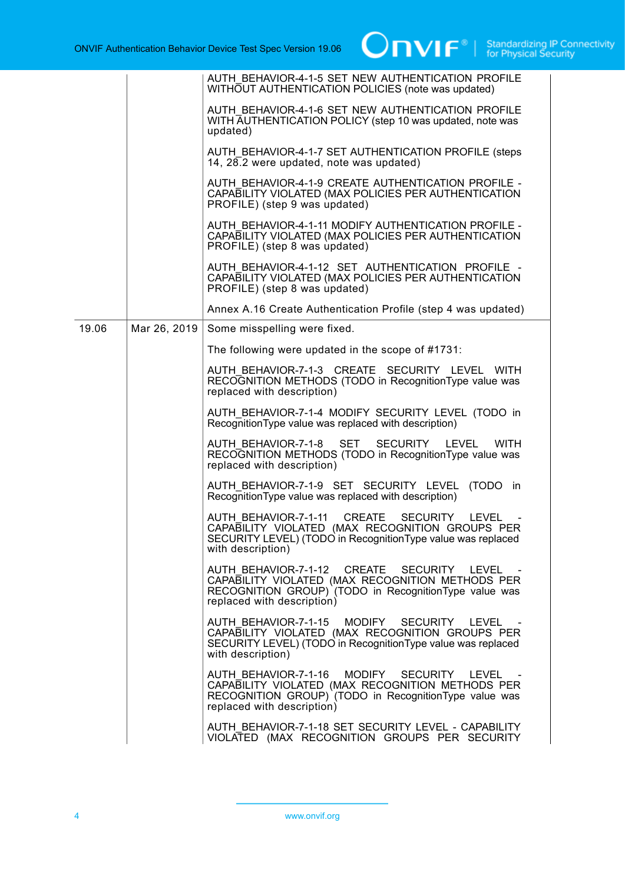|       |              | AUTH BEHAVIOR-4-1-5 SET NEW AUTHENTICATION PROFILE<br>WITHOUT AUTHENTICATION POLICIES (note was updated)                                                                                |
|-------|--------------|-----------------------------------------------------------------------------------------------------------------------------------------------------------------------------------------|
|       |              | AUTH BEHAVIOR-4-1-6 SET NEW AUTHENTICATION PROFILE<br>WITH AUTHENTICATION POLICY (step 10 was updated, note was<br>updated)                                                             |
|       |              | AUTH BEHAVIOR-4-1-7 SET AUTHENTICATION PROFILE (steps<br>14, $28.2$ were updated, note was updated)                                                                                     |
|       |              | AUTH BEHAVIOR-4-1-9 CREATE AUTHENTICATION PROFILE -<br>CAPABILITY VIOLATED (MAX POLICIES PER AUTHENTICATION<br>PROFILE) (step 9 was updated)                                            |
|       |              | AUTH BEHAVIOR-4-1-11 MODIFY AUTHENTICATION PROFILE -<br>CAPABILITY VIOLATED (MAX POLICIES PER AUTHENTICATION<br>PROFILE) (step 8 was updated)                                           |
|       |              | AUTH BEHAVIOR-4-1-12 SET AUTHENTICATION PROFILE -<br>CAPABILITY VIOLATED (MAX POLICIES PER AUTHENTICATION<br>PROFILE) (step 8 was updated)                                              |
|       |              | Annex A.16 Create Authentication Profile (step 4 was updated)                                                                                                                           |
| 19.06 | Mar 26, 2019 | Some misspelling were fixed.                                                                                                                                                            |
|       |              | The following were updated in the scope of #1731:                                                                                                                                       |
|       |              | AUTH BEHAVIOR-7-1-3 CREATE SECURITY LEVEL WITH<br>RECOGNITION METHODS (TODO in RecognitionType value was<br>replaced with description)                                                  |
|       |              | AUTH BEHAVIOR-7-1-4 MODIFY SECURITY LEVEL (TODO in<br>Recognition Type value was replaced with description)                                                                             |
|       |              | AUTH BEHAVIOR-7-1-8 SET SECURITY LEVEL<br><b>WITH</b><br>RECOGNITION METHODS (TODO in RecognitionType value was<br>replaced with description)                                           |
|       |              | AUTH BEHAVIOR-7-1-9 SET SECURITY LEVEL (TODO in<br>RecognitionType value was replaced with description)                                                                                 |
|       |              | AUTH BEHAVIOR-7-1-11<br>CREATE SECURITY LEVEL<br>CAPABILITY VIOLATED (MAX RECOGNITION GROUPS PER<br>SECURITY LEVEL) (TODO in RecognitionType value was replaced<br>with description)    |
|       |              | AUTH BEHAVIOR-7-1-12 CREATE SECURITY LEVEL -<br>CAPABILITY VIOLATED (MAX RECOGNITION METHODS PER<br>RECOGNITION GROUP) (TODO in RecognitionType value was<br>replaced with description) |
|       |              | AUTH BEHAVIOR-7-1-15 MODIFY SECURITY LEVEL<br>CAPABILITY VIOLATED (MAX RECOGNITION GROUPS PER<br>SECURITY LEVEL) (TODO in Recognition Type value was replaced<br>with description)      |
|       |              | AUTH BEHAVIOR-7-1-16 MODIFY SECURITY LEVEL -<br>CAPABILITY VIOLATED (MAX RECOGNITION METHODS PER<br>RECOGNITION GROUP) (TODO in RecognitionType value was<br>replaced with description) |
|       |              | AUTH BEHAVIOR-7-1-18 SET SECURITY LEVEL - CAPABILITY<br>VIOLATED (MAX RECOGNITION GROUPS PER SECURITY                                                                                   |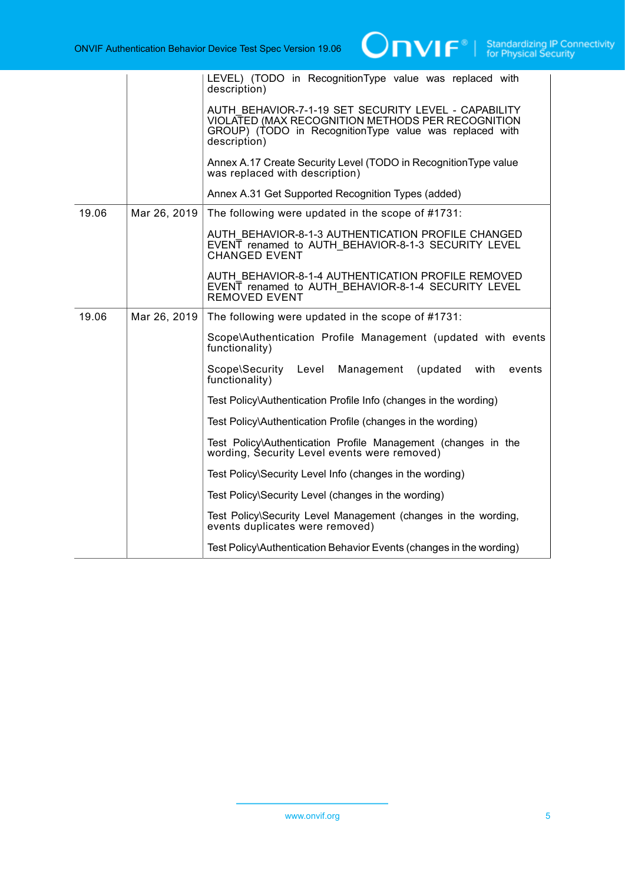|       |              | LEVEL) (TODO in RecognitionType value was replaced with<br>description)                                                                                                              |
|-------|--------------|--------------------------------------------------------------------------------------------------------------------------------------------------------------------------------------|
|       |              | AUTH BEHAVIOR-7-1-19 SET SECURITY LEVEL - CAPABILITY<br>VIOLATED (MAX RECOGNITION METHODS PER RECOGNITION<br>GROUP) (TODO in RecognitionType value was replaced with<br>description) |
|       |              | Annex A.17 Create Security Level (TODO in RecognitionType value<br>was replaced with description)                                                                                    |
|       |              | Annex A.31 Get Supported Recognition Types (added)                                                                                                                                   |
| 19.06 | Mar 26, 2019 | The following were updated in the scope of #1731:                                                                                                                                    |
|       |              | AUTH BEHAVIOR-8-1-3 AUTHENTICATION PROFILE CHANGED<br>EVENT renamed to AUTH BEHAVIOR-8-1-3 SECURITY LEVEL<br><b>CHANGED EVENT</b>                                                    |
|       |              | AUTH BEHAVIOR-8-1-4 AUTHENTICATION PROFILE REMOVED<br>EVENT renamed to AUTH BEHAVIOR-8-1-4 SECURITY LEVEL<br><b>REMOVED EVENT</b>                                                    |
| 19.06 | Mar 26, 2019 | The following were updated in the scope of #1731:                                                                                                                                    |
|       |              | Scope\Authentication Profile Management (updated with events<br>functionality)                                                                                                       |
|       |              | Scope\Security<br>(updated<br>Level<br>Management<br>with<br>events<br>functionality)                                                                                                |
|       |              | Test Policy\Authentication Profile Info (changes in the wording)                                                                                                                     |
|       |              | Test Policy\Authentication Profile (changes in the wording)                                                                                                                          |
|       |              | Test Policy\Authentication Profile Management (changes in the<br>wording, Security Level events were removed)                                                                        |
|       |              | Test Policy\Security Level Info (changes in the wording)                                                                                                                             |
|       |              | Test Policy\Security Level (changes in the wording)                                                                                                                                  |
|       |              | Test Policy\Security Level Management (changes in the wording,<br>events duplicates were removed)                                                                                    |
|       |              | Test Policy\Authentication Behavior Events (changes in the wording)                                                                                                                  |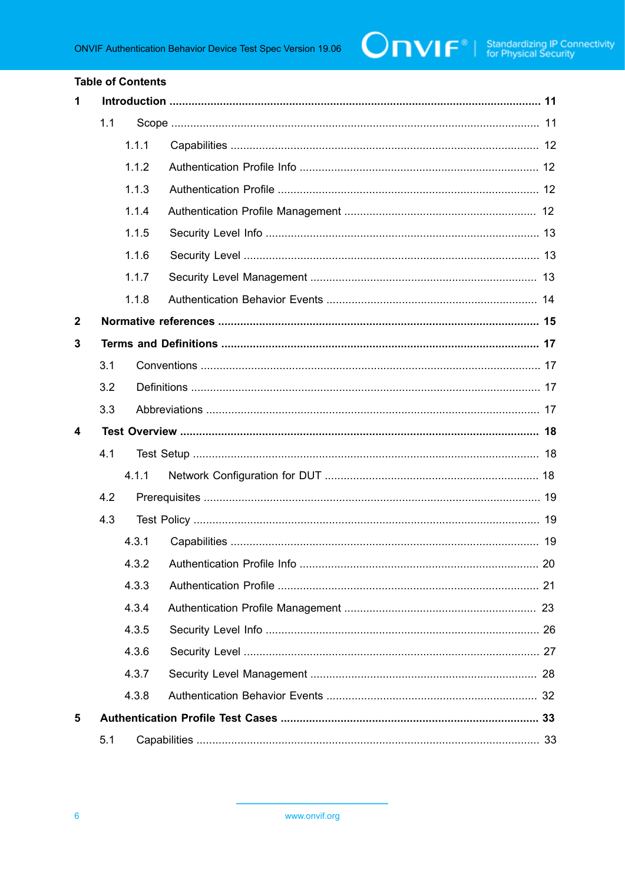#### **Table of Contents**

| $\mathbf 1$             |     |       |                                         |  |
|-------------------------|-----|-------|-----------------------------------------|--|
|                         | 1.1 |       |                                         |  |
|                         |     | 1.1.1 |                                         |  |
|                         |     | 1.1.2 |                                         |  |
|                         |     | 1.1.3 |                                         |  |
|                         |     | 1.1.4 |                                         |  |
|                         |     | 1.1.5 |                                         |  |
|                         |     | 1.1.6 |                                         |  |
|                         |     | 1.1.7 |                                         |  |
|                         |     | 1.1.8 |                                         |  |
| $\boldsymbol{2}$        |     |       |                                         |  |
| 3                       |     |       |                                         |  |
|                         | 3.1 |       |                                         |  |
|                         | 3.2 |       |                                         |  |
|                         | 3.3 |       |                                         |  |
| $\overline{\mathbf{4}}$ |     |       |                                         |  |
|                         | 4.1 |       |                                         |  |
|                         |     | 4.1.1 |                                         |  |
| 4.2                     |     |       |                                         |  |
|                         | 4.3 |       |                                         |  |
|                         |     | 4.3.1 |                                         |  |
|                         |     |       | 4.3.2 Authentication Profile Info<br>20 |  |
|                         |     |       |                                         |  |
|                         |     | 4.3.3 |                                         |  |
|                         |     | 4.3.4 |                                         |  |
|                         |     | 4.3.5 |                                         |  |
|                         |     | 4.3.6 |                                         |  |
|                         |     | 4.3.7 |                                         |  |
|                         |     | 4.3.8 |                                         |  |
| 5                       |     |       |                                         |  |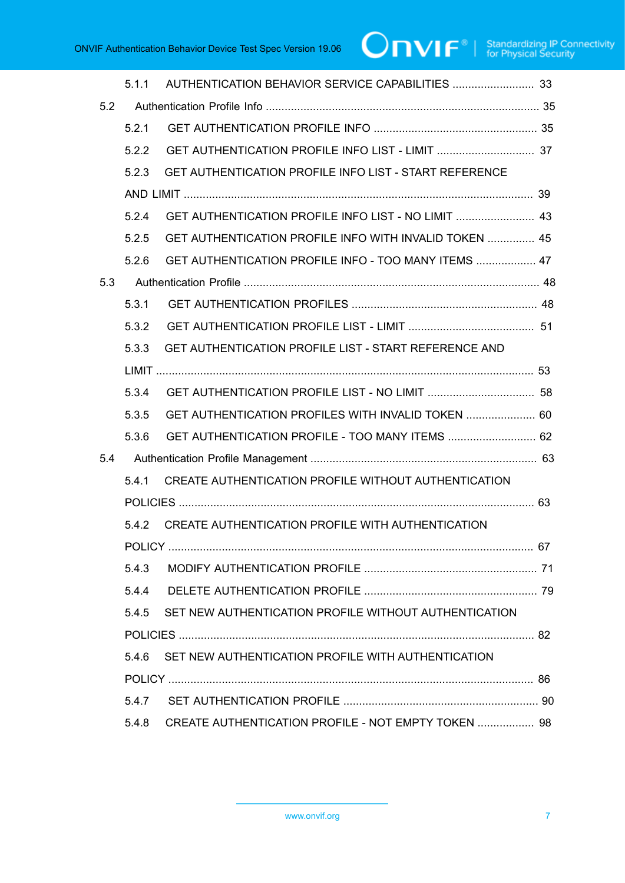# $\boxed{\color{red} \bigcap \textbf{VIF}^{\textcolor{red}{\circ}} \; | \; \; \substack{\textnormal{Standardizing IP Connectivity} \\ \textnormal{for Physical Security}}}$

|     | 511   |                                                              |  |
|-----|-------|--------------------------------------------------------------|--|
| 5.2 |       |                                                              |  |
|     | 5.2.1 |                                                              |  |
|     | 5.2.2 |                                                              |  |
|     | 5.2.3 | GET AUTHENTICATION PROFILE INFO LIST - START REFERENCE       |  |
|     |       |                                                              |  |
|     | 5.2.4 | GET AUTHENTICATION PROFILE INFO LIST - NO LIMIT  43          |  |
|     | 5.2.5 | GET AUTHENTICATION PROFILE INFO WITH INVALID TOKEN  45       |  |
|     | 5.2.6 | GET AUTHENTICATION PROFILE INFO - TOO MANY ITEMS  47         |  |
| 5.3 |       |                                                              |  |
|     | 5.3.1 |                                                              |  |
|     | 5.3.2 |                                                              |  |
|     | 5.3.3 | <b>GET AUTHENTICATION PROFILE LIST - START REFERENCE AND</b> |  |
|     |       |                                                              |  |
|     | 5.3.4 |                                                              |  |
|     | 5.3.5 | GET AUTHENTICATION PROFILES WITH INVALID TOKEN  60           |  |
|     | 5.3.6 | GET AUTHENTICATION PROFILE - TOO MANY ITEMS  62              |  |
| 5.4 |       |                                                              |  |
|     | 5.4.1 | CREATE AUTHENTICATION PROFILE WITHOUT AUTHENTICATION         |  |
|     |       |                                                              |  |
|     | 5.4.2 | CREATE AUTHENTICATION PROFILE WITH AUTHENTICATION            |  |
|     |       |                                                              |  |
|     | 5.4.3 |                                                              |  |
|     | 544   |                                                              |  |
|     | 5.4.5 | SET NEW AUTHENTICATION PROFILE WITHOUT AUTHENTICATION        |  |
|     |       |                                                              |  |
|     | 5.4.6 | SET NEW AUTHENTICATION PROFILE WITH AUTHENTICATION           |  |
|     |       |                                                              |  |
|     | 5.4.7 |                                                              |  |
|     | 5.4.8 | CREATE AUTHENTICATION PROFILE - NOT EMPTY TOKEN  98          |  |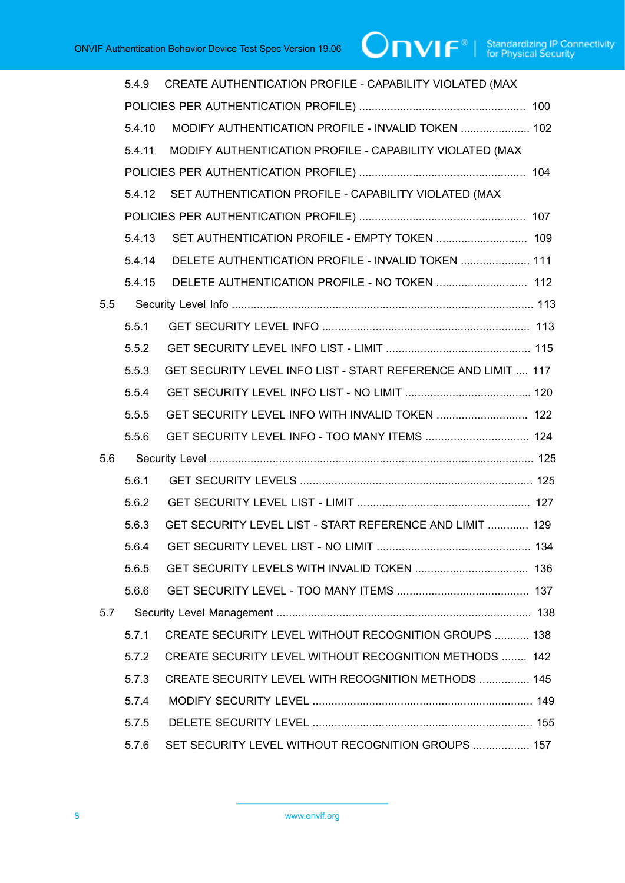|     | 5.4.9  | CREATE AUTHENTICATION PROFILE - CAPABILITY VIOLATED (MAX      |  |
|-----|--------|---------------------------------------------------------------|--|
|     |        |                                                               |  |
|     | 5.4.10 | MODIFY AUTHENTICATION PROFILE - INVALID TOKEN  102            |  |
|     | 5.4.11 | MODIFY AUTHENTICATION PROFILE - CAPABILITY VIOLATED (MAX      |  |
|     |        |                                                               |  |
|     | 5.4.12 | SET AUTHENTICATION PROFILE - CAPABILITY VIOLATED (MAX         |  |
|     |        |                                                               |  |
|     | 5.4.13 |                                                               |  |
|     | 5.4.14 | DELETE AUTHENTICATION PROFILE - INVALID TOKEN  111            |  |
|     | 5.4.15 |                                                               |  |
| 5.5 |        |                                                               |  |
|     | 5.5.1  |                                                               |  |
|     | 5.5.2  |                                                               |  |
|     | 5.5.3  | GET SECURITY LEVEL INFO LIST - START REFERENCE AND LIMIT  117 |  |
|     | 5.5.4  |                                                               |  |
|     | 5.5.5  | GET SECURITY LEVEL INFO WITH INVALID TOKEN  122               |  |
|     | 5.5.6  | GET SECURITY LEVEL INFO - TOO MANY ITEMS  124                 |  |
| 5.6 |        |                                                               |  |
|     | 5.6.1  |                                                               |  |
|     | 5.6.2  |                                                               |  |
|     | 5.6.3  | GET SECURITY LEVEL LIST - START REFERENCE AND LIMIT  129      |  |
|     | 5.6.4  |                                                               |  |
|     | 5.6.5  |                                                               |  |
|     | 5.6.6  |                                                               |  |
| 5.7 |        |                                                               |  |
|     | 5.7.1  | CREATE SECURITY LEVEL WITHOUT RECOGNITION GROUPS  138         |  |
|     | 5.7.2  | <b>CREATE SECURITY LEVEL WITHOUT RECOGNITION METHODS  142</b> |  |
|     | 5.7.3  | <b>CREATE SECURITY LEVEL WITH RECOGNITION METHODS  145</b>    |  |
|     | 5.7.4  |                                                               |  |
|     | 5.7.5  |                                                               |  |
|     | 5.7.6  | SET SECURITY LEVEL WITHOUT RECOGNITION GROUPS  157            |  |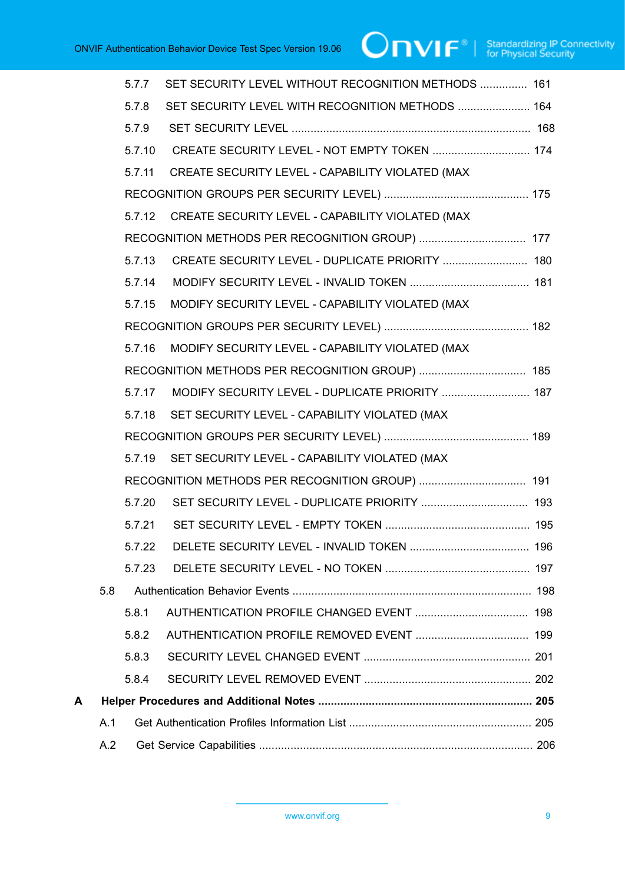|   |     | 5.7.7  | SET SECURITY LEVEL WITHOUT RECOGNITION METHODS  161 |  |
|---|-----|--------|-----------------------------------------------------|--|
|   |     | 5.7.8  | SET SECURITY LEVEL WITH RECOGNITION METHODS  164    |  |
|   |     | 5.7.9  |                                                     |  |
|   |     | 5.7.10 | CREATE SECURITY LEVEL - NOT EMPTY TOKEN  174        |  |
|   |     | 5.7.11 | CREATE SECURITY LEVEL - CAPABILITY VIOLATED (MAX    |  |
|   |     |        |                                                     |  |
|   |     | 5.7.12 | CREATE SECURITY LEVEL - CAPABILITY VIOLATED (MAX    |  |
|   |     |        |                                                     |  |
|   |     | 5.7.13 |                                                     |  |
|   |     | 5.7.14 |                                                     |  |
|   |     | 5.7.15 | MODIFY SECURITY LEVEL - CAPABILITY VIOLATED (MAX    |  |
|   |     |        |                                                     |  |
|   |     | 5.7.16 | MODIFY SECURITY LEVEL - CAPABILITY VIOLATED (MAX    |  |
|   |     |        |                                                     |  |
|   |     | 5.7.17 | MODIFY SECURITY LEVEL - DUPLICATE PRIORITY  187     |  |
|   |     | 5.7.18 | SET SECURITY LEVEL - CAPABILITY VIOLATED (MAX       |  |
|   |     |        |                                                     |  |
|   |     | 5.7.19 | SET SECURITY LEVEL - CAPABILITY VIOLATED (MAX       |  |
|   |     |        |                                                     |  |
|   |     | 5.7.20 |                                                     |  |
|   |     | 5.7.21 |                                                     |  |
|   |     | 5.7.22 |                                                     |  |
|   |     | 5.7.23 |                                                     |  |
|   | 5.8 |        |                                                     |  |
|   |     | 5.8.1  |                                                     |  |
|   |     | 5.8.2  |                                                     |  |
|   |     | 5.8.3  |                                                     |  |
|   |     | 5.8.4  |                                                     |  |
| А |     |        |                                                     |  |
|   | A.1 |        |                                                     |  |
|   | A.2 |        |                                                     |  |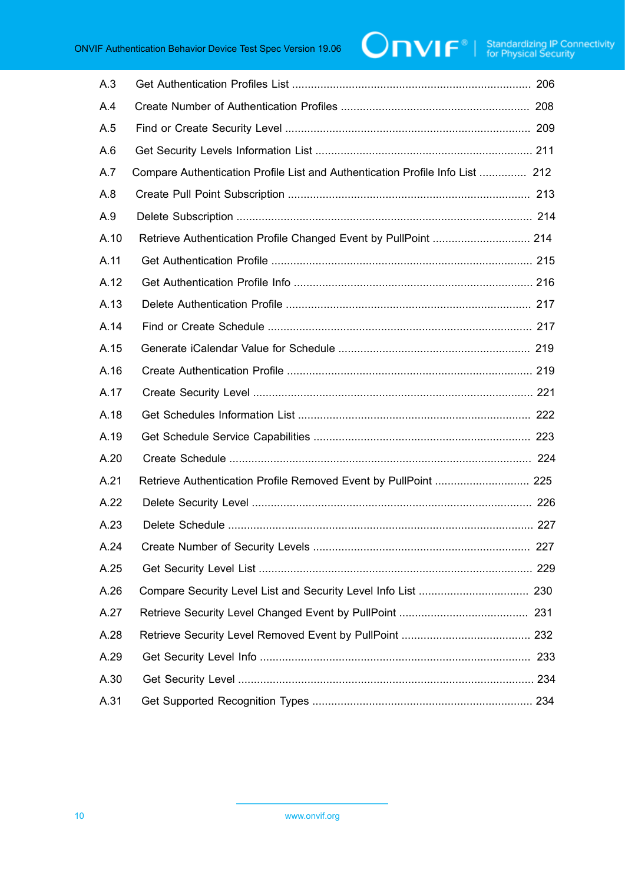| A.3  |                                                                               |
|------|-------------------------------------------------------------------------------|
| A.4  |                                                                               |
| A.5  |                                                                               |
| A.6  |                                                                               |
| A.7  | Compare Authentication Profile List and Authentication Profile Info List  212 |
| A.8  |                                                                               |
| A.9  |                                                                               |
| A.10 | Retrieve Authentication Profile Changed Event by PullPoint  214               |
| A.11 |                                                                               |
| A.12 |                                                                               |
| A.13 |                                                                               |
| A.14 |                                                                               |
| A.15 |                                                                               |
| A.16 |                                                                               |
| A.17 |                                                                               |
| A.18 |                                                                               |
| A.19 |                                                                               |
| A.20 |                                                                               |
| A.21 | Retrieve Authentication Profile Removed Event by PullPoint  225               |
| A.22 |                                                                               |
| A.23 |                                                                               |
| A.24 |                                                                               |
| A.25 |                                                                               |
| A.26 |                                                                               |
| A.27 |                                                                               |
| A.28 |                                                                               |
| A.29 |                                                                               |
| A.30 |                                                                               |
| A.31 |                                                                               |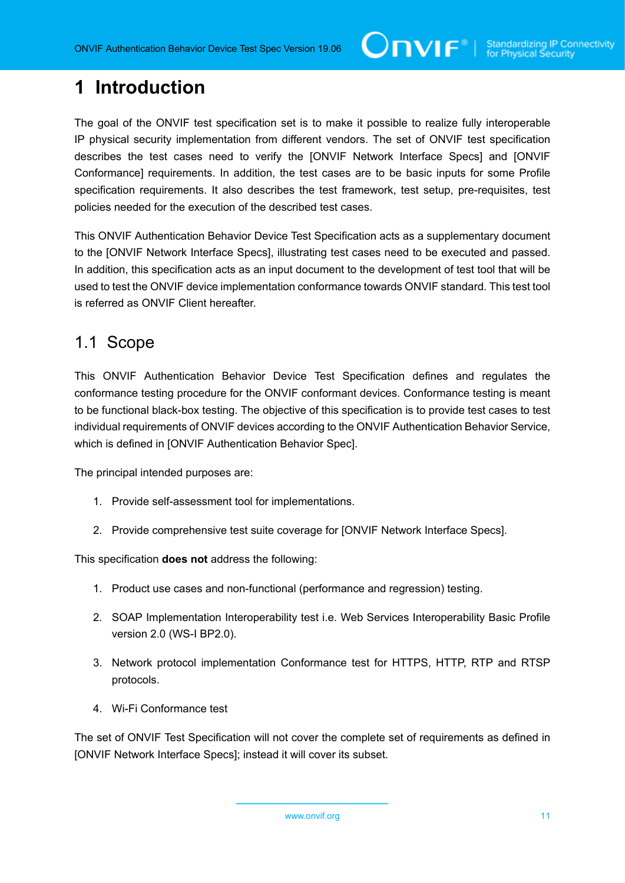# <span id="page-10-0"></span>**1 Introduction**

The goal of the ONVIF test specification set is to make it possible to realize fully interoperable IP physical security implementation from different vendors. The set of ONVIF test specification describes the test cases need to verify the [ONVIF Network Interface Specs] and [ONVIF Conformance] requirements. In addition, the test cases are to be basic inputs for some Profile specification requirements. It also describes the test framework, test setup, pre-requisites, test policies needed for the execution of the described test cases.

This ONVIF Authentication Behavior Device Test Specification acts as a supplementary document to the [ONVIF Network Interface Specs], illustrating test cases need to be executed and passed. In addition, this specification acts as an input document to the development of test tool that will be used to test the ONVIF device implementation conformance towards ONVIF standard. This test tool is referred as ONVIF Client hereafter.

#### <span id="page-10-1"></span>1.1 Scope

This ONVIF Authentication Behavior Device Test Specification defines and regulates the conformance testing procedure for the ONVIF conformant devices. Conformance testing is meant to be functional black-box testing. The objective of this specification is to provide test cases to test individual requirements of ONVIF devices according to the ONVIF Authentication Behavior Service, which is defined in [ONVIF Authentication Behavior Spec].

The principal intended purposes are:

- 1. Provide self-assessment tool for implementations.
- 2. Provide comprehensive test suite coverage for [ONVIF Network Interface Specs].

This specification **does not** address the following:

- 1. Product use cases and non-functional (performance and regression) testing.
- 2. SOAP Implementation Interoperability test i.e. Web Services Interoperability Basic Profile version 2.0 (WS-I BP2.0).
- 3. Network protocol implementation Conformance test for HTTPS, HTTP, RTP and RTSP protocols.
- 4. Wi-Fi Conformance test

The set of ONVIF Test Specification will not cover the complete set of requirements as defined in [ONVIF Network Interface Specs]; instead it will cover its subset.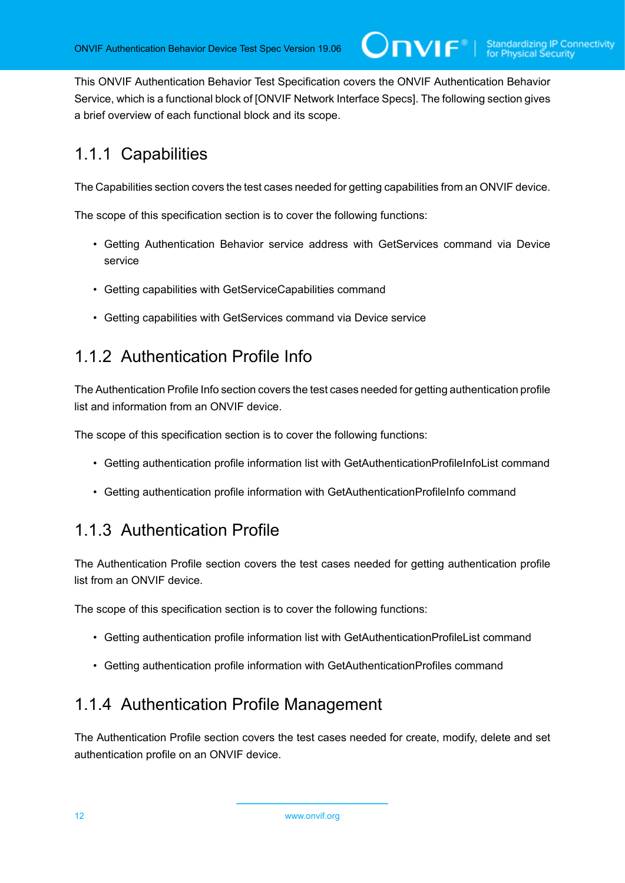This ONVIF Authentication Behavior Test Specification covers the ONVIF Authentication Behavior Service, which is a functional block of [ONVIF Network Interface Specs]. The following section gives a brief overview of each functional block and its scope.

# <span id="page-11-0"></span>1.1.1 Capabilities

The Capabilities section covers the test cases needed for getting capabilities from an ONVIF device.

The scope of this specification section is to cover the following functions:

- Getting Authentication Behavior service address with GetServices command via Device service
- Getting capabilities with GetServiceCapabilities command
- Getting capabilities with GetServices command via Device service

### <span id="page-11-1"></span>1.1.2 Authentication Profile Info

The Authentication Profile Info section covers the test cases needed for getting authentication profile list and information from an ONVIF device.

The scope of this specification section is to cover the following functions:

- Getting authentication profile information list with GetAuthenticationProfileInfoList command
- Getting authentication profile information with GetAuthenticationProfileInfo command

#### <span id="page-11-2"></span>1.1.3 Authentication Profile

The Authentication Profile section covers the test cases needed for getting authentication profile list from an ONVIF device.

The scope of this specification section is to cover the following functions:

- Getting authentication profile information list with GetAuthenticationProfileList command
- Getting authentication profile information with GetAuthenticationProfiles command

### <span id="page-11-3"></span>1.1.4 Authentication Profile Management

The Authentication Profile section covers the test cases needed for create, modify, delete and set authentication profile on an ONVIF device.

12 www.onvif.org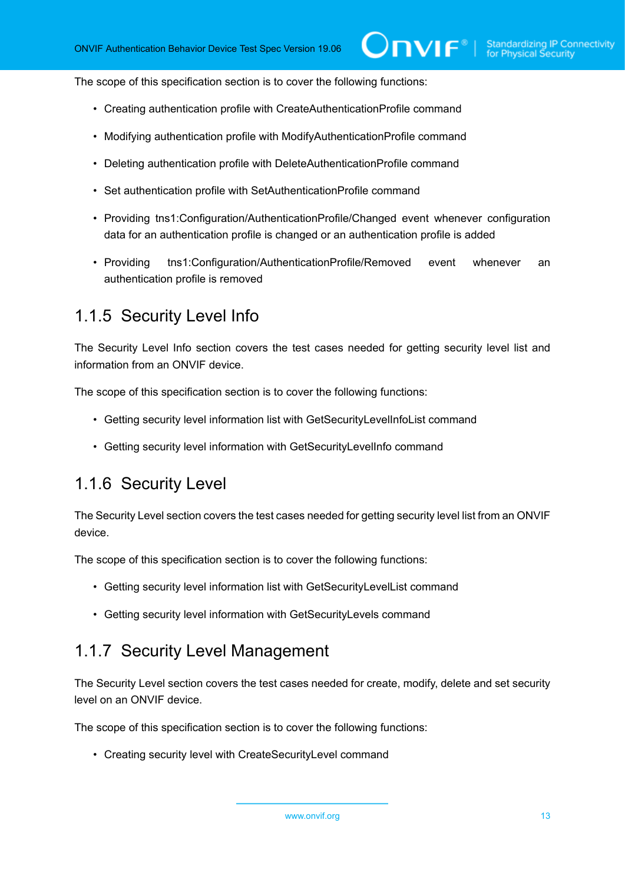The scope of this specification section is to cover the following functions:

- Creating authentication profile with CreateAuthenticationProfile command
- Modifying authentication profile with ModifyAuthenticationProfile command
- Deleting authentication profile with DeleteAuthenticationProfile command
- Set authentication profile with SetAuthenticationProfile command
- Providing tns1:Configuration/AuthenticationProfile/Changed event whenever configuration data for an authentication profile is changed or an authentication profile is added
- Providing tns1:Configuration/AuthenticationProfile/Removed event whenever an authentication profile is removed

#### <span id="page-12-0"></span>1.1.5 Security Level Info

The Security Level Info section covers the test cases needed for getting security level list and information from an ONVIF device.

The scope of this specification section is to cover the following functions:

- Getting security level information list with GetSecurityLevelInfoList command
- Getting security level information with GetSecurityLevelInfo command

#### <span id="page-12-1"></span>1.1.6 Security Level

The Security Level section covers the test cases needed for getting security level list from an ONVIF device.

The scope of this specification section is to cover the following functions:

- Getting security level information list with GetSecurityLevelList command
- Getting security level information with GetSecurityLevels command

#### <span id="page-12-2"></span>1.1.7 Security Level Management

The Security Level section covers the test cases needed for create, modify, delete and set security level on an ONVIF device.

The scope of this specification section is to cover the following functions:

• Creating security level with CreateSecurityLevel command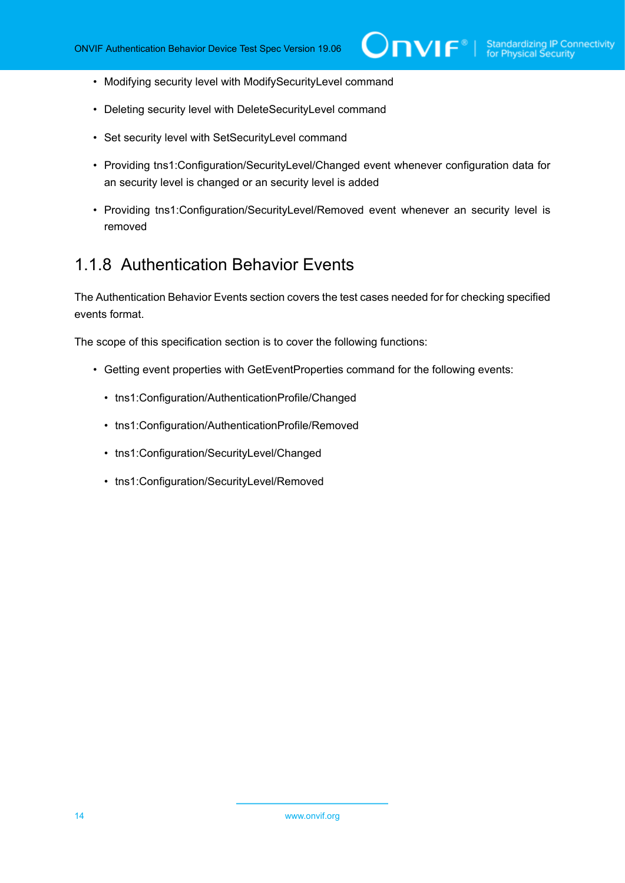- Modifying security level with ModifySecurityLevel command
- Deleting security level with DeleteSecurityLevel command
- Set security level with SetSecurityLevel command
- Providing tns1:Configuration/SecurityLevel/Changed event whenever configuration data for an security level is changed or an security level is added
- Providing tns1:Configuration/SecurityLevel/Removed event whenever an security level is removed

#### <span id="page-13-0"></span>1.1.8 Authentication Behavior Events

The Authentication Behavior Events section covers the test cases needed for for checking specified events format.

The scope of this specification section is to cover the following functions:

- Getting event properties with GetEventProperties command for the following events:
	- tns1:Configuration/AuthenticationProfile/Changed
	- tns1:Configuration/AuthenticationProfile/Removed
	- tns1:Configuration/SecurityLevel/Changed
	- tns1:Configuration/SecurityLevel/Removed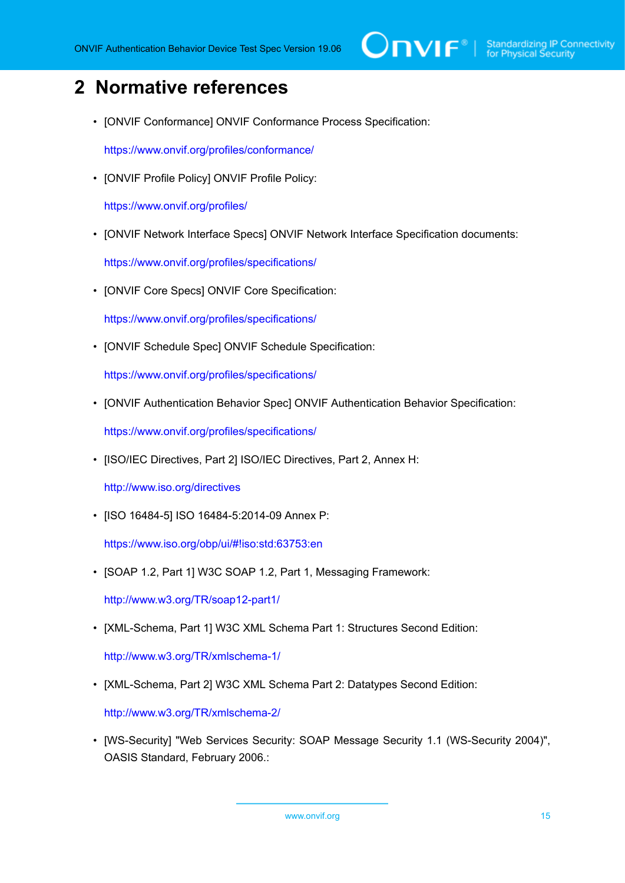# <span id="page-14-0"></span>**2 Normative references**

• [ONVIF Conformance] ONVIF Conformance Process Specification:

<https://www.onvif.org/profiles/conformance/>

• [ONVIF Profile Policy] ONVIF Profile Policy:

<https://www.onvif.org/profiles/>

• [ONVIF Network Interface Specs] ONVIF Network Interface Specification documents:

<https://www.onvif.org/profiles/specifications/>

• [ONVIF Core Specs] ONVIF Core Specification:

<https://www.onvif.org/profiles/specifications/>

• [ONVIF Schedule Spec] ONVIF Schedule Specification:

<https://www.onvif.org/profiles/specifications/>

• [ONVIF Authentication Behavior Spec] ONVIF Authentication Behavior Specification:

<https://www.onvif.org/profiles/specifications/>

• [ISO/IEC Directives, Part 2] ISO/IEC Directives, Part 2, Annex H:

<http://www.iso.org/directives>

• [ISO 16484-5] ISO 16484-5:2014-09 Annex P:

<https://www.iso.org/obp/ui/#!iso:std:63753:en>

• [SOAP 1.2, Part 1] W3C SOAP 1.2, Part 1, Messaging Framework:

<http://www.w3.org/TR/soap12-part1/>

• [XML-Schema, Part 1] W3C XML Schema Part 1: Structures Second Edition:

<http://www.w3.org/TR/xmlschema-1/>

• [XML-Schema, Part 2] W3C XML Schema Part 2: Datatypes Second Edition:

<http://www.w3.org/TR/xmlschema-2/>

• [WS-Security] "Web Services Security: SOAP Message Security 1.1 (WS-Security 2004)", OASIS Standard, February 2006.: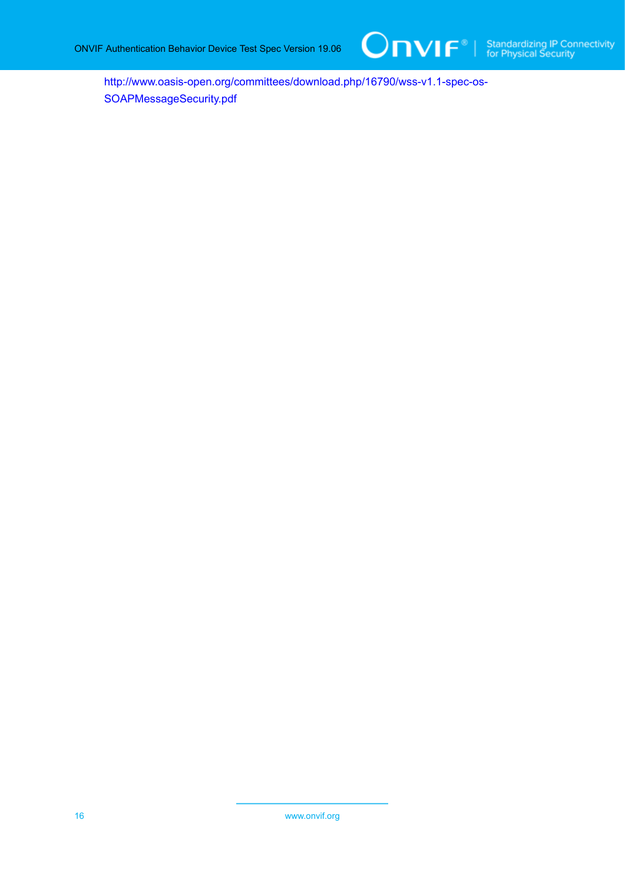

[http://www.oasis-open.org/committees/download.php/16790/wss-v1.1-spec-os-](http://www.oasis-open.org/committees/download.php/16790/wss-v1.1-spec-os-SOAPMessageSecurity.pdf)[SOAPMessageSecurity.pdf](http://www.oasis-open.org/committees/download.php/16790/wss-v1.1-spec-os-SOAPMessageSecurity.pdf)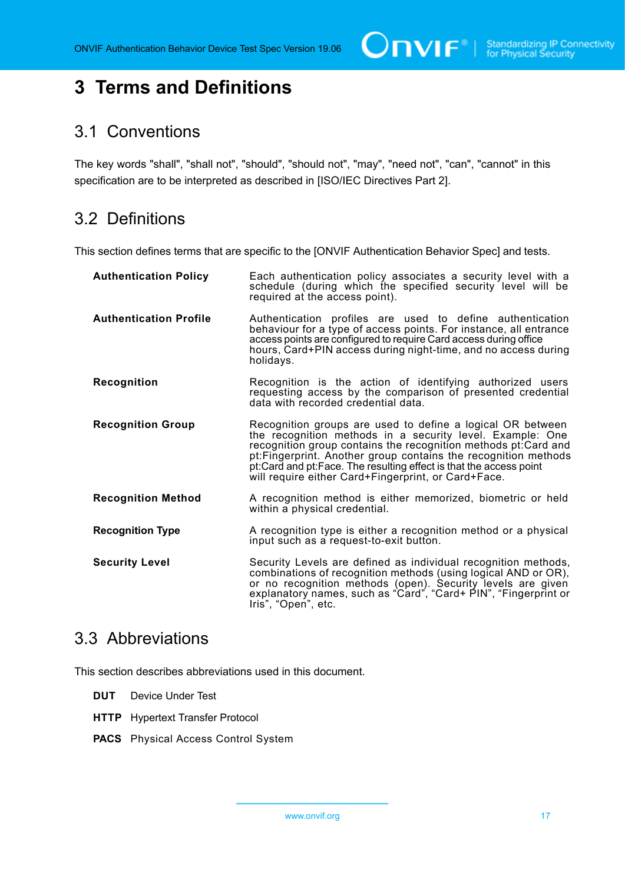# <span id="page-16-0"></span>**3 Terms and Definitions**

#### <span id="page-16-1"></span>3.1 Conventions

The key words "shall", "shall not", "should", "should not", "may", "need not", "can", "cannot" in this specification are to be interpreted as described in [ISO/IEC Directives Part 2].

# <span id="page-16-2"></span>3.2 Definitions

This section defines terms that are specific to the [ONVIF Authentication Behavior Spec] and tests.

| <b>Authentication Policy</b>  | Each authentication policy associates a security level with a<br>schedule (during which the specified security level will be<br>required at the access point).                                                                                                                                                                                                                               |
|-------------------------------|----------------------------------------------------------------------------------------------------------------------------------------------------------------------------------------------------------------------------------------------------------------------------------------------------------------------------------------------------------------------------------------------|
| <b>Authentication Profile</b> | Authentication profiles are used to define authentication<br>behaviour for a type of access points. For instance, all entrance<br>access points are configured to require Card access during office<br>hours, Card+PIN access during night-time, and no access during<br>holidays.                                                                                                           |
| Recognition                   | Recognition is the action of identifying authorized users<br>requesting access by the comparison of presented credential<br>data with recorded credential data.                                                                                                                                                                                                                              |
| <b>Recognition Group</b>      | Recognition groups are used to define a logical OR between<br>the recognition methods in a security level. Example: One<br>recognition group contains the recognition methods pt: Card and<br>pt: Fingerprint. Another group contains the recognition methods<br>pt: Card and pt: Face. The resulting effect is that the access point<br>will require either Card+Fingerprint, or Card+Face. |
| <b>Recognition Method</b>     | A recognition method is either memorized, biometric or held<br>within a physical credential.                                                                                                                                                                                                                                                                                                 |
| <b>Recognition Type</b>       | A recognition type is either a recognition method or a physical<br>input such as a request-to-exit button.                                                                                                                                                                                                                                                                                   |
| <b>Security Level</b>         | Security Levels are defined as individual recognition methods,<br>combinations of recognition methods (using logical AND or OR),<br>or no recognition methods (open). Security levels are given<br>explanatory names, such as "Card", "Card+ PIN", "Fingerprint or<br>Iris", "Open", etc.                                                                                                    |

#### <span id="page-16-3"></span>3.3 Abbreviations

This section describes abbreviations used in this document.

- **DUT** Device Under Test
- **HTTP** Hypertext Transfer Protocol
- **PACS** Physical Access Control System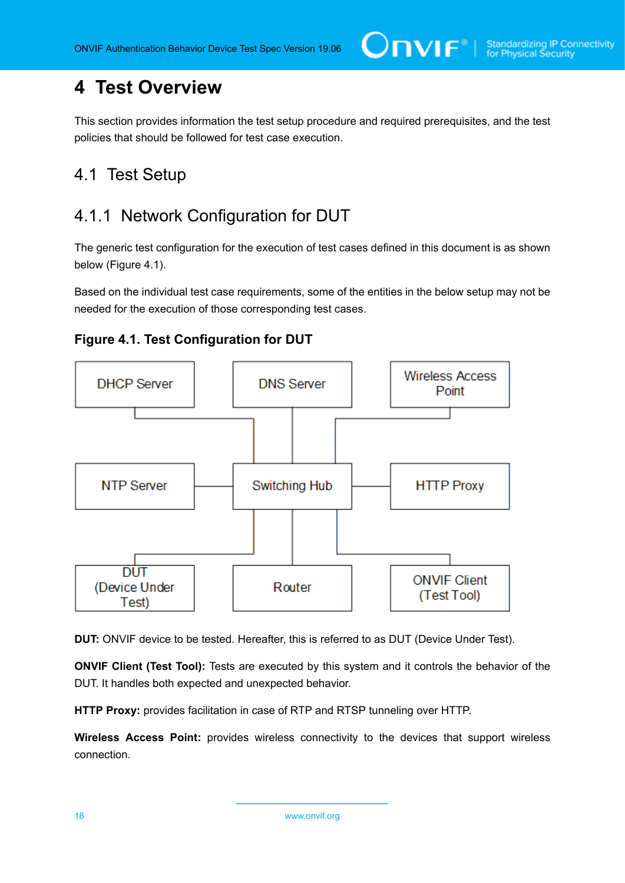# <span id="page-17-0"></span>**4 Test Overview**

This section provides information the test setup procedure and required prerequisites, and the test policies that should be followed for test case execution.

### <span id="page-17-1"></span>4.1 Test Setup

### <span id="page-17-2"></span>4.1.1 Network Configuration for DUT

The generic test configuration for the execution of test cases defined in this document is as shown below (Figure 4.1).

Based on the individual test case requirements, some of the entities in the below setup may not be needed for the execution of those corresponding test cases.





**DUT:** ONVIF device to be tested. Hereafter, this is referred to as DUT (Device Under Test).

**ONVIF Client (Test Tool):** Tests are executed by this system and it controls the behavior of the DUT. It handles both expected and unexpected behavior.

**HTTP Proxy:** provides facilitation in case of RTP and RTSP tunneling over HTTP.

**Wireless Access Point:** provides wireless connectivity to the devices that support wireless connection.

18 www.onvif.org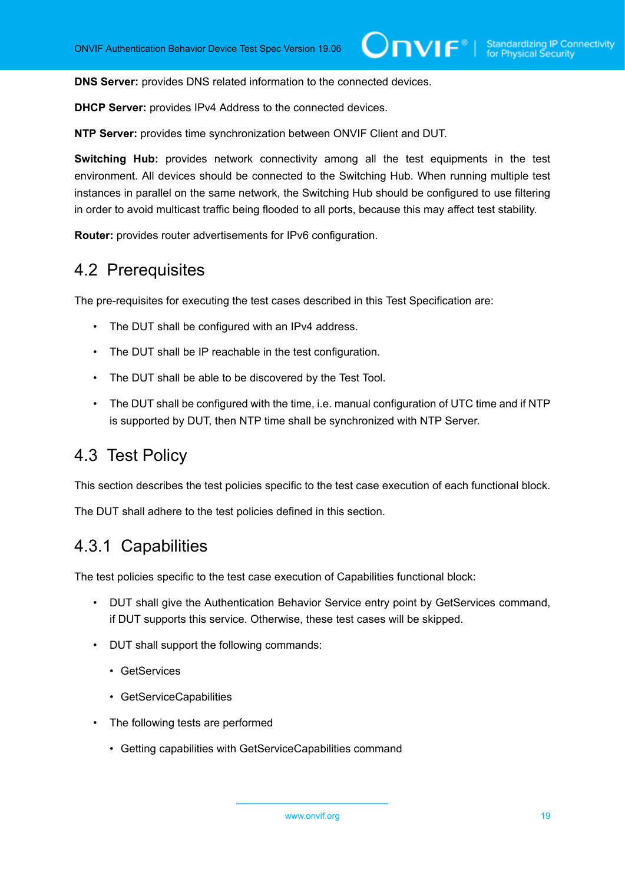**DNS Server:** provides DNS related information to the connected devices.

**DHCP Server:** provides IPv4 Address to the connected devices.

**NTP Server:** provides time synchronization between ONVIF Client and DUT.

**Switching Hub:** provides network connectivity among all the test equipments in the test environment. All devices should be connected to the Switching Hub. When running multiple test instances in parallel on the same network, the Switching Hub should be configured to use filtering in order to avoid multicast traffic being flooded to all ports, because this may affect test stability.

<span id="page-18-0"></span>**Router:** provides router advertisements for IPv6 configuration.

#### 4.2 Prerequisites

The pre-requisites for executing the test cases described in this Test Specification are:

- The DUT shall be configured with an IPv4 address.
- The DUT shall be IP reachable in the test configuration.
- The DUT shall be able to be discovered by the Test Tool.
- The DUT shall be configured with the time, i.e. manual configuration of UTC time and if NTP is supported by DUT, then NTP time shall be synchronized with NTP Server.

#### <span id="page-18-1"></span>4.3 Test Policy

This section describes the test policies specific to the test case execution of each functional block.

<span id="page-18-2"></span>The DUT shall adhere to the test policies defined in this section.

#### 4.3.1 Capabilities

The test policies specific to the test case execution of Capabilities functional block:

- DUT shall give the Authentication Behavior Service entry point by GetServices command, if DUT supports this service. Otherwise, these test cases will be skipped.
- DUT shall support the following commands:
	- GetServices
	- GetServiceCapabilities
- The following tests are performed
	- Getting capabilities with GetServiceCapabilities command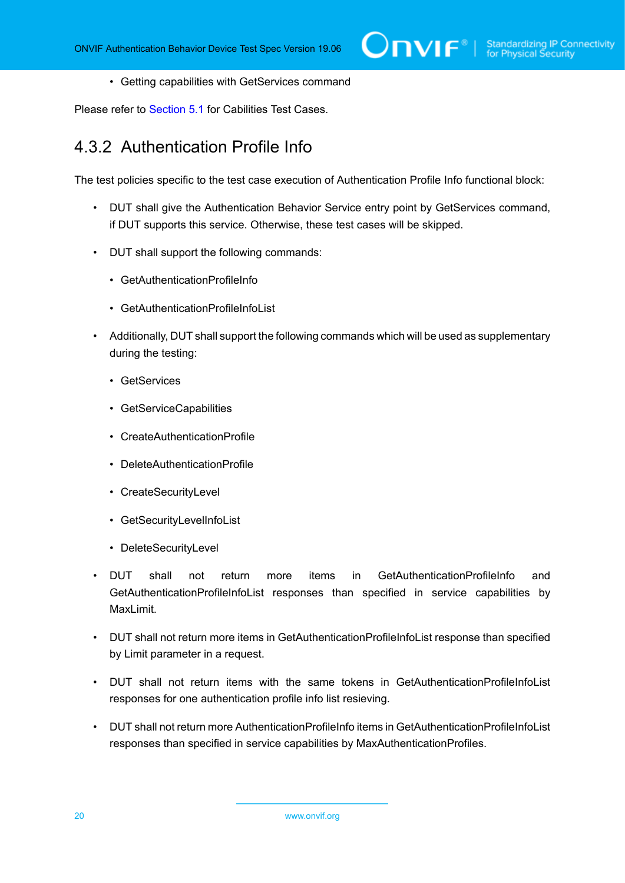• Getting capabilities with GetServices command

<span id="page-19-0"></span>Please refer to [Section 5.1](#page-32-1) for Cabilities Test Cases.

#### 4.3.2 Authentication Profile Info

The test policies specific to the test case execution of Authentication Profile Info functional block:

- DUT shall give the Authentication Behavior Service entry point by GetServices command, if DUT supports this service. Otherwise, these test cases will be skipped.
- DUT shall support the following commands:
	- GetAuthenticationProfileInfo
	- GetAuthenticationProfileInfoList
- Additionally, DUT shall support the following commands which will be used as supplementary during the testing:
	- GetServices
	- GetServiceCapabilities
	- CreateAuthenticationProfile
	- DeleteAuthenticationProfile
	- CreateSecurityLevel
	- GetSecurityLevelInfoList
	- DeleteSecurityLevel
- DUT shall not return more items in GetAuthenticationProfileInfo and GetAuthenticationProfileInfoList responses than specified in service capabilities by MaxLimit.
- DUT shall not return more items in GetAuthenticationProfileInfoList response than specified by Limit parameter in a request.
- DUT shall not return items with the same tokens in GetAuthenticationProfileInfoList responses for one authentication profile info list resieving.
- DUT shall not return more AuthenticationProfileInfo items in GetAuthenticationProfileInfoList responses than specified in service capabilities by MaxAuthenticationProfiles.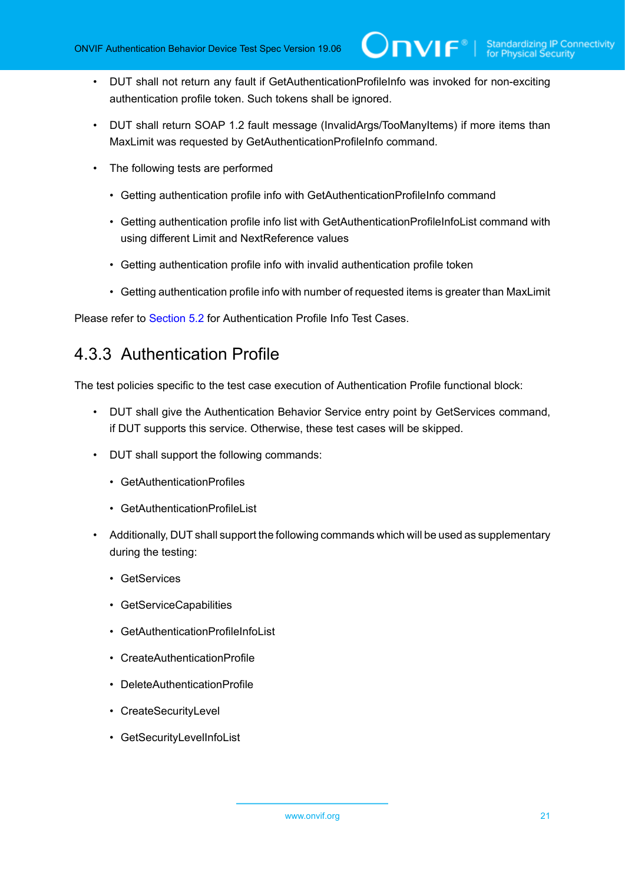- DUT shall not return any fault if GetAuthenticationProfileInfo was invoked for non-exciting authentication profile token. Such tokens shall be ignored.
- DUT shall return SOAP 1.2 fault message (InvalidArgs/TooManyItems) if more items than MaxLimit was requested by GetAuthenticationProfileInfo command.
- The following tests are performed
	- Getting authentication profile info with GetAuthenticationProfileInfo command
	- Getting authentication profile info list with GetAuthenticationProfileInfoList command with using different Limit and NextReference values
	- Getting authentication profile info with invalid authentication profile token
	- Getting authentication profile info with number of requested items is greater than MaxLimit

<span id="page-20-0"></span>Please refer to [Section 5.2](#page-34-0) for Authentication Profile Info Test Cases.

#### 4.3.3 Authentication Profile

The test policies specific to the test case execution of Authentication Profile functional block:

- DUT shall give the Authentication Behavior Service entry point by GetServices command, if DUT supports this service. Otherwise, these test cases will be skipped.
- DUT shall support the following commands:
	- GetAuthenticationProfiles
	- GetAuthenticationProfileList
- Additionally, DUT shall support the following commands which will be used as supplementary during the testing:
	- GetServices
	- GetServiceCapabilities
	- GetAuthenticationProfileInfoList
	- CreateAuthenticationProfile
	- DeleteAuthenticationProfile
	- CreateSecurityLevel
	- GetSecurityLevelInfoList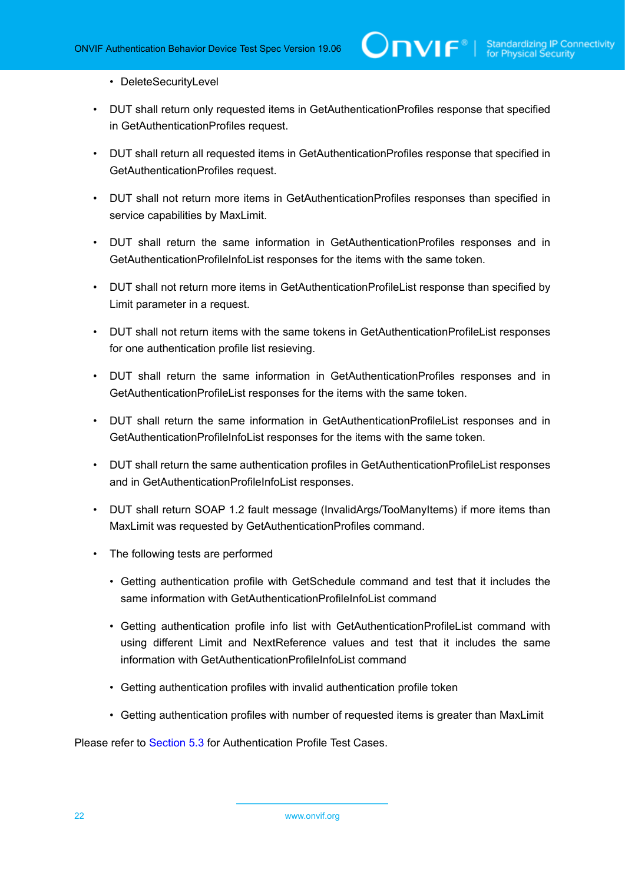#### • DeleteSecurityLevel

- DUT shall return only requested items in GetAuthenticationProfiles response that specified in GetAuthenticationProfiles request.
- DUT shall return all requested items in GetAuthenticationProfiles response that specified in GetAuthenticationProfiles request.
- DUT shall not return more items in GetAuthenticationProfiles responses than specified in service capabilities by MaxLimit.
- DUT shall return the same information in GetAuthenticationProfiles responses and in GetAuthenticationProfileInfoList responses for the items with the same token.
- DUT shall not return more items in GetAuthenticationProfileList response than specified by Limit parameter in a request.
- DUT shall not return items with the same tokens in GetAuthenticationProfileList responses for one authentication profile list resieving.
- DUT shall return the same information in GetAuthenticationProfiles responses and in GetAuthenticationProfileList responses for the items with the same token.
- DUT shall return the same information in GetAuthenticationProfileList responses and in GetAuthenticationProfileInfoList responses for the items with the same token.
- DUT shall return the same authentication profiles in GetAuthenticationProfileList responses and in GetAuthenticationProfileInfoList responses.
- DUT shall return SOAP 1.2 fault message (InvalidArgs/TooManyItems) if more items than MaxLimit was requested by GetAuthenticationProfiles command.
- The following tests are performed
	- Getting authentication profile with GetSchedule command and test that it includes the same information with GetAuthenticationProfileInfoList command
	- Getting authentication profile info list with GetAuthenticationProfileList command with using different Limit and NextReference values and test that it includes the same information with GetAuthenticationProfileInfoList command
	- Getting authentication profiles with invalid authentication profile token
	- Getting authentication profiles with number of requested items is greater than MaxLimit

Please refer to [Section 5.3](#page-47-0) for Authentication Profile Test Cases.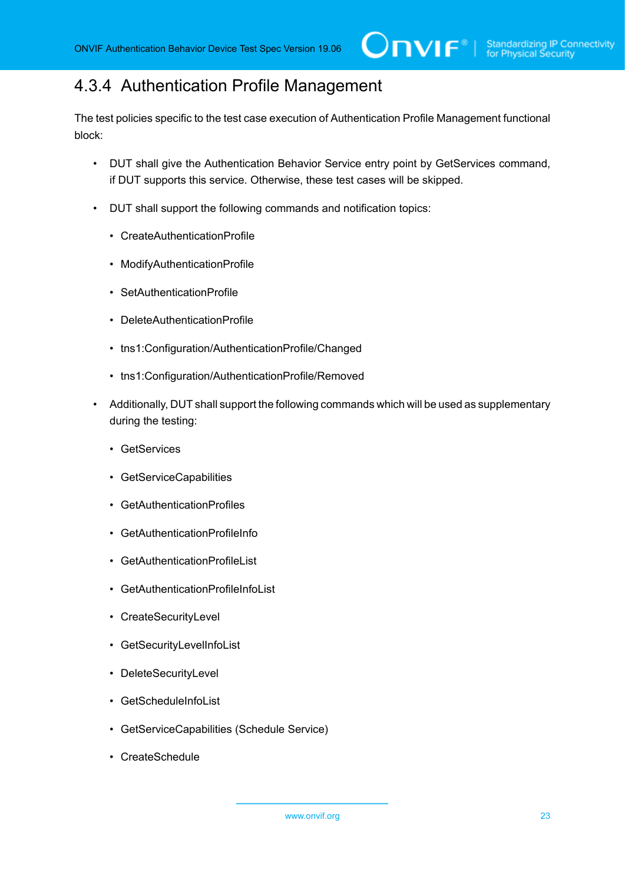## <span id="page-22-0"></span>4.3.4 Authentication Profile Management

The test policies specific to the test case execution of Authentication Profile Management functional block:

- DUT shall give the Authentication Behavior Service entry point by GetServices command, if DUT supports this service. Otherwise, these test cases will be skipped.
- DUT shall support the following commands and notification topics:
	- CreateAuthenticationProfile
	- ModifyAuthenticationProfile
	- SetAuthenticationProfile
	- DeleteAuthenticationProfile
	- tns1:Configuration/AuthenticationProfile/Changed
	- tns1:Configuration/AuthenticationProfile/Removed
- Additionally, DUT shall support the following commands which will be used as supplementary during the testing:
	- GetServices
	- GetServiceCapabilities
	- GetAuthenticationProfiles
	- GetAuthenticationProfileInfo
	- GetAuthenticationProfileList
	- GetAuthenticationProfileInfoList
	- CreateSecurityLevel
	- GetSecurityLevelInfoList
	- DeleteSecurityLevel
	- GetScheduleInfoList
	- GetServiceCapabilities (Schedule Service)
	- CreateSchedule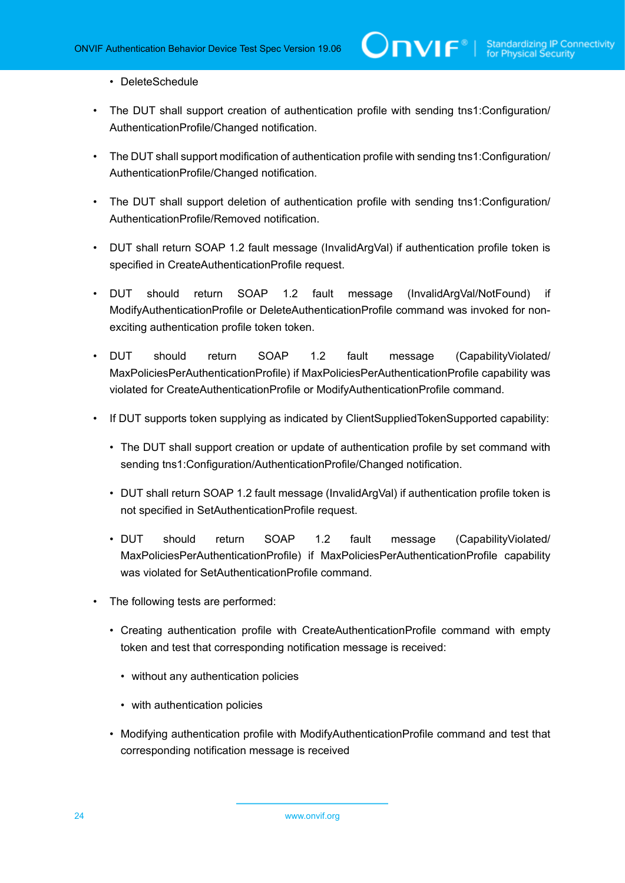#### • DeleteSchedule

• The DUT shall support creation of authentication profile with sending tns1:Configuration/ AuthenticationProfile/Changed notification.

 $\bm{\cup}$ NIF $^{\circ}$ l

- The DUT shall support modification of authentication profile with sending tns1: Configuration/ AuthenticationProfile/Changed notification.
- The DUT shall support deletion of authentication profile with sending tns1:Configuration/ AuthenticationProfile/Removed notification.
- DUT shall return SOAP 1.2 fault message (InvalidArgVal) if authentication profile token is specified in CreateAuthenticationProfile request.
- DUT should return SOAP 1.2 fault message (InvalidArgVal/NotFound) if ModifyAuthenticationProfile or DeleteAuthenticationProfile command was invoked for nonexciting authentication profile token token.
- DUT should return SOAP 1.2 fault message (CapabilityViolated/ MaxPoliciesPerAuthenticationProfile) if MaxPoliciesPerAuthenticationProfile capability was violated for CreateAuthenticationProfile or ModifyAuthenticationProfile command.
- If DUT supports token supplying as indicated by ClientSuppliedTokenSupported capability:
	- The DUT shall support creation or update of authentication profile by set command with sending tns1:Configuration/AuthenticationProfile/Changed notification.
	- DUT shall return SOAP 1.2 fault message (InvalidArgVal) if authentication profile token is not specified in SetAuthenticationProfile request.
	- DUT should return SOAP 1.2 fault message (CapabilityViolated/ MaxPoliciesPerAuthenticationProfile) if MaxPoliciesPerAuthenticationProfile capability was violated for SetAuthenticationProfile command.
- The following tests are performed:
	- Creating authentication profile with CreateAuthenticationProfile command with empty token and test that corresponding notification message is received:
		- without any authentication policies
		- with authentication policies
	- Modifying authentication profile with ModifyAuthenticationProfile command and test that corresponding notification message is received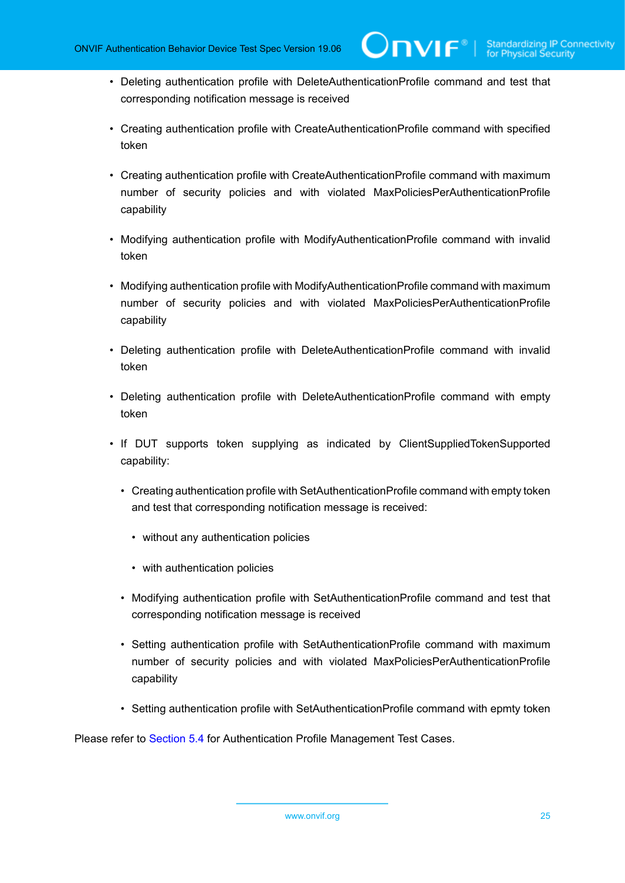- Deleting authentication profile with DeleteAuthenticationProfile command and test that corresponding notification message is received
- Creating authentication profile with CreateAuthenticationProfile command with specified token
- Creating authentication profile with CreateAuthenticationProfile command with maximum number of security policies and with violated MaxPoliciesPerAuthenticationProfile capability
- Modifying authentication profile with ModifyAuthenticationProfile command with invalid token
- Modifying authentication profile with ModifyAuthenticationProfile command with maximum number of security policies and with violated MaxPoliciesPerAuthenticationProfile capability
- Deleting authentication profile with DeleteAuthenticationProfile command with invalid token
- Deleting authentication profile with DeleteAuthenticationProfile command with empty token
- If DUT supports token supplying as indicated by ClientSuppliedTokenSupported capability:
	- Creating authentication profile with SetAuthenticationProfile command with empty token and test that corresponding notification message is received:
		- without any authentication policies
		- with authentication policies
	- Modifying authentication profile with SetAuthenticationProfile command and test that corresponding notification message is received
	- Setting authentication profile with SetAuthenticationProfile command with maximum number of security policies and with violated MaxPoliciesPerAuthenticationProfile capability
	- Setting authentication profile with SetAuthenticationProfile command with epmty token

Please refer to [Section 5.4](#page-62-0) for Authentication Profile Management Test Cases.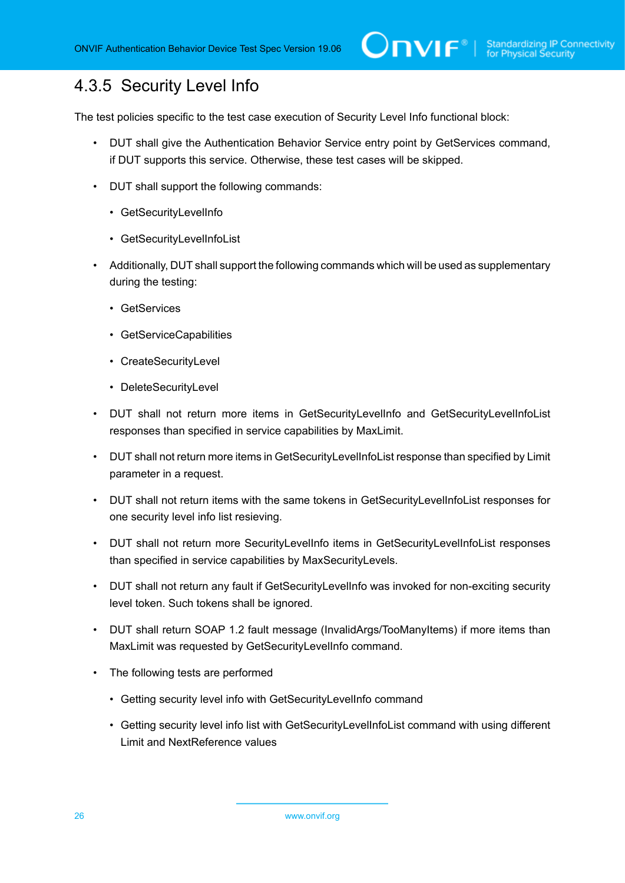## <span id="page-25-0"></span>4.3.5 Security Level Info

The test policies specific to the test case execution of Security Level Info functional block:

- DUT shall give the Authentication Behavior Service entry point by GetServices command, if DUT supports this service. Otherwise, these test cases will be skipped.
- DUT shall support the following commands:
	- GetSecurityLevelInfo
	- GetSecurityLevelInfoList
- Additionally, DUT shall support the following commands which will be used as supplementary during the testing:
	- GetServices
	- GetServiceCapabilities
	- CreateSecurityLevel
	- DeleteSecurityLevel
- DUT shall not return more items in GetSecurityLevelInfo and GetSecurityLevelInfoList responses than specified in service capabilities by MaxLimit.
- DUT shall not return more items in GetSecurityLevelInfoList response than specified by Limit parameter in a request.
- DUT shall not return items with the same tokens in GetSecurityLevelInfoList responses for one security level info list resieving.
- DUT shall not return more SecurityLevelInfo items in GetSecurityLevelInfoList responses than specified in service capabilities by MaxSecurityLevels.
- DUT shall not return any fault if GetSecurityLevelInfo was invoked for non-exciting security level token. Such tokens shall be ignored.
- DUT shall return SOAP 1.2 fault message (InvalidArgs/TooManyItems) if more items than MaxLimit was requested by GetSecurityLevelInfo command.
- The following tests are performed
	- Getting security level info with GetSecurityLevelInfo command
	- Getting security level info list with GetSecurityLevelInfoList command with using different Limit and NextReference values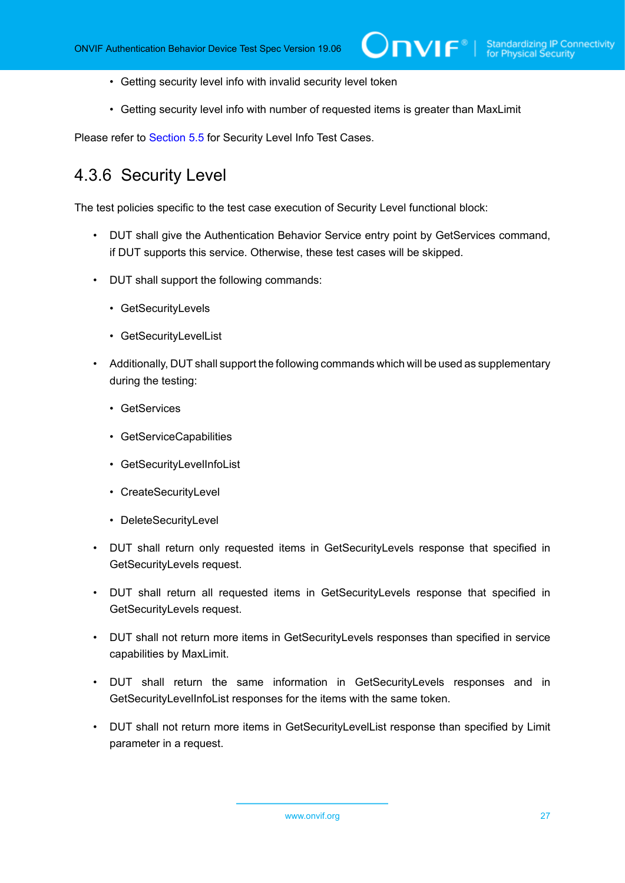- Getting security level info with invalid security level token
- Getting security level info with number of requested items is greater than MaxLimit

<span id="page-26-0"></span>Please refer to [Section 5.5](#page-112-0) for Security Level Info Test Cases.

#### 4.3.6 Security Level

The test policies specific to the test case execution of Security Level functional block:

- DUT shall give the Authentication Behavior Service entry point by GetServices command, if DUT supports this service. Otherwise, these test cases will be skipped.
- DUT shall support the following commands:
	- GetSecurityLevels
	- GetSecurityLevelList
- Additionally, DUT shall support the following commands which will be used as supplementary during the testing:
	- GetServices
	- GetServiceCapabilities
	- GetSecurityLevelInfoList
	- CreateSecurityLevel
	- DeleteSecurityLevel
- DUT shall return only requested items in GetSecurityLevels response that specified in GetSecurityLevels request.
- DUT shall return all requested items in GetSecurityLevels response that specified in GetSecurityLevels request.
- DUT shall not return more items in GetSecurityLevels responses than specified in service capabilities by MaxLimit.
- DUT shall return the same information in GetSecurityLevels responses and in GetSecurityLevelInfoList responses for the items with the same token.
- DUT shall not return more items in GetSecurityLevelList response than specified by Limit parameter in a request.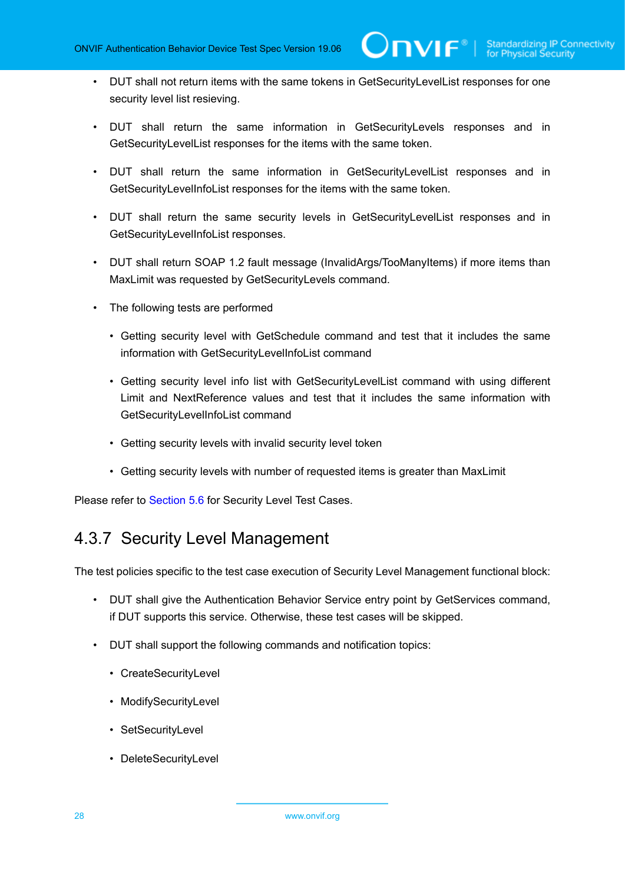- DUT shall not return items with the same tokens in GetSecurityLevelList responses for one security level list resieving.
- DUT shall return the same information in GetSecurityLevels responses and in GetSecurityLevelList responses for the items with the same token.
- DUT shall return the same information in GetSecurityLevelList responses and in GetSecurityLevelInfoList responses for the items with the same token.
- DUT shall return the same security levels in GetSecurityLevelList responses and in GetSecurityLevelInfoList responses.
- DUT shall return SOAP 1.2 fault message (InvalidArgs/TooManyItems) if more items than MaxLimit was requested by GetSecurityLevels command.
- The following tests are performed
	- Getting security level with GetSchedule command and test that it includes the same information with GetSecurityLevelInfoList command
	- Getting security level info list with GetSecurityLevelList command with using different Limit and NextReference values and test that it includes the same information with GetSecurityLevelInfoList command
	- Getting security levels with invalid security level token
	- Getting security levels with number of requested items is greater than MaxLimit

<span id="page-27-0"></span>Please refer to [Section 5.6](#page-124-0) for Security Level Test Cases.

#### 4.3.7 Security Level Management

The test policies specific to the test case execution of Security Level Management functional block:

- DUT shall give the Authentication Behavior Service entry point by GetServices command, if DUT supports this service. Otherwise, these test cases will be skipped.
- DUT shall support the following commands and notification topics:
	- CreateSecurityLevel
	- ModifySecurityLevel
	- SetSecurityLevel
	- DeleteSecurityLevel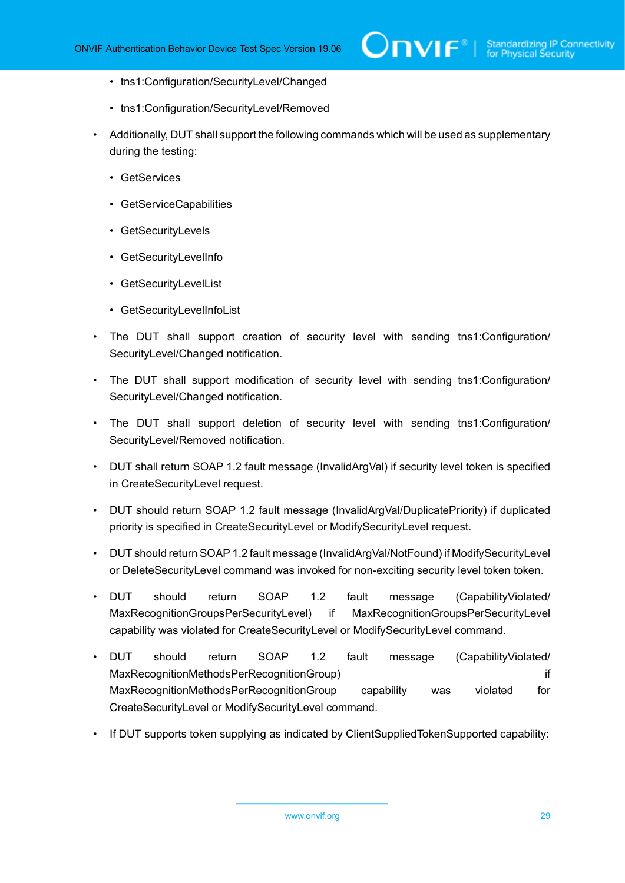- tns1:Configuration/SecurityLevel/Changed
- tns1:Configuration/SecurityLevel/Removed
- Additionally, DUT shall support the following commands which will be used as supplementary during the testing:
	- GetServices
	- GetServiceCapabilities
	- GetSecurityLevels
	- GetSecurityLevelInfo
	- GetSecurityLevelList
	- GetSecurityLevelInfoList
- The DUT shall support creation of security level with sending tns1:Configuration/ SecurityLevel/Changed notification.
- The DUT shall support modification of security level with sending tns1:Configuration/ SecurityLevel/Changed notification.
- The DUT shall support deletion of security level with sending tns1:Configuration/ SecurityLevel/Removed notification.
- DUT shall return SOAP 1.2 fault message (InvalidArgVal) if security level token is specified in CreateSecurityLevel request.
- DUT should return SOAP 1.2 fault message (InvalidArgVal/DuplicatePriority) if duplicated priority is specified in CreateSecurityLevel or ModifySecurityLevel request.
- DUT should return SOAP 1.2 fault message (InvalidArgVal/NotFound) if ModifySecurityLevel or DeleteSecurityLevel command was invoked for non-exciting security level token token.
- DUT should return SOAP 1.2 fault message (CapabilityViolated/ MaxRecognitionGroupsPerSecurityLevel) if MaxRecognitionGroupsPerSecurityLevel capability was violated for CreateSecurityLevel or ModifySecurityLevel command.
- DUT should return SOAP 1.2 fault message (CapabilityViolated/ MaxRecognitionMethodsPerRecognitionGroup) if MaxRecognitionMethodsPerRecognitionGroup capability was violated for CreateSecurityLevel or ModifySecurityLevel command.
- If DUT supports token supplying as indicated by ClientSuppliedTokenSupported capability: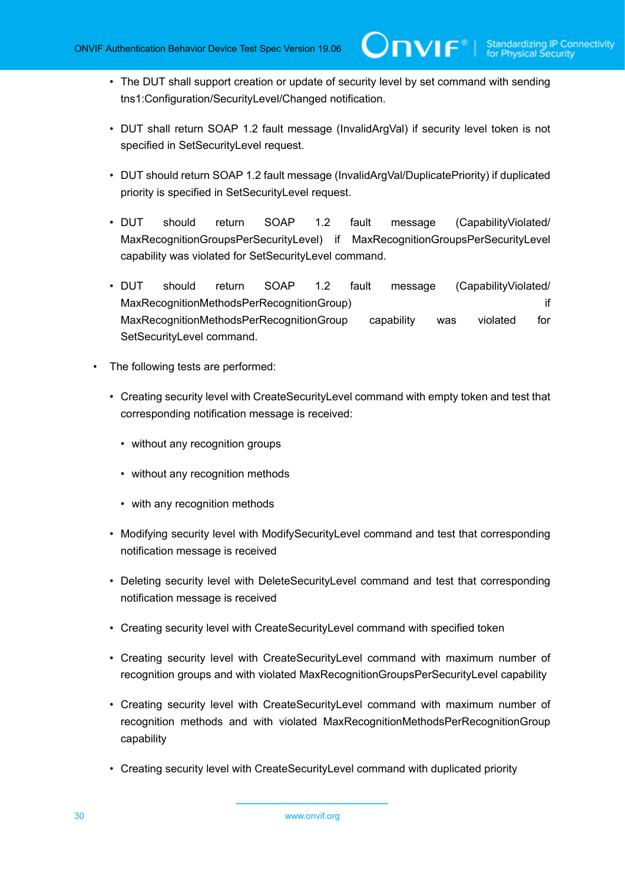- The DUT shall support creation or update of security level by set command with sending tns1:Configuration/SecurityLevel/Changed notification.
- DUT shall return SOAP 1.2 fault message (InvalidArgVal) if security level token is not specified in SetSecurityLevel request.
- DUT should return SOAP 1.2 fault message (InvalidArgVal/DuplicatePriority) if duplicated priority is specified in SetSecurityLevel request.
- DUT should return SOAP 1.2 fault message (CapabilityViolated/ MaxRecognitionGroupsPerSecurityLevel) if MaxRecognitionGroupsPerSecurityLevel capability was violated for SetSecurityLevel command.
- DUT should return SOAP 1.2 fault message (CapabilityViolated/ MaxRecognitionMethodsPerRecognitionGroup) if MaxRecognitionMethodsPerRecognitionGroup capability was violated for SetSecurityLevel command.
- The following tests are performed:
	- Creating security level with CreateSecurityLevel command with empty token and test that corresponding notification message is received:
		- without any recognition groups
		- without any recognition methods
		- with any recognition methods
	- Modifying security level with ModifySecurityLevel command and test that corresponding notification message is received
	- Deleting security level with DeleteSecurityLevel command and test that corresponding notification message is received
	- Creating security level with CreateSecurityLevel command with specified token
	- Creating security level with CreateSecurityLevel command with maximum number of recognition groups and with violated MaxRecognitionGroupsPerSecurityLevel capability
	- Creating security level with CreateSecurityLevel command with maximum number of recognition methods and with violated MaxRecognitionMethodsPerRecognitionGroup capability
	- Creating security level with CreateSecurityLevel command with duplicated priority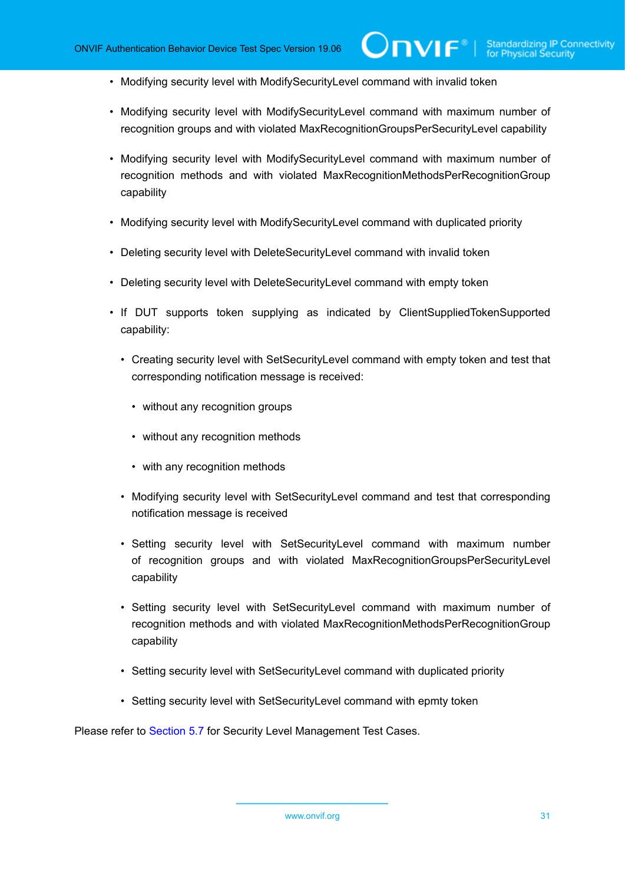- Modifying security level with ModifySecurityLevel command with invalid token
- Modifying security level with ModifySecurityLevel command with maximum number of recognition groups and with violated MaxRecognitionGroupsPerSecurityLevel capability
- Modifying security level with ModifySecurityLevel command with maximum number of recognition methods and with violated MaxRecognitionMethodsPerRecognitionGroup capability
- Modifying security level with ModifySecurityLevel command with duplicated priority
- Deleting security level with DeleteSecurityLevel command with invalid token
- Deleting security level with DeleteSecurityLevel command with empty token
- If DUT supports token supplying as indicated by ClientSuppliedTokenSupported capability:
	- Creating security level with SetSecurityLevel command with empty token and test that corresponding notification message is received:
		- without any recognition groups
		- without any recognition methods
		- with any recognition methods
	- Modifying security level with SetSecurityLevel command and test that corresponding notification message is received
	- Setting security level with SetSecurityLevel command with maximum number of recognition groups and with violated MaxRecognitionGroupsPerSecurityLevel capability
	- Setting security level with SetSecurityLevel command with maximum number of recognition methods and with violated MaxRecognitionMethodsPerRecognitionGroup capability
	- Setting security level with SetSecurityLevel command with duplicated priority
	- Setting security level with SetSecurityLevel command with epmty token

Please refer to [Section 5.7](#page-137-0) for Security Level Management Test Cases.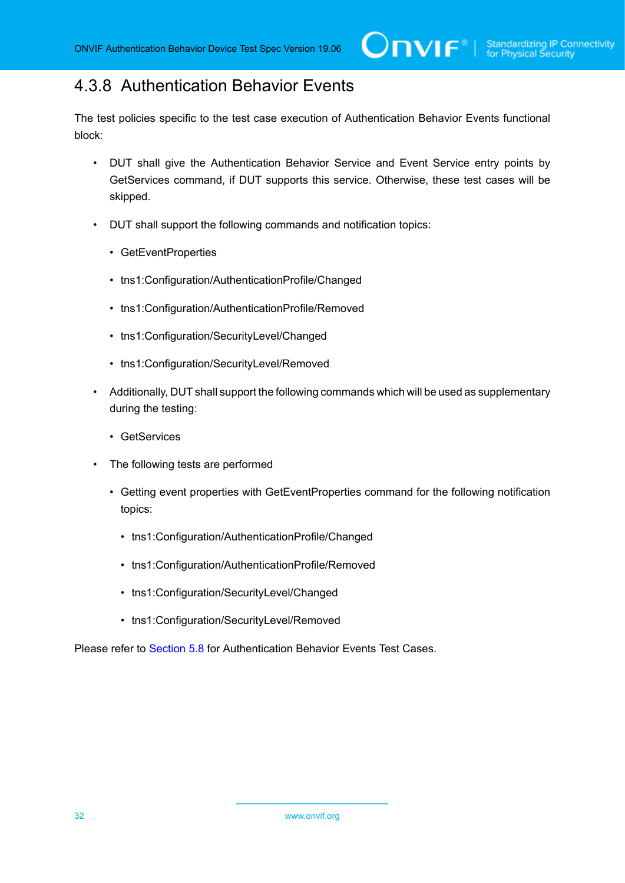### <span id="page-31-0"></span>4.3.8 Authentication Behavior Events

The test policies specific to the test case execution of Authentication Behavior Events functional block:

- DUT shall give the Authentication Behavior Service and Event Service entry points by GetServices command, if DUT supports this service. Otherwise, these test cases will be skipped.
- DUT shall support the following commands and notification topics:
	- GetEventProperties
	- tns1:Configuration/AuthenticationProfile/Changed
	- tns1:Configuration/AuthenticationProfile/Removed
	- tns1:Configuration/SecurityLevel/Changed
	- tns1:Configuration/SecurityLevel/Removed
- Additionally, DUT shall support the following commands which will be used as supplementary during the testing:
	- GetServices
- The following tests are performed
	- Getting event properties with GetEventProperties command for the following notification topics:
		- tns1:Configuration/AuthenticationProfile/Changed
		- tns1:Configuration/AuthenticationProfile/Removed
		- tns1:Configuration/SecurityLevel/Changed
		- tns1:Configuration/SecurityLevel/Removed

Please refer to [Section 5.8](#page-197-0) for Authentication Behavior Events Test Cases.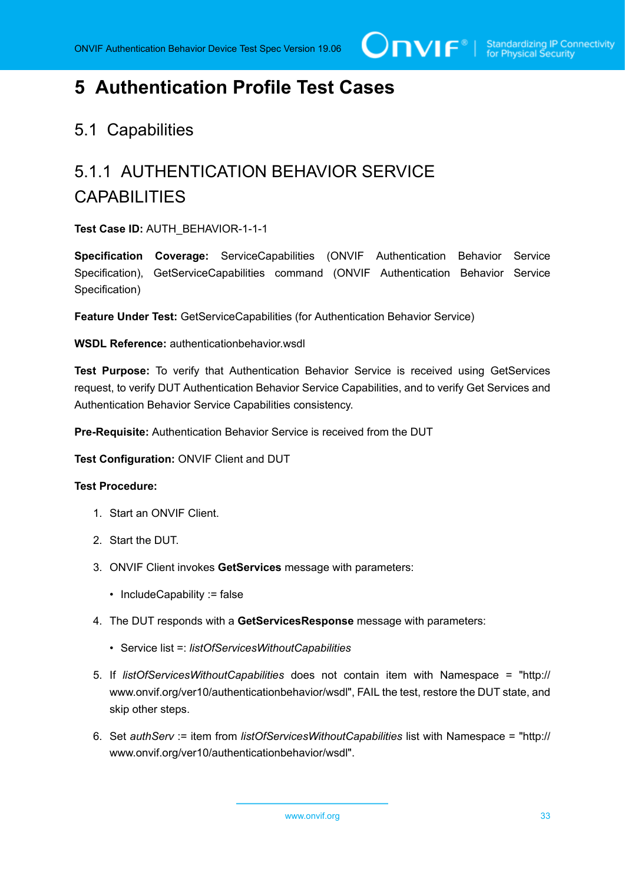# <span id="page-32-0"></span>**5 Authentication Profile Test Cases**

#### <span id="page-32-1"></span>5.1 Capabilities

# <span id="page-32-2"></span>5.1.1 AUTHENTICATION BEHAVIOR SERVICE **CAPABILITIES**

**Test Case ID:** AUTH\_BEHAVIOR-1-1-1

**Specification Coverage:** ServiceCapabilities (ONVIF Authentication Behavior Service Specification), GetServiceCapabilities command (ONVIF Authentication Behavior Service Specification)

**Feature Under Test:** GetServiceCapabilities (for Authentication Behavior Service)

**WSDL Reference:** authenticationbehavior.wsdl

**Test Purpose:** To verify that Authentication Behavior Service is received using GetServices request, to verify DUT Authentication Behavior Service Capabilities, and to verify Get Services and Authentication Behavior Service Capabilities consistency.

**Pre-Requisite:** Authentication Behavior Service is received from the DUT

**Test Configuration:** ONVIF Client and DUT

#### **Test Procedure:**

- 1. Start an ONVIF Client.
- 2. Start the DUT.
- 3. ONVIF Client invokes **GetServices** message with parameters:
	- IncludeCapability := false
- 4. The DUT responds with a **GetServicesResponse** message with parameters:
	- Service list =: *listOfServicesWithoutCapabilities*
- 5. If *listOfServicesWithoutCapabilities* does not contain item with Namespace = "http:// www.onvif.org/ver10/authenticationbehavior/wsdl", FAIL the test, restore the DUT state, and skip other steps.
- 6. Set *authServ* := item from *listOfServicesWithoutCapabilities* list with Namespace = "http:// www.onvif.org/ver10/authenticationbehavior/wsdl".

www.onvif.org 33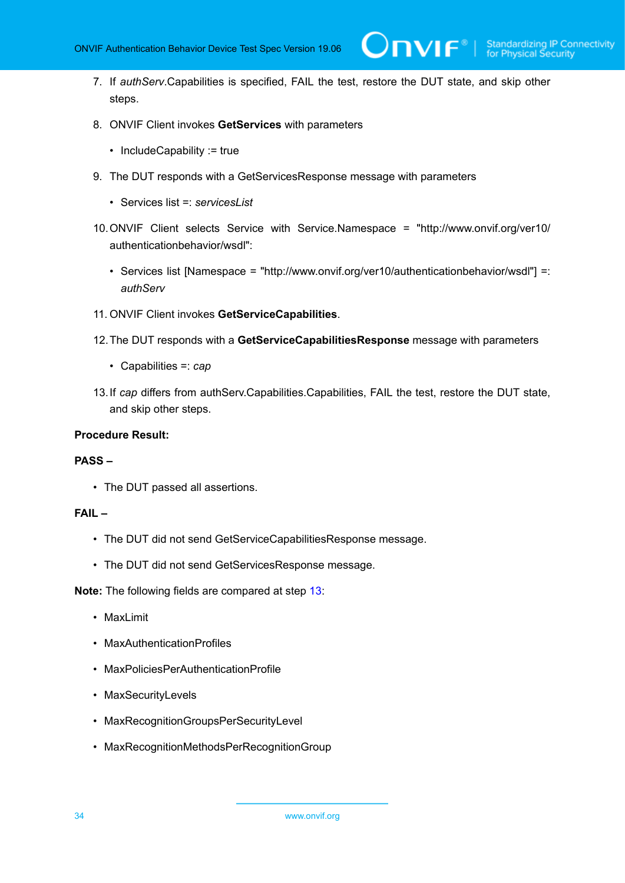7. If *authServ*.Capabilities is specified, FAIL the test, restore the DUT state, and skip other steps.

 $\partial$ DVIF $^{\circ}$ l

- 8. ONVIF Client invokes **GetServices** with parameters
	- IncludeCapability := true
- 9. The DUT responds with a GetServicesResponse message with parameters
	- Services list =: *servicesList*
- 10.ONVIF Client selects Service with Service.Namespace = "http://www.onvif.org/ver10/ authenticationbehavior/wsdl":
	- Services list [Namespace = "http://www.onvif.org/ver10/authenticationbehavior/wsdl"] =: *authServ*
- 11. ONVIF Client invokes **GetServiceCapabilities**.
- 12.The DUT responds with a **GetServiceCapabilitiesResponse** message with parameters
	- Capabilities =: *cap*
- <span id="page-33-0"></span>13.If *cap* differs from authServ.Capabilities.Capabilities, FAIL the test, restore the DUT state, and skip other steps.

#### **Procedure Result:**

#### **PASS –**

• The DUT passed all assertions.

#### **FAIL –**

- The DUT did not send GetServiceCapabilitiesResponse message.
- The DUT did not send GetServicesResponse message.

**Note:** The following fields are compared at step [13](#page-33-0):

- MaxLimit
- MaxAuthenticationProfiles
- MaxPoliciesPerAuthenticationProfile
- MaxSecurityLevels
- MaxRecognitionGroupsPerSecurityLevel
- MaxRecognitionMethodsPerRecognitionGroup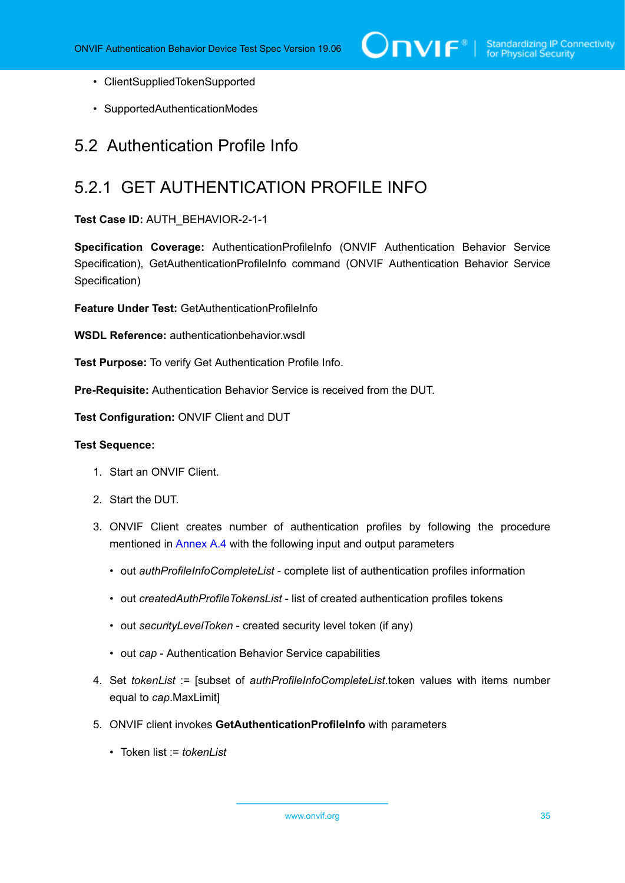- ClientSuppliedTokenSupported
- SupportedAuthenticationModes

#### <span id="page-34-0"></span>5.2 Authentication Profile Info

# <span id="page-34-1"></span>5.2.1 GET AUTHENTICATION PROFILE INFO

**Test Case ID:** AUTH\_BEHAVIOR-2-1-1

**Specification Coverage:** AuthenticationProfileInfo (ONVIF Authentication Behavior Service Specification), GetAuthenticationProfileInfo command (ONVIF Authentication Behavior Service Specification)

**Feature Under Test: GetAuthenticationProfileInfo** 

**WSDL Reference:** authenticationbehavior.wsdl

**Test Purpose:** To verify Get Authentication Profile Info.

**Pre-Requisite:** Authentication Behavior Service is received from the DUT.

**Test Configuration:** ONVIF Client and DUT

#### **Test Sequence:**

- 1. Start an ONVIF Client.
- 2. Start the DUT.
- 3. ONVIF Client creates number of authentication profiles by following the procedure mentioned in [Annex A.4](#page-207-0) with the following input and output parameters
	- out *authProfileInfoCompleteList* complete list of authentication profiles information
	- out *createdAuthProfileTokensList* list of created authentication profiles tokens
	- out *securityLevelToken* created security level token (if any)
	- out *cap* Authentication Behavior Service capabilities
- 4. Set *tokenList* := [subset of *authProfileInfoCompleteList*.token values with items number equal to *cap*.MaxLimit]
- 5. ONVIF client invokes **GetAuthenticationProfileInfo** with parameters
	- Token list := *tokenList*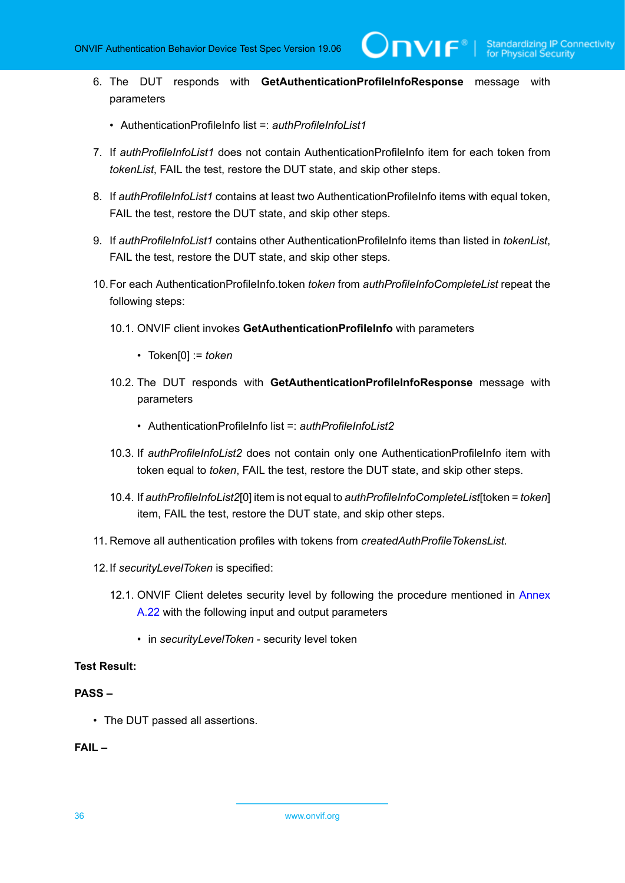- 6. The DUT responds with **GetAuthenticationProfileInfoResponse** message with parameters
	- AuthenticationProfileInfo list =: *authProfileInfoList1*
- 7. If *authProfileInfoList1* does not contain AuthenticationProfileInfo item for each token from *tokenList*, FAIL the test, restore the DUT state, and skip other steps.
- 8. If *authProfileInfoList1* contains at least two AuthenticationProfileInfo items with equal token, FAIL the test, restore the DUT state, and skip other steps.
- 9. If *authProfileInfoList1* contains other AuthenticationProfileInfo items than listed in *tokenList*, FAIL the test, restore the DUT state, and skip other steps.
- 10.For each AuthenticationProfileInfo.token *token* from *authProfileInfoCompleteList* repeat the following steps:
	- 10.1. ONVIF client invokes **GetAuthenticationProfileInfo** with parameters
		- Token[0] := *token*
	- 10.2. The DUT responds with **GetAuthenticationProfileInfoResponse** message with parameters
		- AuthenticationProfileInfo list =: *authProfileInfoList2*
	- 10.3. If *authProfileInfoList2* does not contain only one AuthenticationProfileInfo item with token equal to *token*, FAIL the test, restore the DUT state, and skip other steps.
	- 10.4. If *authProfileInfoList2*[0] item is not equal to *authProfileInfoCompleteList*[token = *token*] item, FAIL the test, restore the DUT state, and skip other steps.
- 11. Remove all authentication profiles with tokens from *createdAuthProfileTokensList*.
- 12.If *securityLevelToken* is specified:
	- 12.1. ONVIF Client deletes security level by following the procedure mentioned in [Annex](#page-225-0) [A.22](#page-225-0) with the following input and output parameters
		- in *securityLevelToken* security level token

#### **Test Result:**

#### **PASS –**

• The DUT passed all assertions.

#### **FAIL –**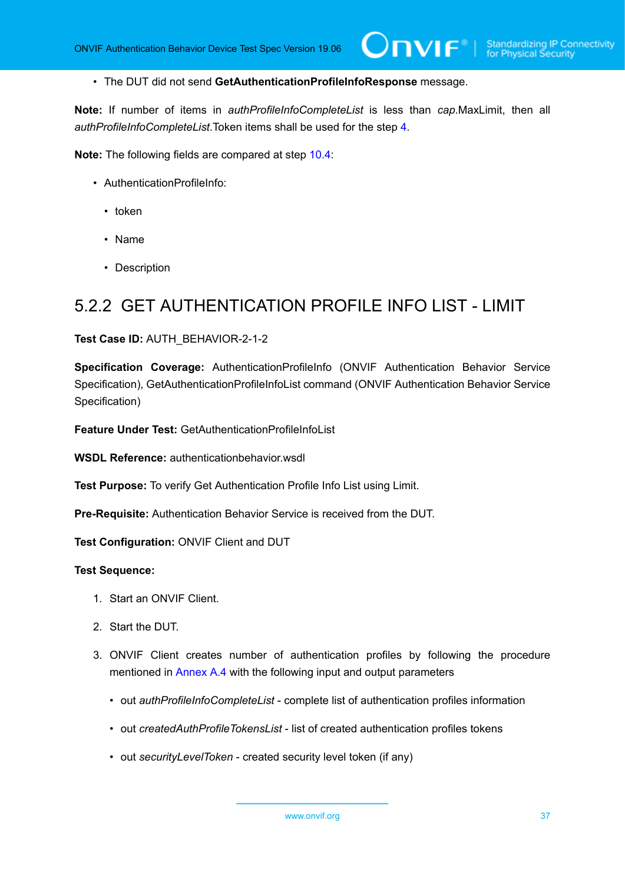• The DUT did not send **GetAuthenticationProfileInfoResponse** message.

**Note:** If number of items in *authProfileInfoCompleteList* is less than *cap*.MaxLimit, then all *authProfileInfoCompleteList*.Token items shall be used for the step [4.](#page-34-0)

**Note:** The following fields are compared at step [10.4](#page-35-0):

- AuthenticationProfileInfo:
	- token
	- Name
	- Description

### 5.2.2 GET AUTHENTICATION PROFILE INFO LIST - LIMIT

#### **Test Case ID:** AUTH\_BEHAVIOR-2-1-2

**Specification Coverage:** AuthenticationProfileInfo (ONVIF Authentication Behavior Service Specification), GetAuthenticationProfileInfoList command (ONVIF Authentication Behavior Service Specification)

**Feature Under Test:** GetAuthenticationProfileInfoList

**WSDL Reference:** authenticationbehavior.wsdl

**Test Purpose:** To verify Get Authentication Profile Info List using Limit.

**Pre-Requisite:** Authentication Behavior Service is received from the DUT.

**Test Configuration:** ONVIF Client and DUT

- 1. Start an ONVIF Client.
- 2. Start the DUT.
- 3. ONVIF Client creates number of authentication profiles by following the procedure mentioned in [Annex A.4](#page-207-0) with the following input and output parameters
	- out *authProfileInfoCompleteList* complete list of authentication profiles information
	- out *createdAuthProfileTokensList* list of created authentication profiles tokens
	- out *securityLevelToken* created security level token (if any)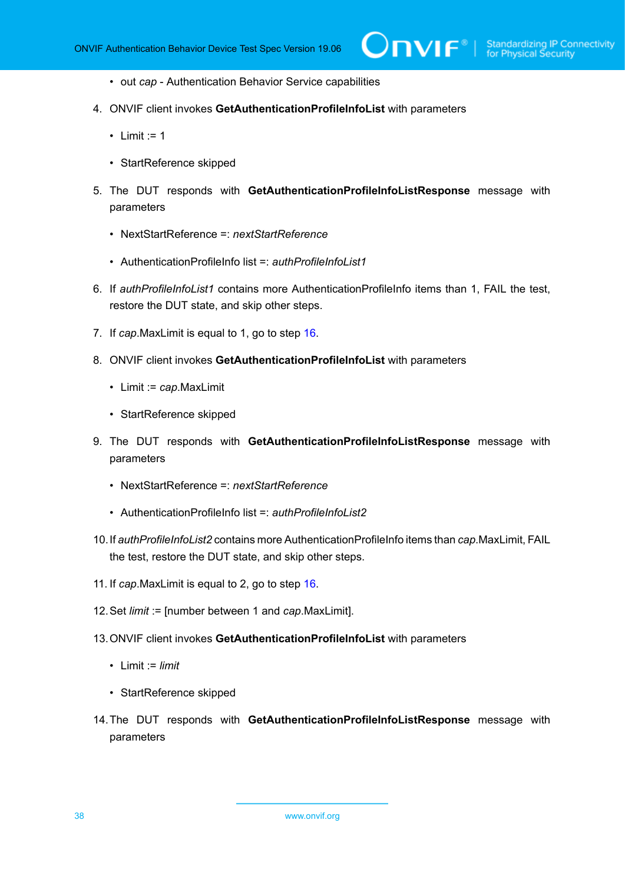- out *cap* Authentication Behavior Service capabilities
- 4. ONVIF client invokes **GetAuthenticationProfileInfoList** with parameters
	- $\bullet$  Limit := 1
	- StartReference skipped
- 5. The DUT responds with **GetAuthenticationProfileInfoListResponse** message with parameters
	- NextStartReference =: *nextStartReference*
	- AuthenticationProfileInfo list =: *authProfileInfoList1*
- 6. If *authProfileInfoList1* contains more AuthenticationProfileInfo items than 1, FAIL the test, restore the DUT state, and skip other steps.
- 7. If *cap*.MaxLimit is equal to 1, go to step [16.](#page-38-0)
- 8. ONVIF client invokes **GetAuthenticationProfileInfoList** with parameters
	- Limit := *cap*.MaxLimit
	- StartReference skipped
- 9. The DUT responds with **GetAuthenticationProfileInfoListResponse** message with parameters
	- NextStartReference =: *nextStartReference*
	- AuthenticationProfileInfo list =: *authProfileInfoList2*
- 10.If *authProfileInfoList2* contains more AuthenticationProfileInfo items than *cap*.MaxLimit, FAIL the test, restore the DUT state, and skip other steps.
- 11. If *cap*.MaxLimit is equal to 2, go to step [16.](#page-38-0)
- 12.Set *limit* := [number between 1 and *cap*.MaxLimit].
- 13.ONVIF client invokes **GetAuthenticationProfileInfoList** with parameters
	- Limit := *limit*
	- StartReference skipped
- 14.The DUT responds with **GetAuthenticationProfileInfoListResponse** message with parameters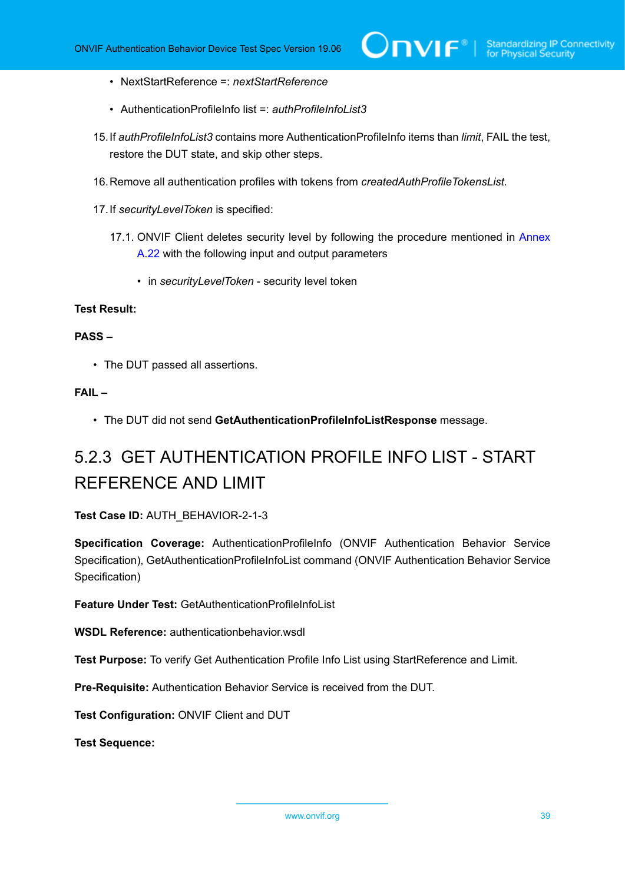- NextStartReference =: *nextStartReference*
- AuthenticationProfileInfo list =: *authProfileInfoList3*
- 15.If *authProfileInfoList3* contains more AuthenticationProfileInfo items than *limit*, FAIL the test, restore the DUT state, and skip other steps.
- <span id="page-38-0"></span>16.Remove all authentication profiles with tokens from *createdAuthProfileTokensList*.
- 17.If *securityLevelToken* is specified:
	- 17.1. ONVIF Client deletes security level by following the procedure mentioned in [Annex](#page-225-0) [A.22](#page-225-0) with the following input and output parameters
		- in *securityLevelToken* security level token

#### **PASS –**

• The DUT passed all assertions.

#### **FAIL –**

• The DUT did not send **GetAuthenticationProfileInfoListResponse** message.

# 5.2.3 GET AUTHENTICATION PROFILE INFO LIST - START REFERENCE AND LIMIT

#### **Test Case ID:** AUTH\_BEHAVIOR-2-1-3

**Specification Coverage:** AuthenticationProfileInfo (ONVIF Authentication Behavior Service Specification), GetAuthenticationProfileInfoList command (ONVIF Authentication Behavior Service Specification)

**Feature Under Test: GetAuthenticationProfileInfoList** 

**WSDL Reference:** authenticationbehavior.wsdl

**Test Purpose:** To verify Get Authentication Profile Info List using StartReference and Limit.

**Pre-Requisite:** Authentication Behavior Service is received from the DUT.

**Test Configuration:** ONVIF Client and DUT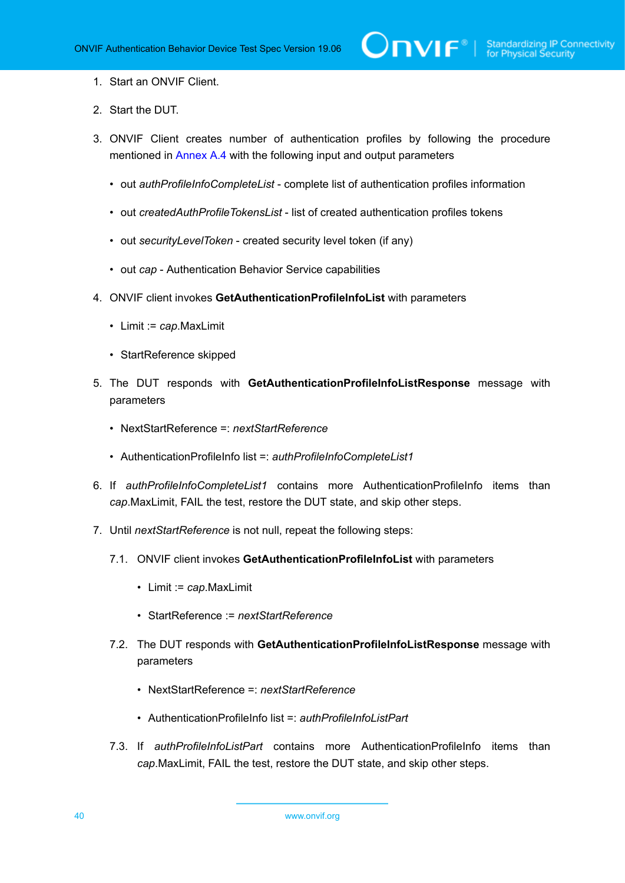- 1. Start an ONVIF Client.
- 2. Start the DUT.
- 3. ONVIF Client creates number of authentication profiles by following the procedure mentioned in [Annex A.4](#page-207-0) with the following input and output parameters
	- out *authProfileInfoCompleteList* complete list of authentication profiles information
	- out *createdAuthProfileTokensList* list of created authentication profiles tokens
	- out *securityLevelToken* created security level token (if any)
	- out *cap* Authentication Behavior Service capabilities
- 4. ONVIF client invokes **GetAuthenticationProfileInfoList** with parameters
	- Limit := *cap*.MaxLimit
	- StartReference skipped
- 5. The DUT responds with **GetAuthenticationProfileInfoListResponse** message with parameters
	- NextStartReference =: *nextStartReference*
	- AuthenticationProfileInfo list =: *authProfileInfoCompleteList1*
- 6. If *authProfileInfoCompleteList1* contains more AuthenticationProfileInfo items than *cap*.MaxLimit, FAIL the test, restore the DUT state, and skip other steps.
- 7. Until *nextStartReference* is not null, repeat the following steps:
	- 7.1. ONVIF client invokes **GetAuthenticationProfileInfoList** with parameters
		- Limit := *cap*.MaxLimit
		- StartReference := *nextStartReference*
	- 7.2. The DUT responds with **GetAuthenticationProfileInfoListResponse** message with parameters
		- NextStartReference =: *nextStartReference*
		- AuthenticationProfileInfo list =: *authProfileInfoListPart*
	- 7.3. If *authProfileInfoListPart* contains more AuthenticationProfileInfo items than *cap*.MaxLimit, FAIL the test, restore the DUT state, and skip other steps.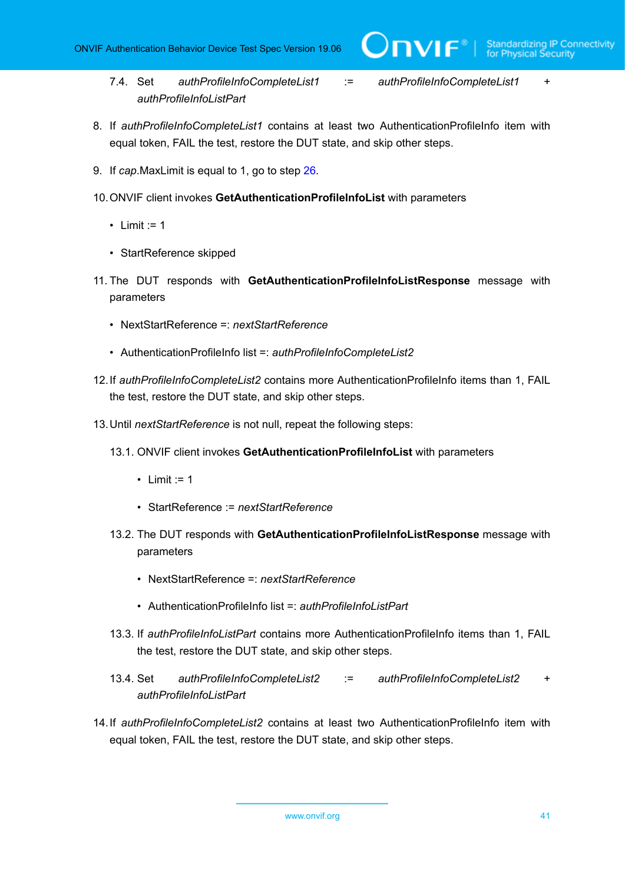7.4. Set *authProfileInfoCompleteList1* := *authProfileInfoCompleteList1* + *authProfileInfoListPart*

**DVIF**®

- 8. If *authProfileInfoCompleteList1* contains at least two AuthenticationProfileInfo item with equal token, FAIL the test, restore the DUT state, and skip other steps.
- 9. If *cap*.MaxLimit is equal to 1, go to step [26.](#page-42-0)
- 10.ONVIF client invokes **GetAuthenticationProfileInfoList** with parameters
	- Limit  $:= 1$
	- StartReference skipped
- 11. The DUT responds with **GetAuthenticationProfileInfoListResponse** message with parameters
	- NextStartReference =: *nextStartReference*
	- AuthenticationProfileInfo list =: *authProfileInfoCompleteList2*
- 12.If *authProfileInfoCompleteList2* contains more AuthenticationProfileInfo items than 1, FAIL the test, restore the DUT state, and skip other steps.
- 13.Until *nextStartReference* is not null, repeat the following steps:
	- 13.1. ONVIF client invokes **GetAuthenticationProfileInfoList** with parameters
		- Limit  $:= 1$
		- StartReference := *nextStartReference*
	- 13.2. The DUT responds with **GetAuthenticationProfileInfoListResponse** message with parameters
		- NextStartReference =: *nextStartReference*
		- AuthenticationProfileInfo list =: *authProfileInfoListPart*
	- 13.3. If *authProfileInfoListPart* contains more AuthenticationProfileInfo items than 1, FAIL the test, restore the DUT state, and skip other steps.
	- 13.4. Set *authProfileInfoCompleteList2* := *authProfileInfoCompleteList2* + *authProfileInfoListPart*
- 14.If *authProfileInfoCompleteList2* contains at least two AuthenticationProfileInfo item with equal token, FAIL the test, restore the DUT state, and skip other steps.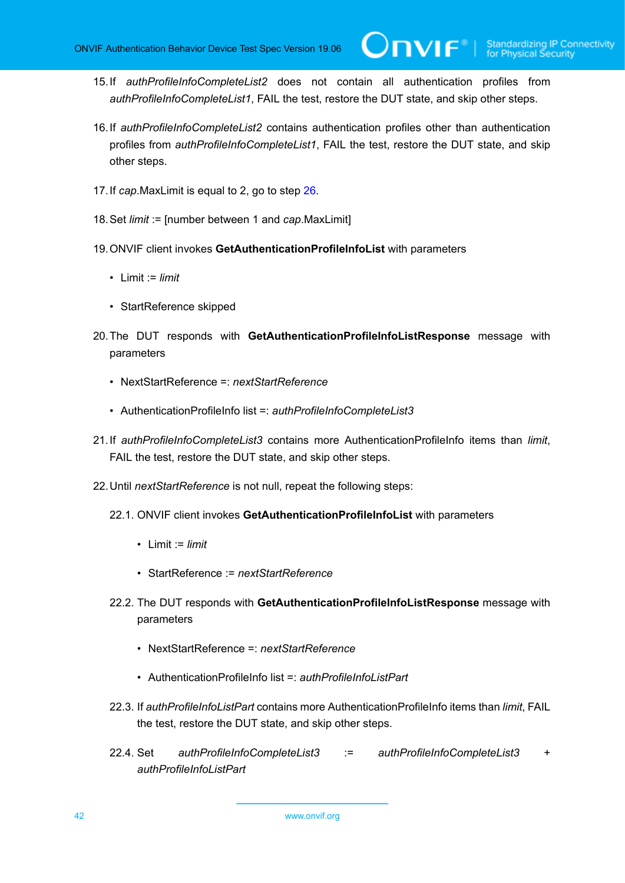15.If *authProfileInfoCompleteList2* does not contain all authentication profiles from *authProfileInfoCompleteList1*, FAIL the test, restore the DUT state, and skip other steps.

 $\mathsf{J}\mathsf{N}\mathsf{N}\mathsf{F}^\ast$ l

- 16.If *authProfileInfoCompleteList2* contains authentication profiles other than authentication profiles from *authProfileInfoCompleteList1*, FAIL the test, restore the DUT state, and skip other steps.
- 17.If *cap*.MaxLimit is equal to 2, go to step [26.](#page-42-0)
- 18.Set *limit* := [number between 1 and *cap*.MaxLimit]
- 19.ONVIF client invokes **GetAuthenticationProfileInfoList** with parameters
	- Limit := *limit*
	- StartReference skipped
- 20.The DUT responds with **GetAuthenticationProfileInfoListResponse** message with parameters
	- NextStartReference =: *nextStartReference*
	- AuthenticationProfileInfo list =: *authProfileInfoCompleteList3*
- 21.If *authProfileInfoCompleteList3* contains more AuthenticationProfileInfo items than *limit*, FAIL the test, restore the DUT state, and skip other steps.
- 22.Until *nextStartReference* is not null, repeat the following steps:
	- 22.1. ONVIF client invokes **GetAuthenticationProfileInfoList** with parameters
		- Limit := *limit*
		- StartReference := *nextStartReference*
	- 22.2. The DUT responds with **GetAuthenticationProfileInfoListResponse** message with parameters
		- NextStartReference =: *nextStartReference*
		- AuthenticationProfileInfo list =: *authProfileInfoListPart*
	- 22.3. If *authProfileInfoListPart* contains more AuthenticationProfileInfo items than *limit*, FAIL the test, restore the DUT state, and skip other steps.
	- 22.4. Set *authProfileInfoCompleteList3* := *authProfileInfoCompleteList3* + *authProfileInfoListPart*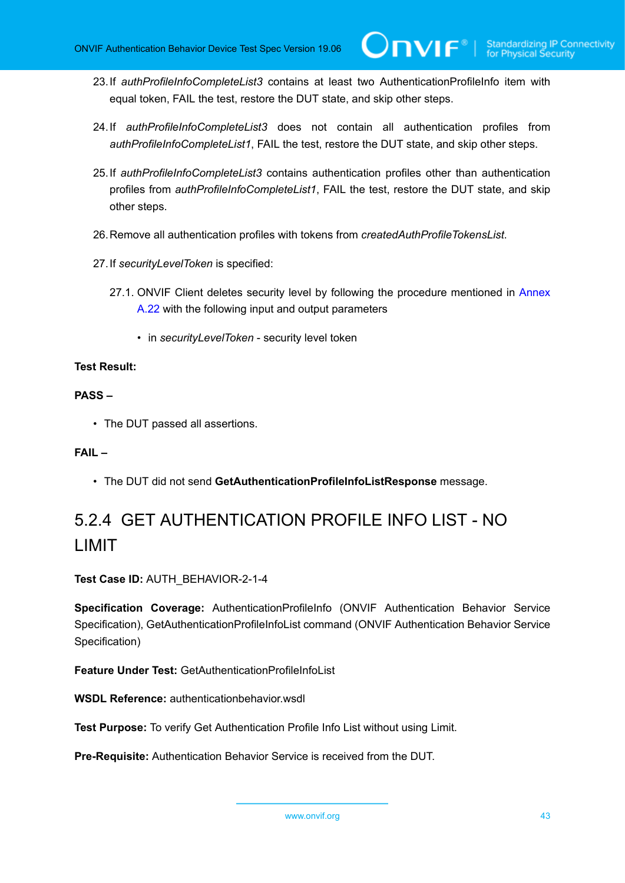- 23.If *authProfileInfoCompleteList3* contains at least two AuthenticationProfileInfo item with equal token, FAIL the test, restore the DUT state, and skip other steps.
- 24.If *authProfileInfoCompleteList3* does not contain all authentication profiles from *authProfileInfoCompleteList1*, FAIL the test, restore the DUT state, and skip other steps.
- 25.If *authProfileInfoCompleteList3* contains authentication profiles other than authentication profiles from *authProfileInfoCompleteList1*, FAIL the test, restore the DUT state, and skip other steps.
- <span id="page-42-0"></span>26.Remove all authentication profiles with tokens from *createdAuthProfileTokensList*.
- 27.If *securityLevelToken* is specified:
	- 27.1. ONVIF Client deletes security level by following the procedure mentioned in [Annex](#page-225-0) [A.22](#page-225-0) with the following input and output parameters
		- in *securityLevelToken* security level token

#### **PASS –**

• The DUT passed all assertions.

#### **FAIL –**

• The DUT did not send **GetAuthenticationProfileInfoListResponse** message.

## 5.2.4 GET AUTHENTICATION PROFILE INFO LIST - NO LIMIT

**Test Case ID:** AUTH\_BEHAVIOR-2-1-4

**Specification Coverage:** AuthenticationProfileInfo (ONVIF Authentication Behavior Service Specification), GetAuthenticationProfileInfoList command (ONVIF Authentication Behavior Service Specification)

**Feature Under Test:** GetAuthenticationProfileInfoList

**WSDL Reference:** authenticationbehavior.wsdl

**Test Purpose:** To verify Get Authentication Profile Info List without using Limit.

**Pre-Requisite:** Authentication Behavior Service is received from the DUT.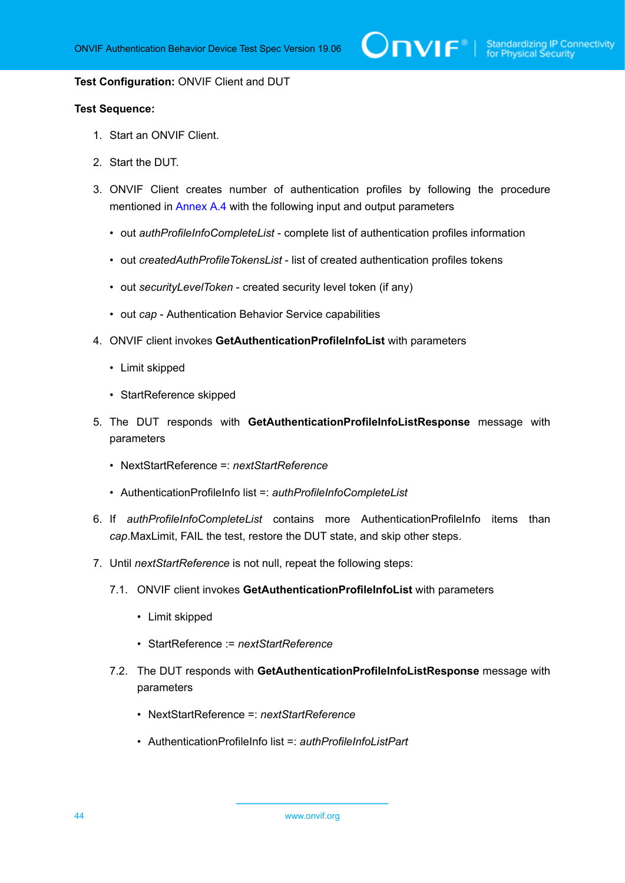#### **Test Configuration:** ONVIF Client and DUT

- 1. Start an ONVIF Client.
- 2. Start the DUT.
- 3. ONVIF Client creates number of authentication profiles by following the procedure mentioned in [Annex A.4](#page-207-0) with the following input and output parameters
	- out *authProfileInfoCompleteList* complete list of authentication profiles information
	- out *createdAuthProfileTokensList* list of created authentication profiles tokens
	- out *securityLevelToken* created security level token (if any)
	- out *cap* Authentication Behavior Service capabilities
- 4. ONVIF client invokes **GetAuthenticationProfileInfoList** with parameters
	- Limit skipped
	- StartReference skipped
- 5. The DUT responds with **GetAuthenticationProfileInfoListResponse** message with parameters
	- NextStartReference =: *nextStartReference*
	- AuthenticationProfileInfo list =: *authProfileInfoCompleteList*
- 6. If *authProfileInfoCompleteList* contains more AuthenticationProfileInfo items than *cap*.MaxLimit, FAIL the test, restore the DUT state, and skip other steps.
- 7. Until *nextStartReference* is not null, repeat the following steps:
	- 7.1. ONVIF client invokes **GetAuthenticationProfileInfoList** with parameters
		- Limit skipped
		- StartReference := *nextStartReference*
	- 7.2. The DUT responds with **GetAuthenticationProfileInfoListResponse** message with parameters
		- NextStartReference =: *nextStartReference*
		- AuthenticationProfileInfo list =: *authProfileInfoListPart*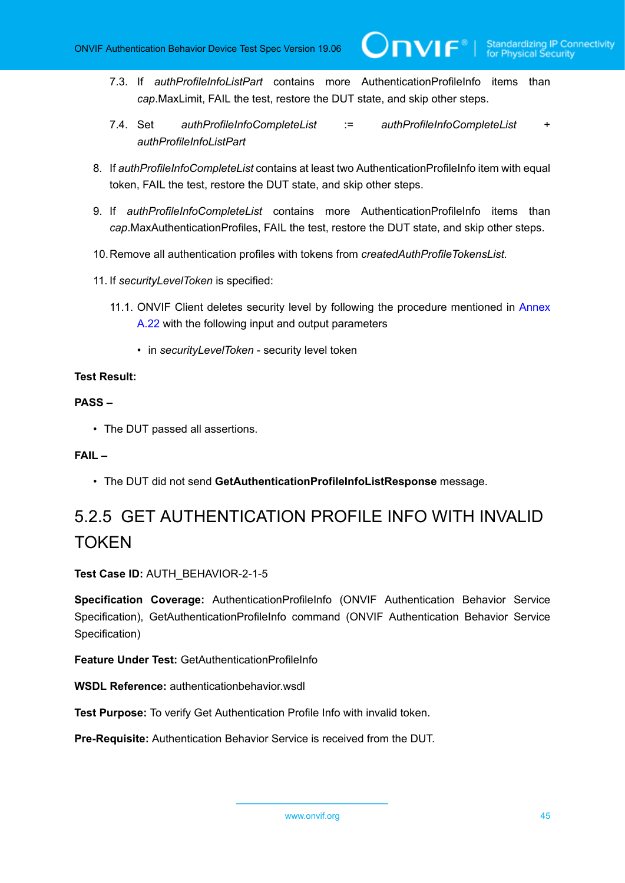- 7.3. If *authProfileInfoListPart* contains more AuthenticationProfileInfo items than *cap*.MaxLimit, FAIL the test, restore the DUT state, and skip other steps.
- 7.4. Set *authProfileInfoCompleteList* := *authProfileInfoCompleteList* + *authProfileInfoListPart*
- 8. If *authProfileInfoCompleteList* contains at least two AuthenticationProfileInfo item with equal token, FAIL the test, restore the DUT state, and skip other steps.
- 9. If *authProfileInfoCompleteList* contains more AuthenticationProfileInfo items than *cap*.MaxAuthenticationProfiles, FAIL the test, restore the DUT state, and skip other steps.
- 10.Remove all authentication profiles with tokens from *createdAuthProfileTokensList*.
- 11. If *securityLevelToken* is specified:
	- 11.1. ONVIF Client deletes security level by following the procedure mentioned in [Annex](#page-225-0) [A.22](#page-225-0) with the following input and output parameters
		- in *securityLevelToken* security level token

#### **PASS –**

• The DUT passed all assertions.

#### **FAIL –**

• The DUT did not send **GetAuthenticationProfileInfoListResponse** message.

# 5.2.5 GET AUTHENTICATION PROFILE INFO WITH INVALID **TOKEN**

**Test Case ID:** AUTH\_BEHAVIOR-2-1-5

**Specification Coverage:** AuthenticationProfileInfo (ONVIF Authentication Behavior Service Specification), GetAuthenticationProfileInfo command (ONVIF Authentication Behavior Service Specification)

**Feature Under Test:** GetAuthenticationProfileInfo

**WSDL Reference:** authenticationbehavior wsdl

**Test Purpose:** To verify Get Authentication Profile Info with invalid token.

**Pre-Requisite:** Authentication Behavior Service is received from the DUT.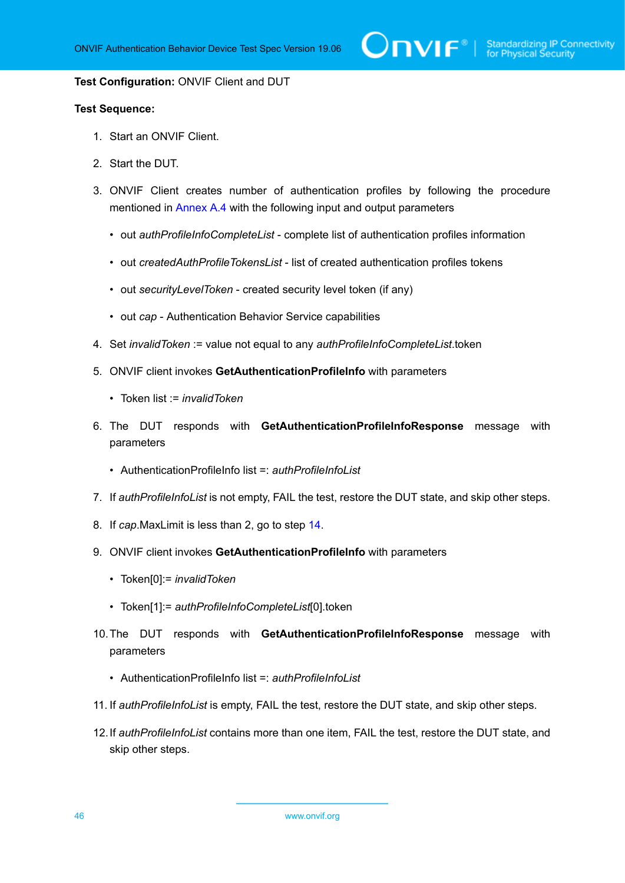#### **Test Configuration:** ONVIF Client and DUT

- 1. Start an ONVIF Client.
- 2. Start the DUT.
- 3. ONVIF Client creates number of authentication profiles by following the procedure mentioned in [Annex A.4](#page-207-0) with the following input and output parameters
	- out *authProfileInfoCompleteList* complete list of authentication profiles information
	- out *createdAuthProfileTokensList* list of created authentication profiles tokens
	- out *securityLevelToken* created security level token (if any)
	- out *cap* Authentication Behavior Service capabilities
- 4. Set *invalidToken* := value not equal to any *authProfileInfoCompleteList*.token
- 5. ONVIF client invokes **GetAuthenticationProfileInfo** with parameters
	- Token list := *invalidToken*
- 6. The DUT responds with **GetAuthenticationProfileInfoResponse** message with parameters
	- AuthenticationProfileInfo list =: *authProfileInfoList*
- 7. If *authProfileInfoList* is not empty, FAIL the test, restore the DUT state, and skip other steps.
- 8. If *cap*.MaxLimit is less than 2, go to step [14.](#page-46-0)
- 9. ONVIF client invokes **GetAuthenticationProfileInfo** with parameters
	- Token[0]:= *invalidToken*
	- Token[1]:= *authProfileInfoCompleteList*[0].token
- 10.The DUT responds with **GetAuthenticationProfileInfoResponse** message with parameters
	- AuthenticationProfileInfo list =: *authProfileInfoList*
- 11. If *authProfileInfoList* is empty, FAIL the test, restore the DUT state, and skip other steps.
- 12.If *authProfileInfoList* contains more than one item, FAIL the test, restore the DUT state, and skip other steps.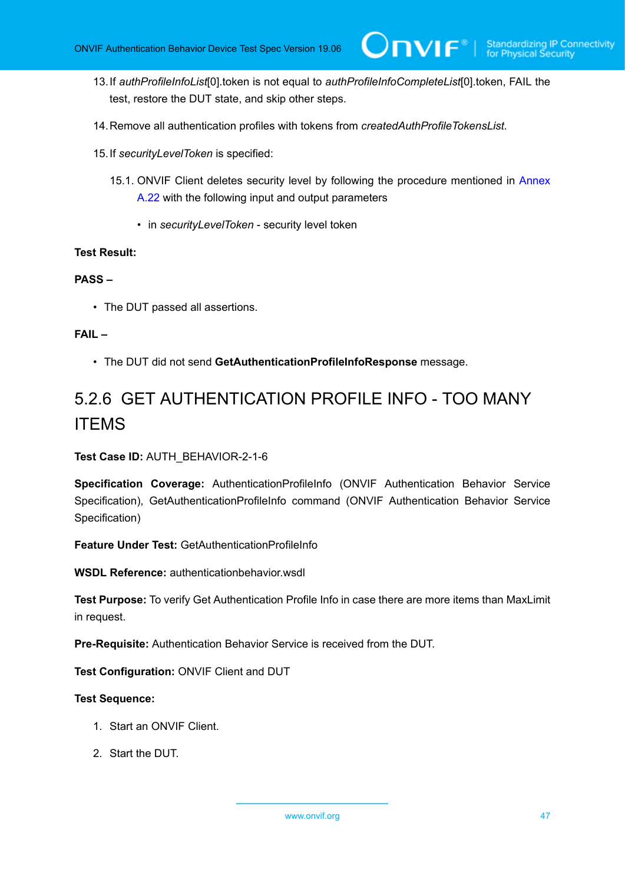- 13.If *authProfileInfoList*[0].token is not equal to *authProfileInfoCompleteList*[0].token, FAIL the test, restore the DUT state, and skip other steps.
- <span id="page-46-0"></span>14.Remove all authentication profiles with tokens from *createdAuthProfileTokensList*.
- 15.If *securityLevelToken* is specified:
	- 15.1. ONVIF Client deletes security level by following the procedure mentioned in [Annex](#page-225-0) [A.22](#page-225-0) with the following input and output parameters
		- in *securityLevelToken* security level token

#### **PASS –**

• The DUT passed all assertions.

#### **FAIL –**

• The DUT did not send **GetAuthenticationProfileInfoResponse** message.

## 5.2.6 GET AUTHENTICATION PROFILE INFO - TOO MANY ITEMS

**Test Case ID:** AUTH\_BEHAVIOR-2-1-6

**Specification Coverage:** AuthenticationProfileInfo (ONVIF Authentication Behavior Service Specification), GetAuthenticationProfileInfo command (ONVIF Authentication Behavior Service Specification)

**Feature Under Test: GetAuthenticationProfileInfo** 

**WSDL Reference:** authenticationbehavior.wsdl

**Test Purpose:** To verify Get Authentication Profile Info in case there are more items than MaxLimit in request.

**Pre-Requisite:** Authentication Behavior Service is received from the DUT.

**Test Configuration:** ONVIF Client and DUT

- 1. Start an ONVIF Client.
- 2. Start the DUT.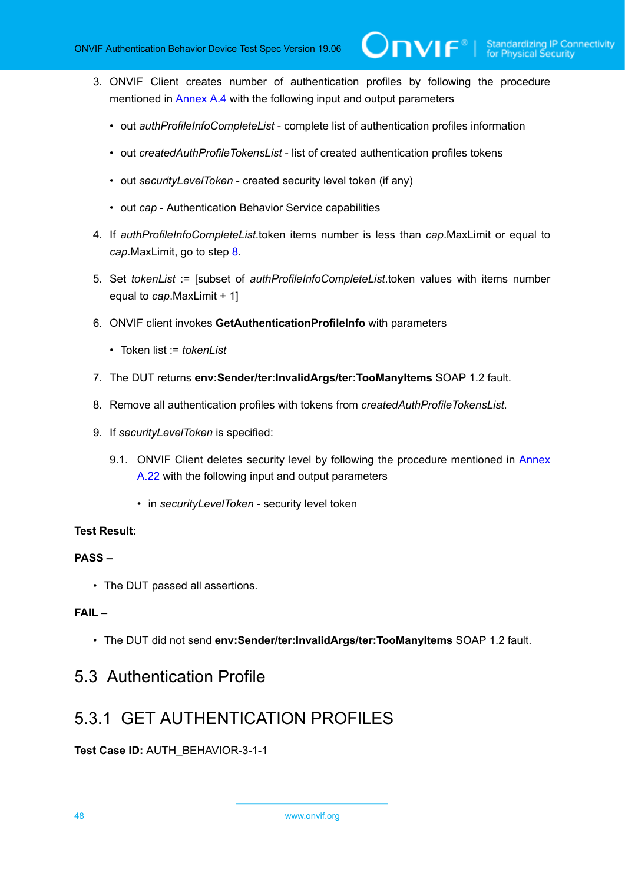3. ONVIF Client creates number of authentication profiles by following the procedure mentioned in [Annex A.4](#page-207-0) with the following input and output parameters

 $\mathsf{D}\mathsf{N}\mathsf{H}^*$ l

- out *authProfileInfoCompleteList* complete list of authentication profiles information
- out *createdAuthProfileTokensList* list of created authentication profiles tokens
- out *securityLevelToken* created security level token (if any)
- out *cap* Authentication Behavior Service capabilities
- 4. If *authProfileInfoCompleteList*.token items number is less than *cap*.MaxLimit or equal to *cap*.MaxLimit, go to step [8.](#page-47-0)
- 5. Set *tokenList* := [subset of *authProfileInfoCompleteList*.token values with items number equal to *cap*.MaxLimit + 1]
- 6. ONVIF client invokes **GetAuthenticationProfileInfo** with parameters
	- Token list := *tokenList*
- 7. The DUT returns **env:Sender/ter:InvalidArgs/ter:TooManyItems** SOAP 1.2 fault.
- <span id="page-47-0"></span>8. Remove all authentication profiles with tokens from *createdAuthProfileTokensList*.
- 9. If *securityLevelToken* is specified:
	- 9.1. ONVIF Client deletes security level by following the procedure mentioned in [Annex](#page-225-0) [A.22](#page-225-0) with the following input and output parameters
		- in *securityLevelToken* security level token

#### **Test Result:**

#### **PASS –**

• The DUT passed all assertions.

#### **FAIL –**

• The DUT did not send **env:Sender/ter:InvalidArgs/ter:TooManyItems** SOAP 1.2 fault.

### 5.3 Authentication Profile

### 5.3.1 GET AUTHENTICATION PROFILES

**Test Case ID:** AUTH\_BEHAVIOR-3-1-1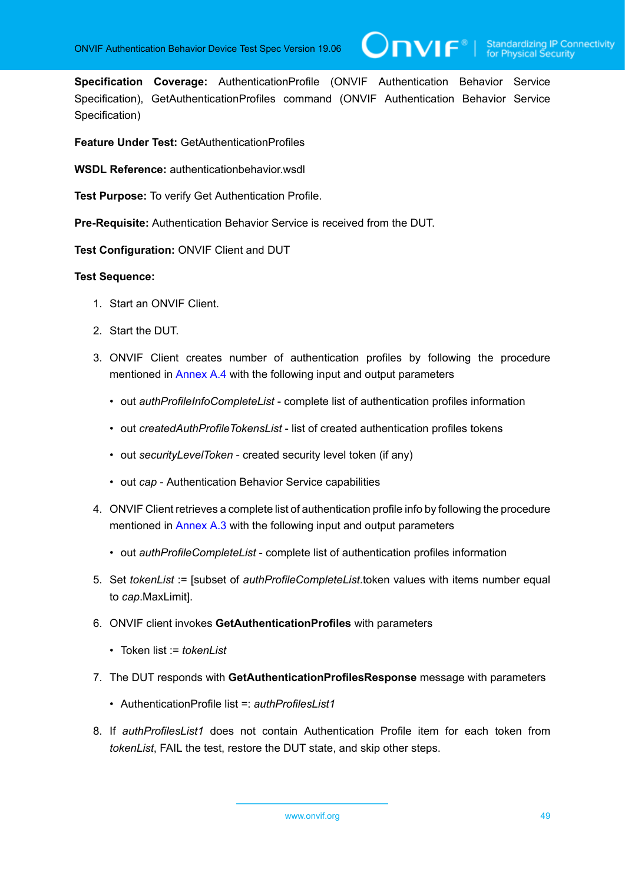**Specification Coverage:** AuthenticationProfile (ONVIF Authentication Behavior Service Specification), GetAuthenticationProfiles command (ONVIF Authentication Behavior Service Specification)

**Feature Under Test:** GetAuthenticationProfiles

**WSDL Reference:** authenticationbehavior.wsdl

**Test Purpose:** To verify Get Authentication Profile.

**Pre-Requisite:** Authentication Behavior Service is received from the DUT.

**Test Configuration:** ONVIF Client and DUT

- 1. Start an ONVIF Client.
- 2. Start the DUT.
- 3. ONVIF Client creates number of authentication profiles by following the procedure mentioned in [Annex A.4](#page-207-0) with the following input and output parameters
	- out *authProfileInfoCompleteList* complete list of authentication profiles information
	- out *createdAuthProfileTokensList* list of created authentication profiles tokens
	- out *securityLevelToken* created security level token (if any)
	- out *cap* Authentication Behavior Service capabilities
- 4. ONVIF Client retrieves a complete list of authentication profile info by following the procedure mentioned in [Annex A.3](#page-205-0) with the following input and output parameters
	- out *authProfileCompleteList* complete list of authentication profiles information
- <span id="page-48-0"></span>5. Set *tokenList* := [subset of *authProfileCompleteList*.token values with items number equal to *cap*.MaxLimit].
- 6. ONVIF client invokes **GetAuthenticationProfiles** with parameters
	- Token list := *tokenList*
- 7. The DUT responds with **GetAuthenticationProfilesResponse** message with parameters
	- AuthenticationProfile list =: *authProfilesList1*
- 8. If *authProfilesList1* does not contain Authentication Profile item for each token from *tokenList*, FAIL the test, restore the DUT state, and skip other steps.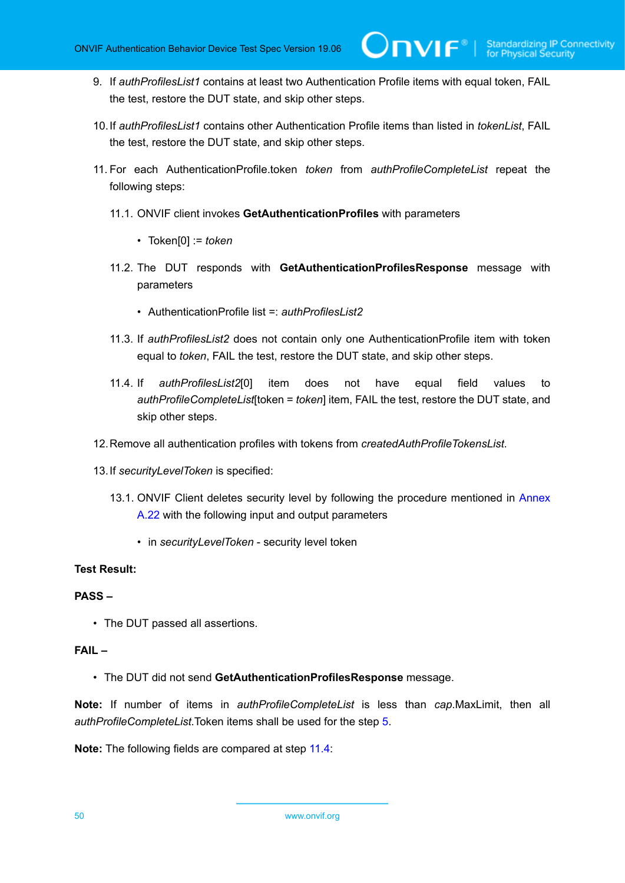9. If *authProfilesList1* contains at least two Authentication Profile items with equal token, FAIL the test, restore the DUT state, and skip other steps.

 $\mathsf{D}\mathsf{N}\mathsf{H}^*$  :

- 10.If *authProfilesList1* contains other Authentication Profile items than listed in *tokenList*, FAIL the test, restore the DUT state, and skip other steps.
- 11. For each AuthenticationProfile.token *token* from *authProfileCompleteList* repeat the following steps:
	- 11.1. ONVIF client invokes **GetAuthenticationProfiles** with parameters
		- Token[0] := *token*
	- 11.2. The DUT responds with **GetAuthenticationProfilesResponse** message with parameters
		- AuthenticationProfile list =: *authProfilesList2*
	- 11.3. If *authProfilesList2* does not contain only one AuthenticationProfile item with token equal to *token*, FAIL the test, restore the DUT state, and skip other steps.
	- 11.4. If *authProfilesList2*[0] item does not have equal field values to *authProfileCompleteList*[token = *token*] item, FAIL the test, restore the DUT state, and skip other steps.
- <span id="page-49-0"></span>12.Remove all authentication profiles with tokens from *createdAuthProfileTokensList*.
- 13.If *securityLevelToken* is specified:
	- 13.1. ONVIF Client deletes security level by following the procedure mentioned in [Annex](#page-225-0) [A.22](#page-225-0) with the following input and output parameters
		- in *securityLevelToken* security level token

#### **Test Result:**

#### **PASS –**

• The DUT passed all assertions.

#### **FAIL –**

• The DUT did not send **GetAuthenticationProfilesResponse** message.

**Note:** If number of items in *authProfileCompleteList* is less than *cap*.MaxLimit, then all *authProfileCompleteList*.Token items shall be used for the step [5](#page-48-0).

**Note:** The following fields are compared at step [11.4](#page-49-0):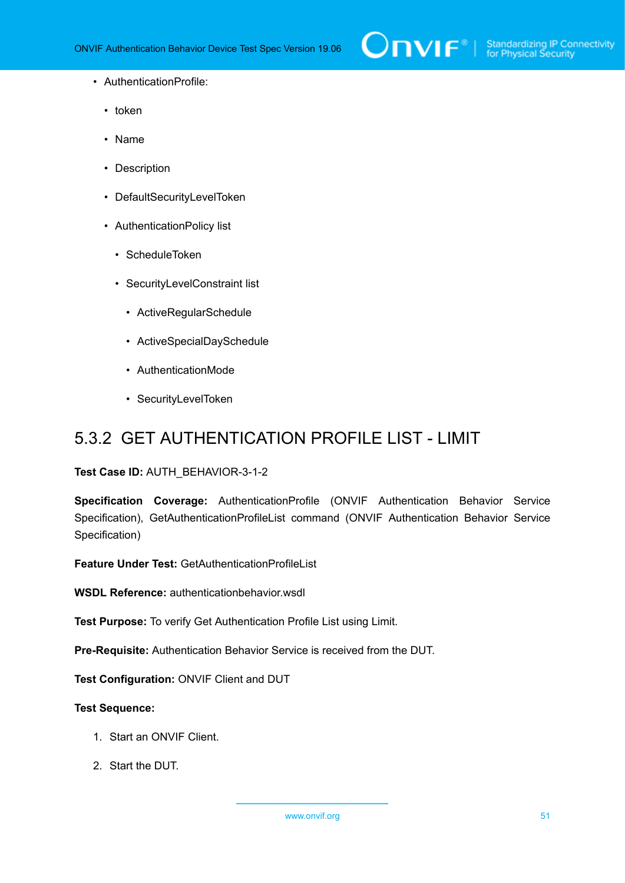- AuthenticationProfile:
	- token
	- Name
	- Description
	- DefaultSecurityLevelToken
	- AuthenticationPolicy list
		- ScheduleToken
		- SecurityLevelConstraint list
			- ActiveRegularSchedule
			- ActiveSpecialDaySchedule
			- AuthenticationMode
			- SecurityLevelToken

## 5.3.2 GET AUTHENTICATION PROFILE LIST - LIMIT

#### **Test Case ID:** AUTH\_BEHAVIOR-3-1-2

**Specification Coverage:** AuthenticationProfile (ONVIF Authentication Behavior Service Specification), GetAuthenticationProfileList command (ONVIF Authentication Behavior Service Specification)

**Feature Under Test:** GetAuthenticationProfileList

**WSDL Reference:** authenticationbehavior.wsdl

**Test Purpose:** To verify Get Authentication Profile List using Limit.

**Pre-Requisite:** Authentication Behavior Service is received from the DUT.

**Test Configuration:** ONVIF Client and DUT

- 1. Start an ONVIF Client.
- 2. Start the DUT.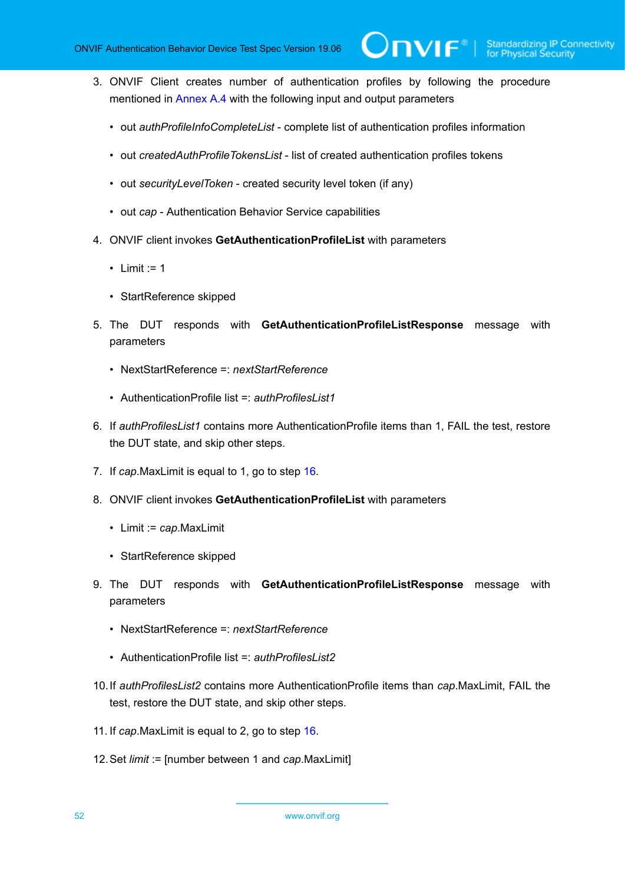- 3. ONVIF Client creates number of authentication profiles by following the procedure mentioned in [Annex A.4](#page-207-0) with the following input and output parameters
	- out *authProfileInfoCompleteList* complete list of authentication profiles information
	- out *createdAuthProfileTokensList* list of created authentication profiles tokens
	- out *securityLevelToken* created security level token (if any)
	- out *cap* Authentication Behavior Service capabilities
- 4. ONVIF client invokes **GetAuthenticationProfileList** with parameters
	- Limit  $:= 1$
	- StartReference skipped
- 5. The DUT responds with **GetAuthenticationProfileListResponse** message with parameters
	- NextStartReference =: *nextStartReference*
	- AuthenticationProfile list =: *authProfilesList1*
- 6. If *authProfilesList1* contains more AuthenticationProfile items than 1, FAIL the test, restore the DUT state, and skip other steps.
- 7. If *cap*.MaxLimit is equal to 1, go to step [16.](#page-52-0)
- 8. ONVIF client invokes **GetAuthenticationProfileList** with parameters
	- Limit := *cap*.MaxLimit
	- StartReference skipped
- 9. The DUT responds with **GetAuthenticationProfileListResponse** message with parameters
	- NextStartReference =: *nextStartReference*
	- AuthenticationProfile list =: *authProfilesList2*
- 10.If *authProfilesList2* contains more AuthenticationProfile items than *cap*.MaxLimit, FAIL the test, restore the DUT state, and skip other steps.
- 11. If *cap*.MaxLimit is equal to 2, go to step [16.](#page-52-0)
- 12.Set *limit* := [number between 1 and *cap*.MaxLimit]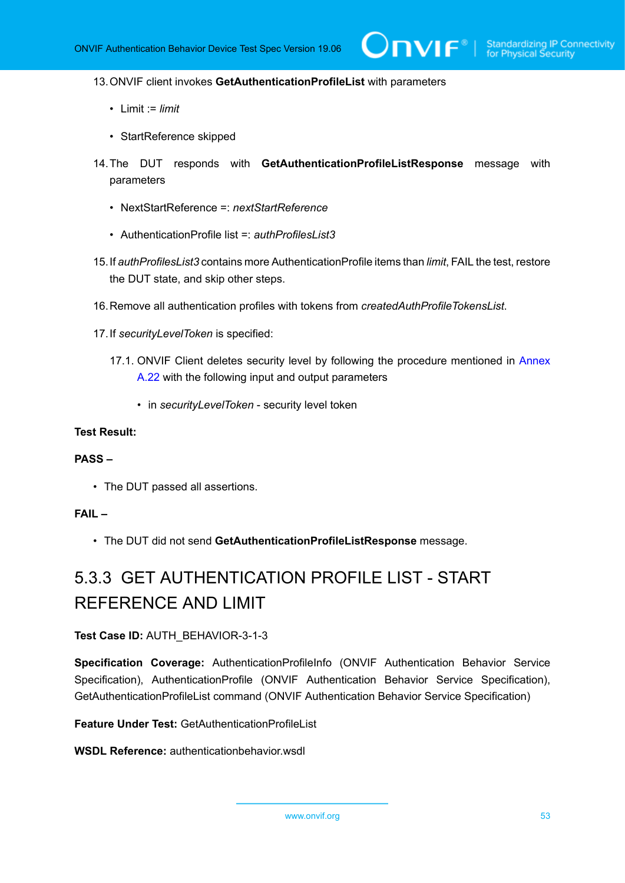#### 13.ONVIF client invokes **GetAuthenticationProfileList** with parameters

- Limit := *limit*
- StartReference skipped
- 14.The DUT responds with **GetAuthenticationProfileListResponse** message with parameters
	- NextStartReference =: *nextStartReference*
	- AuthenticationProfile list =: *authProfilesList3*
- 15.If *authProfilesList3* contains more AuthenticationProfile items than *limit*, FAIL the test, restore the DUT state, and skip other steps.
- <span id="page-52-0"></span>16.Remove all authentication profiles with tokens from *createdAuthProfileTokensList*.
- 17.If *securityLevelToken* is specified:
	- 17.1. ONVIF Client deletes security level by following the procedure mentioned in [Annex](#page-225-0) [A.22](#page-225-0) with the following input and output parameters
		- in *securityLevelToken* security level token

#### **Test Result:**

#### **PASS –**

• The DUT passed all assertions.

#### **FAIL –**

• The DUT did not send **GetAuthenticationProfileListResponse** message.

## 5.3.3 GET AUTHENTICATION PROFILE LIST - START REFERENCE AND LIMIT

#### **Test Case ID:** AUTH\_BEHAVIOR-3-1-3

**Specification Coverage:** AuthenticationProfileInfo (ONVIF Authentication Behavior Service Specification), AuthenticationProfile (ONVIF Authentication Behavior Service Specification), GetAuthenticationProfileList command (ONVIF Authentication Behavior Service Specification)

#### **Feature Under Test:** GetAuthenticationProfileList

#### **WSDL Reference:** authenticationbehavior.wsdl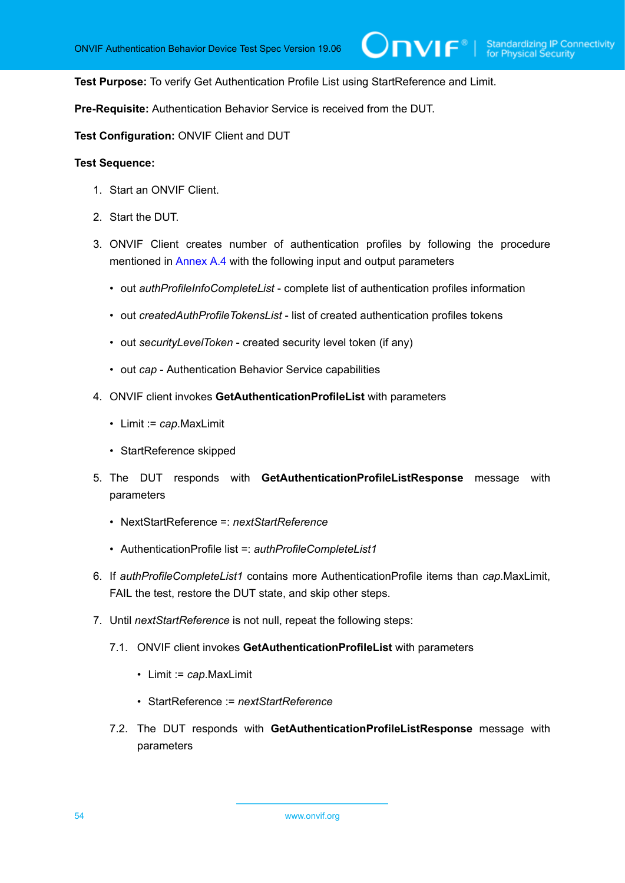$\bm{\cup}$ NIF $^*$ l

**Test Purpose:** To verify Get Authentication Profile List using StartReference and Limit.

**Pre-Requisite:** Authentication Behavior Service is received from the DUT.

**Test Configuration:** ONVIF Client and DUT

- 1. Start an ONVIF Client.
- 2. Start the DUT.
- 3. ONVIF Client creates number of authentication profiles by following the procedure mentioned in [Annex A.4](#page-207-0) with the following input and output parameters
	- out *authProfileInfoCompleteList* complete list of authentication profiles information
	- out *createdAuthProfileTokensList* list of created authentication profiles tokens
	- out *securityLevelToken* created security level token (if any)
	- out *cap* Authentication Behavior Service capabilities
- 4. ONVIF client invokes **GetAuthenticationProfileList** with parameters
	- Limit := *cap*.MaxLimit
	- StartReference skipped
- 5. The DUT responds with **GetAuthenticationProfileListResponse** message with parameters
	- NextStartReference =: *nextStartReference*
	- AuthenticationProfile list =: *authProfileCompleteList1*
- 6. If *authProfileCompleteList1* contains more AuthenticationProfile items than *cap*.MaxLimit, FAIL the test, restore the DUT state, and skip other steps.
- 7. Until *nextStartReference* is not null, repeat the following steps:
	- 7.1. ONVIF client invokes **GetAuthenticationProfileList** with parameters
		- Limit := *cap*.MaxLimit
		- StartReference := *nextStartReference*
	- 7.2. The DUT responds with **GetAuthenticationProfileListResponse** message with parameters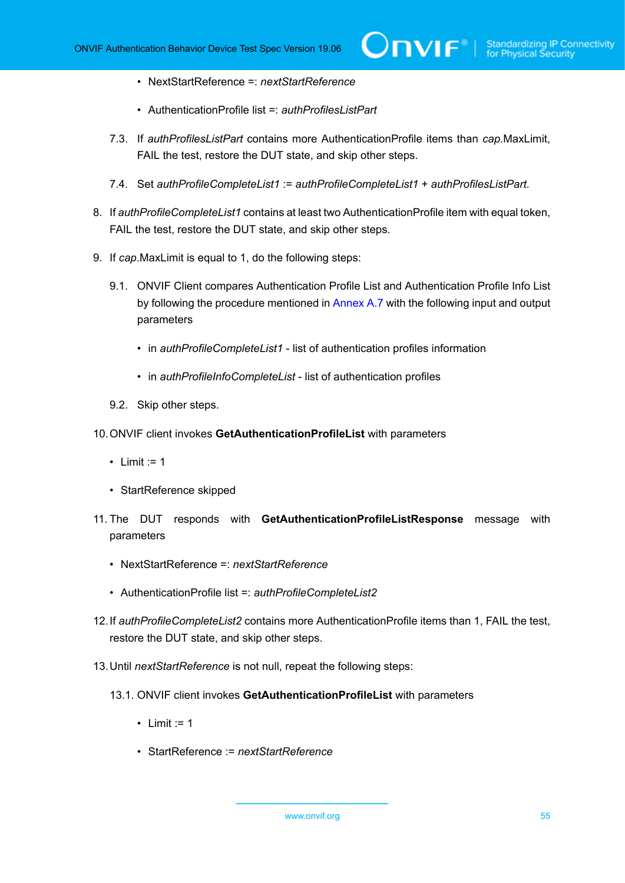- NextStartReference =: *nextStartReference*
- AuthenticationProfile list =: *authProfilesListPart*
- 7.3. If *authProfilesListPart* contains more AuthenticationProfile items than *cap*.MaxLimit, FAIL the test, restore the DUT state, and skip other steps.
- 7.4. Set *authProfileCompleteList1* := *authProfileCompleteList1* + *authProfilesListPart*.
- 8. If *authProfileCompleteList1* contains at least two AuthenticationProfile item with equal token, FAIL the test, restore the DUT state, and skip other steps.
- 9. If *cap*.MaxLimit is equal to 1, do the following steps:
	- 9.1. ONVIF Client compares Authentication Profile List and Authentication Profile Info List by following the procedure mentioned in [Annex A.7](#page-211-0) with the following input and output parameters
		- in *authProfileCompleteList1* list of authentication profiles information
		- in *authProfileInfoCompleteList* list of authentication profiles
	- 9.2. Skip other steps.
- 10.ONVIF client invokes **GetAuthenticationProfileList** with parameters
	- Limit  $:= 1$
	- StartReference skipped
- 11. The DUT responds with **GetAuthenticationProfileListResponse** message with parameters
	- NextStartReference =: *nextStartReference*
	- AuthenticationProfile list =: *authProfileCompleteList2*
- 12.If *authProfileCompleteList2* contains more AuthenticationProfile items than 1, FAIL the test, restore the DUT state, and skip other steps.
- 13.Until *nextStartReference* is not null, repeat the following steps:
	- 13.1. ONVIF client invokes **GetAuthenticationProfileList** with parameters
		- Limit  $:= 1$
		- StartReference := *nextStartReference*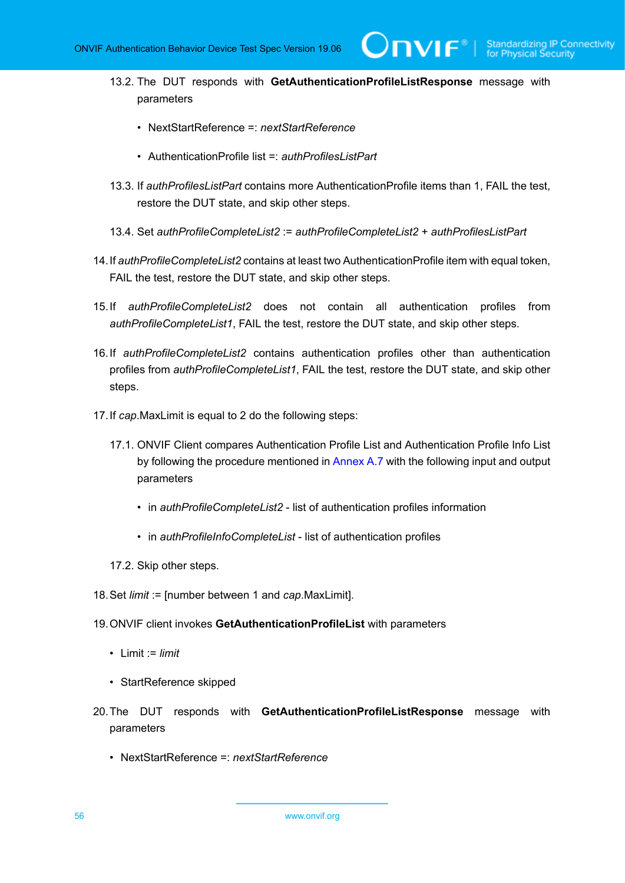- 13.2. The DUT responds with **GetAuthenticationProfileListResponse** message with parameters
	- NextStartReference =: *nextStartReference*
	- AuthenticationProfile list =: *authProfilesListPart*
- 13.3. If *authProfilesListPart* contains more AuthenticationProfile items than 1, FAIL the test, restore the DUT state, and skip other steps.
- 13.4. Set *authProfileCompleteList2* := *authProfileCompleteList2* + *authProfilesListPart*
- 14.If *authProfileCompleteList2* contains at least two AuthenticationProfile item with equal token, FAIL the test, restore the DUT state, and skip other steps.
- 15.If *authProfileCompleteList2* does not contain all authentication profiles from *authProfileCompleteList1*, FAIL the test, restore the DUT state, and skip other steps.
- 16.If *authProfileCompleteList2* contains authentication profiles other than authentication profiles from *authProfileCompleteList1*, FAIL the test, restore the DUT state, and skip other steps.
- 17.If *cap*.MaxLimit is equal to 2 do the following steps:
	- 17.1. ONVIF Client compares Authentication Profile List and Authentication Profile Info List by following the procedure mentioned in [Annex A.7](#page-211-0) with the following input and output parameters
		- in *authProfileCompleteList2* list of authentication profiles information
		- in *authProfileInfoCompleteList* list of authentication profiles
	- 17.2. Skip other steps.
- 18.Set *limit* := [number between 1 and *cap*.MaxLimit].
- 19.ONVIF client invokes **GetAuthenticationProfileList** with parameters
	- Limit := *limit*
	- StartReference skipped
- 20.The DUT responds with **GetAuthenticationProfileListResponse** message with parameters
	- NextStartReference =: *nextStartReference*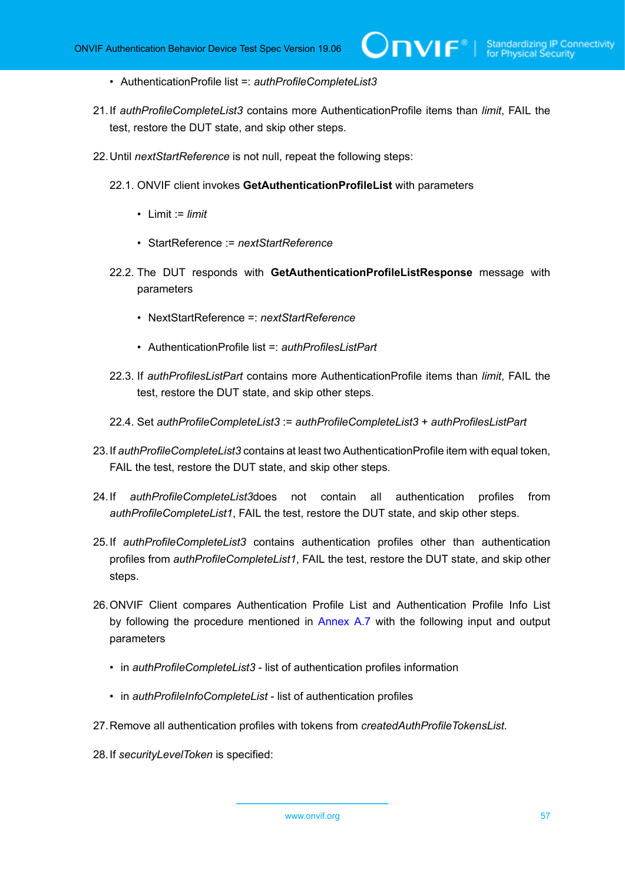- AuthenticationProfile list =: *authProfileCompleteList3*
- 21.If *authProfileCompleteList3* contains more AuthenticationProfile items than *limit*, FAIL the test, restore the DUT state, and skip other steps.
- 22.Until *nextStartReference* is not null, repeat the following steps:
	- 22.1. ONVIF client invokes **GetAuthenticationProfileList** with parameters
		- Limit := *limit*
		- StartReference := *nextStartReference*
	- 22.2. The DUT responds with **GetAuthenticationProfileListResponse** message with parameters
		- NextStartReference =: *nextStartReference*
		- AuthenticationProfile list =: *authProfilesListPart*
	- 22.3. If *authProfilesListPart* contains more AuthenticationProfile items than *limit*, FAIL the test, restore the DUT state, and skip other steps.
	- 22.4. Set *authProfileCompleteList3* := *authProfileCompleteList3* + *authProfilesListPart*
- 23.If *authProfileCompleteList3* contains at least two AuthenticationProfile item with equal token, FAIL the test, restore the DUT state, and skip other steps.
- 24.If *authProfileCompleteList3*does not contain all authentication profiles from *authProfileCompleteList1*, FAIL the test, restore the DUT state, and skip other steps.
- 25.If *authProfileCompleteList3* contains authentication profiles other than authentication profiles from *authProfileCompleteList1*, FAIL the test, restore the DUT state, and skip other steps.
- 26.ONVIF Client compares Authentication Profile List and Authentication Profile Info List by following the procedure mentioned in [Annex A.7](#page-211-0) with the following input and output parameters
	- in *authProfileCompleteList3* list of authentication profiles information
	- in *authProfileInfoCompleteList* list of authentication profiles
- 27.Remove all authentication profiles with tokens from *createdAuthProfileTokensList*.
- 28.If *securityLevelToken* is specified: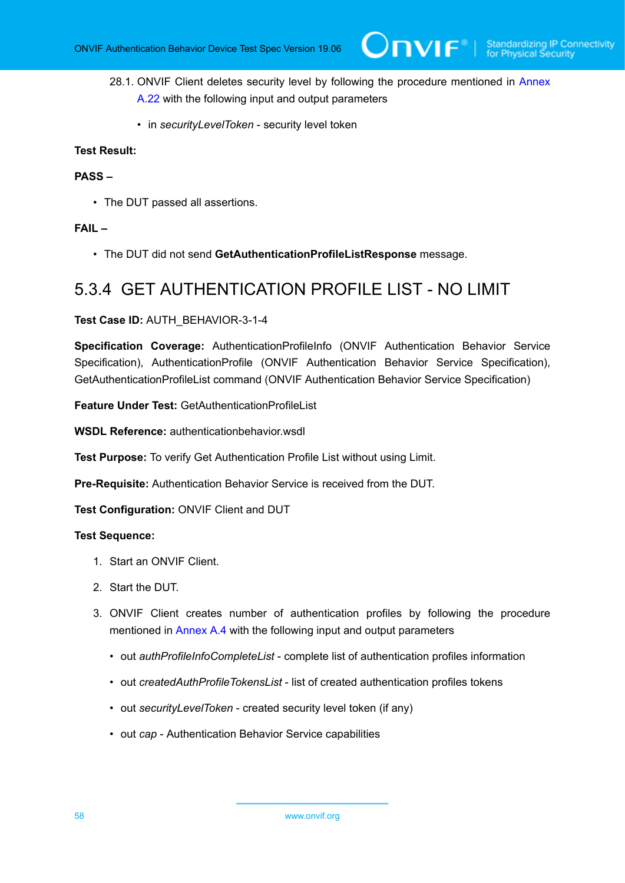- 28.1. ONVIF Client deletes security level by following the procedure mentioned in [Annex](#page-225-0) [A.22](#page-225-0) with the following input and output parameters
	- in *securityLevelToken* security level token

#### **PASS –**

• The DUT passed all assertions.

#### **FAIL –**

• The DUT did not send **GetAuthenticationProfileListResponse** message.

### 5.3.4 GET AUTHENTICATION PROFILE LIST - NO LIMIT

#### **Test Case ID:** AUTH\_BEHAVIOR-3-1-4

**Specification Coverage:** AuthenticationProfileInfo (ONVIF Authentication Behavior Service Specification), AuthenticationProfile (ONVIF Authentication Behavior Service Specification), GetAuthenticationProfileList command (ONVIF Authentication Behavior Service Specification)

**Feature Under Test:** GetAuthenticationProfileList

**WSDL Reference:** authenticationbehavior.wsdl

**Test Purpose:** To verify Get Authentication Profile List without using Limit.

**Pre-Requisite:** Authentication Behavior Service is received from the DUT.

**Test Configuration:** ONVIF Client and DUT

- 1. Start an ONVIF Client.
- 2. Start the DUT.
- 3. ONVIF Client creates number of authentication profiles by following the procedure mentioned in [Annex A.4](#page-207-0) with the following input and output parameters
	- out *authProfileInfoCompleteList* complete list of authentication profiles information
	- out *createdAuthProfileTokensList* list of created authentication profiles tokens
	- out *securityLevelToken* created security level token (if any)
	- out *cap* Authentication Behavior Service capabilities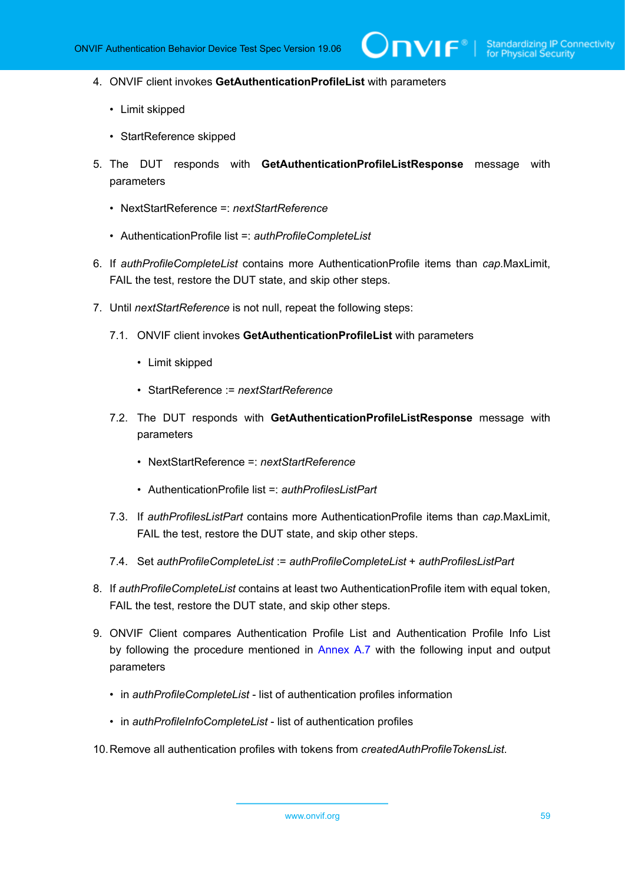- 4. ONVIF client invokes **GetAuthenticationProfileList** with parameters
	- Limit skipped
	- StartReference skipped
- 5. The DUT responds with **GetAuthenticationProfileListResponse** message with parameters
	- NextStartReference =: *nextStartReference*
	- AuthenticationProfile list =: *authProfileCompleteList*
- 6. If *authProfileCompleteList* contains more AuthenticationProfile items than *cap*.MaxLimit, FAIL the test, restore the DUT state, and skip other steps.
- 7. Until *nextStartReference* is not null, repeat the following steps:
	- 7.1. ONVIF client invokes **GetAuthenticationProfileList** with parameters
		- Limit skipped
		- StartReference := *nextStartReference*
	- 7.2. The DUT responds with **GetAuthenticationProfileListResponse** message with parameters
		- NextStartReference =: *nextStartReference*
		- AuthenticationProfile list =: *authProfilesListPart*
	- 7.3. If *authProfilesListPart* contains more AuthenticationProfile items than *cap*.MaxLimit, FAIL the test, restore the DUT state, and skip other steps.
	- 7.4. Set *authProfileCompleteList* := *authProfileCompleteList* + *authProfilesListPart*
- 8. If *authProfileCompleteList* contains at least two AuthenticationProfile item with equal token, FAIL the test, restore the DUT state, and skip other steps.
- 9. ONVIF Client compares Authentication Profile List and Authentication Profile Info List by following the procedure mentioned in [Annex A.7](#page-211-0) with the following input and output parameters
	- in *authProfileCompleteList* list of authentication profiles information
	- in *authProfileInfoCompleteList* list of authentication profiles
- 10.Remove all authentication profiles with tokens from *createdAuthProfileTokensList*.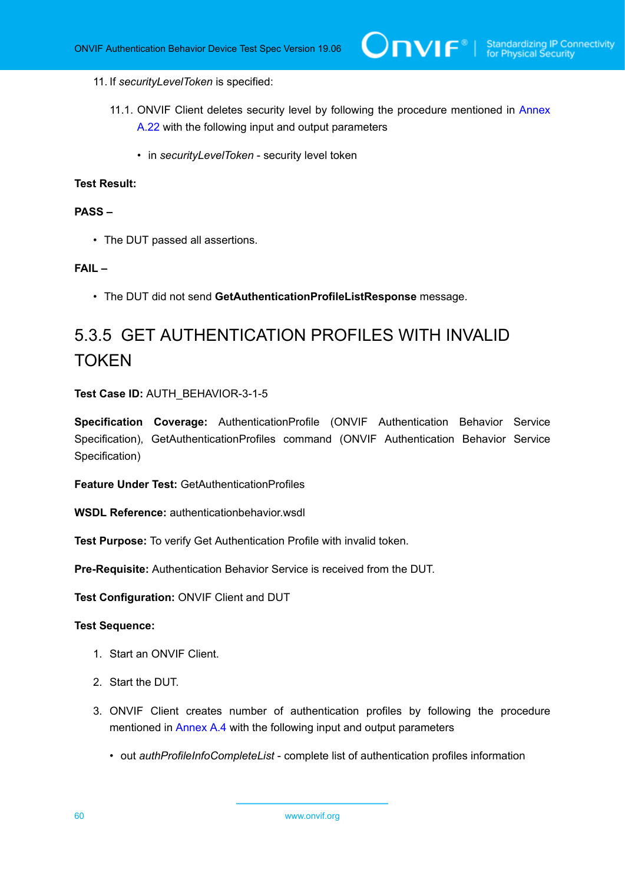#### 11. If *securityLevelToken* is specified:

- 11.1. ONVIF Client deletes security level by following the procedure mentioned in [Annex](#page-225-0) [A.22](#page-225-0) with the following input and output parameters
	- in *securityLevelToken* security level token

#### **Test Result:**

#### **PASS –**

• The DUT passed all assertions.

#### **FAIL –**

• The DUT did not send **GetAuthenticationProfileListResponse** message.

# 5.3.5 GET AUTHENTICATION PROFILES WITH INVALID **TOKEN**

#### **Test Case ID:** AUTH\_BEHAVIOR-3-1-5

**Specification Coverage:** AuthenticationProfile (ONVIF Authentication Behavior Service Specification), GetAuthenticationProfiles command (ONVIF Authentication Behavior Service Specification)

**Feature Under Test:** GetAuthenticationProfiles

**WSDL Reference:** authenticationbehavior wsdl

**Test Purpose:** To verify Get Authentication Profile with invalid token.

**Pre-Requisite:** Authentication Behavior Service is received from the DUT.

**Test Configuration:** ONVIF Client and DUT

- 1. Start an ONVIF Client.
- 2. Start the DUT.
- 3. ONVIF Client creates number of authentication profiles by following the procedure mentioned in [Annex A.4](#page-207-0) with the following input and output parameters
	- out *authProfileInfoCompleteList* complete list of authentication profiles information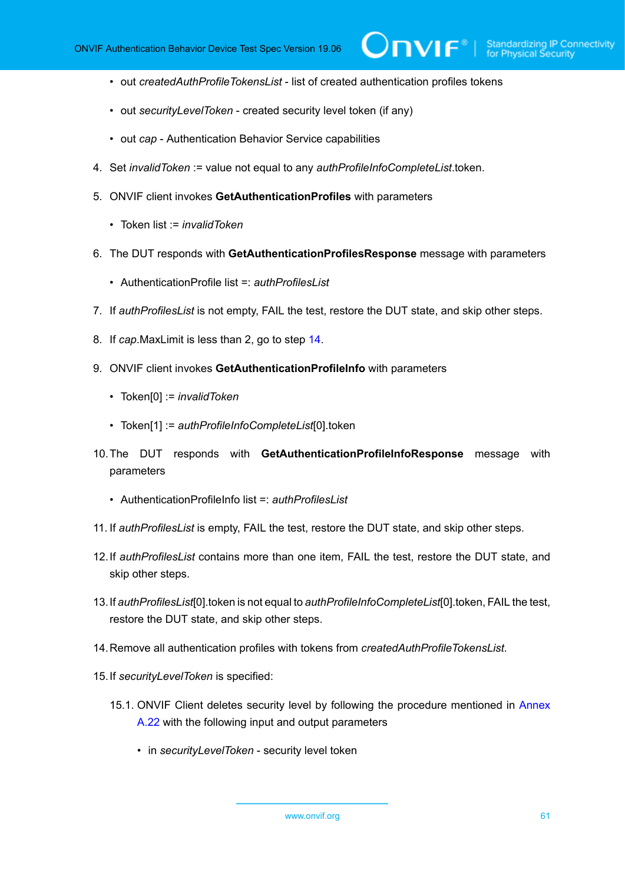• out *createdAuthProfileTokensList* - list of created authentication profiles tokens

 $\mathsf{D}\mathbf{N}\mathsf{I}\mathsf{F}^\ast$  .

- out *securityLevelToken* created security level token (if any)
- out *cap* Authentication Behavior Service capabilities
- 4. Set *invalidToken* := value not equal to any *authProfileInfoCompleteList*.token.
- 5. ONVIF client invokes **GetAuthenticationProfiles** with parameters
	- Token list := *invalidToken*
- 6. The DUT responds with **GetAuthenticationProfilesResponse** message with parameters
	- AuthenticationProfile list =: *authProfilesList*
- 7. If *authProfilesList* is not empty, FAIL the test, restore the DUT state, and skip other steps.
- 8. If *cap*.MaxLimit is less than 2, go to step [14.](#page-60-0)
- 9. ONVIF client invokes **GetAuthenticationProfileInfo** with parameters
	- Token[0] := *invalidToken*
	- Token[1] := *authProfileInfoCompleteList*[0].token
- 10.The DUT responds with **GetAuthenticationProfileInfoResponse** message with parameters
	- AuthenticationProfileInfo list =: *authProfilesList*
- 11. If *authProfilesList* is empty, FAIL the test, restore the DUT state, and skip other steps.
- 12.If *authProfilesList* contains more than one item, FAIL the test, restore the DUT state, and skip other steps.
- 13.If *authProfilesList*[0].token is not equal to *authProfileInfoCompleteList*[0].token, FAIL the test, restore the DUT state, and skip other steps.
- <span id="page-60-0"></span>14.Remove all authentication profiles with tokens from *createdAuthProfileTokensList*.
- 15.If *securityLevelToken* is specified:
	- 15.1. ONVIF Client deletes security level by following the procedure mentioned in [Annex](#page-225-0) [A.22](#page-225-0) with the following input and output parameters
		- in *securityLevelToken* security level token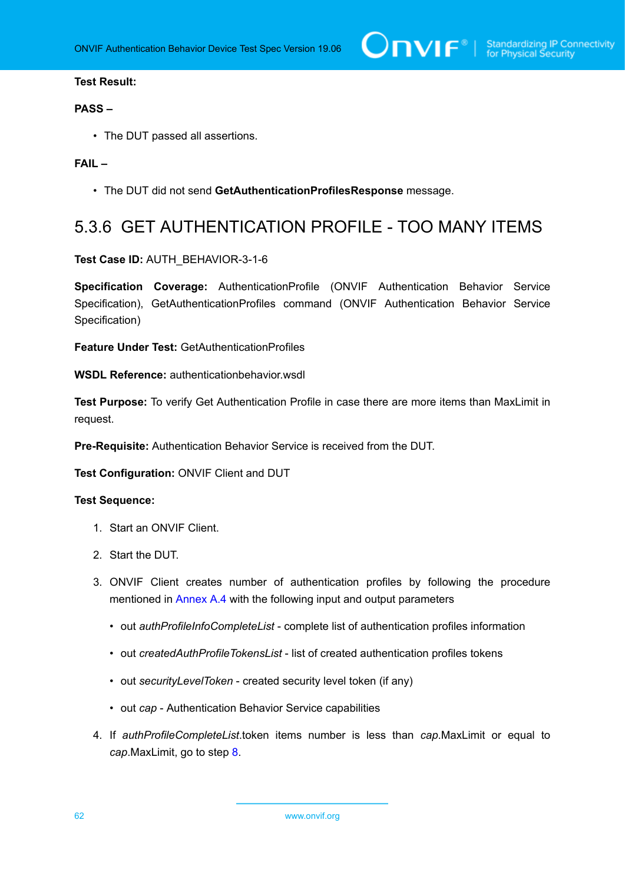#### **PASS –**

• The DUT passed all assertions.

#### **FAIL –**

• The DUT did not send **GetAuthenticationProfilesResponse** message.

## 5.3.6 GET AUTHENTICATION PROFILE - TOO MANY ITEMS

**Test Case ID:** AUTH\_BEHAVIOR-3-1-6

**Specification Coverage:** AuthenticationProfile (ONVIF Authentication Behavior Service Specification), GetAuthenticationProfiles command (ONVIF Authentication Behavior Service Specification)

**Feature Under Test:** GetAuthenticationProfiles

**WSDL Reference:** authenticationbehavior.wsdl

**Test Purpose:** To verify Get Authentication Profile in case there are more items than MaxLimit in request.

**Pre-Requisite:** Authentication Behavior Service is received from the DUT.

**Test Configuration:** ONVIF Client and DUT

- 1. Start an ONVIF Client.
- 2. Start the DUT.
- 3. ONVIF Client creates number of authentication profiles by following the procedure mentioned in [Annex A.4](#page-207-0) with the following input and output parameters
	- out *authProfileInfoCompleteList* complete list of authentication profiles information
	- out *createdAuthProfileTokensList* list of created authentication profiles tokens
	- out *securityLevelToken* created security level token (if any)
	- out *cap* Authentication Behavior Service capabilities
- 4. If *authProfileCompleteList*.token items number is less than *cap*.MaxLimit or equal to *cap*.MaxLimit, go to step [8.](#page-62-0)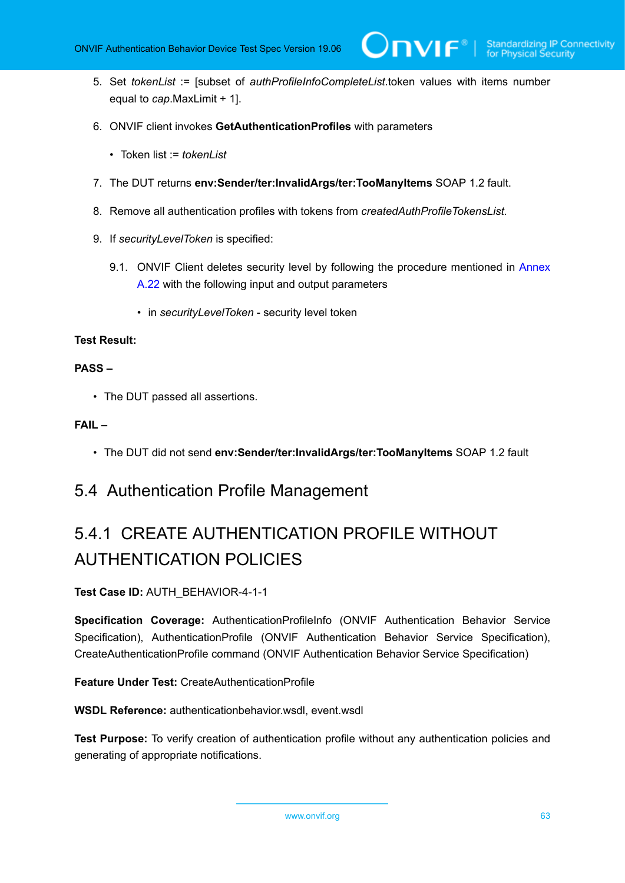- 5. Set *tokenList* := [subset of *authProfileInfoCompleteList*.token values with items number equal to *cap*.MaxLimit + 1].
- 6. ONVIF client invokes **GetAuthenticationProfiles** with parameters
	- Token list := *tokenList*
- 7. The DUT returns **env:Sender/ter:InvalidArgs/ter:TooManyItems** SOAP 1.2 fault.
- <span id="page-62-0"></span>8. Remove all authentication profiles with tokens from *createdAuthProfileTokensList*.
- 9. If *securityLevelToken* is specified:
	- 9.1. ONVIF Client deletes security level by following the procedure mentioned in [Annex](#page-225-0) [A.22](#page-225-0) with the following input and output parameters
		- in *securityLevelToken* security level token

#### **PASS –**

• The DUT passed all assertions.

#### **FAIL –**

• The DUT did not send **env:Sender/ter:InvalidArgs/ter:TooManyItems** SOAP 1.2 fault

### 5.4 Authentication Profile Management

# 5.4.1 CREATE AUTHENTICATION PROFILE WITHOUT AUTHENTICATION POLICIES

#### **Test Case ID:** AUTH\_BEHAVIOR-4-1-1

**Specification Coverage:** AuthenticationProfileInfo (ONVIF Authentication Behavior Service Specification), AuthenticationProfile (ONVIF Authentication Behavior Service Specification), CreateAuthenticationProfile command (ONVIF Authentication Behavior Service Specification)

**Feature Under Test:** CreateAuthenticationProfile

**WSDL Reference:** authenticationbehavior.wsdl, event.wsdl

**Test Purpose:** To verify creation of authentication profile without any authentication policies and generating of appropriate notifications.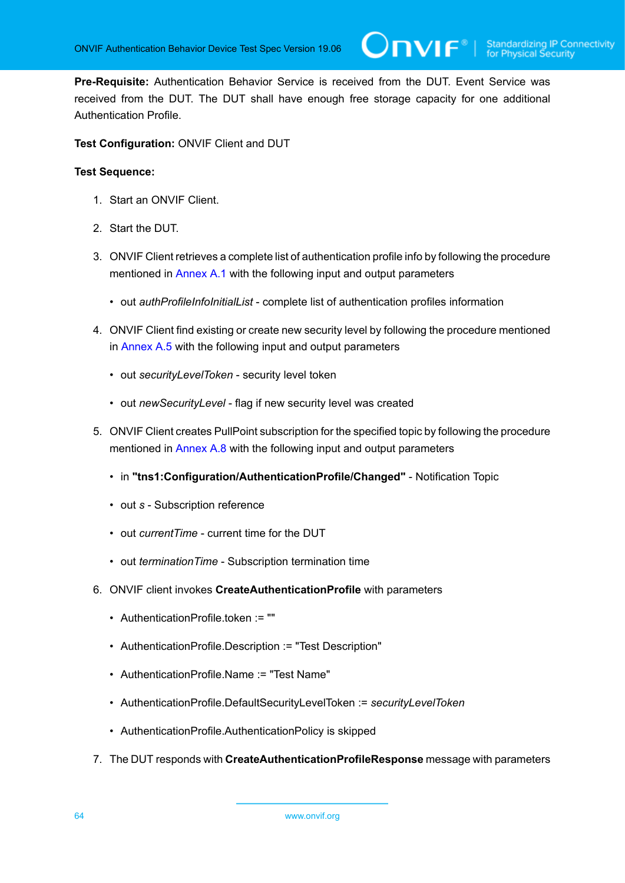**Pre-Requisite:** Authentication Behavior Service is received from the DUT. Event Service was received from the DUT. The DUT shall have enough free storage capacity for one additional Authentication Profile.

**Test Configuration:** ONVIF Client and DUT

- 1. Start an ONVIF Client.
- 2. Start the DUT.
- 3. ONVIF Client retrieves a complete list of authentication profile info by following the procedure mentioned in [Annex A.1](#page-204-0) with the following input and output parameters
	- out *authProfileInfoInitialList* complete list of authentication profiles information
- 4. ONVIF Client find existing or create new security level by following the procedure mentioned in [Annex A.5](#page-208-0) with the following input and output parameters
	- out *securityLevelToken* security level token
	- out *newSecurityLevel* flag if new security level was created
- 5. ONVIF Client creates PullPoint subscription for the specified topic by following the procedure mentioned in [Annex A.8](#page-212-0) with the following input and output parameters
	- in **"tns1:Configuration/AuthenticationProfile/Changed"** Notification Topic
	- out *s* Subscription reference
	- out *currentTime* current time for the DUT
	- out *terminationTime* Subscription termination time
- <span id="page-63-0"></span>6. ONVIF client invokes **CreateAuthenticationProfile** with parameters
	- AuthenticationProfile.token := ""
	- AuthenticationProfile.Description := "Test Description"
	- AuthenticationProfile.Name := "Test Name"
	- AuthenticationProfile.DefaultSecurityLevelToken := *securityLevelToken*
	- AuthenticationProfile.AuthenticationPolicy is skipped
- 7. The DUT responds with **CreateAuthenticationProfileResponse** message with parameters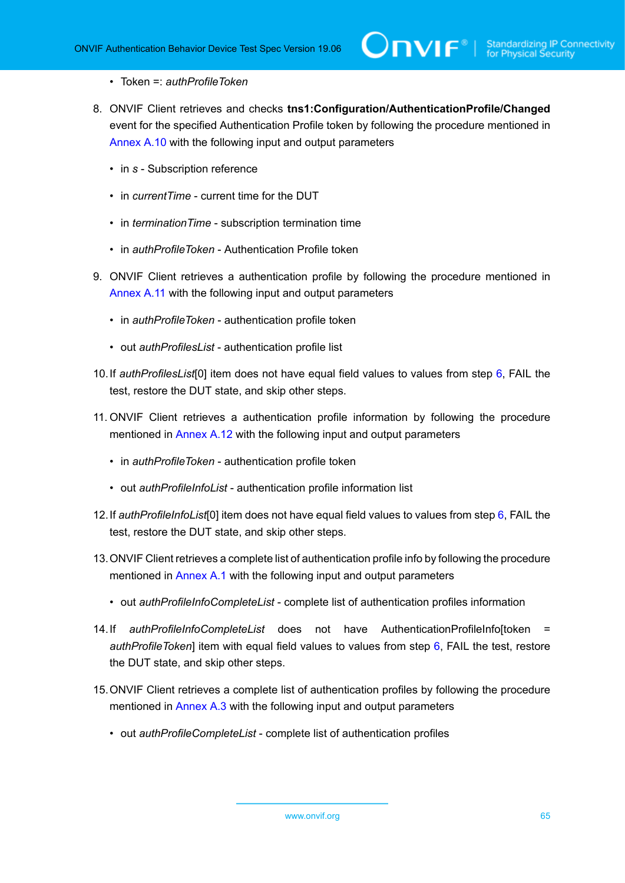- Token =: *authProfileToken*
- 8. ONVIF Client retrieves and checks **tns1:Configuration/AuthenticationProfile/Changed** event for the specified Authentication Profile token by following the procedure mentioned in [Annex A.10](#page-213-0) with the following input and output parameters
	- in *s* Subscription reference
	- in *currentTime* current time for the DUT
	- in *terminationTime* subscription termination time
	- in *authProfileToken* Authentication Profile token
- 9. ONVIF Client retrieves a authentication profile by following the procedure mentioned in [Annex](#page-214-0) A.11 with the following input and output parameters
	- in *authProfileToken* authentication profile token
	- out *authProfilesList* authentication profile list
- <span id="page-64-0"></span>10.If *authProfilesList*[0] item does not have equal field values to values from step [6,](#page-63-0) FAIL the test, restore the DUT state, and skip other steps.
- 11. ONVIF Client retrieves a authentication profile information by following the procedure mentioned in [Annex A.12](#page-215-0) with the following input and output parameters
	- in *authProfileToken* authentication profile token
	- out *authProfileInfoList* authentication profile information list
- <span id="page-64-2"></span>12.If *authProfileInfoList*[0] item does not have equal field values to values from step [6](#page-63-0), FAIL the test, restore the DUT state, and skip other steps.
- 13.ONVIF Client retrieves a complete list of authentication profile info by following the procedure mentioned in [Annex A.1](#page-204-0) with the following input and output parameters
	- out *authProfileInfoCompleteList* complete list of authentication profiles information
- <span id="page-64-1"></span>14.If *authProfileInfoCompleteList* does not have AuthenticationProfileInfo[token = *authProfileToken*] item with equal field values to values from step [6](#page-63-0), FAIL the test, restore the DUT state, and skip other steps.
- 15.ONVIF Client retrieves a complete list of authentication profiles by following the procedure mentioned in [Annex A.3](#page-205-0) with the following input and output parameters
	- out *authProfileCompleteList* complete list of authentication profiles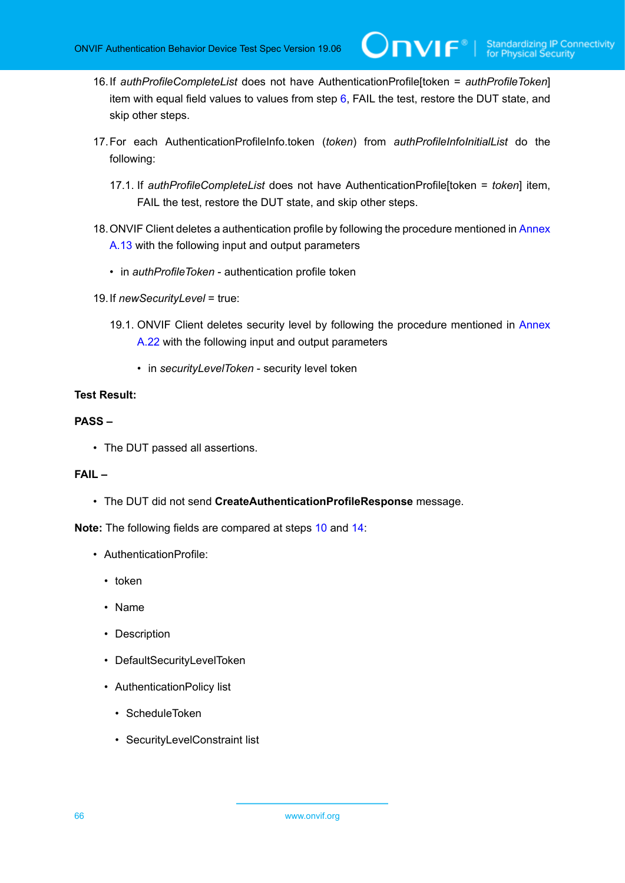<span id="page-65-0"></span>16.If *authProfileCompleteList* does not have AuthenticationProfile[token = *authProfileToken*] item with equal field values to values from step  $6$ , FAIL the test, restore the DUT state, and skip other steps.

 $\mathsf{J}\mathsf{N}\mathsf{N}\mathsf{F}^\ast$ l

- 17.For each AuthenticationProfileInfo.token (*token*) from *authProfileInfoInitialList* do the following:
	- 17.1. If *authProfileCompleteList* does not have AuthenticationProfile[token = *token*] item, FAIL the test, restore the DUT state, and skip other steps.
- 18.ONVIF Client deletes a authentication profile by following the procedure mentioned in [Annex](#page-216-0) [A.13](#page-216-0) with the following input and output parameters
	- in *authProfileToken* authentication profile token
- 19.If *newSecurityLevel* = true:
	- 19.1. ONVIF Client deletes security level by following the procedure mentioned in [Annex](#page-225-0) [A.22](#page-225-0) with the following input and output parameters
		- in *securityLevelToken* security level token

#### **Test Result:**

#### **PASS –**

• The DUT passed all assertions.

#### **FAIL –**

• The DUT did not send **CreateAuthenticationProfileResponse** message.

**Note:** The following fields are compared at steps [10](#page-64-0) and [14:](#page-64-1)

- AuthenticationProfile:
	- token
	- Name
	- Description
	- DefaultSecurityLevelToken
	- AuthenticationPolicy list
		- ScheduleToken
		- SecurityLevelConstraint list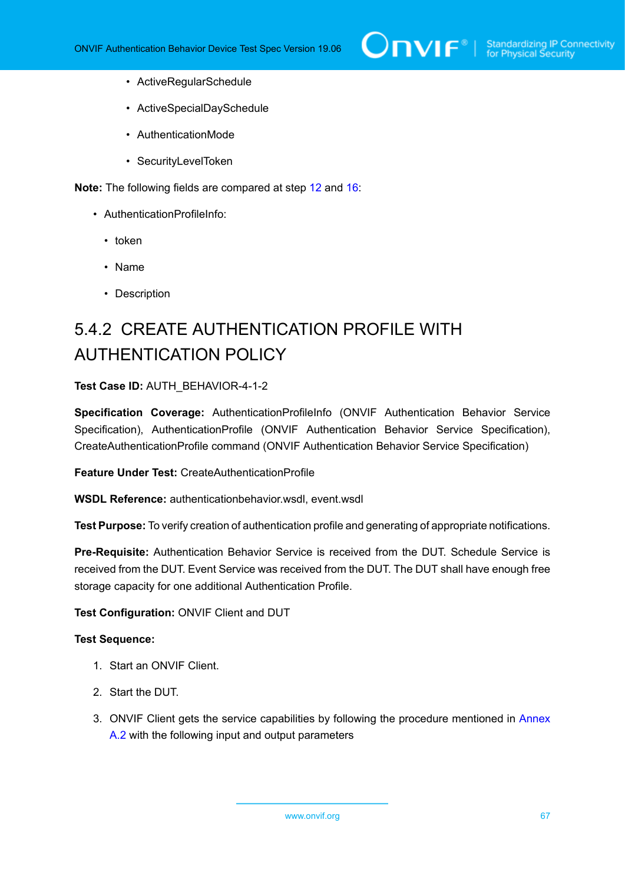

- ActiveRegularSchedule
- ActiveSpecialDaySchedule
- AuthenticationMode
- SecurityLevelToken

**Note:** The following fields are compared at step [12](#page-64-2) and [16](#page-65-0):

- AuthenticationProfileInfo:
	- token
	- Name
	- Description

## 5.4.2 CREATE AUTHENTICATION PROFILE WITH AUTHENTICATION POLICY

**Test Case ID:** AUTH\_BEHAVIOR-4-1-2

**Specification Coverage:** AuthenticationProfileInfo (ONVIF Authentication Behavior Service Specification), AuthenticationProfile (ONVIF Authentication Behavior Service Specification), CreateAuthenticationProfile command (ONVIF Authentication Behavior Service Specification)

**Feature Under Test:** CreateAuthenticationProfile

**WSDL Reference:** authenticationbehavior.wsdl, event.wsdl

**Test Purpose:** To verify creation of authentication profile and generating of appropriate notifications.

**Pre-Requisite:** Authentication Behavior Service is received from the DUT. Schedule Service is received from the DUT. Event Service was received from the DUT. The DUT shall have enough free storage capacity for one additional Authentication Profile.

**Test Configuration:** ONVIF Client and DUT

#### **Test Sequence:**

- 1. Start an ONVIF Client.
- 2. Start the DUT.
- 3. ONVIF Client gets the service capabilities by following the procedure mentioned in [Annex](#page-205-1) [A.2](#page-205-1) with the following input and output parameters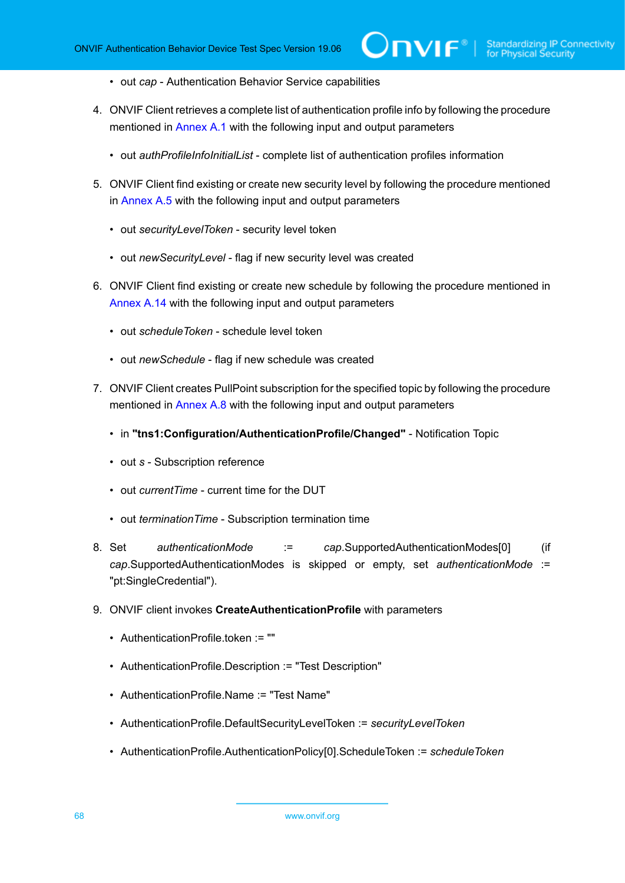- out *cap* Authentication Behavior Service capabilities
- 4. ONVIF Client retrieves a complete list of authentication profile info by following the procedure mentioned in [Annex A.1](#page-204-0) with the following input and output parameters
	- out *authProfileInfoInitialList* complete list of authentication profiles information
- 5. ONVIF Client find existing or create new security level by following the procedure mentioned in [Annex A.5](#page-208-0) with the following input and output parameters
	- out *securityLevelToken* security level token
	- out *newSecurityLevel* flag if new security level was created
- 6. ONVIF Client find existing or create new schedule by following the procedure mentioned in [Annex A.14](#page-216-1) with the following input and output parameters
	- out *scheduleToken* schedule level token
	- out *newSchedule* flag if new schedule was created
- 7. ONVIF Client creates PullPoint subscription for the specified topic by following the procedure mentioned in [Annex A.8](#page-212-0) with the following input and output parameters
	- in **"tns1:Configuration/AuthenticationProfile/Changed"** Notification Topic
	- out *s* Subscription reference
	- out *currentTime* current time for the DUT
	- out *terminationTime* Subscription termination time
- 8. Set *authenticationMode* := *cap*.SupportedAuthenticationModes[0] (if *cap*.SupportedAuthenticationModes is skipped or empty, set *authenticationMode* := "pt:SingleCredential").
- <span id="page-67-0"></span>9. ONVIF client invokes **CreateAuthenticationProfile** with parameters
	- AuthenticationProfile.token := ""
	- AuthenticationProfile.Description := "Test Description"
	- AuthenticationProfile.Name := "Test Name"
	- AuthenticationProfile.DefaultSecurityLevelToken := *securityLevelToken*
	- AuthenticationProfile.AuthenticationPolicy[0].ScheduleToken := *scheduleToken*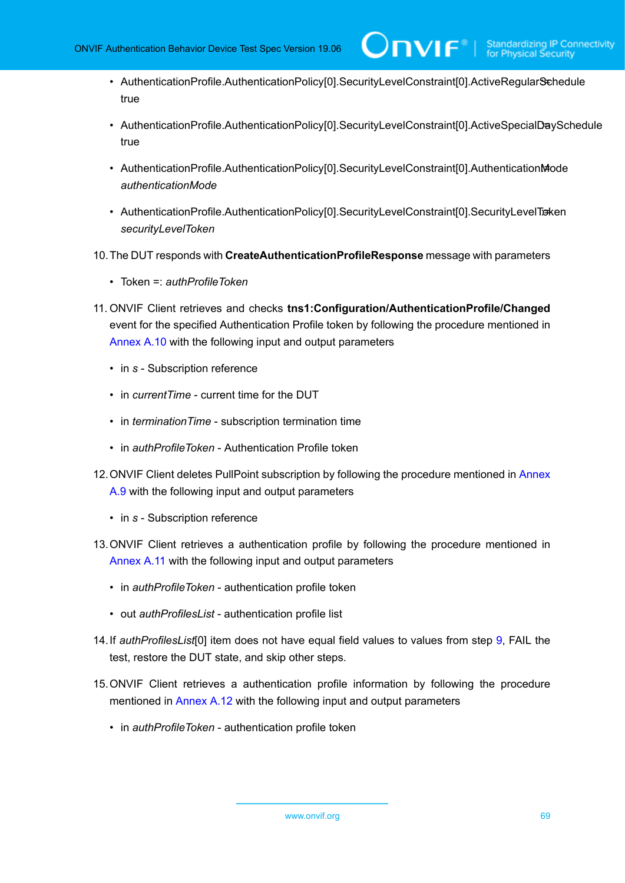- AuthenticationProfile.AuthenticationPolicy[0].SecurityLevelConstraint[0].ActiveRegularSchedule true
- AuthenticationProfile.AuthenticationPolicy[0].SecurityLevelConstraint[0].ActiveSpecialDaySchedule true
- AuthenticationProfile.AuthenticationPolicy[0].SecurityLevelConstraint[0].AuthenticationMode *authenticationMode*
- AuthenticationProfile.AuthenticationPolicy[0].SecurityLevelConstraint[0].SecurityLevelToxen *securityLevelToken*
- 10.The DUT responds with **CreateAuthenticationProfileResponse** message with parameters
	- Token =: *authProfileToken*
- 11. ONVIF Client retrieves and checks **tns1:Configuration/AuthenticationProfile/Changed** event for the specified Authentication Profile token by following the procedure mentioned in [Annex A.10](#page-213-0) with the following input and output parameters
	- in *s* Subscription reference
	- in *currentTime* current time for the DUT
	- in *terminationTime* subscription termination time
	- in *authProfileToken* Authentication Profile token
- 12.ONVIF Client deletes PullPoint subscription by following the procedure mentioned in [Annex](#page-213-1) [A.9](#page-213-1) with the following input and output parameters
	- in *s* Subscription reference
- 13.ONVIF Client retrieves a authentication profile by following the procedure mentioned in [Annex](#page-214-0) A.11 with the following input and output parameters
	- in *authProfileToken* authentication profile token
	- out *authProfilesList* authentication profile list
- <span id="page-68-0"></span>14.If *authProfilesList*[0] item does not have equal field values to values from step [9,](#page-67-0) FAIL the test, restore the DUT state, and skip other steps.
- 15.ONVIF Client retrieves a authentication profile information by following the procedure mentioned in [Annex A.12](#page-215-0) with the following input and output parameters
	- in *authProfileToken* authentication profile token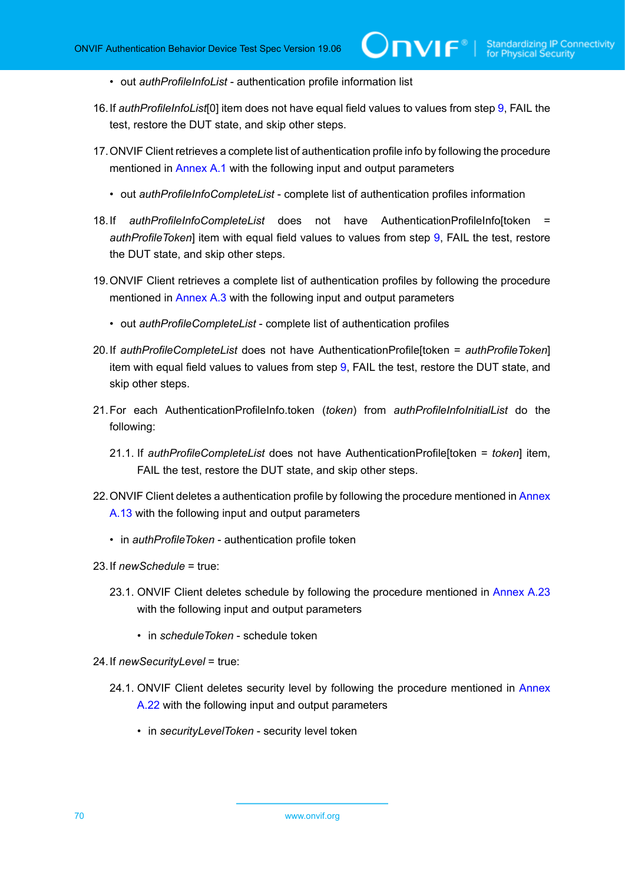- out *authProfileInfoList* authentication profile information list
- <span id="page-69-1"></span>16.If *authProfileInfoList*[0] item does not have equal field values to values from step [9](#page-67-0), FAIL the test, restore the DUT state, and skip other steps.
- 17.ONVIF Client retrieves a complete list of authentication profile info by following the procedure mentioned in [Annex A.1](#page-204-0) with the following input and output parameters
	- out *authProfileInfoCompleteList* complete list of authentication profiles information
- <span id="page-69-0"></span>18.If *authProfileInfoCompleteList* does not have AuthenticationProfileInfo[token = *authProfileToken*] item with equal field values to values from step [9](#page-67-0), FAIL the test, restore the DUT state, and skip other steps.
- 19.ONVIF Client retrieves a complete list of authentication profiles by following the procedure mentioned in [Annex A.3](#page-205-0) with the following input and output parameters
	- out *authProfileCompleteList* complete list of authentication profiles
- <span id="page-69-2"></span>20.If *authProfileCompleteList* does not have AuthenticationProfile[token = *authProfileToken*] item with equal field values to values from step [9](#page-67-0), FAIL the test, restore the DUT state, and skip other steps.
- 21.For each AuthenticationProfileInfo.token (*token*) from *authProfileInfoInitialList* do the following:
	- 21.1. If *authProfileCompleteList* does not have AuthenticationProfile[token = *token*] item, FAIL the test, restore the DUT state, and skip other steps.
- 22. ONVIF Client deletes a authentication profile by following the procedure mentioned in [Annex](#page-216-0) [A.13](#page-216-0) with the following input and output parameters
	- in *authProfileToken* authentication profile token
- 23.If *newSchedule* = true:
	- 23.1. ONVIF Client deletes schedule by following the procedure mentioned in [Annex A.23](#page-226-0) with the following input and output parameters
		- in *scheduleToken* schedule token
- 24.If *newSecurityLevel* = true:
	- 24.1. ONVIF Client deletes security level by following the procedure mentioned in [Annex](#page-225-0) [A.22](#page-225-0) with the following input and output parameters
		- in *securityLevelToken* security level token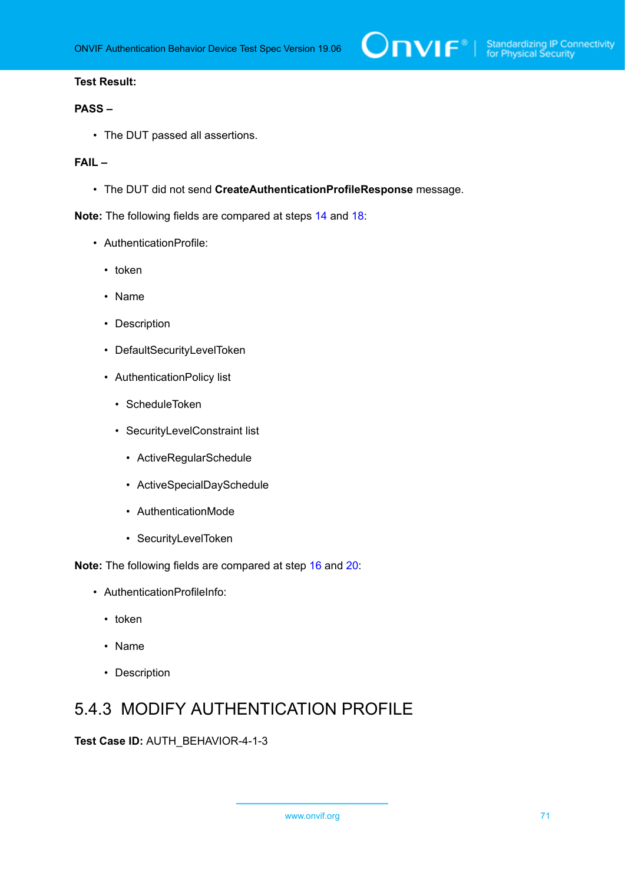

#### **PASS –**

• The DUT passed all assertions.

#### **FAIL –**

• The DUT did not send **CreateAuthenticationProfileResponse** message.

**Note:** The following fields are compared at steps [14](#page-68-0) and [18:](#page-69-0)

- AuthenticationProfile:
	- token
	- Name
	- Description
	- DefaultSecurityLevelToken
	- AuthenticationPolicy list
		- ScheduleToken
		- SecurityLevelConstraint list
			- ActiveRegularSchedule
			- ActiveSpecialDaySchedule
			- AuthenticationMode
			- SecurityLevelToken

**Note:** The following fields are compared at step [16](#page-69-1) and [20](#page-69-2):

- AuthenticationProfileInfo:
	- token
	- Name
	- Description

## 5.4.3 MODIFY AUTHENTICATION PROFILE

**Test Case ID:** AUTH\_BEHAVIOR-4-1-3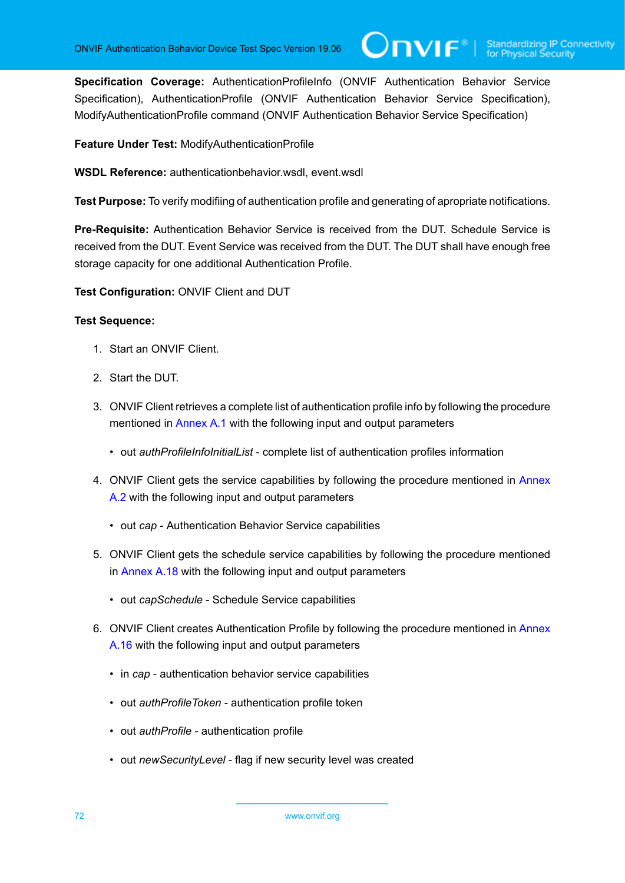**Specification Coverage:** AuthenticationProfileInfo (ONVIF Authentication Behavior Service Specification), AuthenticationProfile (ONVIF Authentication Behavior Service Specification), ModifyAuthenticationProfile command (ONVIF Authentication Behavior Service Specification)

**Feature Under Test:** ModifyAuthenticationProfile

**WSDL Reference:** authenticationbehavior.wsdl, event.wsdl

**Test Purpose:** To verify modifiing of authentication profile and generating of apropriate notifications.

**Pre-Requisite:** Authentication Behavior Service is received from the DUT. Schedule Service is received from the DUT. Event Service was received from the DUT. The DUT shall have enough free storage capacity for one additional Authentication Profile.

**Test Configuration:** ONVIF Client and DUT

- 1. Start an ONVIF Client.
- 2. Start the DUT.
- 3. ONVIF Client retrieves a complete list of authentication profile info by following the procedure mentioned in [Annex A.1](#page-204-0) with the following input and output parameters
	- out *authProfileInfoInitialList* complete list of authentication profiles information
- 4. ONVIF Client gets the service capabilities by following the procedure mentioned in [Annex](#page-205-1) [A.2](#page-205-1) with the following input and output parameters
	- out *cap* Authentication Behavior Service capabilities
- 5. ONVIF Client gets the schedule service capabilities by following the procedure mentioned in [Annex A.18](#page-222-0) with the following input and output parameters
	- out *capSchedule* Schedule Service capabilities
- 6. ONVIF Client creates Authentication Profile by following the procedure mentioned in [Annex](#page-218-0) [A.16](#page-218-0) with the following input and output parameters
	- in *cap* authentication behavior service capabilities
	- out *authProfileToken* authentication profile token
	- out *authProfile* authentication profile
	- out *newSecurityLevel* flag if new security level was created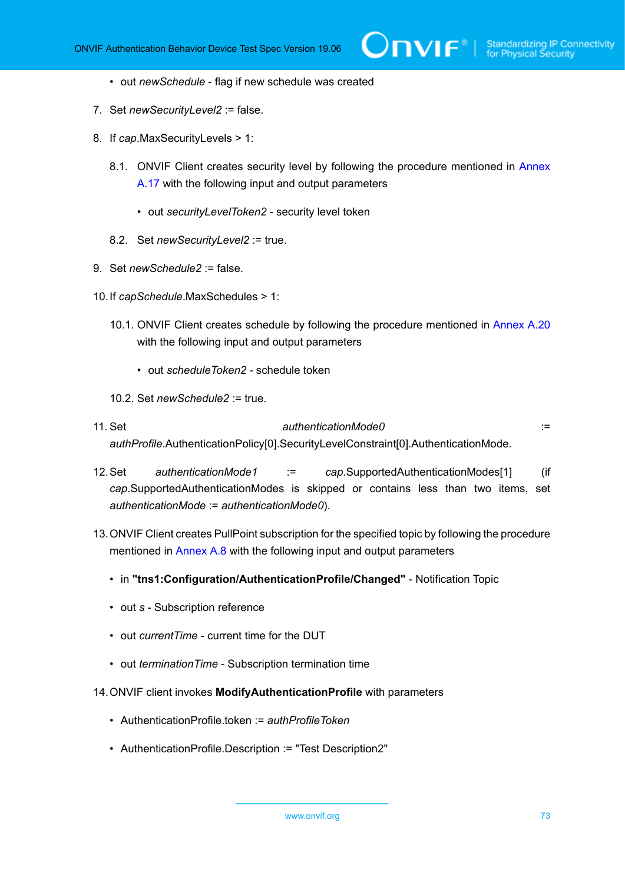- out *newSchedule* flag if new schedule was created
- 7. Set *newSecurityLevel2* := false.
- 8. If *cap*.MaxSecurityLevels > 1:
	- 8.1. ONVIF Client creates security level by following the procedure mentioned in [Annex](#page-220-0) [A.17](#page-220-0) with the following input and output parameters
		- out *securityLevelToken2* security level token
	- 8.2. Set *newSecurityLevel2* := true.
- 9. Set *newSchedule2* := false.
- 10.If *capSchedule*.MaxSchedules > 1:
	- 10.1. ONVIF Client creates schedule by following the procedure mentioned in [Annex A.20](#page-223-0) with the following input and output parameters
		- out *scheduleToken2* schedule token
	- 10.2. Set *newSchedule2* := true.
- 11. Set *authenticationMode0* := *authProfile*.AuthenticationPolicy[0].SecurityLevelConstraint[0].AuthenticationMode.
- 12.Set *authenticationMode1* := *cap*.SupportedAuthenticationModes[1] (if *cap*.SupportedAuthenticationModes is skipped or contains less than two items, set *authenticationMode* := *authenticationMode0*).
- 13.ONVIF Client creates PullPoint subscription for the specified topic by following the procedure mentioned in [Annex A.8](#page-212-0) with the following input and output parameters
	- in **"tns1:Configuration/AuthenticationProfile/Changed"** Notification Topic
	- out *s* Subscription reference
	- out *currentTime* current time for the DUT
	- out *terminationTime* Subscription termination time
- <span id="page-72-0"></span>14.ONVIF client invokes **ModifyAuthenticationProfile** with parameters
	- AuthenticationProfile.token := *authProfileToken*
	- AuthenticationProfile.Description := "Test Description2"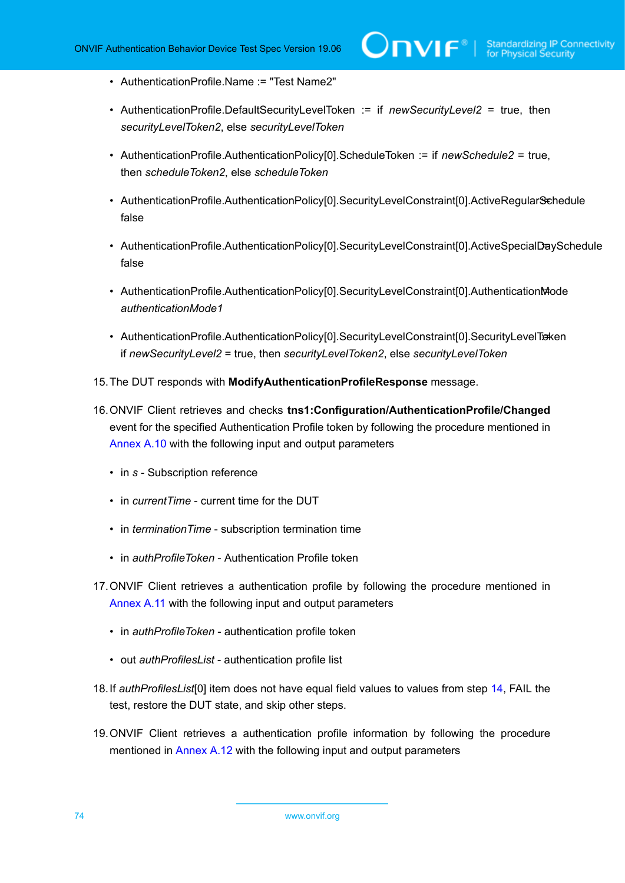- AuthenticationProfile.Name := "Test Name2"
- AuthenticationProfile.DefaultSecurityLevelToken := if *newSecurityLevel2* = true, then *securityLevelToken2*, else *securityLevelToken*
- AuthenticationProfile.AuthenticationPolicy[0].ScheduleToken := if *newSchedule2* = true, then *scheduleToken2*, else *scheduleToken*
- AuthenticationProfile.AuthenticationPolicy[0].SecurityLevelConstraint[0].ActiveRegularSchedule false
- AuthenticationProfile.AuthenticationPolicy[0].SecurityLevelConstraint[0].ActiveSpecialDaySchedule false
- AuthenticationProfile.AuthenticationPolicy[0].SecurityLevelConstraint[0].AuthenticationMode *authenticationMode1*
- AuthenticationProfile.AuthenticationPolicy[0].SecurityLevelConstraint[0].SecurityLevelTraken if *newSecurityLevel2* = true, then *securityLevelToken2*, else *securityLevelToken*
- 15.The DUT responds with **ModifyAuthenticationProfileResponse** message.
- 16.ONVIF Client retrieves and checks **tns1:Configuration/AuthenticationProfile/Changed** event for the specified Authentication Profile token by following the procedure mentioned in [Annex A.10](#page-213-0) with the following input and output parameters
	- in *s* Subscription reference
	- in *currentTime* current time for the DUT
	- in *terminationTime* subscription termination time
	- in *authProfileToken* Authentication Profile token
- 17.ONVIF Client retrieves a authentication profile by following the procedure mentioned in [Annex](#page-214-0) A.11 with the following input and output parameters
	- in *authProfileToken* authentication profile token
	- out *authProfilesList* authentication profile list
- <span id="page-73-0"></span>18.If *authProfilesList*[0] item does not have equal field values to values from step [14](#page-72-0), FAIL the test, restore the DUT state, and skip other steps.
- 19.ONVIF Client retrieves a authentication profile information by following the procedure mentioned in [Annex A.12](#page-215-0) with the following input and output parameters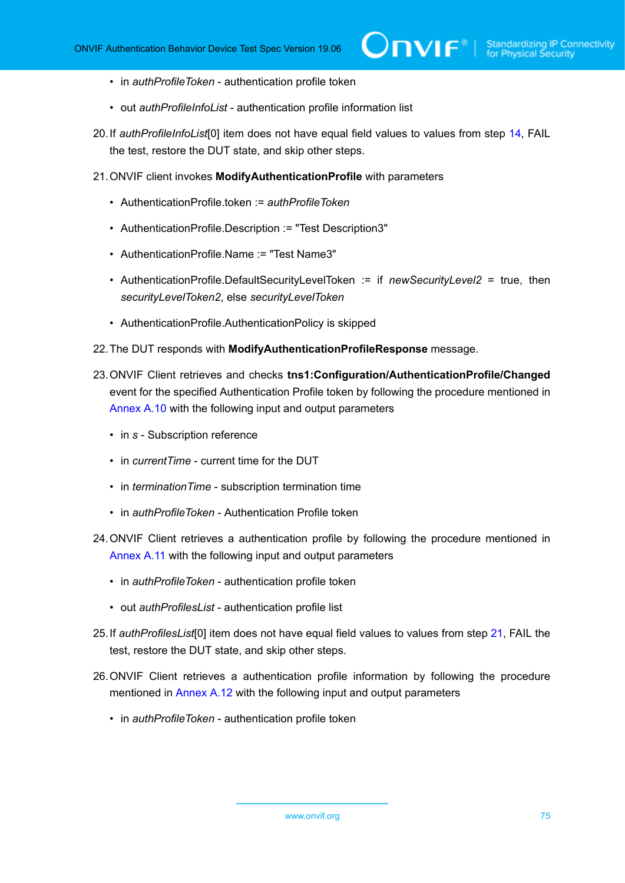- in *authProfileToken* authentication profile token
- out *authProfileInfoList* authentication profile information list
- <span id="page-74-2"></span>20.If *authProfileInfoList*[0] item does not have equal field values to values from step [14,](#page-72-0) FAIL the test, restore the DUT state, and skip other steps.
- <span id="page-74-0"></span>21.ONVIF client invokes **ModifyAuthenticationProfile** with parameters
	- AuthenticationProfile.token := *authProfileToken*
	- AuthenticationProfile.Description := "Test Description3"
	- AuthenticationProfile.Name := "Test Name3"
	- AuthenticationProfile.DefaultSecurityLevelToken := if *newSecurityLevel2* = true, then *securityLevelToken2*, else *securityLevelToken*
	- AuthenticationProfile.AuthenticationPolicy is skipped
- 22.The DUT responds with **ModifyAuthenticationProfileResponse** message.
- 23.ONVIF Client retrieves and checks **tns1:Configuration/AuthenticationProfile/Changed** event for the specified Authentication Profile token by following the procedure mentioned in [Annex A.10](#page-213-0) with the following input and output parameters
	- in *s* Subscription reference
	- in *currentTime* current time for the DUT
	- in *terminationTime* subscription termination time
	- in *authProfileToken* Authentication Profile token
- 24.ONVIF Client retrieves a authentication profile by following the procedure mentioned in [Annex](#page-214-0) A.11 with the following input and output parameters
	- in *authProfileToken* authentication profile token
	- out *authProfilesList* authentication profile list
- <span id="page-74-1"></span>25.If *authProfilesList*[0] item does not have equal field values to values from step [21](#page-74-0), FAIL the test, restore the DUT state, and skip other steps.
- 26.ONVIF Client retrieves a authentication profile information by following the procedure mentioned in [Annex A.12](#page-215-0) with the following input and output parameters
	- in *authProfileToken* authentication profile token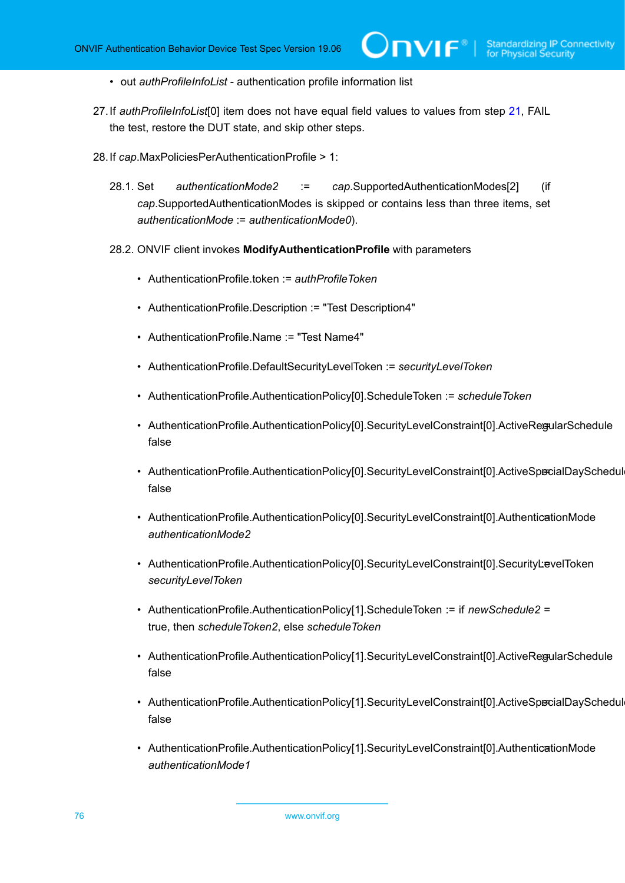- out *authProfileInfoList* authentication profile information list
- <span id="page-75-1"></span>27.If *authProfileInfoList*[0] item does not have equal field values to values from step [21,](#page-74-0) FAIL the test, restore the DUT state, and skip other steps.
- <span id="page-75-0"></span>28.If *cap*.MaxPoliciesPerAuthenticationProfile > 1:
	- 28.1. Set *authenticationMode2* := *cap*.SupportedAuthenticationModes[2] (if *cap*.SupportedAuthenticationModes is skipped or contains less than three items, set *authenticationMode* := *authenticationMode0*).
	- 28.2. ONVIF client invokes **ModifyAuthenticationProfile** with parameters
		- AuthenticationProfile.token := *authProfileToken*
		- AuthenticationProfile.Description := "Test Description4"
		- AuthenticationProfile.Name := "Test Name4"
		- AuthenticationProfile.DefaultSecurityLevelToken := *securityLevelToken*
		- AuthenticationProfile.AuthenticationPolicy[0].ScheduleToken := *scheduleToken*
		- AuthenticationProfile.AuthenticationPolicy[0].SecurityLevelConstraint[0].ActiveRegularSchedule false
		- AuthenticationProfile.AuthenticationPolicy[0].SecurityLevelConstraint[0].ActiveSpecialDaySchedul false
		- AuthenticationProfile.AuthenticationPolicy[0].SecurityLevelConstraint[0].AuthenticationMode *authenticationMode2*
		- AuthenticationProfile.AuthenticationPolicy[0].SecurityLevelConstraint[0].SecurityLevelToken *securityLevelToken*
		- AuthenticationProfile.AuthenticationPolicy[1].ScheduleToken := if *newSchedule2* = true, then *scheduleToken2*, else *scheduleToken*
		- AuthenticationProfile.AuthenticationPolicy[1].SecurityLevelConstraint[0].ActiveRegularSchedule false
		- AuthenticationProfile.AuthenticationPolicy[1].SecurityLevelConstraint[0].ActiveSpecialDaySchedul false
		- AuthenticationProfile.AuthenticationPolicy[1].SecurityLevelConstraint[0].AuthenticationMode *authenticationMode1*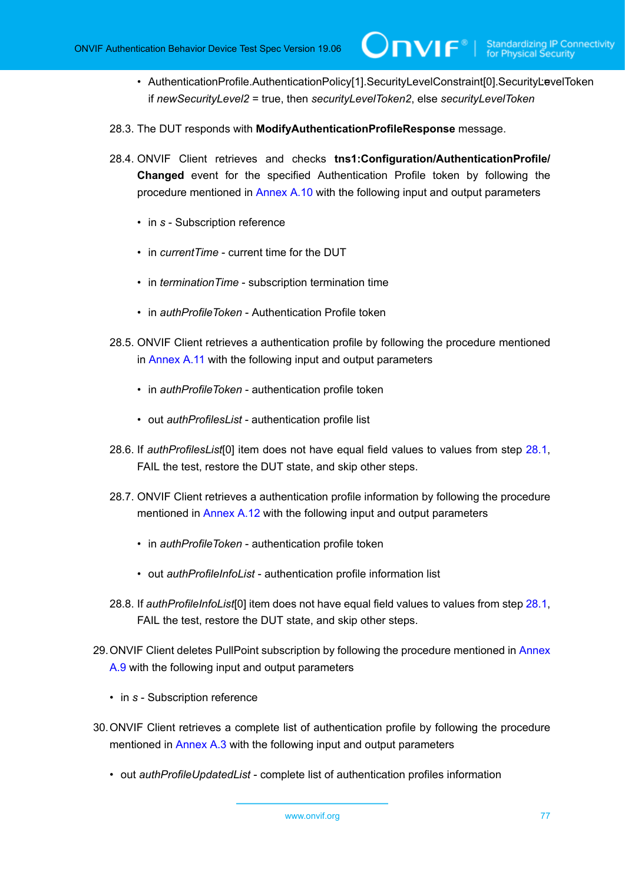- AuthenticationProfile.AuthenticationPolicy[1].SecurityLevelConstraint[0].SecurityLevelToken if *newSecurityLevel2* = true, then *securityLevelToken2*, else *securityLevelToken*
- 28.3. The DUT responds with **ModifyAuthenticationProfileResponse** message.
- 28.4. ONVIF Client retrieves and checks **tns1:Configuration/AuthenticationProfile/ Changed** event for the specified Authentication Profile token by following the procedure mentioned in [Annex A.10](#page-213-0) with the following input and output parameters
	- in *s* Subscription reference
	- in *currentTime* current time for the DUT
	- in *terminationTime* subscription termination time
	- in *authProfileToken* Authentication Profile token
- 28.5. ONVIF Client retrieves a authentication profile by following the procedure mentioned in [Annex](#page-214-0) A.11 with the following input and output parameters
	- in *authProfileToken* authentication profile token
	- out *authProfilesList* authentication profile list
- <span id="page-76-0"></span>28.6. If *authProfilesList*[0] item does not have equal field values to values from step [28.1,](#page-75-0) FAIL the test, restore the DUT state, and skip other steps.
- 28.7. ONVIF Client retrieves a authentication profile information by following the procedure mentioned in [Annex A.12](#page-215-0) with the following input and output parameters
	- in *authProfileToken* authentication profile token
	- out *authProfileInfoList* authentication profile information list
- <span id="page-76-1"></span>28.8. If *authProfileInfoList*[0] item does not have equal field values to values from step [28.1,](#page-75-0) FAIL the test, restore the DUT state, and skip other steps.
- 29.ONVIF Client deletes PullPoint subscription by following the procedure mentioned in [Annex](#page-213-1) [A.9](#page-213-1) with the following input and output parameters
	- in *s* Subscription reference
- 30.ONVIF Client retrieves a complete list of authentication profile by following the procedure mentioned in [Annex A.3](#page-205-0) with the following input and output parameters
	- out *authProfileUpdatedList* complete list of authentication profiles information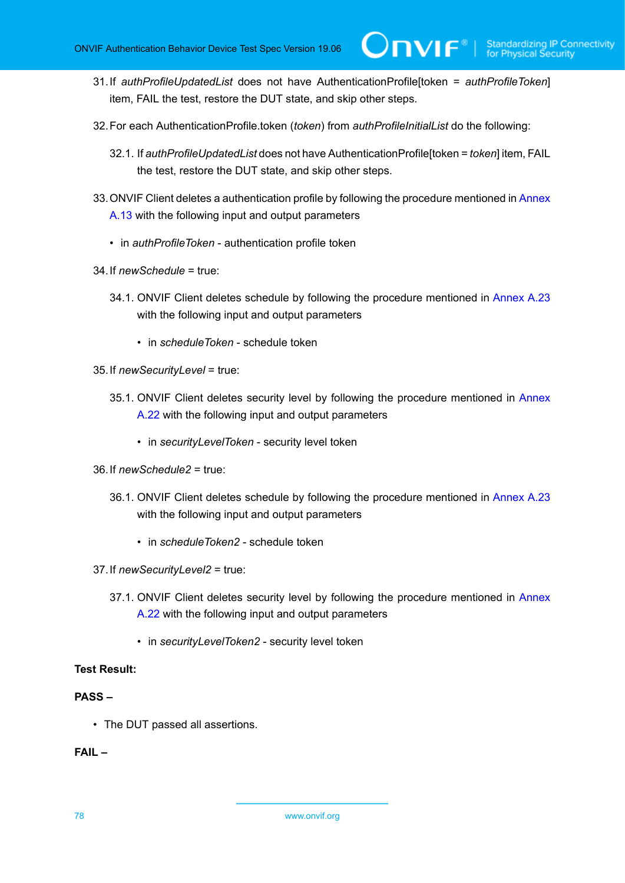- 31.If *authProfileUpdatedList* does not have AuthenticationProfile[token = *authProfileToken*] item, FAIL the test, restore the DUT state, and skip other steps.
- 32.For each AuthenticationProfile.token (*token*) from *authProfileInitialList* do the following:
	- 32.1. If *authProfileUpdatedList* does not have AuthenticationProfile[token = *token*] item, FAIL the test, restore the DUT state, and skip other steps.
- 33. ONVIF Client deletes a authentication profile by following the procedure mentioned in [Annex](#page-216-0) [A.13](#page-216-0) with the following input and output parameters
	- in *authProfileToken* authentication profile token
- 34.If *newSchedule* = true:
	- 34.1. ONVIF Client deletes schedule by following the procedure mentioned in [Annex A.23](#page-226-0) with the following input and output parameters
		- in *scheduleToken* schedule token
- 35.If *newSecurityLevel* = true:
	- 35.1. ONVIF Client deletes security level by following the procedure mentioned in [Annex](#page-225-0) [A.22](#page-225-0) with the following input and output parameters
		- in *securityLevelToken* security level token
- 36.If *newSchedule2* = true:
	- 36.1. ONVIF Client deletes schedule by following the procedure mentioned in [Annex A.23](#page-226-0) with the following input and output parameters
		- in *scheduleToken2* schedule token
- 37.If *newSecurityLevel2* = true:
	- 37.1. ONVIF Client deletes security level by following the procedure mentioned in [Annex](#page-225-0) [A.22](#page-225-0) with the following input and output parameters
		- in *securityLevelToken2* security level token

# **PASS –**

• The DUT passed all assertions.

# **FAIL –**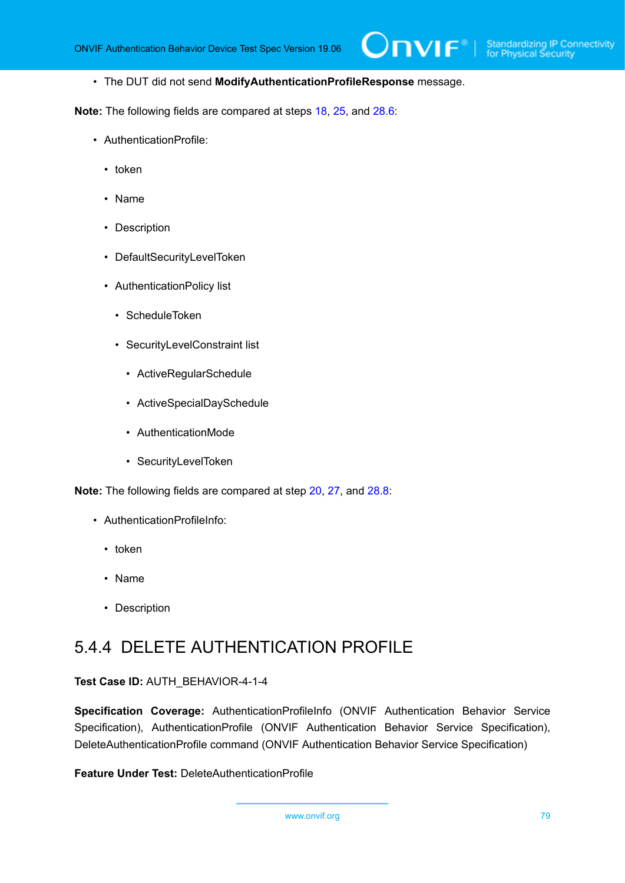• The DUT did not send **ModifyAuthenticationProfileResponse** message.

**Note:** The following fields are compared at steps [18,](#page-73-0) [25](#page-74-1), and [28.6:](#page-76-0)

- AuthenticationProfile:
	- token
	- Name
	- Description
	- DefaultSecurityLevelToken
	- AuthenticationPolicy list
		- ScheduleToken
		- SecurityLevelConstraint list
			- ActiveRegularSchedule
			- ActiveSpecialDaySchedule
			- AuthenticationMode
			- SecurityLevelToken

**Note:** The following fields are compared at step [20](#page-74-2), [27,](#page-75-1) and [28.8:](#page-76-1)

- AuthenticationProfileInfo:
	- token
	- Name
	- Description

# 5.4.4 DELETE AUTHENTICATION PROFILE

**Test Case ID:** AUTH\_BEHAVIOR-4-1-4

**Specification Coverage:** AuthenticationProfileInfo (ONVIF Authentication Behavior Service Specification), AuthenticationProfile (ONVIF Authentication Behavior Service Specification), DeleteAuthenticationProfile command (ONVIF Authentication Behavior Service Specification)

**Feature Under Test:** DeleteAuthenticationProfile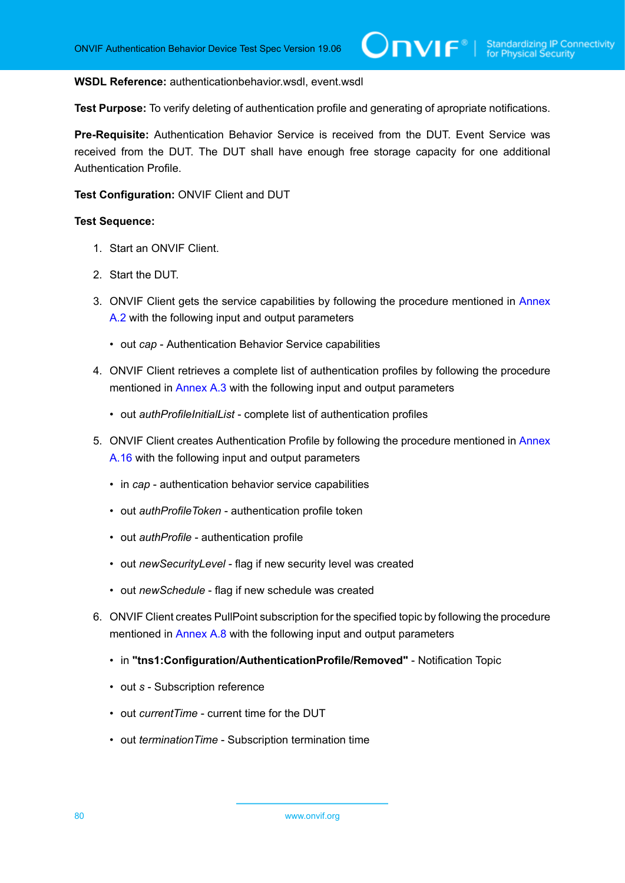#### **WSDL Reference:** authenticationbehavior.wsdl, event.wsdl

**Test Purpose:** To verify deleting of authentication profile and generating of apropriate notifications.

**Pre-Requisite:** Authentication Behavior Service is received from the DUT. Event Service was received from the DUT. The DUT shall have enough free storage capacity for one additional Authentication Profile.

#### **Test Configuration:** ONVIF Client and DUT

- 1. Start an ONVIF Client.
- 2. Start the DUT.
- 3. ONVIF Client gets the service capabilities by following the procedure mentioned in [Annex](#page-205-1) [A.2](#page-205-1) with the following input and output parameters
	- out *cap* Authentication Behavior Service capabilities
- 4. ONVIF Client retrieves a complete list of authentication profiles by following the procedure mentioned in [Annex A.3](#page-205-0) with the following input and output parameters
	- out *authProfileInitialList* complete list of authentication profiles
- 5. ONVIF Client creates Authentication Profile by following the procedure mentioned in [Annex](#page-218-0) [A.16](#page-218-0) with the following input and output parameters
	- in *cap* authentication behavior service capabilities
	- out *authProfileToken* authentication profile token
	- out *authProfile* authentication profile
	- out *newSecurityLevel* flag if new security level was created
	- out *newSchedule* flag if new schedule was created
- 6. ONVIF Client creates PullPoint subscription for the specified topic by following the procedure mentioned in [Annex A.8](#page-212-0) with the following input and output parameters
	- in **"tns1:Configuration/AuthenticationProfile/Removed"** Notification Topic
	- out *s* Subscription reference
	- out *currentTime* current time for the DUT
	- out *terminationTime* Subscription termination time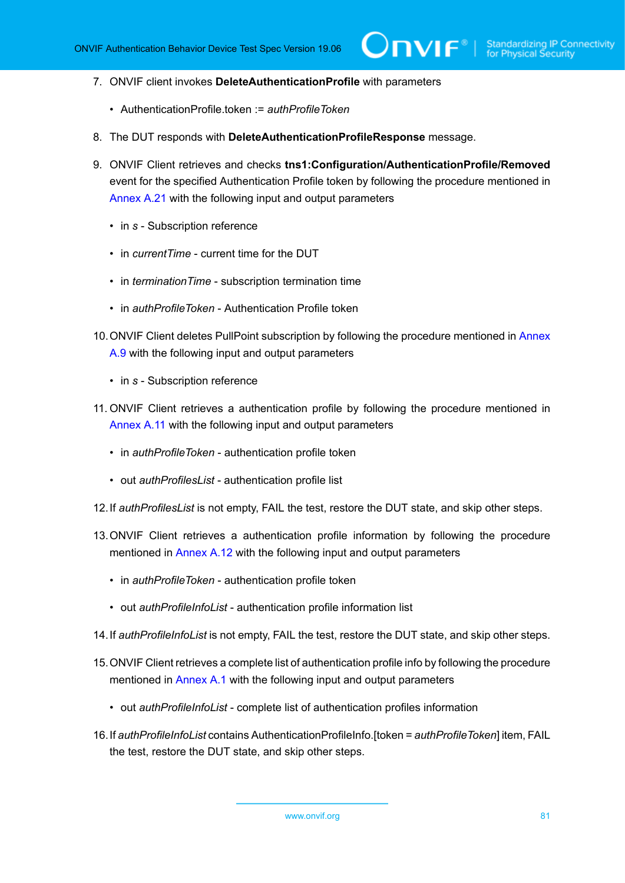- 7. ONVIF client invokes **DeleteAuthenticationProfile** with parameters
	- AuthenticationProfile.token := *authProfileToken*
- 8. The DUT responds with **DeleteAuthenticationProfileResponse** message.
- 9. ONVIF Client retrieves and checks **tns1:Configuration/AuthenticationProfile/Removed** event for the specified Authentication Profile token by following the procedure mentioned in [Annex A.21](#page-224-0) with the following input and output parameters
	- in *s* Subscription reference
	- in *currentTime* current time for the DUT
	- in *terminationTime* subscription termination time
	- in *authProfileToken* Authentication Profile token
- 10.ONVIF Client deletes PullPoint subscription by following the procedure mentioned in [Annex](#page-213-1) [A.9](#page-213-1) with the following input and output parameters
	- in *s* Subscription reference
- 11. ONVIF Client retrieves a authentication profile by following the procedure mentioned in [Annex](#page-214-0) A.11 with the following input and output parameters
	- in *authProfileToken* authentication profile token
	- out *authProfilesList* authentication profile list
- 12.If *authProfilesList* is not empty, FAIL the test, restore the DUT state, and skip other steps.
- 13.ONVIF Client retrieves a authentication profile information by following the procedure mentioned in [Annex A.12](#page-215-0) with the following input and output parameters
	- in *authProfileToken* authentication profile token
	- out *authProfileInfoList* authentication profile information list
- 14.If *authProfileInfoList* is not empty, FAIL the test, restore the DUT state, and skip other steps.
- 15.ONVIF Client retrieves a complete list of authentication profile info by following the procedure mentioned in [Annex A.1](#page-204-0) with the following input and output parameters
	- out *authProfileInfoList* complete list of authentication profiles information
- 16.If *authProfileInfoList* contains AuthenticationProfileInfo.[token = *authProfileToken*] item, FAIL the test, restore the DUT state, and skip other steps.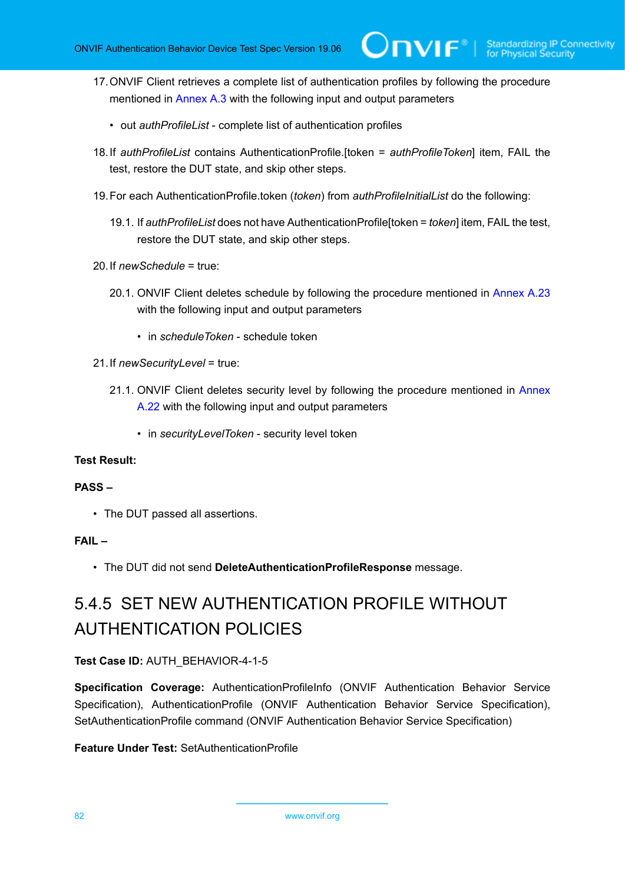- 17.ONVIF Client retrieves a complete list of authentication profiles by following the procedure mentioned in [Annex A.3](#page-205-0) with the following input and output parameters
	- out *authProfileList* complete list of authentication profiles
- 18.If *authProfileList* contains AuthenticationProfile.[token = *authProfileToken*] item, FAIL the test, restore the DUT state, and skip other steps.
- 19.For each AuthenticationProfile.token (*token*) from *authProfileInitialList* do the following:
	- 19.1. If *authProfileList* does not have AuthenticationProfile[token = *token*] item, FAIL the test, restore the DUT state, and skip other steps.
- 20.If *newSchedule* = true:
	- 20.1. ONVIF Client deletes schedule by following the procedure mentioned in [Annex A.23](#page-226-0) with the following input and output parameters
		- in *scheduleToken* schedule token
- 21.If *newSecurityLevel* = true:
	- 21.1. ONVIF Client deletes security level by following the procedure mentioned in [Annex](#page-225-0) [A.22](#page-225-0) with the following input and output parameters
		- in *securityLevelToken* security level token

# **PASS –**

• The DUT passed all assertions.

#### **FAIL –**

• The DUT did not send **DeleteAuthenticationProfileResponse** message.

# 5.4.5 SET NEW AUTHENTICATION PROFILE WITHOUT AUTHENTICATION POLICIES

# **Test Case ID:** AUTH\_BEHAVIOR-4-1-5

**Specification Coverage:** AuthenticationProfileInfo (ONVIF Authentication Behavior Service Specification), AuthenticationProfile (ONVIF Authentication Behavior Service Specification), SetAuthenticationProfile command (ONVIF Authentication Behavior Service Specification)

#### **Feature Under Test:** SetAuthenticationProfile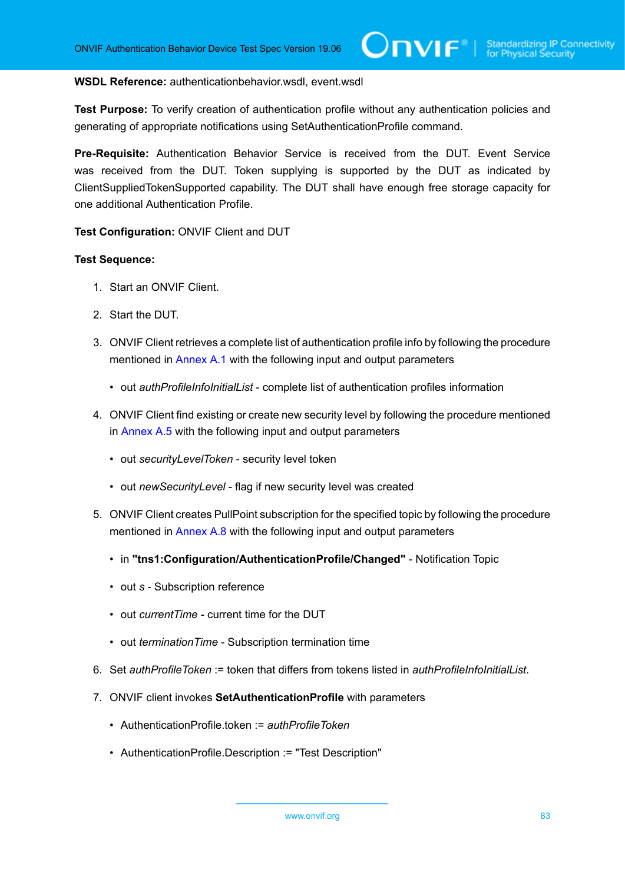#### **WSDL Reference:** authenticationbehavior.wsdl, event.wsdl

**Test Purpose:** To verify creation of authentication profile without any authentication policies and generating of appropriate notifications using SetAuthenticationProfile command.

**Pre-Requisite:** Authentication Behavior Service is received from the DUT. Event Service was received from the DUT. Token supplying is supported by the DUT as indicated by ClientSuppliedTokenSupported capability. The DUT shall have enough free storage capacity for one additional Authentication Profile.

**Test Configuration:** ONVIF Client and DUT

- 1. Start an ONVIF Client.
- 2. Start the DUT.
- 3. ONVIF Client retrieves a complete list of authentication profile info by following the procedure mentioned in [Annex A.1](#page-204-0) with the following input and output parameters
	- out *authProfileInfoInitialList* complete list of authentication profiles information
- 4. ONVIF Client find existing or create new security level by following the procedure mentioned in [Annex A.5](#page-208-0) with the following input and output parameters
	- out *securityLevelToken* security level token
	- out *newSecurityLevel* flag if new security level was created
- 5. ONVIF Client creates PullPoint subscription for the specified topic by following the procedure mentioned in [Annex A.8](#page-212-0) with the following input and output parameters
	- in **"tns1:Configuration/AuthenticationProfile/Changed"** Notification Topic
	- out *s* Subscription reference
	- out *currentTime* current time for the DUT
	- out *terminationTime* Subscription termination time
- 6. Set *authProfileToken* := token that differs from tokens listed in *authProfileInfoInitialList*.
- <span id="page-82-0"></span>7. ONVIF client invokes **SetAuthenticationProfile** with parameters
	- AuthenticationProfile.token := *authProfileToken*
	- AuthenticationProfile.Description := "Test Description"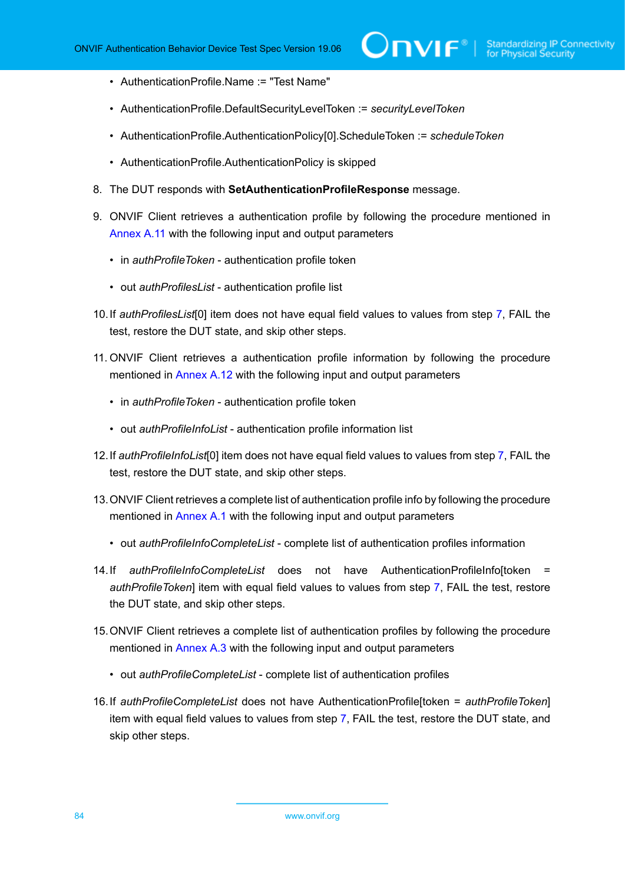- AuthenticationProfile.Name := "Test Name"
- AuthenticationProfile.DefaultSecurityLevelToken := *securityLevelToken*
- AuthenticationProfile.AuthenticationPolicy[0].ScheduleToken := *scheduleToken*
- AuthenticationProfile.AuthenticationPolicy is skipped
- 8. The DUT responds with **SetAuthenticationProfileResponse** message.
- 9. ONVIF Client retrieves a authentication profile by following the procedure mentioned in [Annex](#page-214-0) A.11 with the following input and output parameters
	- in *authProfileToken* authentication profile token
	- out *authProfilesList* authentication profile list
- <span id="page-83-0"></span>10.If *authProfilesList*[0] item does not have equal field values to values from step [7,](#page-82-0) FAIL the test, restore the DUT state, and skip other steps.
- 11. ONVIF Client retrieves a authentication profile information by following the procedure mentioned in [Annex A.12](#page-215-0) with the following input and output parameters
	- in *authProfileToken* authentication profile token
	- out *authProfileInfoList* authentication profile information list
- <span id="page-83-2"></span>12.If *authProfileInfoList*[0] item does not have equal field values to values from step [7](#page-82-0), FAIL the test, restore the DUT state, and skip other steps.
- 13.ONVIF Client retrieves a complete list of authentication profile info by following the procedure mentioned in [Annex A.1](#page-204-0) with the following input and output parameters
	- out *authProfileInfoCompleteList* complete list of authentication profiles information
- <span id="page-83-1"></span>14.If *authProfileInfoCompleteList* does not have AuthenticationProfileInfo[token = *authProfileToken*] item with equal field values to values from step [7](#page-82-0), FAIL the test, restore the DUT state, and skip other steps.
- 15.ONVIF Client retrieves a complete list of authentication profiles by following the procedure mentioned in [Annex A.3](#page-205-0) with the following input and output parameters
	- out *authProfileCompleteList* complete list of authentication profiles
- <span id="page-83-3"></span>16.If *authProfileCompleteList* does not have AuthenticationProfile[token = *authProfileToken*] item with equal field values to values from step [7](#page-82-0), FAIL the test, restore the DUT state, and skip other steps.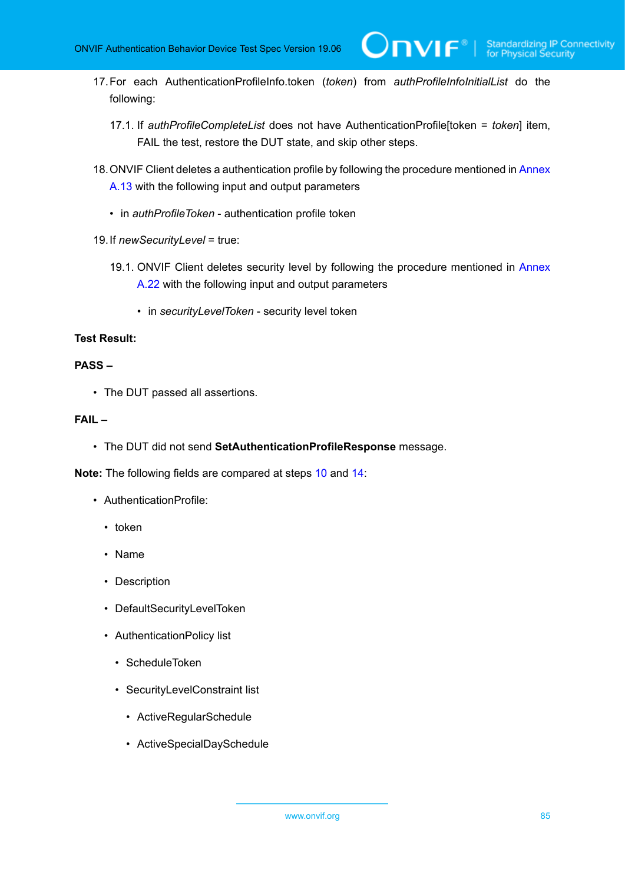**TVIF**®

- 17.For each AuthenticationProfileInfo.token (*token*) from *authProfileInfoInitialList* do the following:
	- 17.1. If *authProfileCompleteList* does not have AuthenticationProfile[token = *token*] item, FAIL the test, restore the DUT state, and skip other steps.
- 18. ONVIF Client deletes a authentication profile by following the procedure mentioned in [Annex](#page-216-0) [A.13](#page-216-0) with the following input and output parameters
	- in *authProfileToken* authentication profile token
- 19.If *newSecurityLevel* = true:
	- 19.1. ONVIF Client deletes security level by following the procedure mentioned in [Annex](#page-225-0) [A.22](#page-225-0) with the following input and output parameters
		- in *securityLevelToken* security level token

# **Test Result:**

### **PASS –**

• The DUT passed all assertions.

# **FAIL –**

• The DUT did not send **SetAuthenticationProfileResponse** message.

**Note:** The following fields are compared at steps [10](#page-83-0) and [14:](#page-83-1)

- AuthenticationProfile:
	- token
	- Name
	- Description
	- DefaultSecurityLevelToken
	- AuthenticationPolicy list
		- ScheduleToken
		- SecurityLevelConstraint list
			- ActiveRegularSchedule
			- ActiveSpecialDaySchedule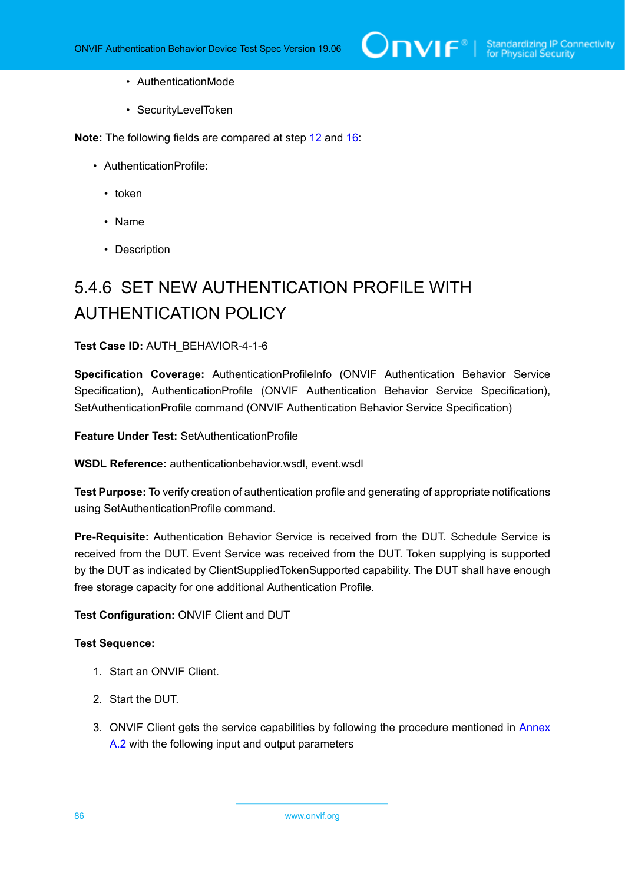- AuthenticationMode
- SecurityLevelToken

**Note:** The following fields are compared at step [12](#page-83-2) and [16](#page-83-3):

- AuthenticationProfile:
	- token
	- Name
	- Description

# 5.4.6 SET NEW AUTHENTICATION PROFILE WITH AUTHENTICATION POLICY

#### **Test Case ID:** AUTH\_BEHAVIOR-4-1-6

**Specification Coverage:** AuthenticationProfileInfo (ONVIF Authentication Behavior Service Specification), AuthenticationProfile (ONVIF Authentication Behavior Service Specification), SetAuthenticationProfile command (ONVIF Authentication Behavior Service Specification)

**Feature Under Test:** SetAuthenticationProfile

**WSDL Reference:** authenticationbehavior.wsdl, event.wsdl

**Test Purpose:** To verify creation of authentication profile and generating of appropriate notifications using SetAuthenticationProfile command.

**Pre-Requisite:** Authentication Behavior Service is received from the DUT. Schedule Service is received from the DUT. Event Service was received from the DUT. Token supplying is supported by the DUT as indicated by ClientSuppliedTokenSupported capability. The DUT shall have enough free storage capacity for one additional Authentication Profile.

**Test Configuration:** ONVIF Client and DUT

- 1. Start an ONVIF Client.
- 2. Start the DUT.
- 3. ONVIF Client gets the service capabilities by following the procedure mentioned in [Annex](#page-205-1) [A.2](#page-205-1) with the following input and output parameters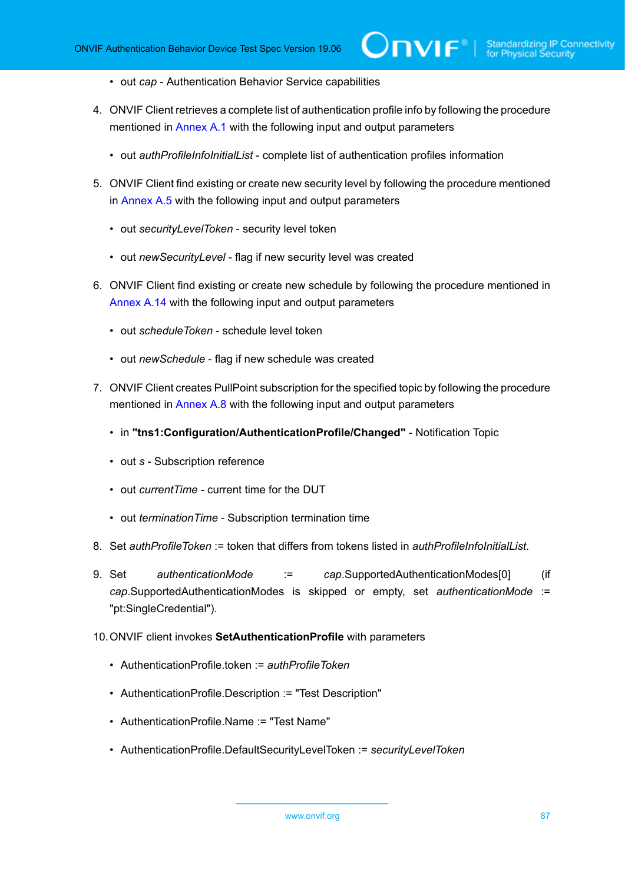- out *cap* Authentication Behavior Service capabilities
- 4. ONVIF Client retrieves a complete list of authentication profile info by following the procedure mentioned in [Annex A.1](#page-204-0) with the following input and output parameters
	- out *authProfileInfoInitialList* complete list of authentication profiles information
- 5. ONVIF Client find existing or create new security level by following the procedure mentioned in [Annex A.5](#page-208-0) with the following input and output parameters
	- out *securityLevelToken* security level token
	- out *newSecurityLevel* flag if new security level was created
- 6. ONVIF Client find existing or create new schedule by following the procedure mentioned in [Annex A.14](#page-216-1) with the following input and output parameters
	- out *scheduleToken* schedule level token
	- out *newSchedule* flag if new schedule was created
- 7. ONVIF Client creates PullPoint subscription for the specified topic by following the procedure mentioned in [Annex A.8](#page-212-0) with the following input and output parameters
	- in **"tns1:Configuration/AuthenticationProfile/Changed"** Notification Topic
	- out *s* Subscription reference
	- out *currentTime* current time for the DUT
	- out *terminationTime* Subscription termination time
- 8. Set *authProfileToken* := token that differs from tokens listed in *authProfileInfoInitialList*.
- 9. Set *authenticationMode* := *cap*.SupportedAuthenticationModes[0] (if *cap*.SupportedAuthenticationModes is skipped or empty, set *authenticationMode* := "pt:SingleCredential").
- <span id="page-86-0"></span>10.ONVIF client invokes **SetAuthenticationProfile** with parameters
	- AuthenticationProfile.token := *authProfileToken*
	- AuthenticationProfile.Description := "Test Description"
	- AuthenticationProfile.Name := "Test Name"
	- AuthenticationProfile.DefaultSecurityLevelToken := *securityLevelToken*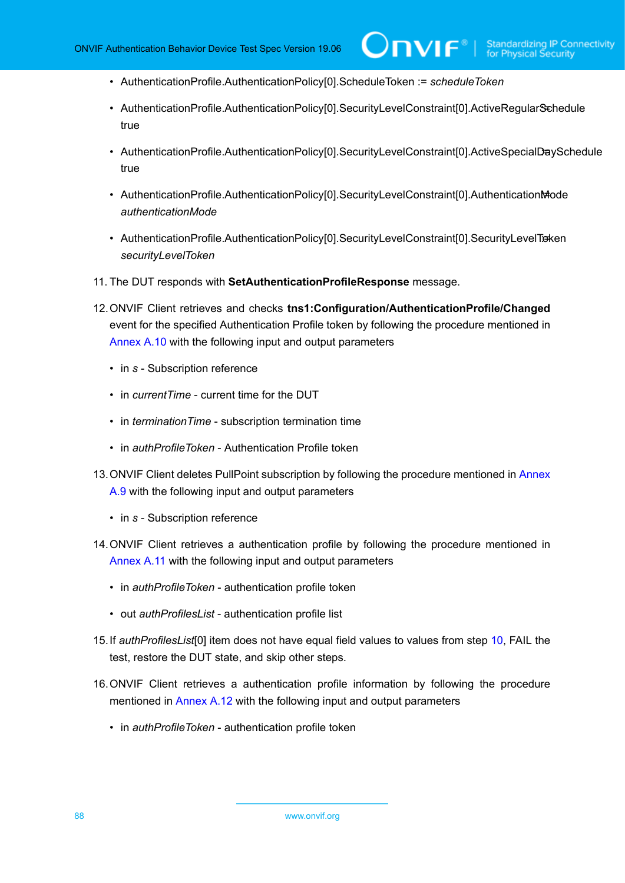- AuthenticationProfile.AuthenticationPolicy[0].ScheduleToken := *scheduleToken*
- AuthenticationProfile.AuthenticationPolicy[0].SecurityLevelConstraint[0].ActiveRegularSchedule true
- AuthenticationProfile.AuthenticationPolicy[0].SecurityLevelConstraint[0].ActiveSpecialDaySchedule true
- AuthenticationProfile.AuthenticationPolicy[0].SecurityLevelConstraint[0].AuthenticationMode *authenticationMode*
- AuthenticationProfile.AuthenticationPolicy[0].SecurityLevelConstraint[0].SecurityLevelTraken *securityLevelToken*
- 11. The DUT responds with **SetAuthenticationProfileResponse** message.
- 12.ONVIF Client retrieves and checks **tns1:Configuration/AuthenticationProfile/Changed** event for the specified Authentication Profile token by following the procedure mentioned in [Annex A.10](#page-213-0) with the following input and output parameters
	- in *s* Subscription reference
	- in *currentTime* current time for the DUT
	- in *terminationTime* subscription termination time
	- in *authProfileToken* Authentication Profile token
- 13. ONVIF Client deletes PullPoint subscription by following the procedure mentioned in [Annex](#page-213-1) [A.9](#page-213-1) with the following input and output parameters
	- in *s* Subscription reference
- 14.ONVIF Client retrieves a authentication profile by following the procedure mentioned in [Annex](#page-214-0) A.11 with the following input and output parameters
	- in *authProfileToken* authentication profile token
	- out *authProfilesList* authentication profile list
- <span id="page-87-0"></span>15.If *authProfilesList*[0] item does not have equal field values to values from step [10](#page-86-0), FAIL the test, restore the DUT state, and skip other steps.
- 16.ONVIF Client retrieves a authentication profile information by following the procedure mentioned in [Annex A.12](#page-215-0) with the following input and output parameters
	- in *authProfileToken* authentication profile token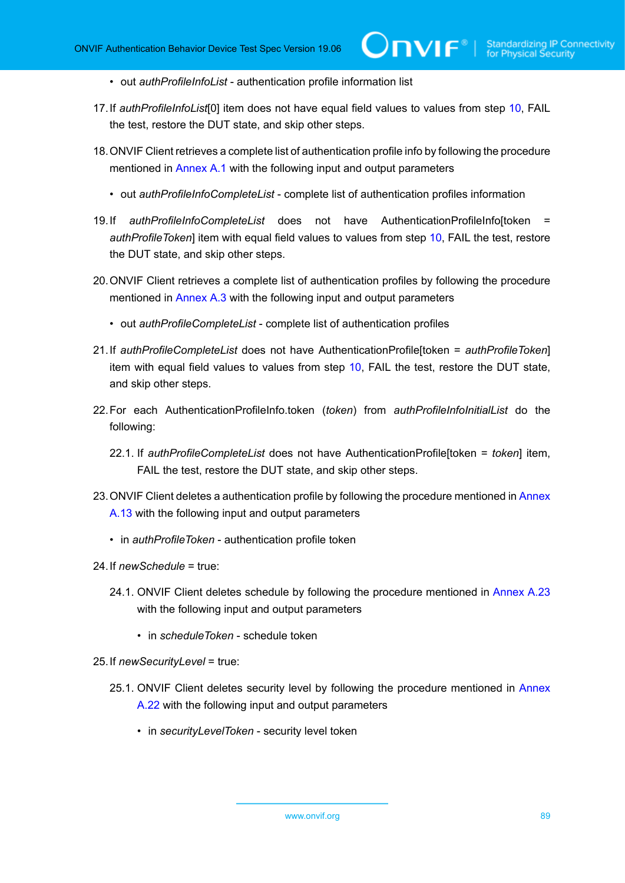- out *authProfileInfoList* authentication profile information list
- <span id="page-88-1"></span>17.If *authProfileInfoList*[0] item does not have equal field values to values from step [10,](#page-86-0) FAIL the test, restore the DUT state, and skip other steps.
- 18.ONVIF Client retrieves a complete list of authentication profile info by following the procedure mentioned in [Annex A.1](#page-204-0) with the following input and output parameters
	- out *authProfileInfoCompleteList* complete list of authentication profiles information
- <span id="page-88-0"></span>19.If *authProfileInfoCompleteList* does not have AuthenticationProfileInfo[token = *authProfileToken*] item with equal field values to values from step [10,](#page-86-0) FAIL the test, restore the DUT state, and skip other steps.
- 20.ONVIF Client retrieves a complete list of authentication profiles by following the procedure mentioned in [Annex A.3](#page-205-0) with the following input and output parameters
	- out *authProfileCompleteList* complete list of authentication profiles
- <span id="page-88-2"></span>21.If *authProfileCompleteList* does not have AuthenticationProfile[token = *authProfileToken*] item with equal field values to values from step [10](#page-86-0), FAIL the test, restore the DUT state, and skip other steps.
- 22.For each AuthenticationProfileInfo.token (*token*) from *authProfileInfoInitialList* do the following:
	- 22.1. If *authProfileCompleteList* does not have AuthenticationProfile[token = *token*] item, FAIL the test, restore the DUT state, and skip other steps.
- 23. ONVIF Client deletes a authentication profile by following the procedure mentioned in [Annex](#page-216-0) [A.13](#page-216-0) with the following input and output parameters
	- in *authProfileToken* authentication profile token
- 24.If *newSchedule* = true:
	- 24.1. ONVIF Client deletes schedule by following the procedure mentioned in [Annex A.23](#page-226-0) with the following input and output parameters
		- in *scheduleToken* schedule token
- 25.If *newSecurityLevel* = true:
	- 25.1. ONVIF Client deletes security level by following the procedure mentioned in [Annex](#page-225-0) [A.22](#page-225-0) with the following input and output parameters
		- in *securityLevelToken* security level token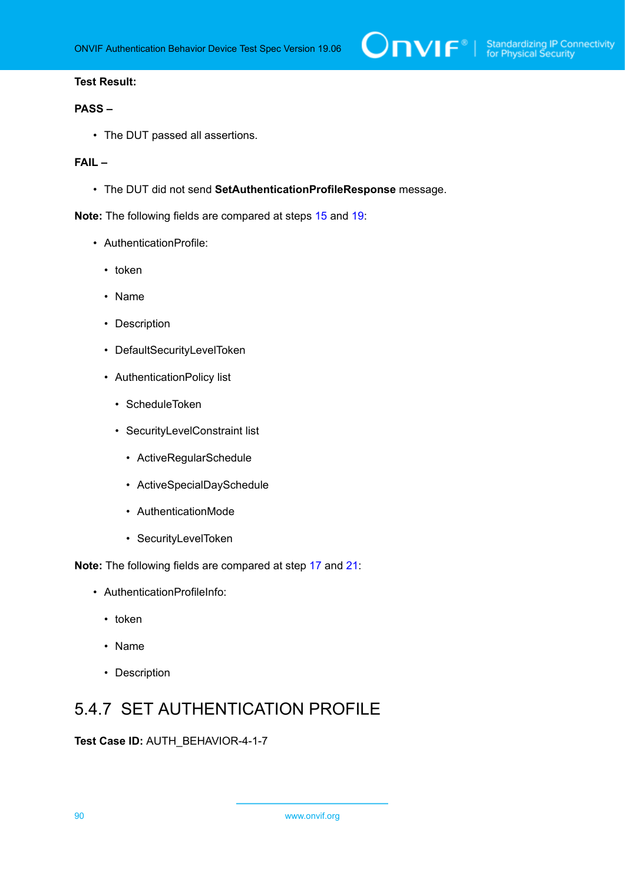# **PASS –**

• The DUT passed all assertions.

# **FAIL –**

• The DUT did not send **SetAuthenticationProfileResponse** message.

**Note:** The following fields are compared at steps [15](#page-87-0) and [19:](#page-88-0)

- AuthenticationProfile:
	- token
	- Name
	- Description
	- DefaultSecurityLevelToken
	- AuthenticationPolicy list
		- ScheduleToken
		- SecurityLevelConstraint list
			- ActiveRegularSchedule
			- ActiveSpecialDaySchedule
			- AuthenticationMode
			- SecurityLevelToken

**Note:** The following fields are compared at step [17](#page-88-1) and [21](#page-88-2):

- AuthenticationProfileInfo:
	- token
	- Name
	- Description

# 5.4.7 SET AUTHENTICATION PROFILE

**Test Case ID:** AUTH\_BEHAVIOR-4-1-7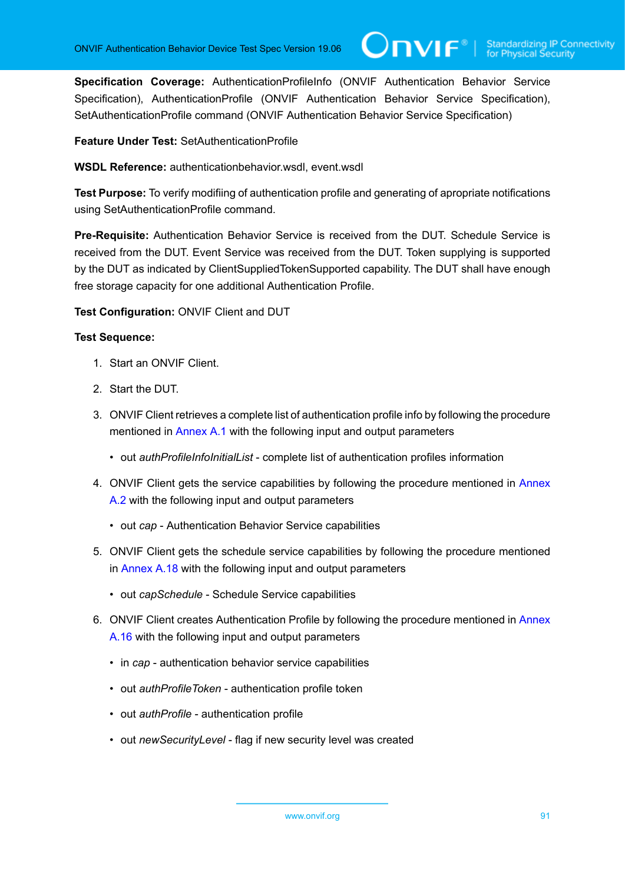**Specification Coverage:** AuthenticationProfileInfo (ONVIF Authentication Behavior Service Specification), AuthenticationProfile (ONVIF Authentication Behavior Service Specification), SetAuthenticationProfile command (ONVIF Authentication Behavior Service Specification)

**Feature Under Test:** SetAuthenticationProfile

**WSDL Reference:** authenticationbehavior.wsdl, event.wsdl

**Test Purpose:** To verify modifiing of authentication profile and generating of apropriate notifications using SetAuthenticationProfile command.

**Pre-Requisite:** Authentication Behavior Service is received from the DUT. Schedule Service is received from the DUT. Event Service was received from the DUT. Token supplying is supported by the DUT as indicated by ClientSuppliedTokenSupported capability. The DUT shall have enough free storage capacity for one additional Authentication Profile.

**Test Configuration:** ONVIF Client and DUT

- 1. Start an ONVIF Client.
- 2. Start the DUT.
- 3. ONVIF Client retrieves a complete list of authentication profile info by following the procedure mentioned in [Annex A.1](#page-204-0) with the following input and output parameters
	- out *authProfileInfoInitialList* complete list of authentication profiles information
- 4. ONVIF Client gets the service capabilities by following the procedure mentioned in [Annex](#page-205-1) [A.2](#page-205-1) with the following input and output parameters
	- out *cap* Authentication Behavior Service capabilities
- 5. ONVIF Client gets the schedule service capabilities by following the procedure mentioned in [Annex A.18](#page-222-0) with the following input and output parameters
	- out *capSchedule* Schedule Service capabilities
- 6. ONVIF Client creates Authentication Profile by following the procedure mentioned in [Annex](#page-218-0) [A.16](#page-218-0) with the following input and output parameters
	- in *cap* authentication behavior service capabilities
	- out *authProfileToken* authentication profile token
	- out *authProfile* authentication profile
	- out *newSecurityLevel* flag if new security level was created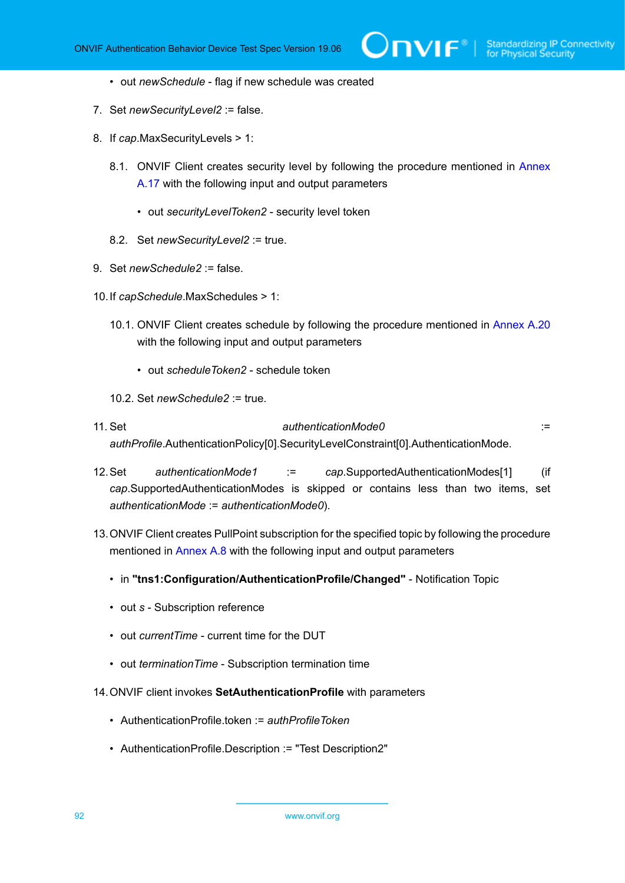- out *newSchedule* flag if new schedule was created
- 7. Set *newSecurityLevel2* := false.
- 8. If *cap*.MaxSecurityLevels > 1:
	- 8.1. ONVIF Client creates security level by following the procedure mentioned in [Annex](#page-220-0) [A.17](#page-220-0) with the following input and output parameters
		- out *securityLevelToken2* security level token
	- 8.2. Set *newSecurityLevel2* := true.
- 9. Set *newSchedule2* := false.
- 10.If *capSchedule*.MaxSchedules > 1:
	- 10.1. ONVIF Client creates schedule by following the procedure mentioned in [Annex A.20](#page-223-0) with the following input and output parameters
		- out *scheduleToken2* schedule token
	- 10.2. Set *newSchedule2* := true.
- 11. Set *authenticationMode0* := *authProfile*.AuthenticationPolicy[0].SecurityLevelConstraint[0].AuthenticationMode.
- 12.Set *authenticationMode1* := *cap*.SupportedAuthenticationModes[1] (if *cap*.SupportedAuthenticationModes is skipped or contains less than two items, set *authenticationMode* := *authenticationMode0*).
- 13.ONVIF Client creates PullPoint subscription for the specified topic by following the procedure mentioned in [Annex A.8](#page-212-0) with the following input and output parameters
	- in **"tns1:Configuration/AuthenticationProfile/Changed"** Notification Topic
	- out *s* Subscription reference
	- out *currentTime* current time for the DUT
	- out *terminationTime* Subscription termination time
- <span id="page-91-0"></span>14.ONVIF client invokes **SetAuthenticationProfile** with parameters
	- AuthenticationProfile.token := *authProfileToken*
	- AuthenticationProfile.Description := "Test Description2"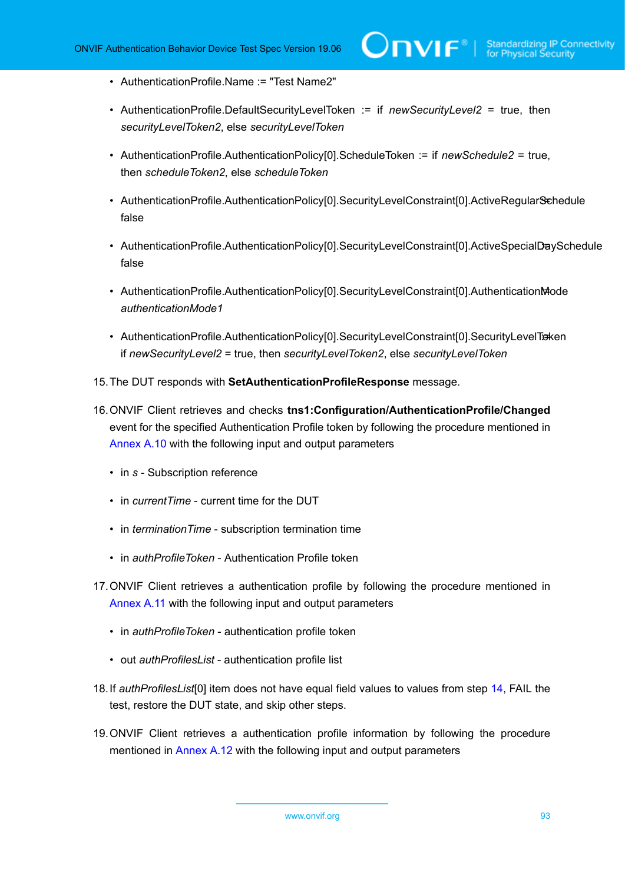- AuthenticationProfile.Name := "Test Name2"
- AuthenticationProfile.DefaultSecurityLevelToken := if *newSecurityLevel2* = true, then *securityLevelToken2*, else *securityLevelToken*
- AuthenticationProfile.AuthenticationPolicy[0].ScheduleToken := if *newSchedule2* = true, then *scheduleToken2*, else *scheduleToken*
- AuthenticationProfile.AuthenticationPolicy[0].SecurityLevelConstraint[0].ActiveRegularSchedule false
- AuthenticationProfile.AuthenticationPolicy[0].SecurityLevelConstraint[0].ActiveSpecialDaySchedule false
- AuthenticationProfile.AuthenticationPolicy[0].SecurityLevelConstraint[0].AuthenticationMode *authenticationMode1*
- AuthenticationProfile.AuthenticationPolicy[0].SecurityLevelConstraint[0].SecurityLevelTraken if *newSecurityLevel2* = true, then *securityLevelToken2*, else *securityLevelToken*
- 15.The DUT responds with **SetAuthenticationProfileResponse** message.
- 16.ONVIF Client retrieves and checks **tns1:Configuration/AuthenticationProfile/Changed** event for the specified Authentication Profile token by following the procedure mentioned in [Annex A.10](#page-213-0) with the following input and output parameters
	- in *s* Subscription reference
	- in *currentTime* current time for the DUT
	- in *terminationTime* subscription termination time
	- in *authProfileToken* Authentication Profile token
- 17.ONVIF Client retrieves a authentication profile by following the procedure mentioned in [Annex](#page-214-0) A.11 with the following input and output parameters
	- in *authProfileToken* authentication profile token
	- out *authProfilesList* authentication profile list
- <span id="page-92-0"></span>18.If *authProfilesList*[0] item does not have equal field values to values from step [14](#page-91-0), FAIL the test, restore the DUT state, and skip other steps.
- 19.ONVIF Client retrieves a authentication profile information by following the procedure mentioned in [Annex A.12](#page-215-0) with the following input and output parameters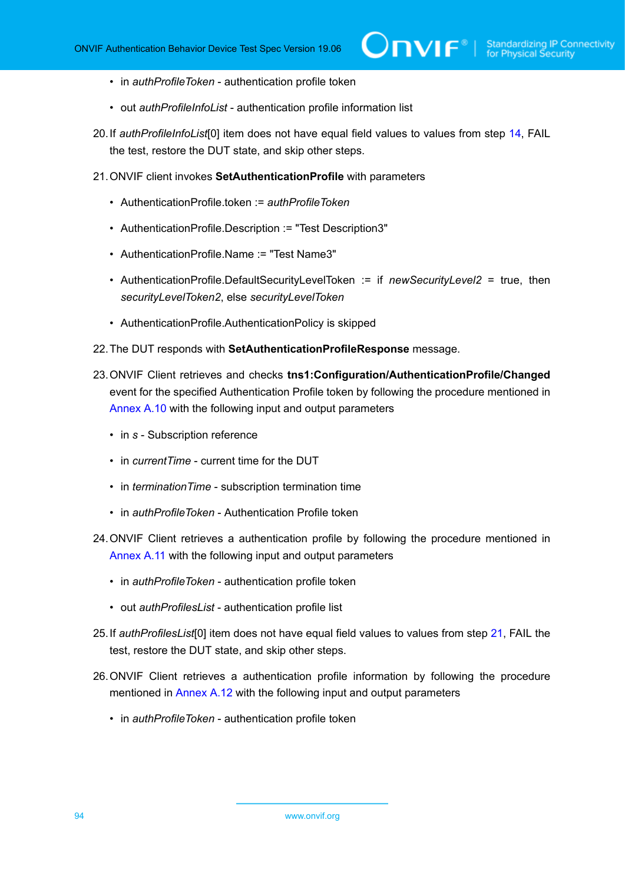- in *authProfileToken* authentication profile token
- out *authProfileInfoList* authentication profile information list
- <span id="page-93-2"></span>20.If *authProfileInfoList*[0] item does not have equal field values to values from step [14,](#page-91-0) FAIL the test, restore the DUT state, and skip other steps.
- <span id="page-93-0"></span>21.ONVIF client invokes **SetAuthenticationProfile** with parameters
	- AuthenticationProfile.token := *authProfileToken*
	- AuthenticationProfile.Description := "Test Description3"
	- AuthenticationProfile.Name := "Test Name3"
	- AuthenticationProfile.DefaultSecurityLevelToken := if *newSecurityLevel2* = true, then *securityLevelToken2*, else *securityLevelToken*
	- AuthenticationProfile.AuthenticationPolicy is skipped
- 22.The DUT responds with **SetAuthenticationProfileResponse** message.
- 23.ONVIF Client retrieves and checks **tns1:Configuration/AuthenticationProfile/Changed** event for the specified Authentication Profile token by following the procedure mentioned in [Annex A.10](#page-213-0) with the following input and output parameters
	- in *s* Subscription reference
	- in *currentTime* current time for the DUT
	- in *terminationTime* subscription termination time
	- in *authProfileToken* Authentication Profile token
- 24.ONVIF Client retrieves a authentication profile by following the procedure mentioned in [Annex](#page-214-0) A.11 with the following input and output parameters
	- in *authProfileToken* authentication profile token
	- out *authProfilesList* authentication profile list
- <span id="page-93-1"></span>25.If *authProfilesList*[0] item does not have equal field values to values from step [21](#page-93-0), FAIL the test, restore the DUT state, and skip other steps.
- 26.ONVIF Client retrieves a authentication profile information by following the procedure mentioned in [Annex A.12](#page-215-0) with the following input and output parameters
	- in *authProfileToken* authentication profile token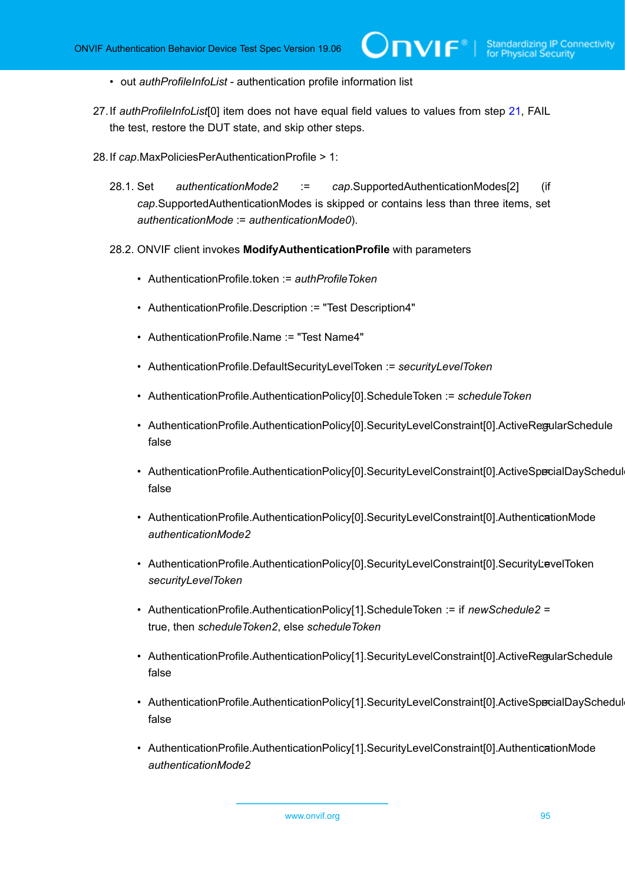- out *authProfileInfoList* authentication profile information list
- <span id="page-94-1"></span>27.If *authProfileInfoList*[0] item does not have equal field values to values from step [21,](#page-93-0) FAIL the test, restore the DUT state, and skip other steps.
- <span id="page-94-0"></span>28.If *cap*.MaxPoliciesPerAuthenticationProfile > 1:
	- 28.1. Set *authenticationMode2* := *cap*.SupportedAuthenticationModes[2] (if *cap*.SupportedAuthenticationModes is skipped or contains less than three items, set *authenticationMode* := *authenticationMode0*).
	- 28.2. ONVIF client invokes **ModifyAuthenticationProfile** with parameters
		- AuthenticationProfile.token := *authProfileToken*
		- AuthenticationProfile.Description := "Test Description4"
		- AuthenticationProfile.Name := "Test Name4"
		- AuthenticationProfile.DefaultSecurityLevelToken := *securityLevelToken*
		- AuthenticationProfile.AuthenticationPolicy[0].ScheduleToken := *scheduleToken*
		- AuthenticationProfile.AuthenticationPolicy[0].SecurityLevelConstraint[0].ActiveRegularSchedule false
		- AuthenticationProfile.AuthenticationPolicy[0].SecurityLevelConstraint[0].ActiveSpecialDaySchedul false
		- AuthenticationProfile.AuthenticationPolicy[0].SecurityLevelConstraint[0].AuthenticationMode *authenticationMode2*
		- AuthenticationProfile.AuthenticationPolicy[0].SecurityLevelConstraint[0].SecurityLevelToken *securityLevelToken*
		- AuthenticationProfile.AuthenticationPolicy[1].ScheduleToken := if *newSchedule2* = true, then *scheduleToken2*, else *scheduleToken*
		- AuthenticationProfile.AuthenticationPolicy[1].SecurityLevelConstraint[0].ActiveRegularSchedule false
		- AuthenticationProfile.AuthenticationPolicy[1].SecurityLevelConstraint[0].ActiveSpecialDaySchedul false
		- AuthenticationProfile.AuthenticationPolicy[1].SecurityLevelConstraint[0].AuthenticationMode *authenticationMode2*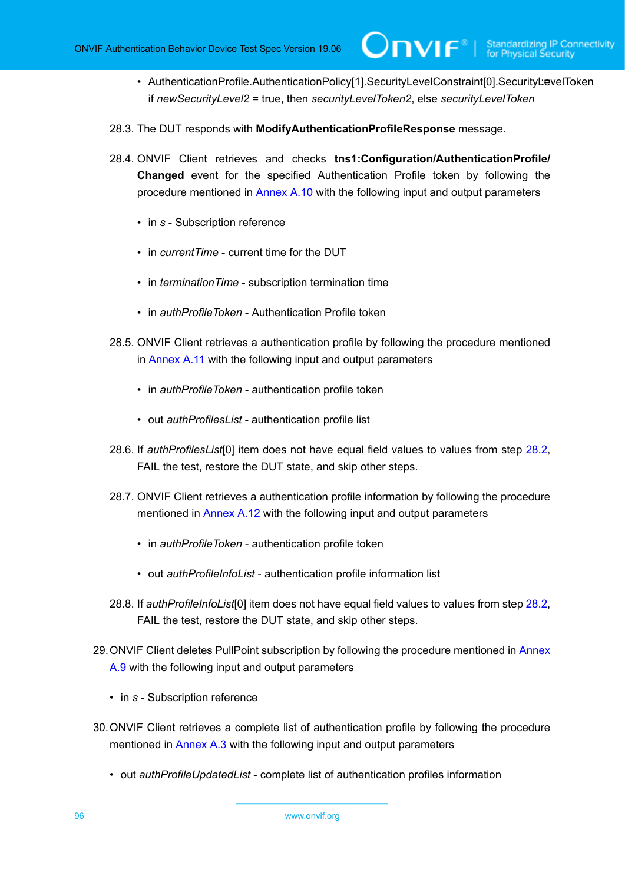- AuthenticationProfile.AuthenticationPolicy[1].SecurityLevelConstraint[0].SecurityLevelToken if *newSecurityLevel2* = true, then *securityLevelToken2*, else *securityLevelToken*
- 28.3. The DUT responds with **ModifyAuthenticationProfileResponse** message.
- 28.4. ONVIF Client retrieves and checks **tns1:Configuration/AuthenticationProfile/ Changed** event for the specified Authentication Profile token by following the procedure mentioned in [Annex A.10](#page-213-0) with the following input and output parameters
	- in *s* Subscription reference
	- in *currentTime* current time for the DUT
	- in *terminationTime* subscription termination time
	- in *authProfileToken* Authentication Profile token
- 28.5. ONVIF Client retrieves a authentication profile by following the procedure mentioned in [Annex](#page-214-0) A.11 with the following input and output parameters
	- in *authProfileToken* authentication profile token
	- out *authProfilesList* authentication profile list
- <span id="page-95-0"></span>28.6. If *authProfilesList*[0] item does not have equal field values to values from step [28.2,](#page-94-0) FAIL the test, restore the DUT state, and skip other steps.
- 28.7. ONVIF Client retrieves a authentication profile information by following the procedure mentioned in [Annex A.12](#page-215-0) with the following input and output parameters
	- in *authProfileToken* authentication profile token
	- out *authProfileInfoList* authentication profile information list
- <span id="page-95-1"></span>28.8. If *authProfileInfoList*[0] item does not have equal field values to values from step [28.2,](#page-94-0) FAIL the test, restore the DUT state, and skip other steps.
- 29.ONVIF Client deletes PullPoint subscription by following the procedure mentioned in [Annex](#page-213-1) [A.9](#page-213-1) with the following input and output parameters
	- in *s* Subscription reference
- 30.ONVIF Client retrieves a complete list of authentication profile by following the procedure mentioned in [Annex A.3](#page-205-0) with the following input and output parameters
	- out *authProfileUpdatedList* complete list of authentication profiles information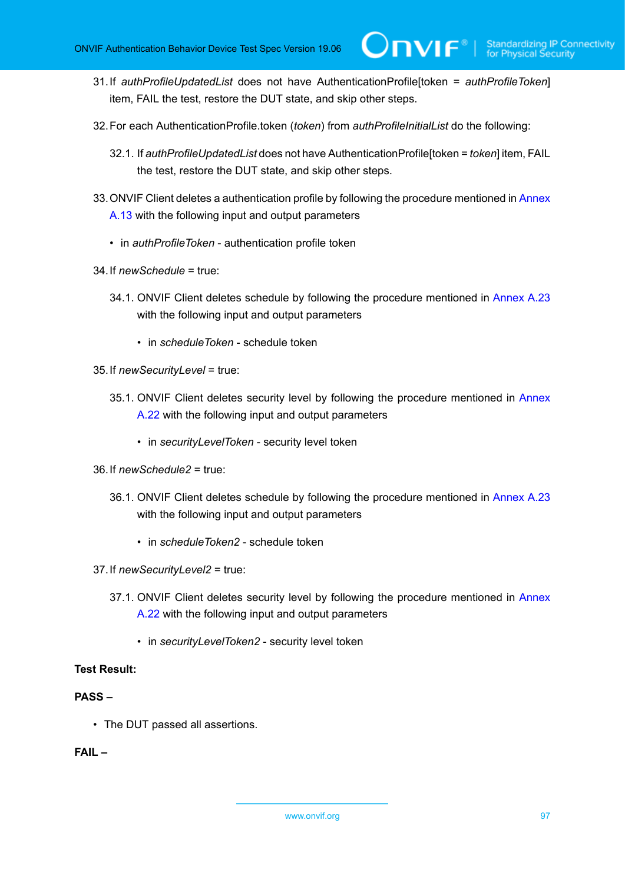- 31.If *authProfileUpdatedList* does not have AuthenticationProfile[token = *authProfileToken*] item, FAIL the test, restore the DUT state, and skip other steps.
- 32.For each AuthenticationProfile.token (*token*) from *authProfileInitialList* do the following:
	- 32.1. If *authProfileUpdatedList* does not have AuthenticationProfile[token = *token*] item, FAIL the test, restore the DUT state, and skip other steps.
- 33. ONVIF Client deletes a authentication profile by following the procedure mentioned in [Annex](#page-216-0) [A.13](#page-216-0) with the following input and output parameters
	- in *authProfileToken* authentication profile token
- 34.If *newSchedule* = true:
	- 34.1. ONVIF Client deletes schedule by following the procedure mentioned in [Annex A.23](#page-226-0) with the following input and output parameters
		- in *scheduleToken* schedule token
- 35.If *newSecurityLevel* = true:
	- 35.1. ONVIF Client deletes security level by following the procedure mentioned in [Annex](#page-225-0) [A.22](#page-225-0) with the following input and output parameters
		- in *securityLevelToken* security level token
- 36.If *newSchedule2* = true:
	- 36.1. ONVIF Client deletes schedule by following the procedure mentioned in [Annex A.23](#page-226-0) with the following input and output parameters
		- in *scheduleToken2* schedule token
- 37.If *newSecurityLevel2* = true:
	- 37.1. ONVIF Client deletes security level by following the procedure mentioned in [Annex](#page-225-0) [A.22](#page-225-0) with the following input and output parameters
		- in *securityLevelToken2* security level token

# **PASS –**

• The DUT passed all assertions.

# **FAIL –**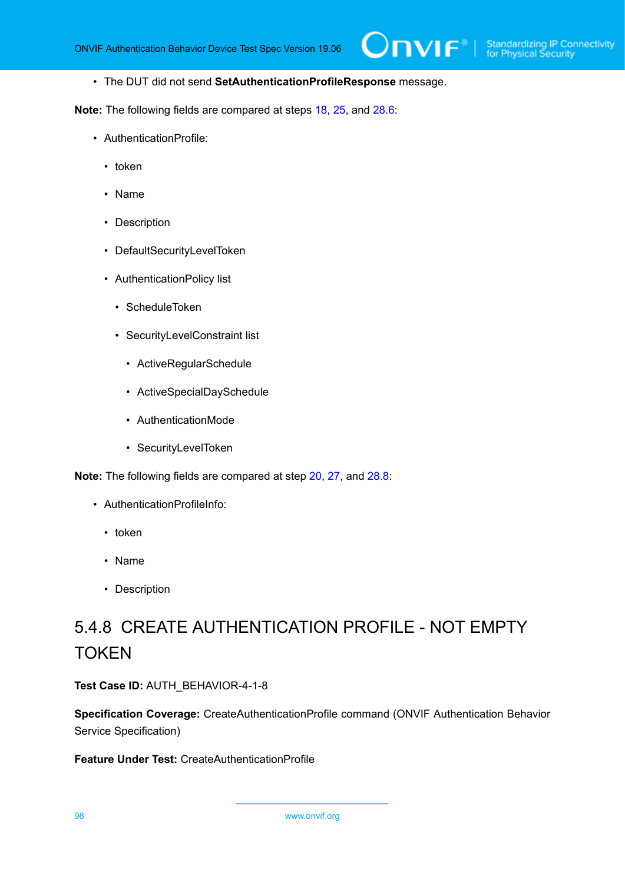• The DUT did not send **SetAuthenticationProfileResponse** message.

**Note:** The following fields are compared at steps [18,](#page-92-0) [25](#page-93-1), and [28.6:](#page-95-0)

- AuthenticationProfile:
	- token
	- Name
	- Description
	- DefaultSecurityLevelToken
	- AuthenticationPolicy list
		- ScheduleToken
		- SecurityLevelConstraint list
			- ActiveRegularSchedule
			- ActiveSpecialDaySchedule
			- AuthenticationMode
			- SecurityLevelToken

**Note:** The following fields are compared at step [20](#page-93-2), [27,](#page-94-1) and [28.8:](#page-95-1)

- AuthenticationProfileInfo:
	- token
	- Name
	- Description

# 5.4.8 CREATE AUTHENTICATION PROFILE - NOT EMPTY **TOKEN**

**Test Case ID:** AUTH\_BEHAVIOR-4-1-8

**Specification Coverage:** CreateAuthenticationProfile command (ONVIF Authentication Behavior Service Specification)

#### **Feature Under Test:** CreateAuthenticationProfile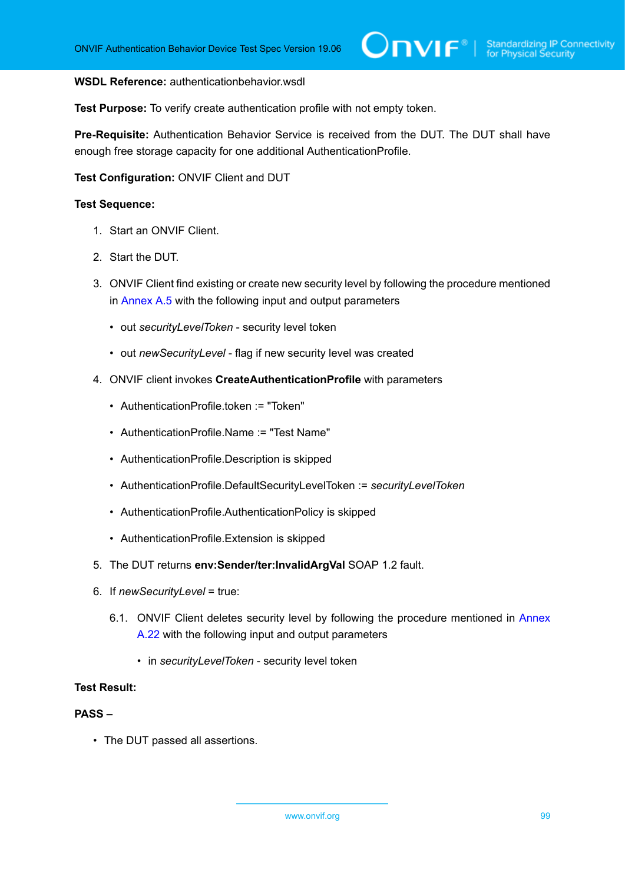#### **WSDL Reference:** authenticationbehavior.wsdl

**Test Purpose:** To verify create authentication profile with not empty token.

**Pre-Requisite:** Authentication Behavior Service is received from the DUT. The DUT shall have enough free storage capacity for one additional AuthenticationProfile.

### **Test Configuration:** ONVIF Client and DUT

#### **Test Sequence:**

- 1. Start an ONVIF Client.
- 2. Start the DUT.
- 3. ONVIF Client find existing or create new security level by following the procedure mentioned in [Annex A.5](#page-208-0) with the following input and output parameters
	- out *securityLevelToken* security level token
	- out *newSecurityLevel* flag if new security level was created
- 4. ONVIF client invokes **CreateAuthenticationProfile** with parameters
	- AuthenticationProfile.token := "Token"
	- AuthenticationProfile.Name := "Test Name"
	- AuthenticationProfile.Description is skipped
	- AuthenticationProfile.DefaultSecurityLevelToken := *securityLevelToken*
	- AuthenticationProfile.AuthenticationPolicy is skipped
	- AuthenticationProfile.Extension is skipped
- 5. The DUT returns **env:Sender/ter:InvalidArgVal** SOAP 1.2 fault.
- 6. If *newSecurityLevel* = true:
	- 6.1. ONVIF Client deletes security level by following the procedure mentioned in [Annex](#page-225-0) [A.22](#page-225-0) with the following input and output parameters
		- in *securityLevelToken* security level token

## **Test Result:**

## **PASS –**

• The DUT passed all assertions.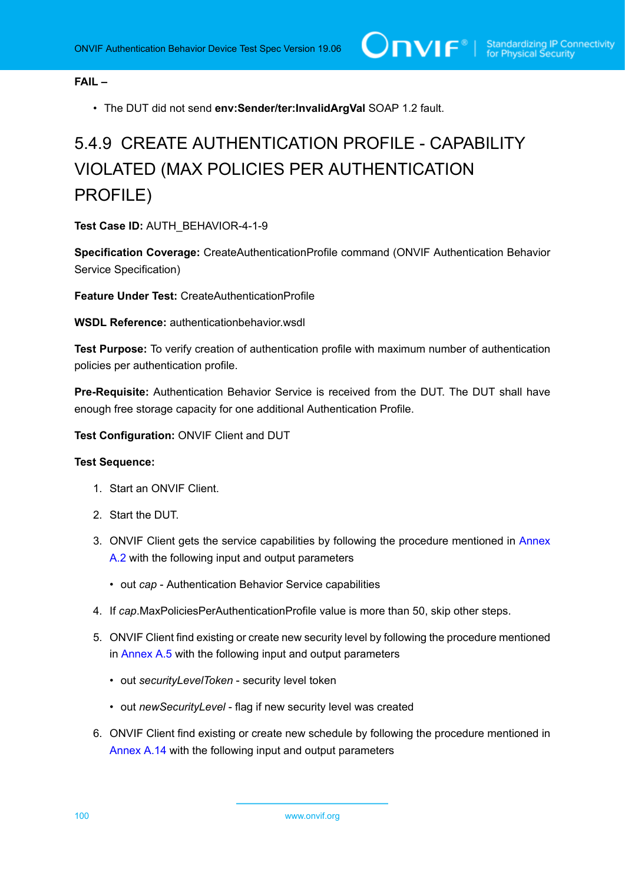**FAIL –**

• The DUT did not send **env:Sender/ter:InvalidArgVal** SOAP 1.2 fault.

# 5.4.9 CREATE AUTHENTICATION PROFILE - CAPABILITY VIOLATED (MAX POLICIES PER AUTHENTICATION PROFILE)

**Test Case ID:** AUTH\_BEHAVIOR-4-1-9

**Specification Coverage:** CreateAuthenticationProfile command (ONVIF Authentication Behavior Service Specification)

**Feature Under Test:** CreateAuthenticationProfile

**WSDL Reference:** authenticationbehavior.wsdl

**Test Purpose:** To verify creation of authentication profile with maximum number of authentication policies per authentication profile.

**Pre-Requisite:** Authentication Behavior Service is received from the DUT. The DUT shall have enough free storage capacity for one additional Authentication Profile.

**Test Configuration:** ONVIF Client and DUT

- 1. Start an ONVIF Client.
- 2. Start the DUT.
- 3. ONVIF Client gets the service capabilities by following the procedure mentioned in [Annex](#page-205-1) [A.2](#page-205-1) with the following input and output parameters
	- out *cap* Authentication Behavior Service capabilities
- 4. If *cap*.MaxPoliciesPerAuthenticationProfile value is more than 50, skip other steps.
- 5. ONVIF Client find existing or create new security level by following the procedure mentioned in [Annex A.5](#page-208-0) with the following input and output parameters
	- out *securityLevelToken* security level token
	- out *newSecurityLevel* flag if new security level was created
- 6. ONVIF Client find existing or create new schedule by following the procedure mentioned in [Annex A.14](#page-216-1) with the following input and output parameters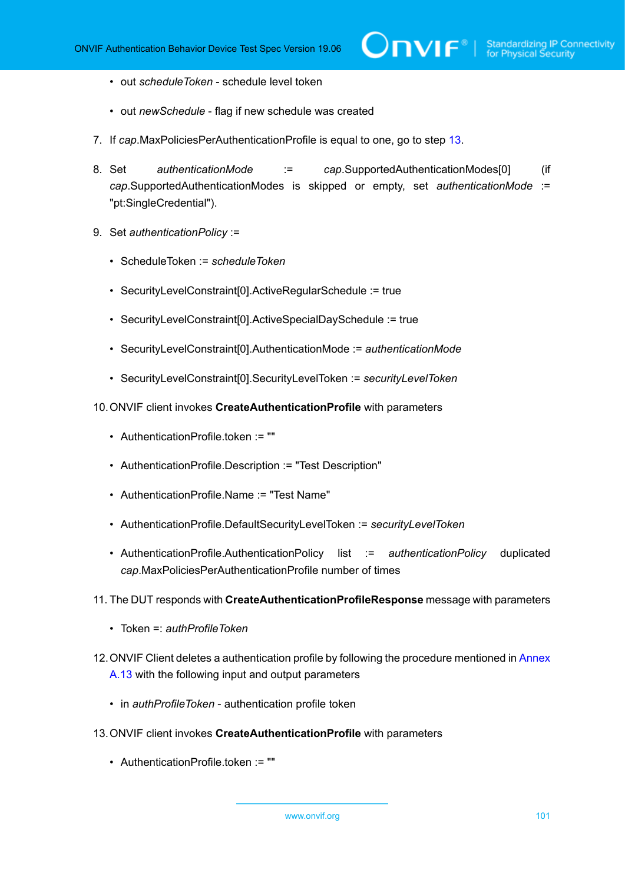- out *scheduleToken* schedule level token
- out *newSchedule* flag if new schedule was created
- 7. If *cap*.MaxPoliciesPerAuthenticationProfile is equal to one, go to step [13](#page-100-0).
- 8. Set *authenticationMode* := *cap*.SupportedAuthenticationModes[0] (if *cap*.SupportedAuthenticationModes is skipped or empty, set *authenticationMode* := "pt:SingleCredential").
- 9. Set *authenticationPolicy* :=
	- ScheduleToken := *scheduleToken*
	- SecurityLevelConstraint[0].ActiveRegularSchedule := true
	- SecurityLevelConstraint[0].ActiveSpecialDaySchedule := true
	- SecurityLevelConstraint[0].AuthenticationMode := *authenticationMode*
	- SecurityLevelConstraint[0].SecurityLevelToken := *securityLevelToken*
- 10.ONVIF client invokes **CreateAuthenticationProfile** with parameters
	- AuthenticationProfile.token := ""
	- AuthenticationProfile.Description := "Test Description"
	- AuthenticationProfile.Name := "Test Name"
	- AuthenticationProfile.DefaultSecurityLevelToken := *securityLevelToken*
	- AuthenticationProfile.AuthenticationPolicy list := *authenticationPolicy* duplicated *cap*.MaxPoliciesPerAuthenticationProfile number of times
- 11. The DUT responds with **CreateAuthenticationProfileResponse** message with parameters
	- Token =: *authProfileToken*
- 12. ONVIF Client deletes a authentication profile by following the procedure mentioned in [Annex](#page-216-0) [A.13](#page-216-0) with the following input and output parameters
	- in *authProfileToken* authentication profile token
- <span id="page-100-0"></span>13.ONVIF client invokes **CreateAuthenticationProfile** with parameters
	- AuthenticationProfile.token := ""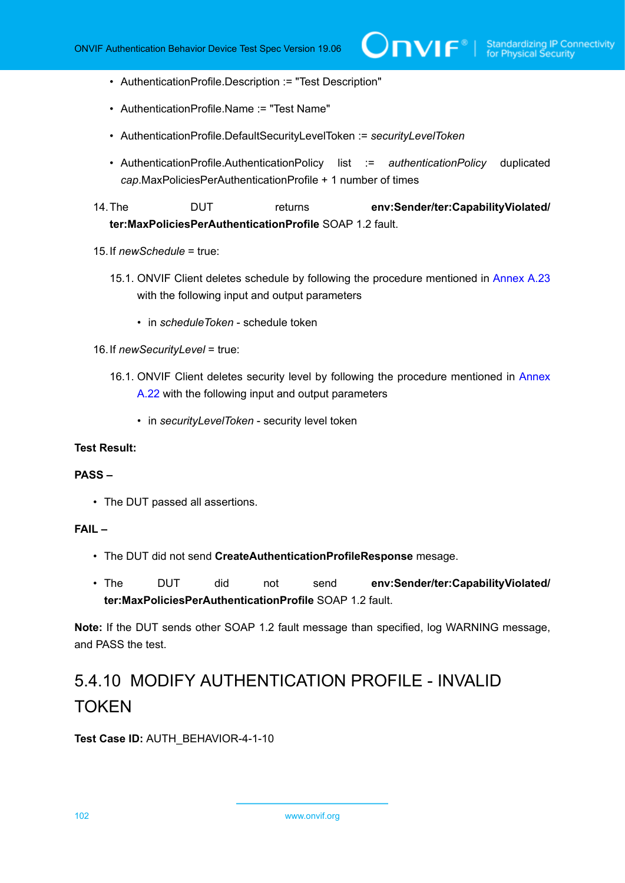- AuthenticationProfile.Description := "Test Description"
- AuthenticationProfile.Name := "Test Name"
- AuthenticationProfile.DefaultSecurityLevelToken := *securityLevelToken*
- AuthenticationProfile.AuthenticationPolicy list := *authenticationPolicy* duplicated *cap*.MaxPoliciesPerAuthenticationProfile + 1 number of times

14.The DUT returns **env:Sender/ter:CapabilityViolated/ ter:MaxPoliciesPerAuthenticationProfile** SOAP 1.2 fault.

- 15.If *newSchedule* = true:
	- 15.1. ONVIF Client deletes schedule by following the procedure mentioned in [Annex A.23](#page-226-0) with the following input and output parameters
		- in *scheduleToken* schedule token
- 16.If *newSecurityLevel* = true:
	- 16.1. ONVIF Client deletes security level by following the procedure mentioned in [Annex](#page-225-0) [A.22](#page-225-0) with the following input and output parameters
		- in *securityLevelToken* security level token

#### **Test Result:**

#### **PASS –**

• The DUT passed all assertions.

# **FAIL –**

- The DUT did not send **CreateAuthenticationProfileResponse** mesage.
- The DUT did not send **env:Sender/ter:CapabilityViolated/ ter:MaxPoliciesPerAuthenticationProfile** SOAP 1.2 fault.

**Note:** If the DUT sends other SOAP 1.2 fault message than specified, log WARNING message, and PASS the test.

# 5.4.10 MODIFY AUTHENTICATION PROFILE - INVALID **TOKEN**

#### **Test Case ID:** AUTH\_BEHAVIOR-4-1-10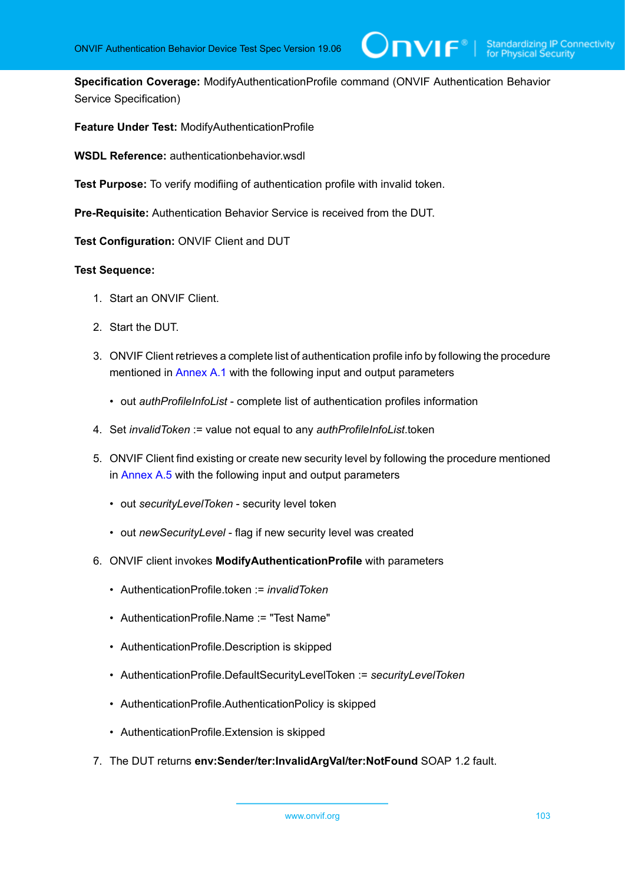**Specification Coverage:** ModifyAuthenticationProfile command (ONVIF Authentication Behavior Service Specification)

 $\bm{\cup}$ NIF $^*$ l

**Feature Under Test:** ModifyAuthenticationProfile

**WSDL Reference:** authenticationbehavior.wsdl

**Test Purpose:** To verify modifiing of authentication profile with invalid token.

**Pre-Requisite:** Authentication Behavior Service is received from the DUT.

**Test Configuration:** ONVIF Client and DUT

- 1. Start an ONVIF Client.
- 2. Start the DUT.
- 3. ONVIF Client retrieves a complete list of authentication profile info by following the procedure mentioned in [Annex A.1](#page-204-0) with the following input and output parameters
	- out *authProfileInfoList* complete list of authentication profiles information
- 4. Set *invalidToken* := value not equal to any *authProfileInfoList*.token
- 5. ONVIF Client find existing or create new security level by following the procedure mentioned in [Annex A.5](#page-208-0) with the following input and output parameters
	- out *securityLevelToken* security level token
	- out *newSecurityLevel* flag if new security level was created
- 6. ONVIF client invokes **ModifyAuthenticationProfile** with parameters
	- AuthenticationProfile.token := *invalidToken*
	- AuthenticationProfile.Name := "Test Name"
	- AuthenticationProfile.Description is skipped
	- AuthenticationProfile.DefaultSecurityLevelToken := *securityLevelToken*
	- AuthenticationProfile.AuthenticationPolicy is skipped
	- AuthenticationProfile.Extension is skipped
- 7. The DUT returns **env:Sender/ter:InvalidArgVal/ter:NotFound** SOAP 1.2 fault.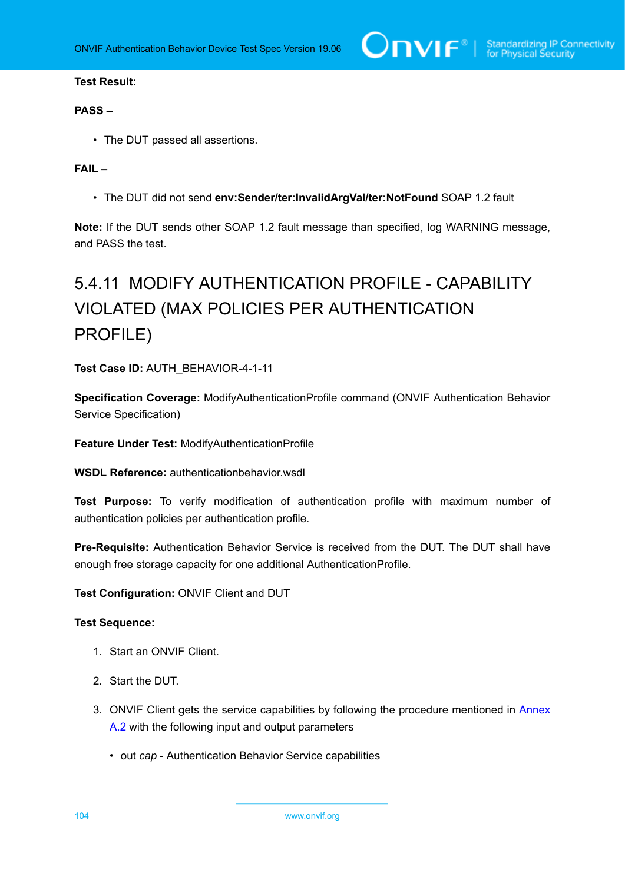# **PASS –**

• The DUT passed all assertions.

# **FAIL –**

• The DUT did not send **env:Sender/ter:InvalidArgVal/ter:NotFound** SOAP 1.2 fault

**Note:** If the DUT sends other SOAP 1.2 fault message than specified, log WARNING message, and PASS the test.

# 5.4.11 MODIFY AUTHENTICATION PROFILE - CAPABILITY VIOLATED (MAX POLICIES PER AUTHENTICATION PROFILE)

**Test Case ID:** AUTH\_BEHAVIOR-4-1-11

**Specification Coverage:** ModifyAuthenticationProfile command (ONVIF Authentication Behavior Service Specification)

**Feature Under Test:** ModifyAuthenticationProfile

**WSDL Reference:** authenticationbehavior.wsdl

**Test Purpose:** To verify modification of authentication profile with maximum number of authentication policies per authentication profile.

**Pre-Requisite:** Authentication Behavior Service is received from the DUT. The DUT shall have enough free storage capacity for one additional AuthenticationProfile.

**Test Configuration:** ONVIF Client and DUT

#### **Test Sequence:**

- 1. Start an ONVIF Client.
- 2. Start the DUT.
- 3. ONVIF Client gets the service capabilities by following the procedure mentioned in [Annex](#page-205-1) [A.2](#page-205-1) with the following input and output parameters
	- out *cap* Authentication Behavior Service capabilities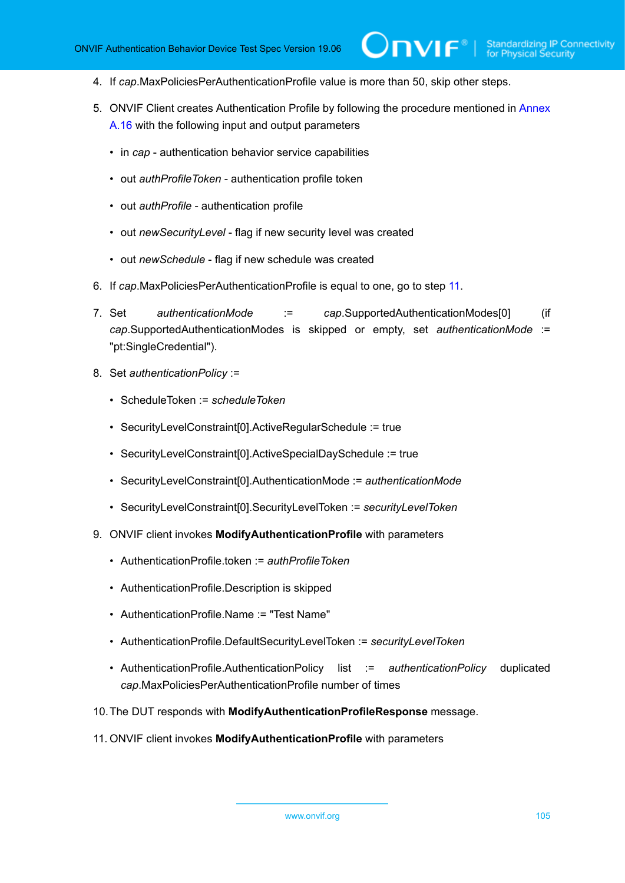- 4. If *cap*.MaxPoliciesPerAuthenticationProfile value is more than 50, skip other steps.
- 5. ONVIF Client creates Authentication Profile by following the procedure mentioned in [Annex](#page-218-0) [A.16](#page-218-0) with the following input and output parameters

 $\mathsf{D}\mathbf{N}\mathsf{I}\mathsf{F}^*$ l

- in *cap* authentication behavior service capabilities
- out *authProfileToken* authentication profile token
- out *authProfile* authentication profile
- out *newSecurityLevel* flag if new security level was created
- out *newSchedule* flag if new schedule was created
- 6. If *cap*.MaxPoliciesPerAuthenticationProfile is equal to one, go to step [11](#page-104-0).
- 7. Set *authenticationMode* := *cap*.SupportedAuthenticationModes[0] (if *cap*.SupportedAuthenticationModes is skipped or empty, set *authenticationMode* := "pt:SingleCredential").
- 8. Set *authenticationPolicy* :=
	- ScheduleToken := *scheduleToken*
	- SecurityLevelConstraint[0].ActiveRegularSchedule := true
	- SecurityLevelConstraint[0].ActiveSpecialDaySchedule := true
	- SecurityLevelConstraint[0].AuthenticationMode := *authenticationMode*
	- SecurityLevelConstraint[0].SecurityLevelToken := *securityLevelToken*
- 9. ONVIF client invokes **ModifyAuthenticationProfile** with parameters
	- AuthenticationProfile.token := *authProfileToken*
	- AuthenticationProfile.Description is skipped
	- AuthenticationProfile.Name := "Test Name"
	- AuthenticationProfile.DefaultSecurityLevelToken := *securityLevelToken*
	- AuthenticationProfile.AuthenticationPolicy list := *authenticationPolicy* duplicated *cap*.MaxPoliciesPerAuthenticationProfile number of times
- 10.The DUT responds with **ModifyAuthenticationProfileResponse** message.
- <span id="page-104-0"></span>11. ONVIF client invokes **ModifyAuthenticationProfile** with parameters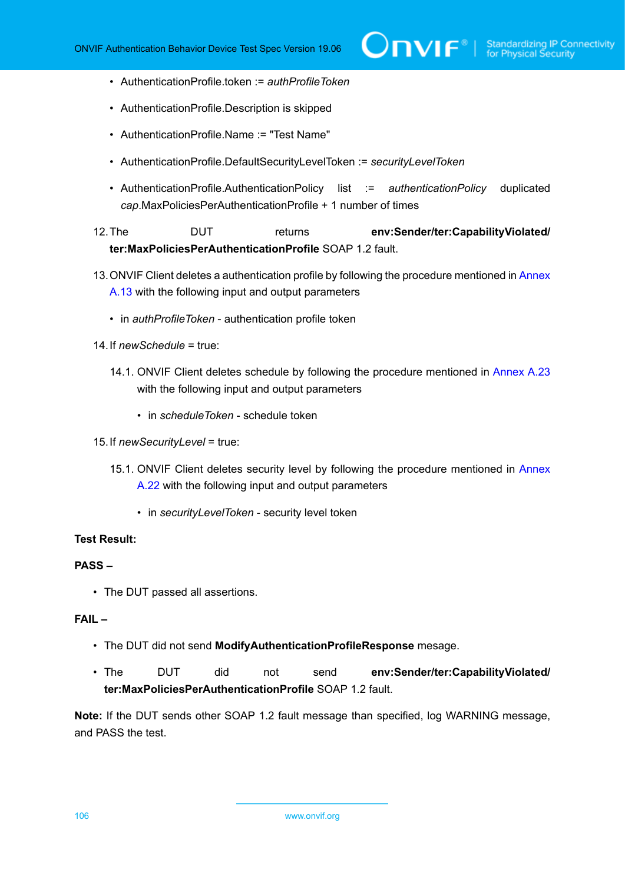- AuthenticationProfile.token := *authProfileToken*
- AuthenticationProfile.Description is skipped
- AuthenticationProfile.Name := "Test Name"
- AuthenticationProfile.DefaultSecurityLevelToken := *securityLevelToken*
- AuthenticationProfile.AuthenticationPolicy list := *authenticationPolicy* duplicated *cap*.MaxPoliciesPerAuthenticationProfile + 1 number of times

# 12.The DUT returns **env:Sender/ter:CapabilityViolated/ ter:MaxPoliciesPerAuthenticationProfile** SOAP 1.2 fault.

- 13. ONVIF Client deletes a authentication profile by following the procedure mentioned in [Annex](#page-216-0) [A.13](#page-216-0) with the following input and output parameters
	- in *authProfileToken* authentication profile token
- 14.If *newSchedule* = true:
	- 14.1. ONVIF Client deletes schedule by following the procedure mentioned in [Annex A.23](#page-226-0) with the following input and output parameters
		- in *scheduleToken* schedule token
- 15.If *newSecurityLevel* = true:
	- 15.1. ONVIF Client deletes security level by following the procedure mentioned in [Annex](#page-225-0) [A.22](#page-225-0) with the following input and output parameters
		- in *securityLevelToken* security level token

# **Test Result:**

#### **PASS –**

• The DUT passed all assertions.

# **FAIL –**

- The DUT did not send **ModifyAuthenticationProfileResponse** mesage.
- The DUT did not send **env:Sender/ter:CapabilityViolated/ ter:MaxPoliciesPerAuthenticationProfile** SOAP 1.2 fault.

**Note:** If the DUT sends other SOAP 1.2 fault message than specified, log WARNING message, and PASS the test.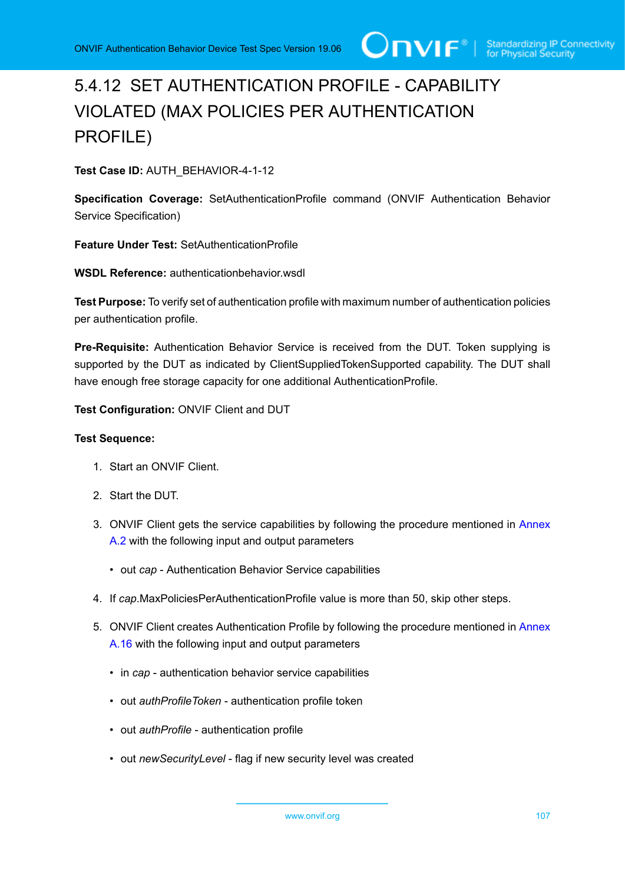# 5.4.12 SET AUTHENTICATION PROFILE - CAPABILITY VIOLATED (MAX POLICIES PER AUTHENTICATION PROFILE)

**Test Case ID:** AUTH\_BEHAVIOR-4-1-12

**Specification Coverage:** SetAuthenticationProfile command (ONVIF Authentication Behavior Service Specification)

**Feature Under Test:** SetAuthenticationProfile

**WSDL Reference:** authenticationbehavior.wsdl

**Test Purpose:** To verify set of authentication profile with maximum number of authentication policies per authentication profile.

**Pre-Requisite:** Authentication Behavior Service is received from the DUT. Token supplying is supported by the DUT as indicated by ClientSuppliedTokenSupported capability. The DUT shall have enough free storage capacity for one additional AuthenticationProfile.

**Test Configuration:** ONVIF Client and DUT

- 1. Start an ONVIF Client.
- 2. Start the DUT.
- 3. ONVIF Client gets the service capabilities by following the procedure mentioned in [Annex](#page-205-1) [A.2](#page-205-1) with the following input and output parameters
	- out *cap* Authentication Behavior Service capabilities
- 4. If *cap*.MaxPoliciesPerAuthenticationProfile value is more than 50, skip other steps.
- 5. ONVIF Client creates Authentication Profile by following the procedure mentioned in [Annex](#page-218-0) [A.16](#page-218-0) with the following input and output parameters
	- in *cap* authentication behavior service capabilities
	- out *authProfileToken* authentication profile token
	- out *authProfile* authentication profile
	- out *newSecurityLevel* flag if new security level was created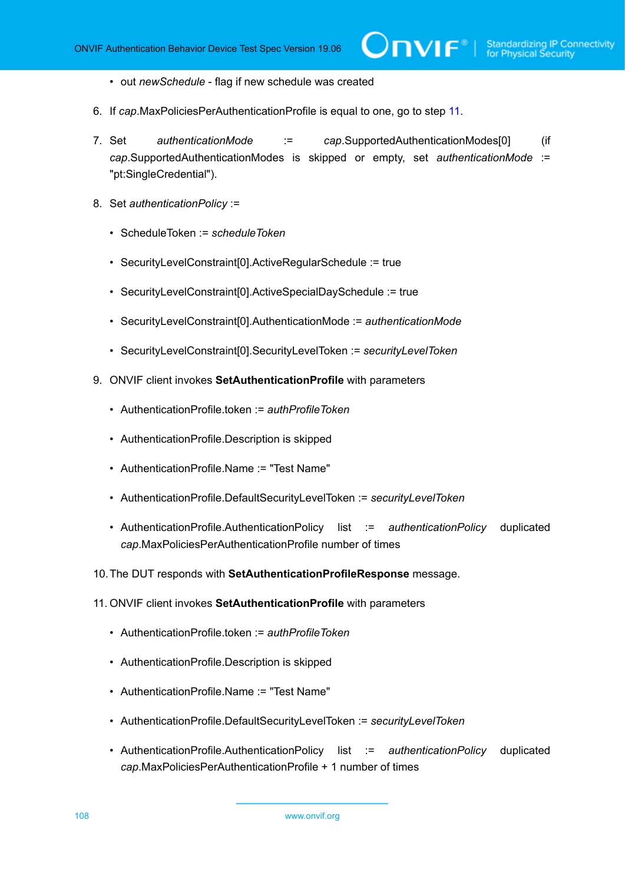- out *newSchedule* flag if new schedule was created
- 6. If *cap*.MaxPoliciesPerAuthenticationProfile is equal to one, go to step [11](#page-107-0).
- 7. Set *authenticationMode* := *cap*.SupportedAuthenticationModes[0] (if *cap*.SupportedAuthenticationModes is skipped or empty, set *authenticationMode* := "pt:SingleCredential").

 $\mathsf{Dnv}$ r $^{\circ}$ l

- 8. Set *authenticationPolicy* :=
	- ScheduleToken := *scheduleToken*
	- SecurityLevelConstraint[0].ActiveRegularSchedule := true
	- SecurityLevelConstraint[0].ActiveSpecialDaySchedule := true
	- SecurityLevelConstraint[0].AuthenticationMode := *authenticationMode*
	- SecurityLevelConstraint[0].SecurityLevelToken := *securityLevelToken*
- 9. ONVIF client invokes **SetAuthenticationProfile** with parameters
	- AuthenticationProfile.token := *authProfileToken*
	- AuthenticationProfile.Description is skipped
	- AuthenticationProfile.Name := "Test Name"
	- AuthenticationProfile.DefaultSecurityLevelToken := *securityLevelToken*
	- AuthenticationProfile.AuthenticationPolicy list := *authenticationPolicy* duplicated *cap*.MaxPoliciesPerAuthenticationProfile number of times
- 10.The DUT responds with **SetAuthenticationProfileResponse** message.
- <span id="page-107-0"></span>11. ONVIF client invokes **SetAuthenticationProfile** with parameters
	- AuthenticationProfile.token := *authProfileToken*
	- AuthenticationProfile.Description is skipped
	- AuthenticationProfile.Name := "Test Name"
	- AuthenticationProfile.DefaultSecurityLevelToken := *securityLevelToken*
	- AuthenticationProfile.AuthenticationPolicy list := *authenticationPolicy* duplicated *cap*.MaxPoliciesPerAuthenticationProfile + 1 number of times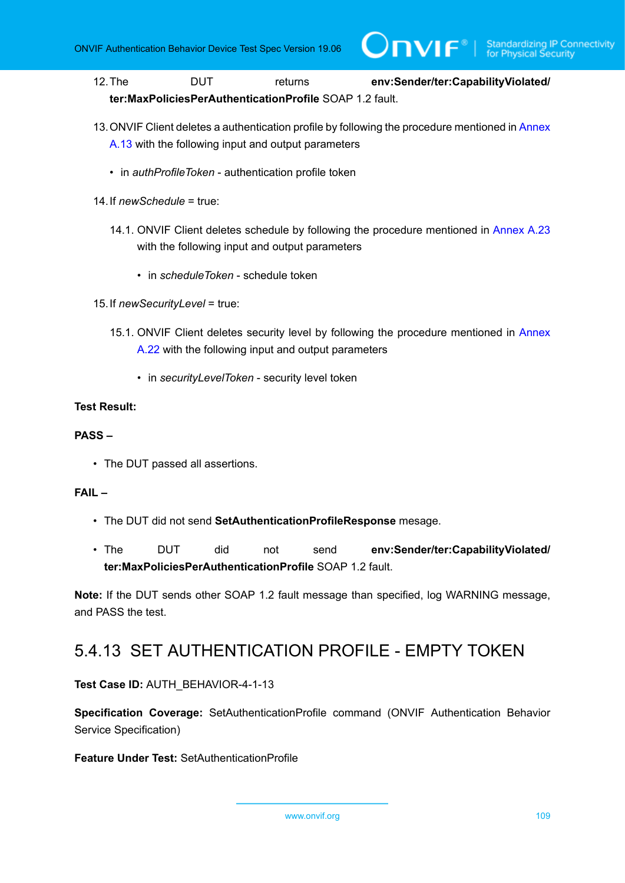12.The DUT returns **env:Sender/ter:CapabilityViolated/ ter:MaxPoliciesPerAuthenticationProfile** SOAP 1.2 fault.

 $\mathsf{J}\mathsf{IVIF}^*$  i

- 13. ONVIF Client deletes a authentication profile by following the procedure mentioned in [Annex](#page-216-0) [A.13](#page-216-0) with the following input and output parameters
	- in *authProfileToken* authentication profile token
- 14.If *newSchedule* = true:
	- 14.1. ONVIF Client deletes schedule by following the procedure mentioned in [Annex A.23](#page-226-0) with the following input and output parameters
		- in *scheduleToken* schedule token
- 15.If *newSecurityLevel* = true:
	- 15.1. ONVIF Client deletes security level by following the procedure mentioned in [Annex](#page-225-0) [A.22](#page-225-0) with the following input and output parameters
		- in *securityLevelToken* security level token

#### **Test Result:**

#### **PASS –**

• The DUT passed all assertions.

#### **FAIL –**

- The DUT did not send **SetAuthenticationProfileResponse** mesage.
- The DUT did not send **env:Sender/ter:CapabilityViolated/ ter:MaxPoliciesPerAuthenticationProfile** SOAP 1.2 fault.

**Note:** If the DUT sends other SOAP 1.2 fault message than specified, log WARNING message, and PASS the test.

### 5.4.13 SET AUTHENTICATION PROFILE - EMPTY TOKEN

**Test Case ID:** AUTH\_BEHAVIOR-4-1-13

**Specification Coverage:** SetAuthenticationProfile command (ONVIF Authentication Behavior Service Specification)

**Feature Under Test:** SetAuthenticationProfile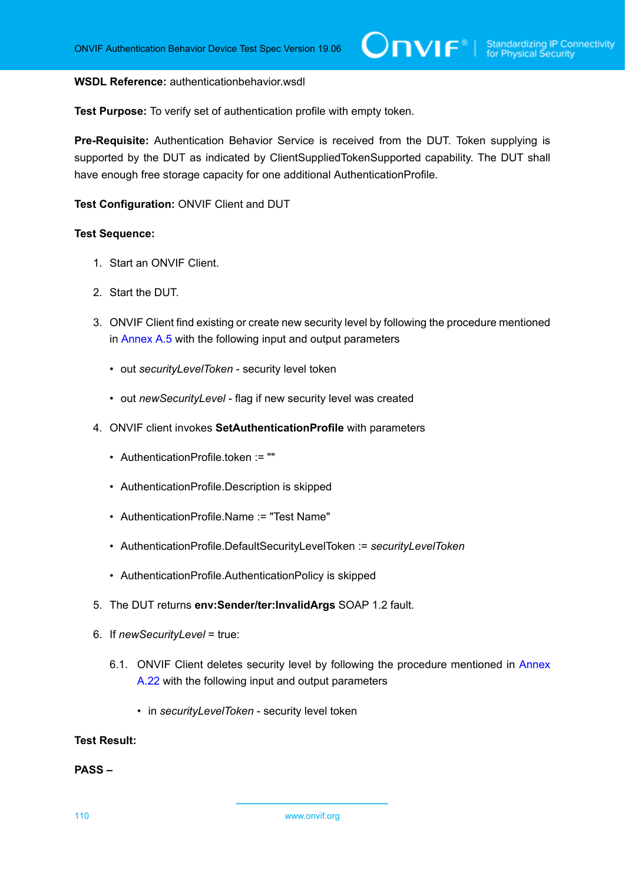#### **WSDL Reference:** authenticationbehavior.wsdl

**Test Purpose:** To verify set of authentication profile with empty token.

**Pre-Requisite:** Authentication Behavior Service is received from the DUT. Token supplying is supported by the DUT as indicated by ClientSuppliedTokenSupported capability. The DUT shall have enough free storage capacity for one additional AuthenticationProfile.

#### **Test Configuration:** ONVIF Client and DUT

#### **Test Sequence:**

- 1. Start an ONVIF Client.
- 2. Start the DUT.
- 3. ONVIF Client find existing or create new security level by following the procedure mentioned in [Annex A.5](#page-208-0) with the following input and output parameters
	- out *securityLevelToken* security level token
	- out *newSecurityLevel* flag if new security level was created
- 4. ONVIF client invokes **SetAuthenticationProfile** with parameters
	- AuthenticationProfile.token := ""
	- AuthenticationProfile.Description is skipped
	- AuthenticationProfile.Name := "Test Name"
	- AuthenticationProfile.DefaultSecurityLevelToken := *securityLevelToken*
	- AuthenticationProfile.AuthenticationPolicy is skipped
- 5. The DUT returns **env:Sender/ter:InvalidArgs** SOAP 1.2 fault.
- 6. If *newSecurityLevel* = true:
	- 6.1. ONVIF Client deletes security level by following the procedure mentioned in [Annex](#page-225-0) [A.22](#page-225-0) with the following input and output parameters
		- in *securityLevelToken* security level token

#### **Test Result:**

#### **PASS –**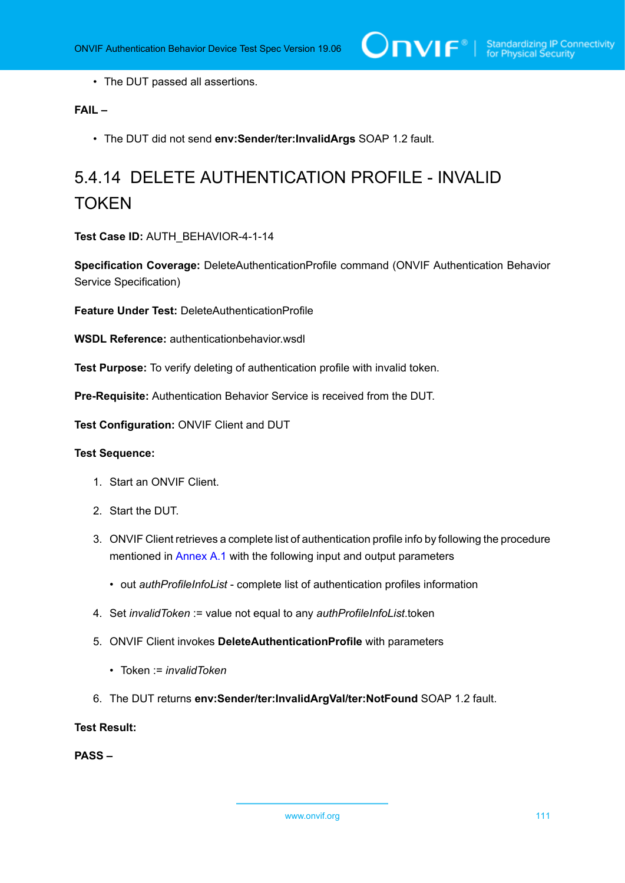• The DUT passed all assertions.

#### **FAIL –**

• The DUT did not send **env:Sender/ter:InvalidArgs** SOAP 1.2 fault.

# 5.4.14 DELETE AUTHENTICATION PROFILE - INVALID **TOKEN**

**Test Case ID:** AUTH\_BEHAVIOR-4-1-14

**Specification Coverage:** DeleteAuthenticationProfile command (ONVIF Authentication Behavior Service Specification)

**Feature Under Test:** DeleteAuthenticationProfile

**WSDL Reference:** authenticationbehavior.wsdl

**Test Purpose:** To verify deleting of authentication profile with invalid token.

**Pre-Requisite:** Authentication Behavior Service is received from the DUT.

**Test Configuration:** ONVIF Client and DUT

#### **Test Sequence:**

- 1. Start an ONVIF Client.
- 2. Start the DUT.
- 3. ONVIF Client retrieves a complete list of authentication profile info by following the procedure mentioned in [Annex A.1](#page-204-0) with the following input and output parameters
	- out *authProfileInfoList* complete list of authentication profiles information
- 4. Set *invalidToken* := value not equal to any *authProfileInfoList*.token
- 5. ONVIF Client invokes **DeleteAuthenticationProfile** with parameters
	- Token := *invalidToken*
- 6. The DUT returns **env:Sender/ter:InvalidArgVal/ter:NotFound** SOAP 1.2 fault.

#### **Test Result:**

**PASS –**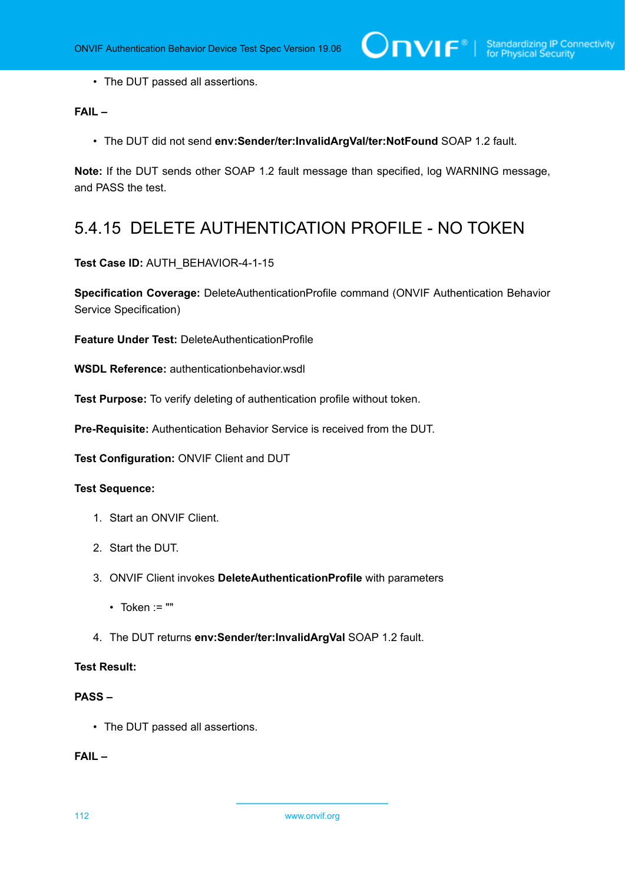• The DUT passed all assertions.

#### **FAIL –**

• The DUT did not send **env:Sender/ter:InvalidArgVal/ter:NotFound** SOAP 1.2 fault.

**Note:** If the DUT sends other SOAP 1.2 fault message than specified, log WARNING message, and PASS the test.

## 5.4.15 DELETE AUTHENTICATION PROFILE - NO TOKEN

**Test Case ID:** AUTH\_BEHAVIOR-4-1-15

**Specification Coverage:** DeleteAuthenticationProfile command (ONVIF Authentication Behavior Service Specification)

**Feature Under Test:** DeleteAuthenticationProfile

**WSDL Reference:** authenticationbehavior.wsdl

**Test Purpose:** To verify deleting of authentication profile without token.

**Pre-Requisite:** Authentication Behavior Service is received from the DUT.

**Test Configuration:** ONVIF Client and DUT

#### **Test Sequence:**

- 1. Start an ONVIF Client.
- 2. Start the DUT.
- 3. ONVIF Client invokes **DeleteAuthenticationProfile** with parameters
	- $\cdot$  Token := ""
- 4. The DUT returns **env:Sender/ter:InvalidArgVal** SOAP 1.2 fault.

#### **Test Result:**

#### **PASS –**

• The DUT passed all assertions.

#### **FAIL –**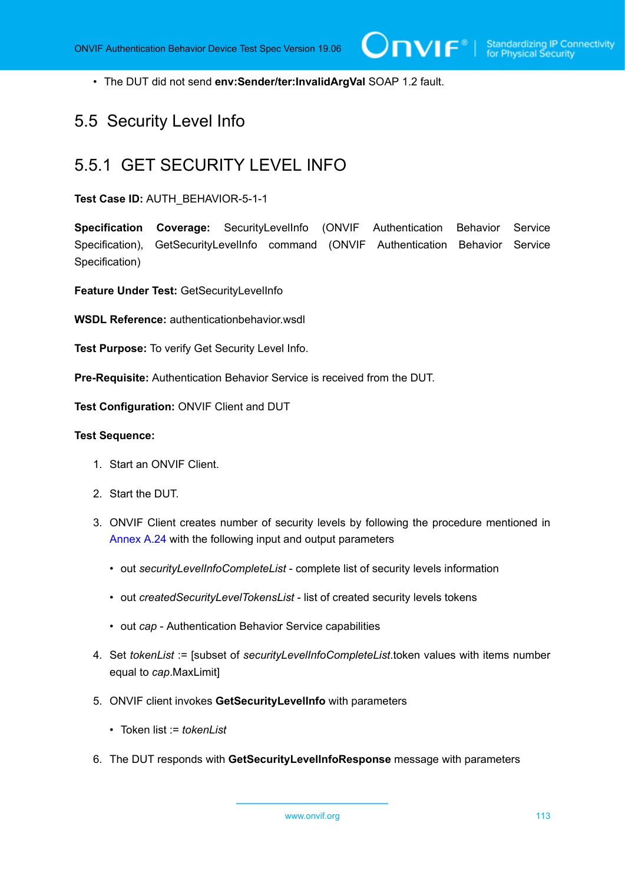• The DUT did not send **env:Sender/ter:InvalidArgVal** SOAP 1.2 fault.

### 5.5 Security Level Info

### 5.5.1 GET SECURITY LEVEL INFO

#### **Test Case ID:** AUTH\_BEHAVIOR-5-1-1

**Specification Coverage:** SecurityLevelInfo (ONVIF Authentication Behavior Service Specification), GetSecurityLevelInfo command (ONVIF Authentication Behavior Service Specification)

**Feature Under Test:** GetSecurityLevelInfo

**WSDL Reference:** authenticationbehavior.wsdl

**Test Purpose:** To verify Get Security Level Info.

**Pre-Requisite:** Authentication Behavior Service is received from the DUT.

**Test Configuration:** ONVIF Client and DUT

- 1. Start an ONVIF Client.
- 2. Start the DUT.
- 3. ONVIF Client creates number of security levels by following the procedure mentioned in [Annex A.24](#page-226-1) with the following input and output parameters
	- out *securityLevelInfoCompleteList* complete list of security levels information
	- out *createdSecurityLevelTokensList* list of created security levels tokens
	- out *cap* Authentication Behavior Service capabilities
- <span id="page-112-0"></span>4. Set *tokenList* := [subset of *securityLevelInfoCompleteList*.token values with items number equal to *cap*.MaxLimit]
- 5. ONVIF client invokes **GetSecurityLevelInfo** with parameters
	- Token list := *tokenList*
- 6. The DUT responds with **GetSecurityLevelInfoResponse** message with parameters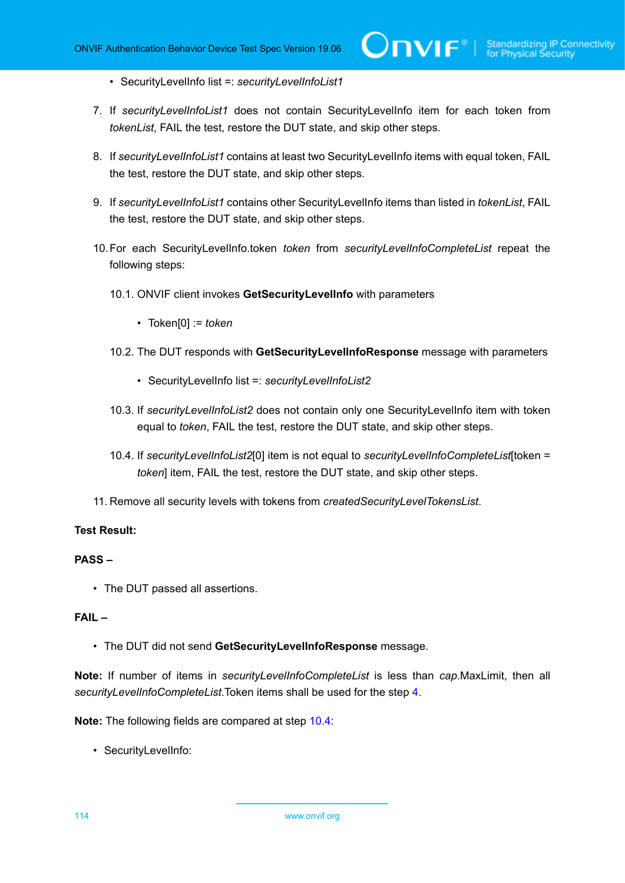- SecurityLevelInfo list =: *securityLevelInfoList1*
- 7. If *securityLevelInfoList1* does not contain SecurityLevelInfo item for each token from *tokenList*, FAIL the test, restore the DUT state, and skip other steps.
- 8. If *securityLevelInfoList1* contains at least two SecurityLevelInfo items with equal token, FAIL the test, restore the DUT state, and skip other steps.
- 9. If *securityLevelInfoList1* contains other SecurityLevelInfo items than listed in *tokenList*, FAIL the test, restore the DUT state, and skip other steps.
- 10.For each SecurityLevelInfo.token *token* from *securityLevelInfoCompleteList* repeat the following steps:
	- 10.1. ONVIF client invokes **GetSecurityLevelInfo** with parameters
		- Token[0] := *token*
	- 10.2. The DUT responds with **GetSecurityLevelInfoResponse** message with parameters
		- SecurityLevelInfo list =: *securityLevelInfoList2*
	- 10.3. If *securityLevelInfoList2* does not contain only one SecurityLevelInfo item with token equal to *token*, FAIL the test, restore the DUT state, and skip other steps.
	- 10.4. If *securityLevelInfoList2*[0] item is not equal to *securityLevelInfoCompleteList*[token = *token*] item, FAIL the test, restore the DUT state, and skip other steps.
- <span id="page-113-0"></span>11. Remove all security levels with tokens from *createdSecurityLevelTokensList*.

#### **PASS –**

• The DUT passed all assertions.

#### **FAIL –**

• The DUT did not send **GetSecurityLevelInfoResponse** message.

**Note:** If number of items in *securityLevelInfoCompleteList* is less than *cap*.MaxLimit, then all *securityLevelInfoCompleteList*.Token items shall be used for the step [4.](#page-112-0)

**Note:** The following fields are compared at step [10.4](#page-113-0):

• SecurityLevelInfo: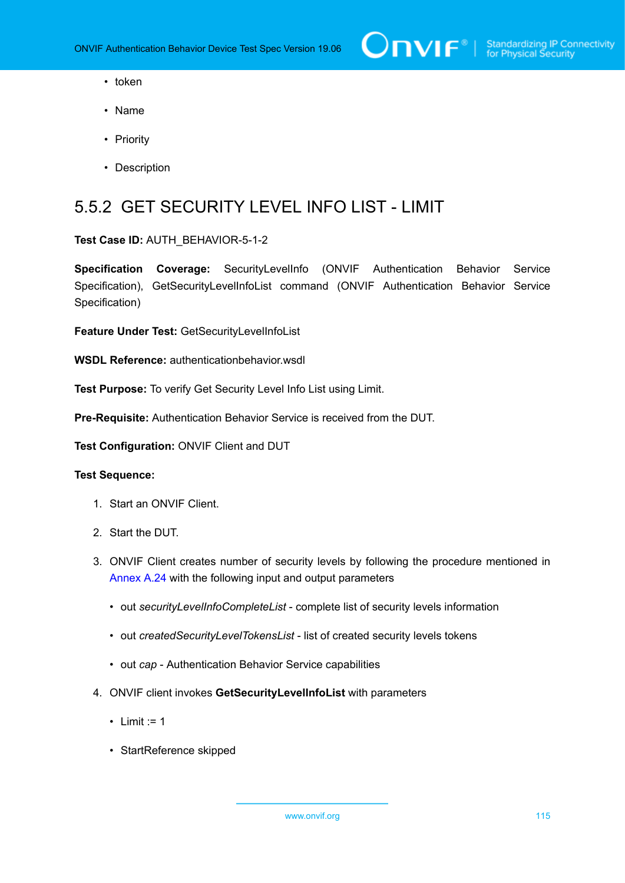- token
- Name
- Priority
- Description

## 5.5.2 GET SECURITY LEVEL INFO LIST - LIMIT

#### **Test Case ID:** AUTH\_BEHAVIOR-5-1-2

**Specification Coverage:** SecurityLevelInfo (ONVIF Authentication Behavior Service Specification), GetSecurityLevelInfoList command (ONVIF Authentication Behavior Service Specification)

**Feature Under Test:** GetSecurityLevelInfoList

**WSDL Reference:** authenticationbehavior.wsdl

**Test Purpose:** To verify Get Security Level Info List using Limit.

**Pre-Requisite:** Authentication Behavior Service is received from the DUT.

**Test Configuration:** ONVIF Client and DUT

- 1. Start an ONVIF Client.
- 2. Start the DUT.
- 3. ONVIF Client creates number of security levels by following the procedure mentioned in [Annex A.24](#page-226-1) with the following input and output parameters
	- out *securityLevelInfoCompleteList* complete list of security levels information
	- out *createdSecurityLevelTokensList* list of created security levels tokens
	- out *cap* Authentication Behavior Service capabilities
- 4. ONVIF client invokes **GetSecurityLevelInfoList** with parameters
	- Limit  $:= 1$
	- StartReference skipped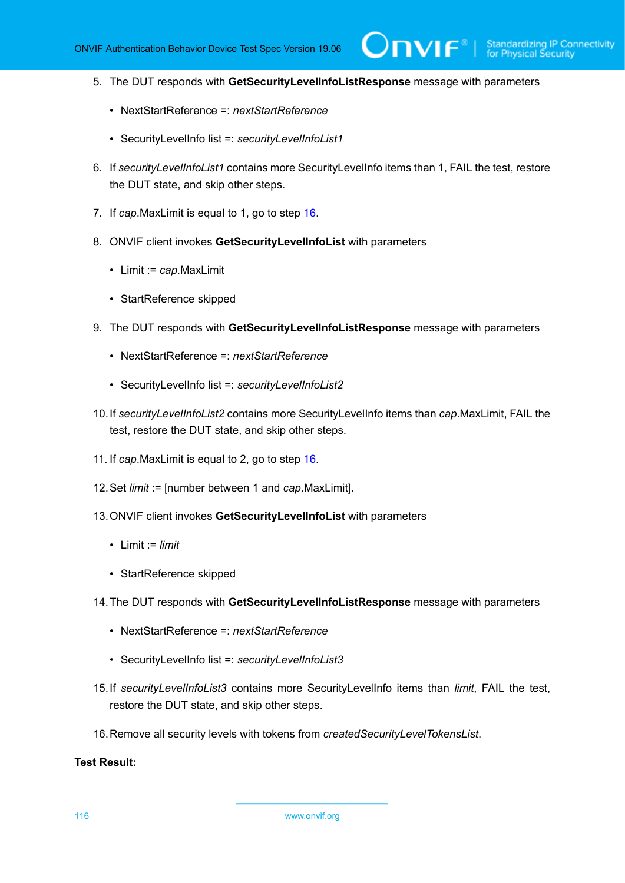5. The DUT responds with **GetSecurityLevelInfoListResponse** message with parameters

 $\mathsf{D}\mathbf{N}\mathsf{I}\mathsf{F}^\ast$  .

- NextStartReference =: *nextStartReference*
- SecurityLevelInfo list =: *securityLevelInfoList1*
- 6. If *securityLevelInfoList1* contains more SecurityLevelInfo items than 1, FAIL the test, restore the DUT state, and skip other steps.
- 7. If *cap*.MaxLimit is equal to 1, go to step [16.](#page-115-0)
- 8. ONVIF client invokes **GetSecurityLevelInfoList** with parameters
	- Limit := *cap*.MaxLimit
	- StartReference skipped
- 9. The DUT responds with **GetSecurityLevelInfoListResponse** message with parameters
	- NextStartReference =: *nextStartReference*
	- SecurityLevelInfo list =: *securityLevelInfoList2*
- 10.If *securityLevelInfoList2* contains more SecurityLevelInfo items than *cap*.MaxLimit, FAIL the test, restore the DUT state, and skip other steps.
- 11. If *cap*.MaxLimit is equal to 2, go to step [16.](#page-115-0)
- 12.Set *limit* := [number between 1 and *cap*.MaxLimit].
- 13.ONVIF client invokes **GetSecurityLevelInfoList** with parameters
	- Limit := *limit*
	- StartReference skipped
- 14.The DUT responds with **GetSecurityLevelInfoListResponse** message with parameters
	- NextStartReference =: *nextStartReference*
	- SecurityLevelInfo list =: *securityLevelInfoList3*
- 15.If *securityLevelInfoList3* contains more SecurityLevelInfo items than *limit*, FAIL the test, restore the DUT state, and skip other steps.
- <span id="page-115-0"></span>16.Remove all security levels with tokens from *createdSecurityLevelTokensList*.

#### **Test Result:**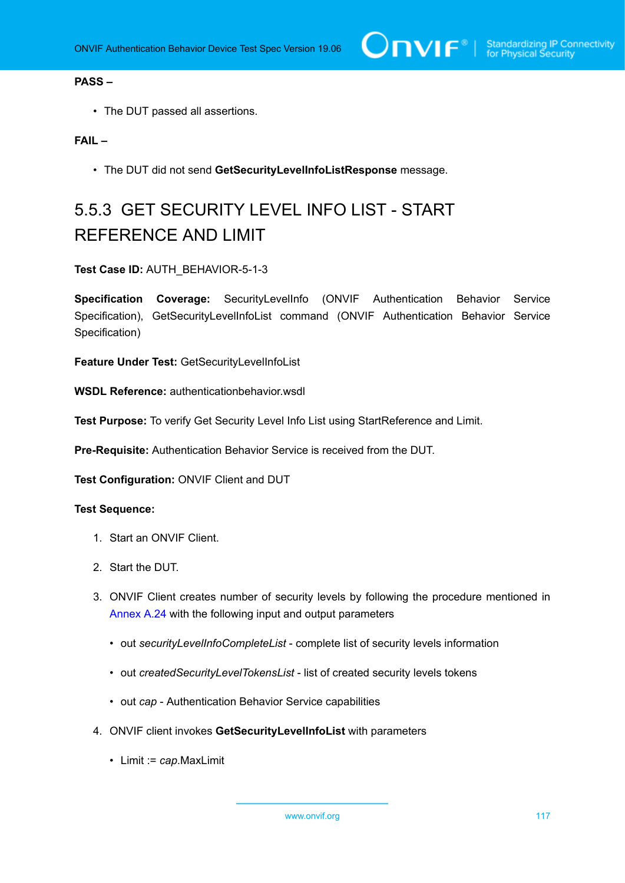#### **PASS –**

• The DUT passed all assertions.

#### **FAIL –**

• The DUT did not send **GetSecurityLevelInfoListResponse** message.

# 5.5.3 GET SECURITY LEVEL INFO LIST - START REFERENCE AND LIMIT

#### **Test Case ID:** AUTH\_BEHAVIOR-5-1-3

**Specification Coverage:** SecurityLevelInfo (ONVIF Authentication Behavior Service Specification), GetSecurityLevelInfoList command (ONVIF Authentication Behavior Service Specification)

**Feature Under Test:** GetSecurityLevelInfoList

**WSDL Reference:** authenticationbehavior.wsdl

**Test Purpose:** To verify Get Security Level Info List using StartReference and Limit.

**Pre-Requisite:** Authentication Behavior Service is received from the DUT.

**Test Configuration:** ONVIF Client and DUT

- 1. Start an ONVIF Client.
- 2. Start the DUT.
- 3. ONVIF Client creates number of security levels by following the procedure mentioned in [Annex A.24](#page-226-1) with the following input and output parameters
	- out *securityLevelInfoCompleteList* complete list of security levels information
	- out *createdSecurityLevelTokensList* list of created security levels tokens
	- out *cap* Authentication Behavior Service capabilities
- 4. ONVIF client invokes **GetSecurityLevelInfoList** with parameters
	- Limit := *cap*.MaxLimit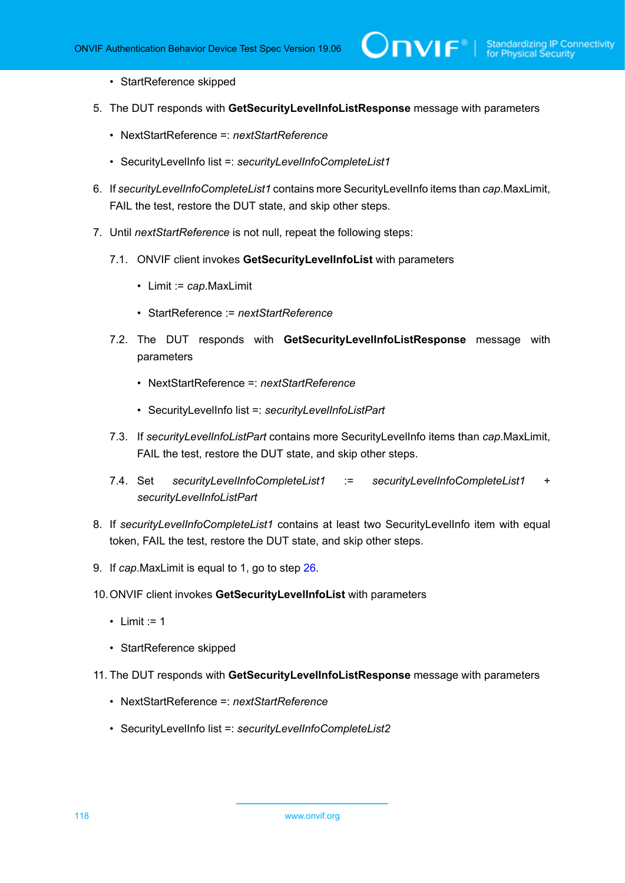- StartReference skipped
- 5. The DUT responds with **GetSecurityLevelInfoListResponse** message with parameters
	- NextStartReference =: *nextStartReference*
	- SecurityLevelInfo list =: *securityLevelInfoCompleteList1*
- 6. If *securityLevelInfoCompleteList1* contains more SecurityLevelInfo items than *cap*.MaxLimit, FAIL the test, restore the DUT state, and skip other steps.
- 7. Until *nextStartReference* is not null, repeat the following steps:
	- 7.1. ONVIF client invokes **GetSecurityLevelInfoList** with parameters
		- Limit := *cap*.MaxLimit
		- StartReference := *nextStartReference*
	- 7.2. The DUT responds with **GetSecurityLevelInfoListResponse** message with parameters
		- NextStartReference =: *nextStartReference*
		- SecurityLevelInfo list =: *securityLevelInfoListPart*
	- 7.3. If *securityLevelInfoListPart* contains more SecurityLevelInfo items than *cap*.MaxLimit, FAIL the test, restore the DUT state, and skip other steps.
	- 7.4. Set *securityLevelInfoCompleteList1* := *securityLevelInfoCompleteList1* + *securityLevelInfoListPart*
- 8. If *securityLevelInfoCompleteList1* contains at least two SecurityLevelInfo item with equal token, FAIL the test, restore the DUT state, and skip other steps.
- 9. If *cap*.MaxLimit is equal to 1, go to step [26.](#page-119-0)
- 10.ONVIF client invokes **GetSecurityLevelInfoList** with parameters
	- Limit  $:= 1$
	- StartReference skipped
- 11. The DUT responds with **GetSecurityLevelInfoListResponse** message with parameters
	- NextStartReference =: *nextStartReference*
	- SecurityLevelInfo list =: *securityLevelInfoCompleteList2*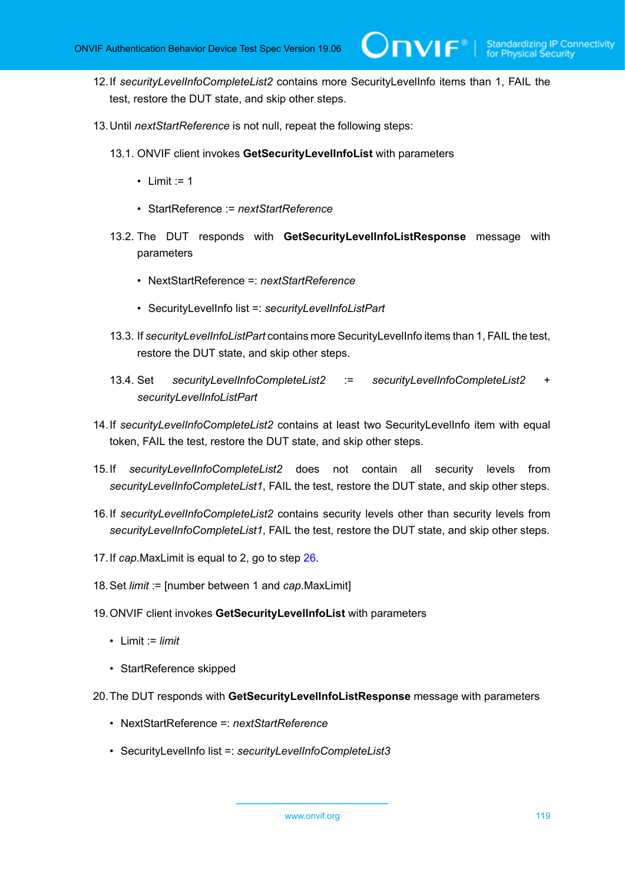- 12.If *securityLevelInfoCompleteList2* contains more SecurityLevelInfo items than 1, FAIL the test, restore the DUT state, and skip other steps.
- 13.Until *nextStartReference* is not null, repeat the following steps:
	- 13.1. ONVIF client invokes **GetSecurityLevelInfoList** with parameters
		- Limit  $:= 1$
		- StartReference := *nextStartReference*
	- 13.2. The DUT responds with **GetSecurityLevelInfoListResponse** message with parameters
		- NextStartReference =: *nextStartReference*
		- SecurityLevelInfo list =: *securityLevelInfoListPart*
	- 13.3. If *securityLevelInfoListPart* contains more SecurityLevelInfo items than 1, FAIL the test, restore the DUT state, and skip other steps.
	- 13.4. Set *securityLevelInfoCompleteList2* := *securityLevelInfoCompleteList2* + *securityLevelInfoListPart*
- 14.If *securityLevelInfoCompleteList2* contains at least two SecurityLevelInfo item with equal token, FAIL the test, restore the DUT state, and skip other steps.
- 15.If *securityLevelInfoCompleteList2* does not contain all security levels from *securityLevelInfoCompleteList1*, FAIL the test, restore the DUT state, and skip other steps.
- 16.If *securityLevelInfoCompleteList2* contains security levels other than security levels from *securityLevelInfoCompleteList1*, FAIL the test, restore the DUT state, and skip other steps.
- 17.If *cap*.MaxLimit is equal to 2, go to step [26.](#page-119-0)
- 18.Set *limit* := [number between 1 and *cap*.MaxLimit]
- 19.ONVIF client invokes **GetSecurityLevelInfoList** with parameters
	- Limit := *limit*
	- StartReference skipped
- 20.The DUT responds with **GetSecurityLevelInfoListResponse** message with parameters
	- NextStartReference =: *nextStartReference*
	- SecurityLevelInfo list =: *securityLevelInfoCompleteList3*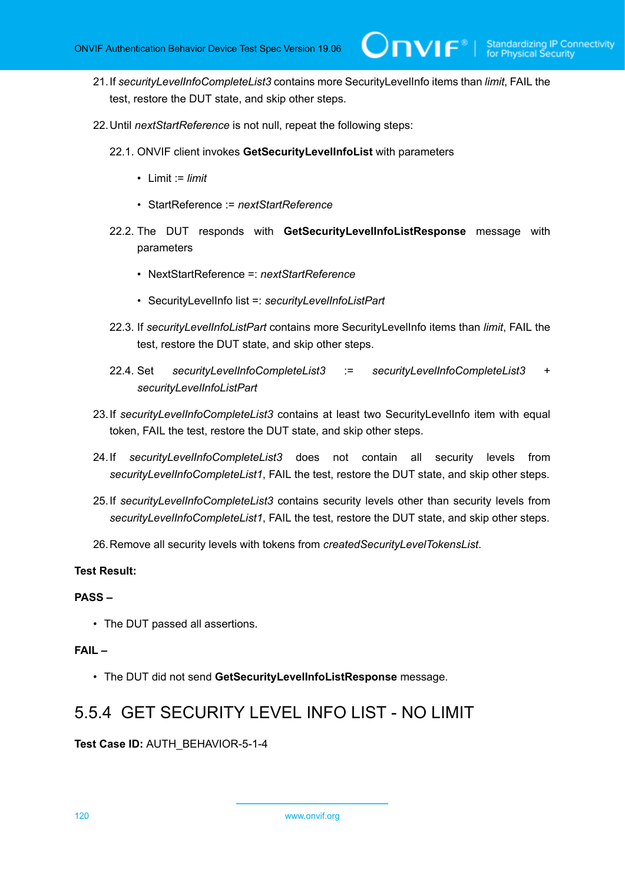- 21.If *securityLevelInfoCompleteList3* contains more SecurityLevelInfo items than *limit*, FAIL the test, restore the DUT state, and skip other steps.
- 22.Until *nextStartReference* is not null, repeat the following steps:
	- 22.1. ONVIF client invokes **GetSecurityLevelInfoList** with parameters
		- Limit := *limit*
		- StartReference := *nextStartReference*
	- 22.2. The DUT responds with **GetSecurityLevelInfoListResponse** message with parameters
		- NextStartReference =: *nextStartReference*
		- SecurityLevelInfo list =: *securityLevelInfoListPart*
	- 22.3. If *securityLevelInfoListPart* contains more SecurityLevelInfo items than *limit*, FAIL the test, restore the DUT state, and skip other steps.
	- 22.4. Set *securityLevelInfoCompleteList3* := *securityLevelInfoCompleteList3* + *securityLevelInfoListPart*
- 23.If *securityLevelInfoCompleteList3* contains at least two SecurityLevelInfo item with equal token, FAIL the test, restore the DUT state, and skip other steps.
- 24.If *securityLevelInfoCompleteList3* does not contain all security levels from *securityLevelInfoCompleteList1*, FAIL the test, restore the DUT state, and skip other steps.
- 25.If *securityLevelInfoCompleteList3* contains security levels other than security levels from *securityLevelInfoCompleteList1*, FAIL the test, restore the DUT state, and skip other steps.
- <span id="page-119-0"></span>26.Remove all security levels with tokens from *createdSecurityLevelTokensList*.

#### **PASS –**

• The DUT passed all assertions.

#### **FAIL –**

• The DUT did not send **GetSecurityLevelInfoListResponse** message.

## 5.5.4 GET SECURITY LEVEL INFO LIST - NO LIMIT

**Test Case ID:** AUTH\_BEHAVIOR-5-1-4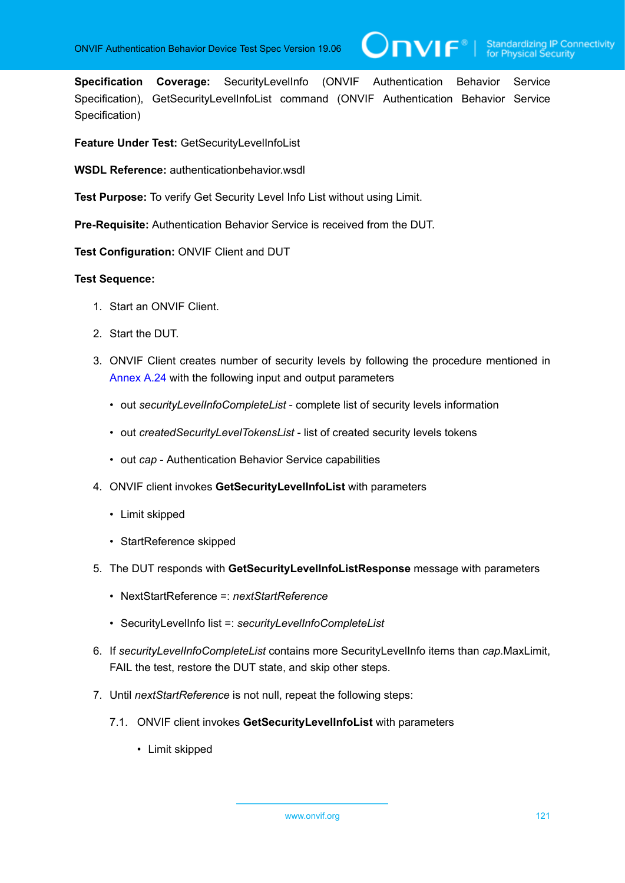**Specification Coverage:** SecurityLevelInfo (ONVIF Authentication Behavior Service Specification), GetSecurityLevelInfoList command (ONVIF Authentication Behavior Service Specification)

 $\mathsf{Dnvir}^*$ l

**Feature Under Test:** GetSecurityLevelInfoList

**WSDL Reference:** authenticationbehavior.wsdl

**Test Purpose:** To verify Get Security Level Info List without using Limit.

**Pre-Requisite:** Authentication Behavior Service is received from the DUT.

**Test Configuration:** ONVIF Client and DUT

- 1. Start an ONVIF Client.
- 2. Start the DUT.
- 3. ONVIF Client creates number of security levels by following the procedure mentioned in [Annex A.24](#page-226-1) with the following input and output parameters
	- out *securityLevelInfoCompleteList* complete list of security levels information
	- out *createdSecurityLevelTokensList* list of created security levels tokens
	- out *cap* Authentication Behavior Service capabilities
- 4. ONVIF client invokes **GetSecurityLevelInfoList** with parameters
	- Limit skipped
	- StartReference skipped
- 5. The DUT responds with **GetSecurityLevelInfoListResponse** message with parameters
	- NextStartReference =: *nextStartReference*
	- SecurityLevelInfo list =: *securityLevelInfoCompleteList*
- 6. If *securityLevelInfoCompleteList* contains more SecurityLevelInfo items than *cap*.MaxLimit, FAIL the test, restore the DUT state, and skip other steps.
- 7. Until *nextStartReference* is not null, repeat the following steps:
	- 7.1. ONVIF client invokes **GetSecurityLevelInfoList** with parameters
		- Limit skipped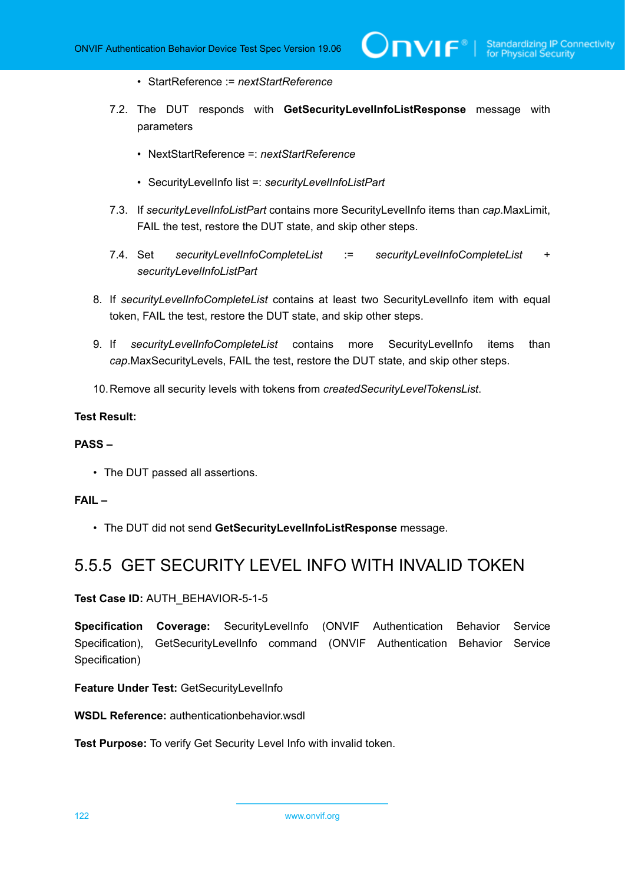- StartReference := *nextStartReference*
- 7.2. The DUT responds with **GetSecurityLevelInfoListResponse** message with parameters
	- NextStartReference =: *nextStartReference*
	- SecurityLevelInfo list =: *securityLevelInfoListPart*
- 7.3. If *securityLevelInfoListPart* contains more SecurityLevelInfo items than *cap*.MaxLimit, FAIL the test, restore the DUT state, and skip other steps.
- 7.4. Set *securityLevelInfoCompleteList* := *securityLevelInfoCompleteList* + *securityLevelInfoListPart*
- 8. If *securityLevelInfoCompleteList* contains at least two SecurityLevelInfo item with equal token, FAIL the test, restore the DUT state, and skip other steps.
- 9. If *securityLevelInfoCompleteList* contains more SecurityLevelInfo items than *cap*.MaxSecurityLevels, FAIL the test, restore the DUT state, and skip other steps.
- 10.Remove all security levels with tokens from *createdSecurityLevelTokensList*.

#### **PASS –**

• The DUT passed all assertions.

#### **FAIL –**

• The DUT did not send **GetSecurityLevelInfoListResponse** message.

### 5.5.5 GET SECURITY LEVEL INFO WITH INVALID TOKEN

**Test Case ID:** AUTH\_BEHAVIOR-5-1-5

**Specification Coverage:** SecurityLevelInfo (ONVIF Authentication Behavior Service Specification), GetSecurityLevelInfo command (ONVIF Authentication Behavior Service Specification)

**Feature Under Test:** GetSecurityLevelInfo

**WSDL Reference:** authenticationbehavior.wsdl

**Test Purpose:** To verify Get Security Level Info with invalid token.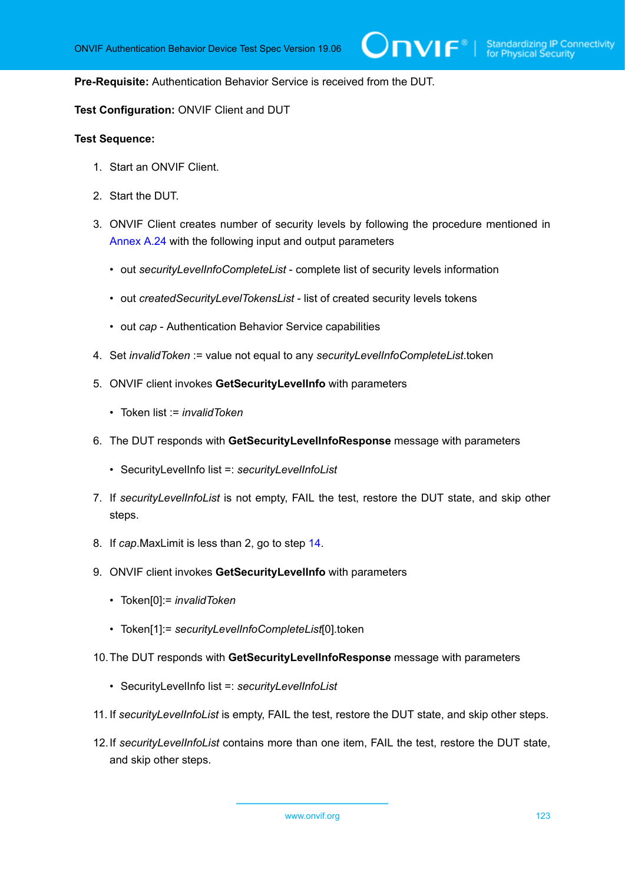#### **Pre-Requisite:** Authentication Behavior Service is received from the DUT.

#### **Test Configuration:** ONVIF Client and DUT

- 1. Start an ONVIF Client.
- 2. Start the DUT.
- 3. ONVIF Client creates number of security levels by following the procedure mentioned in [Annex A.24](#page-226-1) with the following input and output parameters
	- out *securityLevelInfoCompleteList* complete list of security levels information
	- out *createdSecurityLevelTokensList* list of created security levels tokens
	- out *cap* Authentication Behavior Service capabilities
- 4. Set *invalidToken* := value not equal to any *securityLevelInfoCompleteList*.token
- 5. ONVIF client invokes **GetSecurityLevelInfo** with parameters
	- Token list := *invalidToken*
- 6. The DUT responds with **GetSecurityLevelInfoResponse** message with parameters
	- SecurityLevelInfo list =: *securityLevelInfoList*
- 7. If *securityLevelInfoList* is not empty, FAIL the test, restore the DUT state, and skip other steps.
- 8. If *cap*.MaxLimit is less than 2, go to step [14.](#page-123-0)
- 9. ONVIF client invokes **GetSecurityLevelInfo** with parameters
	- Token[0]:= *invalidToken*
	- Token[1]:= *securityLevelInfoCompleteList*[0].token
- 10.The DUT responds with **GetSecurityLevelInfoResponse** message with parameters
	- SecurityLevelInfo list =: *securityLevelInfoList*
- 11. If *securityLevelInfoList* is empty, FAIL the test, restore the DUT state, and skip other steps.
- 12.If *securityLevelInfoList* contains more than one item, FAIL the test, restore the DUT state, and skip other steps.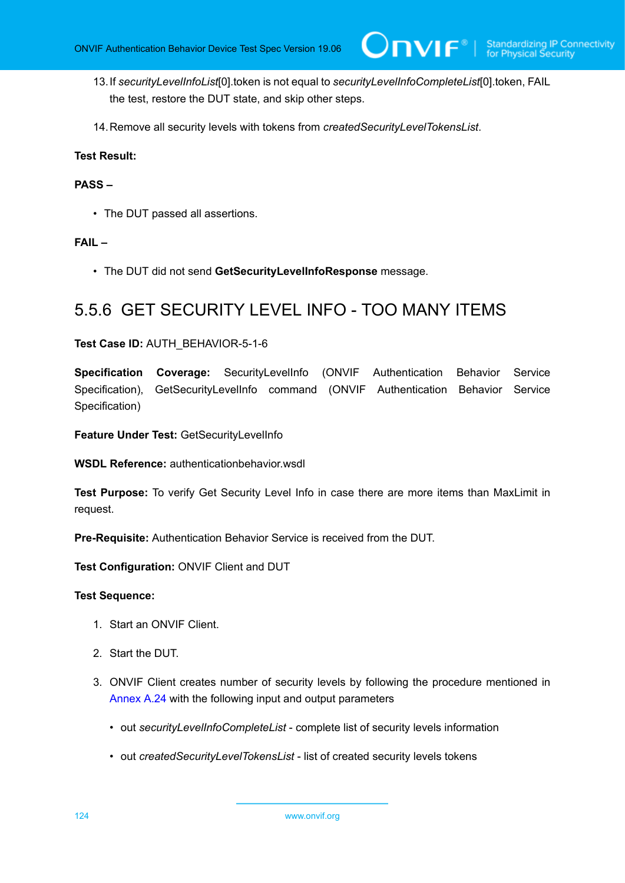13.If *securityLevelInfoList*[0].token is not equal to *securityLevelInfoCompleteList*[0].token, FAIL the test, restore the DUT state, and skip other steps.

 $\mathsf{D}\mathsf{N}\mathsf{H}^*$ l

<span id="page-123-0"></span>14.Remove all security levels with tokens from *createdSecurityLevelTokensList*.

#### **Test Result:**

#### **PASS –**

• The DUT passed all assertions.

#### **FAIL –**

• The DUT did not send **GetSecurityLevelInfoResponse** message.

## 5.5.6 GET SECURITY LEVEL INFO - TOO MANY ITEMS

#### **Test Case ID:** AUTH\_BEHAVIOR-5-1-6

**Specification Coverage:** SecurityLevelInfo (ONVIF Authentication Behavior Service Specification), GetSecurityLevelInfo command (ONVIF Authentication Behavior Service Specification)

**Feature Under Test:** GetSecurityLevelInfo

**WSDL Reference:** authenticationbehavior.wsdl

**Test Purpose:** To verify Get Security Level Info in case there are more items than MaxLimit in request.

**Pre-Requisite:** Authentication Behavior Service is received from the DUT.

**Test Configuration:** ONVIF Client and DUT

- 1. Start an ONVIF Client.
- 2. Start the DUT.
- 3. ONVIF Client creates number of security levels by following the procedure mentioned in [Annex A.24](#page-226-1) with the following input and output parameters
	- out *securityLevelInfoCompleteList* complete list of security levels information
	- out *createdSecurityLevelTokensList* list of created security levels tokens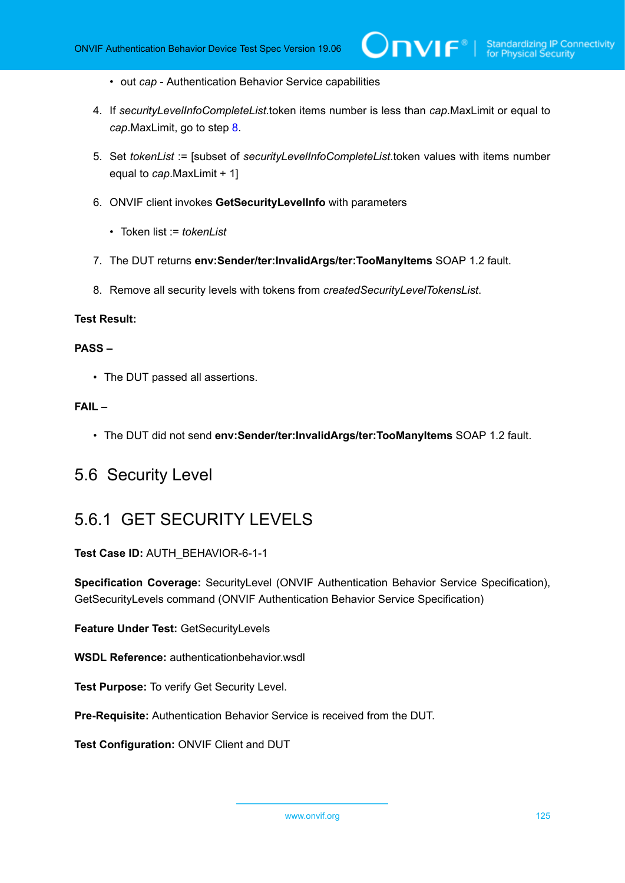- out *cap* Authentication Behavior Service capabilities
- 4. If *securityLevelInfoCompleteList*.token items number is less than *cap*.MaxLimit or equal to *cap*.MaxLimit, go to step [8.](#page-124-0)
- 5. Set *tokenList* := [subset of *securityLevelInfoCompleteList*.token values with items number equal to *cap*.MaxLimit + 1]
- 6. ONVIF client invokes **GetSecurityLevelInfo** with parameters
	- Token list := *tokenList*
- 7. The DUT returns **env:Sender/ter:InvalidArgs/ter:TooManyItems** SOAP 1.2 fault.
- <span id="page-124-0"></span>8. Remove all security levels with tokens from *createdSecurityLevelTokensList*.

#### **PASS –**

• The DUT passed all assertions.

#### **FAIL –**

• The DUT did not send **env:Sender/ter:InvalidArgs/ter:TooManyItems** SOAP 1.2 fault.

### 5.6 Security Level

## 5.6.1 GET SECURITY LEVELS

**Test Case ID:** AUTH\_BEHAVIOR-6-1-1

**Specification Coverage:** SecurityLevel (ONVIF Authentication Behavior Service Specification), GetSecurityLevels command (ONVIF Authentication Behavior Service Specification)

**Feature Under Test:** GetSecurityLevels

**WSDL Reference:** authenticationbehavior.wsdl

**Test Purpose:** To verify Get Security Level.

**Pre-Requisite:** Authentication Behavior Service is received from the DUT.

**Test Configuration:** ONVIF Client and DUT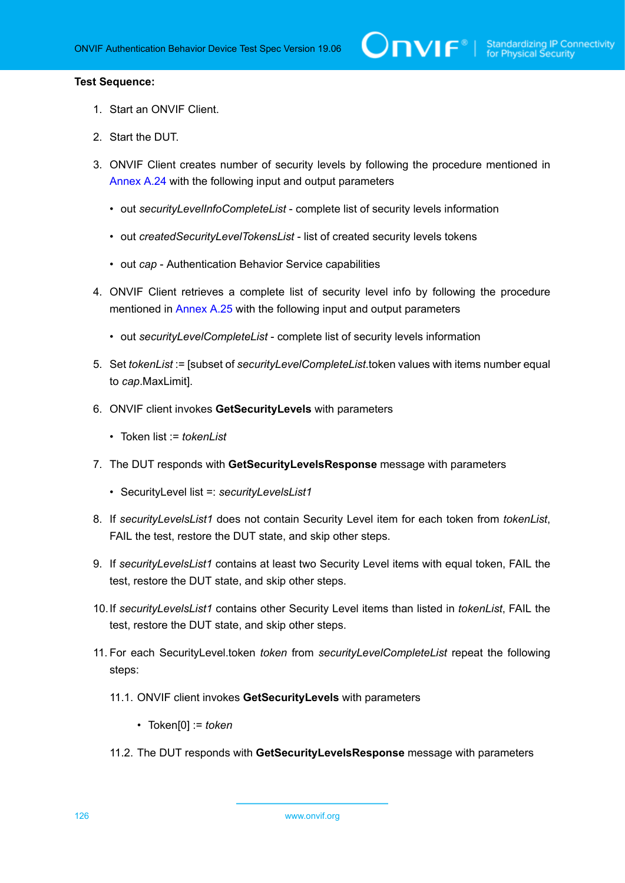- 1. Start an ONVIF Client.
- 2. Start the DUT.
- 3. ONVIF Client creates number of security levels by following the procedure mentioned in [Annex A.24](#page-226-1) with the following input and output parameters
	- out *securityLevelInfoCompleteList* complete list of security levels information
	- out *createdSecurityLevelTokensList* list of created security levels tokens
	- out *cap* Authentication Behavior Service capabilities
- 4. ONVIF Client retrieves a complete list of security level info by following the procedure mentioned in [Annex A.25](#page-228-0) with the following input and output parameters
	- out *securityLevelCompleteList* complete list of security levels information
- <span id="page-125-0"></span>5. Set *tokenList* := [subset of *securityLevelCompleteList*.token values with items number equal to *cap*.MaxLimit].
- 6. ONVIF client invokes **GetSecurityLevels** with parameters
	- Token list := *tokenList*
- 7. The DUT responds with **GetSecurityLevelsResponse** message with parameters
	- SecurityLevel list =: *securityLevelsList1*
- 8. If *securityLevelsList1* does not contain Security Level item for each token from *tokenList*, FAIL the test, restore the DUT state, and skip other steps.
- 9. If *securityLevelsList1* contains at least two Security Level items with equal token, FAIL the test, restore the DUT state, and skip other steps.
- 10.If *securityLevelsList1* contains other Security Level items than listed in *tokenList*, FAIL the test, restore the DUT state, and skip other steps.
- 11. For each SecurityLevel.token *token* from *securityLevelCompleteList* repeat the following steps:
	- 11.1. ONVIF client invokes **GetSecurityLevels** with parameters
		- Token[0] := *token*
	- 11.2. The DUT responds with **GetSecurityLevelsResponse** message with parameters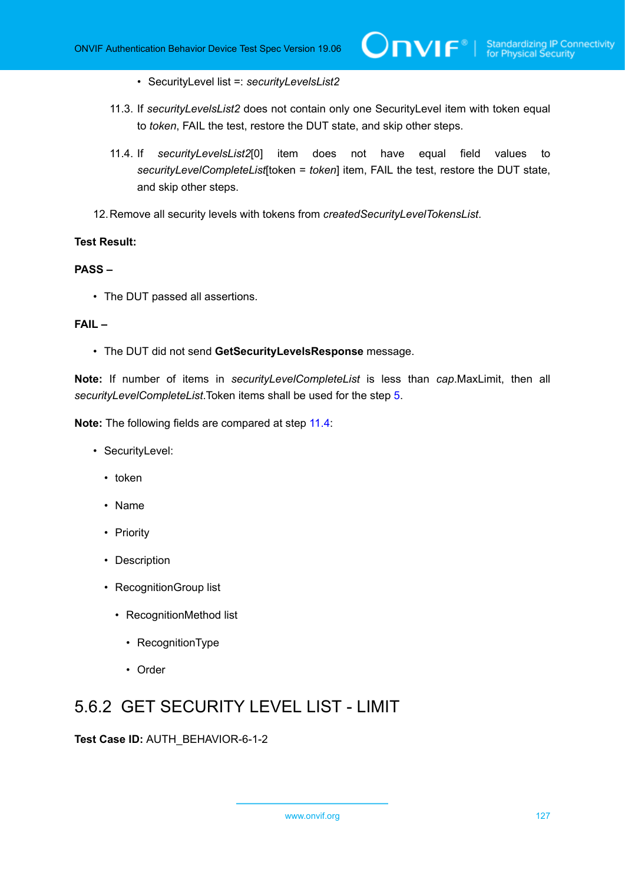- SecurityLevel list =: *securityLevelsList2*
- 11.3. If *securityLevelsList2* does not contain only one SecurityLevel item with token equal to *token*, FAIL the test, restore the DUT state, and skip other steps.
- <span id="page-126-0"></span>11.4. If *securityLevelsList2*[0] item does not have equal field values to *securityLevelCompleteList*[token = *token*] item, FAIL the test, restore the DUT state, and skip other steps.
- 12.Remove all security levels with tokens from *createdSecurityLevelTokensList*.

#### **PASS –**

• The DUT passed all assertions.

#### **FAIL –**

• The DUT did not send **GetSecurityLevelsResponse** message.

**Note:** If number of items in *securityLevelCompleteList* is less than *cap*.MaxLimit, then all *securityLevelCompleteList*.Token items shall be used for the step [5](#page-125-0).

**Note:** The following fields are compared at step [11.4](#page-126-0):

- SecurityLevel:
	- token
	- Name
	- Priority
	- Description
	- RecognitionGroup list
		- RecognitionMethod list
			- RecognitionType
			- Order

## 5.6.2 GET SECURITY LEVEL LIST - LIMIT

**Test Case ID:** AUTH\_BEHAVIOR-6-1-2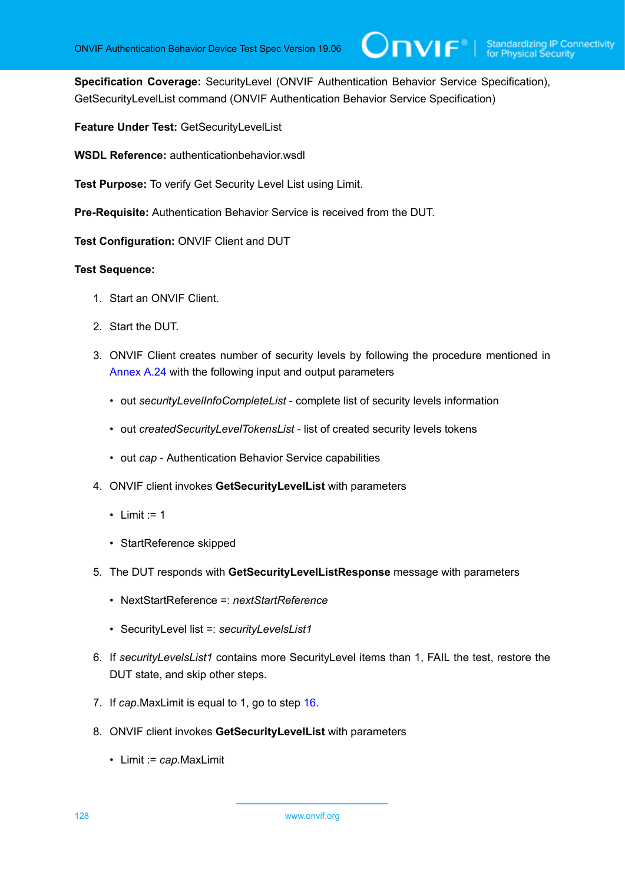**Specification Coverage:** SecurityLevel (ONVIF Authentication Behavior Service Specification), GetSecurityLevelList command (ONVIF Authentication Behavior Service Specification)

**Feature Under Test:** GetSecurityLevelList

**WSDL Reference:** authenticationbehavior.wsdl

**Test Purpose:** To verify Get Security Level List using Limit.

**Pre-Requisite:** Authentication Behavior Service is received from the DUT.

**Test Configuration:** ONVIF Client and DUT

- 1. Start an ONVIF Client.
- 2. Start the DUT.
- 3. ONVIF Client creates number of security levels by following the procedure mentioned in [Annex A.24](#page-226-1) with the following input and output parameters
	- out *securityLevelInfoCompleteList* complete list of security levels information
	- out *createdSecurityLevelTokensList* list of created security levels tokens
	- out *cap* Authentication Behavior Service capabilities
- 4. ONVIF client invokes **GetSecurityLevelList** with parameters
	- Limit  $:= 1$
	- StartReference skipped
- 5. The DUT responds with **GetSecurityLevelListResponse** message with parameters
	- NextStartReference =: *nextStartReference*
	- SecurityLevel list =: *securityLevelsList1*
- 6. If *securityLevelsList1* contains more SecurityLevel items than 1, FAIL the test, restore the DUT state, and skip other steps.
- 7. If *cap*.MaxLimit is equal to 1, go to step [16.](#page-128-0)
- 8. ONVIF client invokes **GetSecurityLevelList** with parameters
	- Limit := *cap*.MaxLimit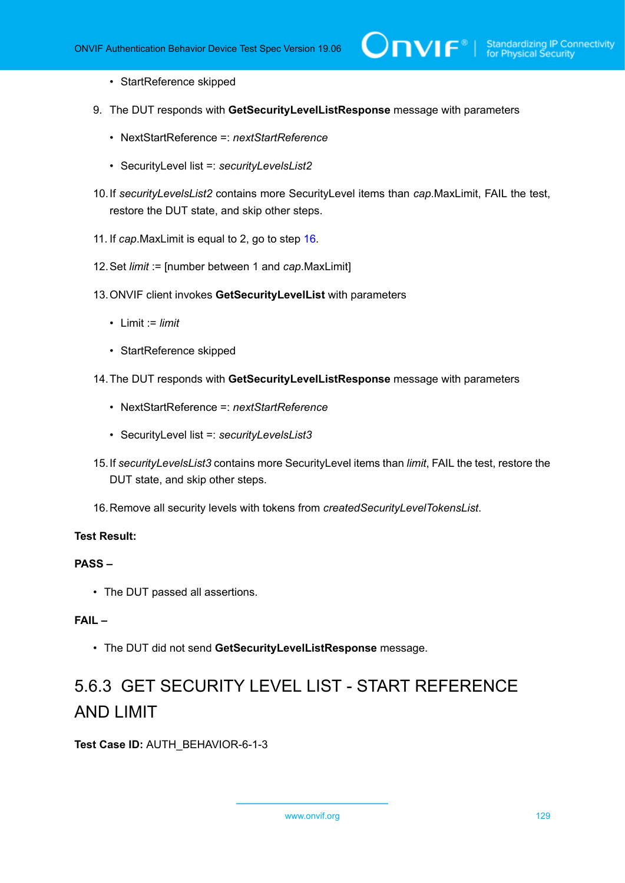- StartReference skipped
- 9. The DUT responds with **GetSecurityLevelListResponse** message with parameters
	- NextStartReference =: *nextStartReference*
	- SecurityLevel list =: *securityLevelsList2*
- 10.If *securityLevelsList2* contains more SecurityLevel items than *cap*.MaxLimit, FAIL the test, restore the DUT state, and skip other steps.
- 11. If *cap*.MaxLimit is equal to 2, go to step [16.](#page-128-0)
- 12.Set *limit* := [number between 1 and *cap*.MaxLimit]
- 13.ONVIF client invokes **GetSecurityLevelList** with parameters
	- Limit := *limit*
	- StartReference skipped
- 14.The DUT responds with **GetSecurityLevelListResponse** message with parameters
	- NextStartReference =: *nextStartReference*
	- SecurityLevel list =: *securityLevelsList3*
- 15.If *securityLevelsList3* contains more SecurityLevel items than *limit*, FAIL the test, restore the DUT state, and skip other steps.
- <span id="page-128-0"></span>16.Remove all security levels with tokens from *createdSecurityLevelTokensList*.

#### **PASS –**

• The DUT passed all assertions.

#### **FAIL –**

• The DUT did not send **GetSecurityLevelListResponse** message.

# 5.6.3 GET SECURITY LEVEL LIST - START REFERENCE AND LIMIT

**Test Case ID:** AUTH\_BEHAVIOR-6-1-3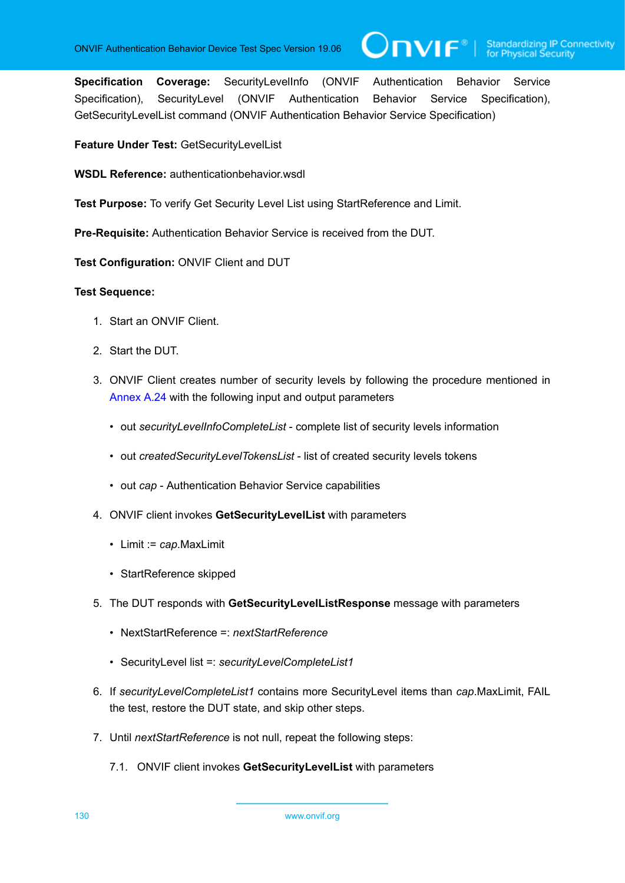**Specification Coverage:** SecurityLevelInfo (ONVIF Authentication Behavior Service Specification), SecurityLevel (ONVIF Authentication Behavior Service Specification), GetSecurityLevelList command (ONVIF Authentication Behavior Service Specification)

 $\bigcup$ NIF $^\circ$ l

**Feature Under Test:** GetSecurityLevelList

**WSDL Reference:** authenticationbehavior.wsdl

**Test Purpose:** To verify Get Security Level List using StartReference and Limit.

**Pre-Requisite:** Authentication Behavior Service is received from the DUT.

**Test Configuration:** ONVIF Client and DUT

- 1. Start an ONVIF Client.
- 2. Start the DUT.
- 3. ONVIF Client creates number of security levels by following the procedure mentioned in [Annex A.24](#page-226-1) with the following input and output parameters
	- out *securityLevelInfoCompleteList* complete list of security levels information
	- out *createdSecurityLevelTokensList* list of created security levels tokens
	- out *cap* Authentication Behavior Service capabilities
- 4. ONVIF client invokes **GetSecurityLevelList** with parameters
	- Limit := *cap*.MaxLimit
	- StartReference skipped
- 5. The DUT responds with **GetSecurityLevelListResponse** message with parameters
	- NextStartReference =: *nextStartReference*
	- SecurityLevel list =: *securityLevelCompleteList1*
- 6. If *securityLevelCompleteList1* contains more SecurityLevel items than *cap*.MaxLimit, FAIL the test, restore the DUT state, and skip other steps.
- 7. Until *nextStartReference* is not null, repeat the following steps:
	- 7.1. ONVIF client invokes **GetSecurityLevelList** with parameters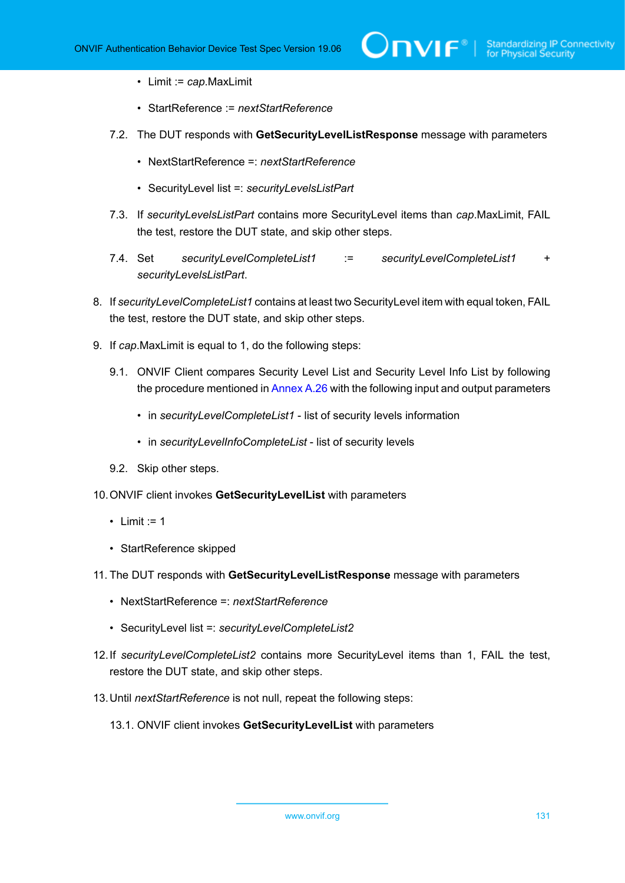- Limit := *cap*.MaxLimit
- StartReference := *nextStartReference*
- 7.2. The DUT responds with **GetSecurityLevelListResponse** message with parameters
	- NextStartReference =: *nextStartReference*
	- SecurityLevel list =: *securityLevelsListPart*
- 7.3. If *securityLevelsListPart* contains more SecurityLevel items than *cap*.MaxLimit, FAIL the test, restore the DUT state, and skip other steps.
- 7.4. Set *securityLevelCompleteList1* := *securityLevelCompleteList1* + *securityLevelsListPart*.
- 8. If *securityLevelCompleteList1* contains at least two SecurityLevel item with equal token, FAIL the test, restore the DUT state, and skip other steps.
- 9. If *cap*.MaxLimit is equal to 1, do the following steps:
	- 9.1. ONVIF Client compares Security Level List and Security Level Info List by following the procedure mentioned in [Annex A.26](#page-229-0) with the following input and output parameters
		- in *securityLevelCompleteList1* list of security levels information
		- in *securityLevelInfoCompleteList* list of security levels
	- 9.2. Skip other steps.
- 10.ONVIF client invokes **GetSecurityLevelList** with parameters
	- Limit  $:= 1$
	- StartReference skipped
- 11. The DUT responds with **GetSecurityLevelListResponse** message with parameters
	- NextStartReference =: *nextStartReference*
	- SecurityLevel list =: *securityLevelCompleteList2*
- 12.If *securityLevelCompleteList2* contains more SecurityLevel items than 1, FAIL the test, restore the DUT state, and skip other steps.
- 13.Until *nextStartReference* is not null, repeat the following steps:
	- 13.1. ONVIF client invokes **GetSecurityLevelList** with parameters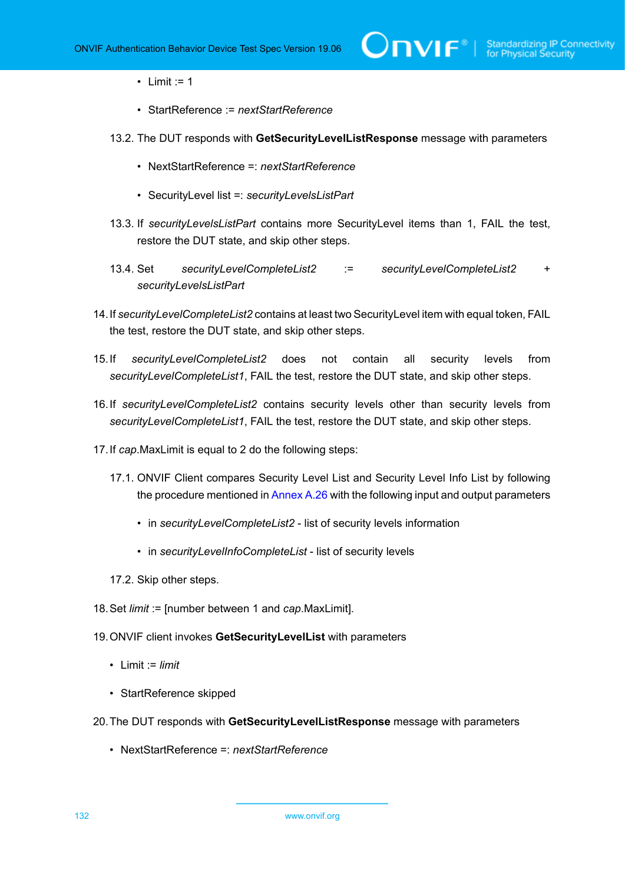• Limit  $:= 1$ 

- StartReference := *nextStartReference*
- 13.2. The DUT responds with **GetSecurityLevelListResponse** message with parameters
	- NextStartReference =: *nextStartReference*
	- SecurityLevel list =: *securityLevelsListPart*
- 13.3. If *securityLevelsListPart* contains more SecurityLevel items than 1, FAIL the test, restore the DUT state, and skip other steps.
- 13.4. Set *securityLevelCompleteList2* := *securityLevelCompleteList2* + *securityLevelsListPart*
- 14.If *securityLevelCompleteList2* contains at least two SecurityLevel item with equal token, FAIL the test, restore the DUT state, and skip other steps.
- 15.If *securityLevelCompleteList2* does not contain all security levels from *securityLevelCompleteList1*, FAIL the test, restore the DUT state, and skip other steps.
- 16.If *securityLevelCompleteList2* contains security levels other than security levels from *securityLevelCompleteList1*, FAIL the test, restore the DUT state, and skip other steps.
- 17.If *cap*.MaxLimit is equal to 2 do the following steps:
	- 17.1. ONVIF Client compares Security Level List and Security Level Info List by following the procedure mentioned in [Annex A.26](#page-229-0) with the following input and output parameters
		- in *securityLevelCompleteList2* list of security levels information
		- in *securityLevelInfoCompleteList* list of security levels
	- 17.2. Skip other steps.
- 18.Set *limit* := [number between 1 and *cap*.MaxLimit].
- 19.ONVIF client invokes **GetSecurityLevelList** with parameters
	- Limit := *limit*
	- StartReference skipped
- 20.The DUT responds with **GetSecurityLevelListResponse** message with parameters
	- NextStartReference =: *nextStartReference*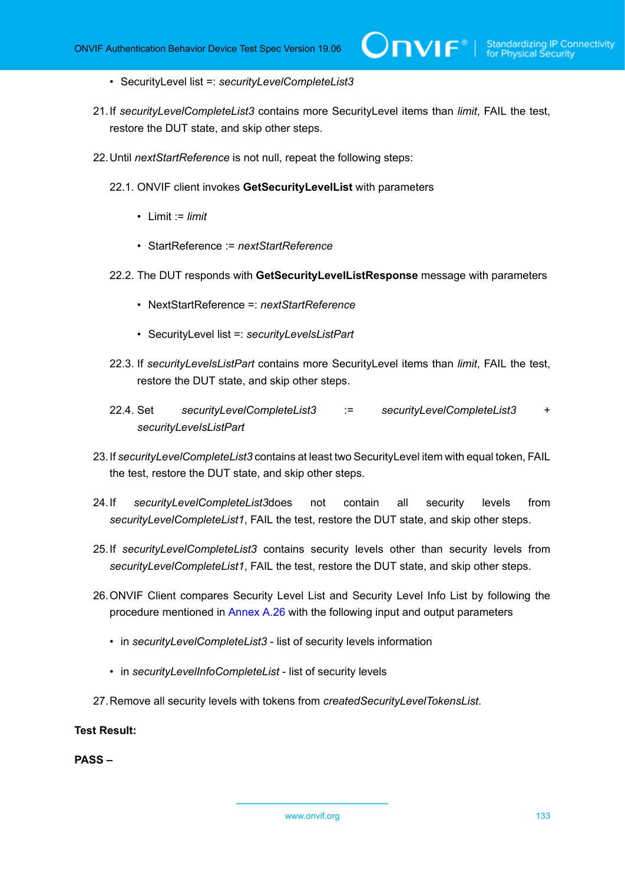- SecurityLevel list =: *securityLevelCompleteList3*
- 21.If *securityLevelCompleteList3* contains more SecurityLevel items than *limit*, FAIL the test, restore the DUT state, and skip other steps.
- 22.Until *nextStartReference* is not null, repeat the following steps:
	- 22.1. ONVIF client invokes **GetSecurityLevelList** with parameters
		- Limit := *limit*
		- StartReference := *nextStartReference*
	- 22.2. The DUT responds with **GetSecurityLevelListResponse** message with parameters
		- NextStartReference =: *nextStartReference*
		- SecurityLevel list =: *securityLevelsListPart*
	- 22.3. If *securityLevelsListPart* contains more SecurityLevel items than *limit*, FAIL the test, restore the DUT state, and skip other steps.
	- 22.4. Set *securityLevelCompleteList3* := *securityLevelCompleteList3* + *securityLevelsListPart*
- 23.If *securityLevelCompleteList3* contains at least two SecurityLevel item with equal token, FAIL the test, restore the DUT state, and skip other steps.
- 24.If *securityLevelCompleteList3*does not contain all security levels from *securityLevelCompleteList1*, FAIL the test, restore the DUT state, and skip other steps.
- 25.If *securityLevelCompleteList3* contains security levels other than security levels from *securityLevelCompleteList1*, FAIL the test, restore the DUT state, and skip other steps.
- 26.ONVIF Client compares Security Level List and Security Level Info List by following the procedure mentioned in [Annex A.26](#page-229-0) with the following input and output parameters
	- in *securityLevelCompleteList3* list of security levels information
	- in *securityLevelInfoCompleteList* list of security levels
- 27.Remove all security levels with tokens from *createdSecurityLevelTokensList*.

**PASS –**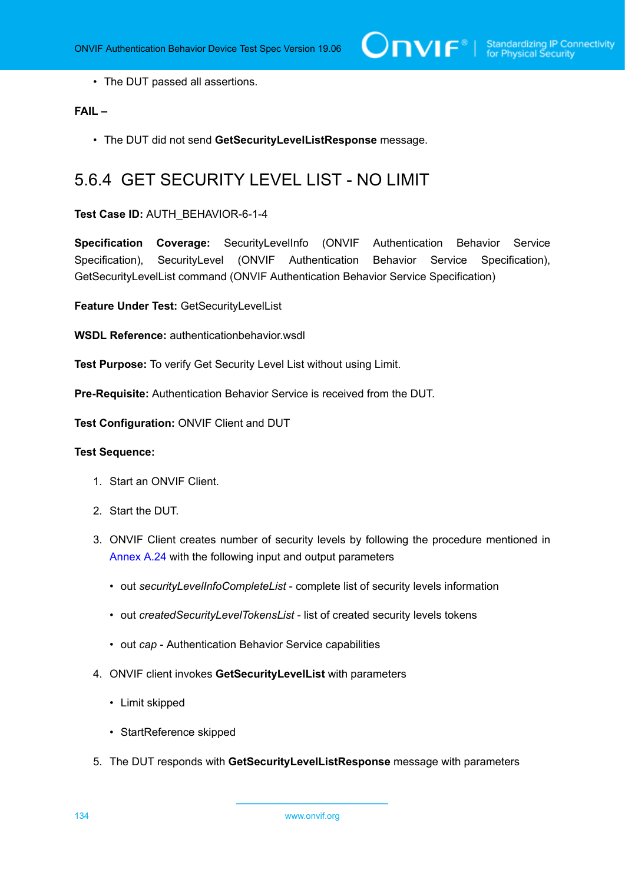• The DUT passed all assertions.

#### **FAIL –**

• The DUT did not send **GetSecurityLevelListResponse** message.

## 5.6.4 GET SECURITY LEVEL LIST - NO LIMIT

**Test Case ID:** AUTH\_BEHAVIOR-6-1-4

**Specification Coverage:** SecurityLevelInfo (ONVIF Authentication Behavior Service Specification), SecurityLevel (ONVIF Authentication Behavior Service Specification), GetSecurityLevelList command (ONVIF Authentication Behavior Service Specification)

**Feature Under Test:** GetSecurityLevelList

**WSDL Reference:** authenticationbehavior.wsdl

**Test Purpose:** To verify Get Security Level List without using Limit.

**Pre-Requisite:** Authentication Behavior Service is received from the DUT.

**Test Configuration:** ONVIF Client and DUT

- 1. Start an ONVIF Client.
- 2. Start the DUT.
- 3. ONVIF Client creates number of security levels by following the procedure mentioned in [Annex A.24](#page-226-1) with the following input and output parameters
	- out *securityLevelInfoCompleteList* complete list of security levels information
	- out *createdSecurityLevelTokensList* list of created security levels tokens
	- out *cap* Authentication Behavior Service capabilities
- 4. ONVIF client invokes **GetSecurityLevelList** with parameters
	- Limit skipped
	- StartReference skipped
- 5. The DUT responds with **GetSecurityLevelListResponse** message with parameters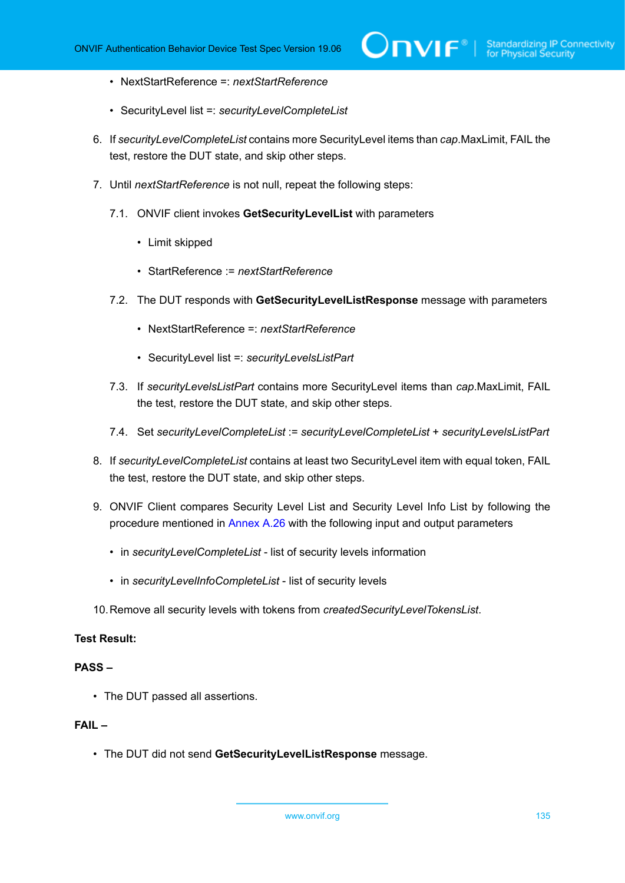- NextStartReference =: *nextStartReference*
- SecurityLevel list =: *securityLevelCompleteList*
- 6. If *securityLevelCompleteList* contains more SecurityLevel items than *cap*.MaxLimit, FAIL the test, restore the DUT state, and skip other steps.
- 7. Until *nextStartReference* is not null, repeat the following steps:
	- 7.1. ONVIF client invokes **GetSecurityLevelList** with parameters
		- Limit skipped
		- StartReference := *nextStartReference*
	- 7.2. The DUT responds with **GetSecurityLevelListResponse** message with parameters
		- NextStartReference =: *nextStartReference*
		- SecurityLevel list =: *securityLevelsListPart*
	- 7.3. If *securityLevelsListPart* contains more SecurityLevel items than *cap*.MaxLimit, FAIL the test, restore the DUT state, and skip other steps.
	- 7.4. Set *securityLevelCompleteList* := *securityLevelCompleteList* + *securityLevelsListPart*
- 8. If *securityLevelCompleteList* contains at least two SecurityLevel item with equal token, FAIL the test, restore the DUT state, and skip other steps.
- 9. ONVIF Client compares Security Level List and Security Level Info List by following the procedure mentioned in [Annex A.26](#page-229-0) with the following input and output parameters
	- in *securityLevelCompleteList* list of security levels information
	- in *securityLevelInfoCompleteList* list of security levels
- 10.Remove all security levels with tokens from *createdSecurityLevelTokensList*.

#### **PASS –**

• The DUT passed all assertions.

#### **FAIL –**

• The DUT did not send **GetSecurityLevelListResponse** message.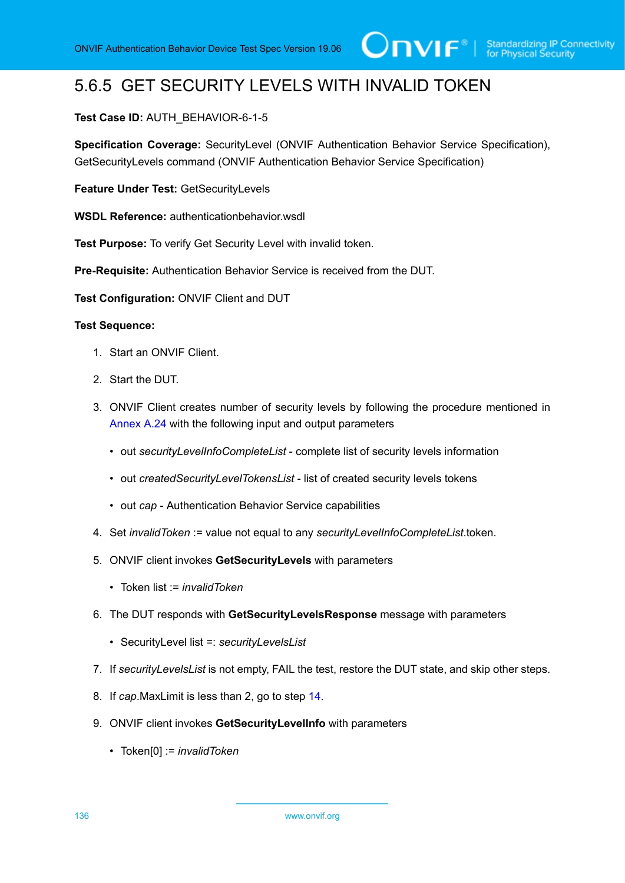## 5.6.5 GET SECURITY LEVELS WITH INVALID TOKEN

#### **Test Case ID:** AUTH\_BEHAVIOR-6-1-5

**Specification Coverage:** SecurityLevel (ONVIF Authentication Behavior Service Specification), GetSecurityLevels command (ONVIF Authentication Behavior Service Specification)

**Feature Under Test:** GetSecurityLevels

**WSDL Reference:** authenticationbehavior wsdl

**Test Purpose:** To verify Get Security Level with invalid token.

**Pre-Requisite:** Authentication Behavior Service is received from the DUT.

**Test Configuration:** ONVIF Client and DUT

- 1. Start an ONVIF Client.
- 2. Start the DUT.
- 3. ONVIF Client creates number of security levels by following the procedure mentioned in [Annex A.24](#page-226-1) with the following input and output parameters
	- out *securityLevelInfoCompleteList* complete list of security levels information
	- out *createdSecurityLevelTokensList* list of created security levels tokens
	- out *cap* Authentication Behavior Service capabilities
- 4. Set *invalidToken* := value not equal to any *securityLevelInfoCompleteList*.token.
- 5. ONVIF client invokes **GetSecurityLevels** with parameters
	- Token list := *invalidToken*
- 6. The DUT responds with **GetSecurityLevelsResponse** message with parameters
	- SecurityLevel list =: *securityLevelsList*
- 7. If *securityLevelsList* is not empty, FAIL the test, restore the DUT state, and skip other steps.
- 8. If *cap*.MaxLimit is less than 2, go to step [14.](#page-136-0)
- 9. ONVIF client invokes **GetSecurityLevelInfo** with parameters
	- Token[0] := *invalidToken*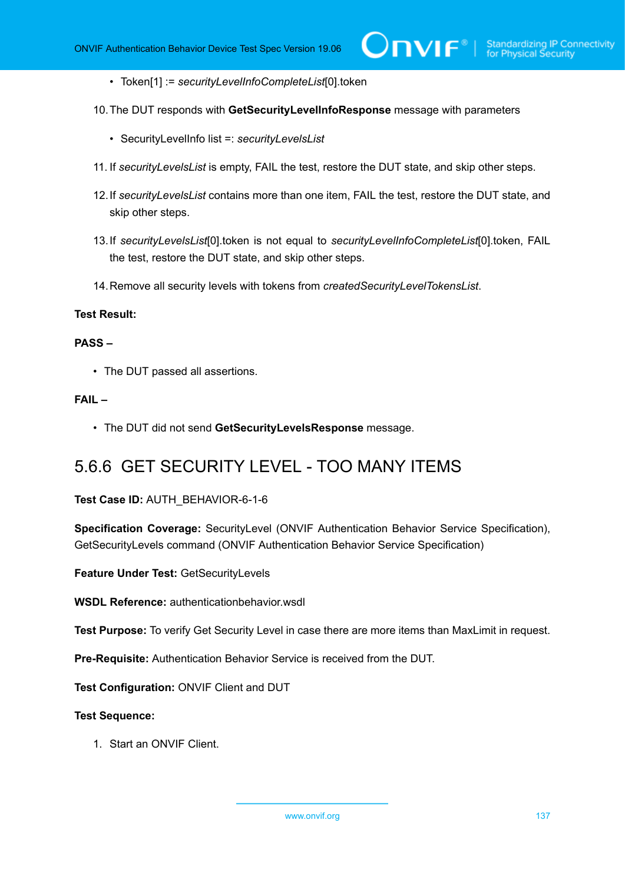- Token[1] := *securityLevelInfoCompleteList*[0].token
- 10.The DUT responds with **GetSecurityLevelInfoResponse** message with parameters
	- SecurityLevelInfo list =: *securityLevelsList*
- 11. If *securityLevelsList* is empty, FAIL the test, restore the DUT state, and skip other steps.
- 12.If *securityLevelsList* contains more than one item, FAIL the test, restore the DUT state, and skip other steps.
- 13.If *securityLevelsList*[0].token is not equal to *securityLevelInfoCompleteList*[0].token, FAIL the test, restore the DUT state, and skip other steps.
- <span id="page-136-0"></span>14.Remove all security levels with tokens from *createdSecurityLevelTokensList*.

#### **PASS –**

• The DUT passed all assertions.

#### **FAIL –**

• The DUT did not send **GetSecurityLevelsResponse** message.

### 5.6.6 GET SECURITY LEVEL - TOO MANY ITEMS

#### **Test Case ID:** AUTH\_BEHAVIOR-6-1-6

**Specification Coverage:** SecurityLevel (ONVIF Authentication Behavior Service Specification), GetSecurityLevels command (ONVIF Authentication Behavior Service Specification)

**Feature Under Test:** GetSecurityLevels

**WSDL Reference:** authenticationbehavior.wsdl

**Test Purpose:** To verify Get Security Level in case there are more items than MaxLimit in request.

**Pre-Requisite:** Authentication Behavior Service is received from the DUT.

**Test Configuration:** ONVIF Client and DUT

#### **Test Sequence:**

1. Start an ONVIF Client.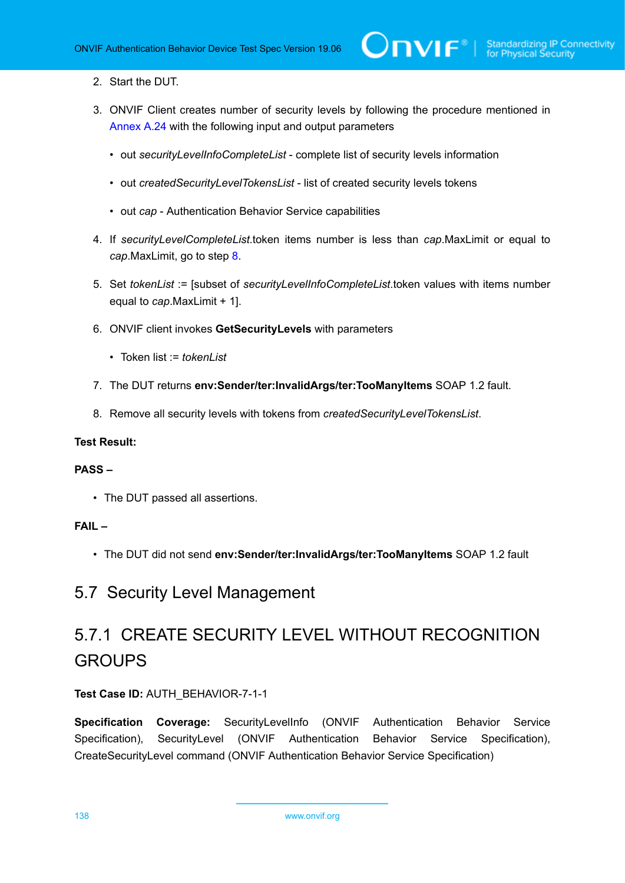#### 2. Start the DUT.

- 3. ONVIF Client creates number of security levels by following the procedure mentioned in [Annex A.24](#page-226-1) with the following input and output parameters
	- out *securityLevelInfoCompleteList* complete list of security levels information
	- out *createdSecurityLevelTokensList* list of created security levels tokens
	- out *cap* Authentication Behavior Service capabilities
- 4. If *securityLevelCompleteList*.token items number is less than *cap*.MaxLimit or equal to *cap*.MaxLimit, go to step [8.](#page-137-0)
- 5. Set *tokenList* := [subset of *securityLevelInfoCompleteList*.token values with items number equal to *cap*.MaxLimit + 1].
- 6. ONVIF client invokes **GetSecurityLevels** with parameters
	- Token list := *tokenl ist*
- 7. The DUT returns **env:Sender/ter:InvalidArgs/ter:TooManyItems** SOAP 1.2 fault.
- <span id="page-137-0"></span>8. Remove all security levels with tokens from *createdSecurityLevelTokensList*.

#### **Test Result:**

#### **PASS –**

• The DUT passed all assertions.

#### **FAIL –**

• The DUT did not send **env:Sender/ter:InvalidArgs/ter:TooManyItems** SOAP 1.2 fault

## 5.7 Security Level Management

# 5.7.1 CREATE SECURITY LEVEL WITHOUT RECOGNITION **GROUPS**

#### **Test Case ID:** AUTH\_BEHAVIOR-7-1-1

**Specification Coverage:** SecurityLevelInfo (ONVIF Authentication Behavior Service Specification), SecurityLevel (ONVIF Authentication Behavior Service Specification), CreateSecurityLevel command (ONVIF Authentication Behavior Service Specification)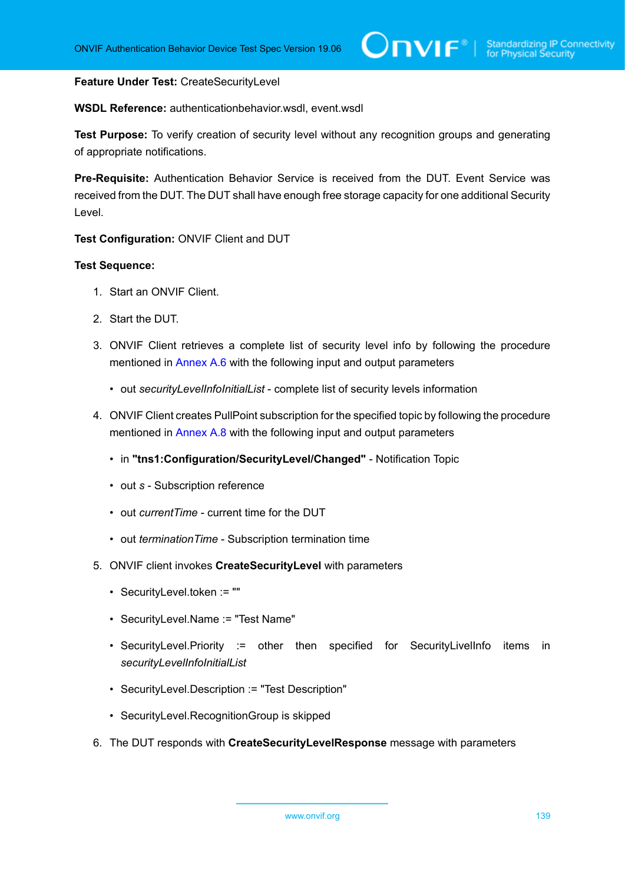#### **Feature Under Test:** CreateSecurityLevel

**WSDL Reference:** authenticationbehavior.wsdl, event.wsdl

**Test Purpose:** To verify creation of security level without any recognition groups and generating of appropriate notifications.

**Pre-Requisite:** Authentication Behavior Service is received from the DUT. Event Service was received from the DUT. The DUT shall have enough free storage capacity for one additional Security Level.

**Test Configuration:** ONVIF Client and DUT

- 1. Start an ONVIF Client.
- 2. Start the DUT.
- 3. ONVIF Client retrieves a complete list of security level info by following the procedure mentioned in [Annex A.6](#page-210-0) with the following input and output parameters
	- out *securityLevelInfoInitialList* complete list of security levels information
- 4. ONVIF Client creates PullPoint subscription for the specified topic by following the procedure mentioned in [Annex A.8](#page-212-0) with the following input and output parameters
	- in **"tns1:Configuration/SecurityLevel/Changed"** Notification Topic
	- out *s* Subscription reference
	- out *currentTime* current time for the DUT
	- out *terminationTime* Subscription termination time
- <span id="page-138-0"></span>5. ONVIF client invokes **CreateSecurityLevel** with parameters
	- SecurityLevel.token := ""
	- SecurityLevel.Name := "Test Name"
	- SecurityLevel.Priority := other then specified for SecurityLivelInfo items in *securityLevelInfoInitialList*
	- SecurityLevel.Description := "Test Description"
	- SecurityLevel.RecognitionGroup is skipped
- 6. The DUT responds with **CreateSecurityLevelResponse** message with parameters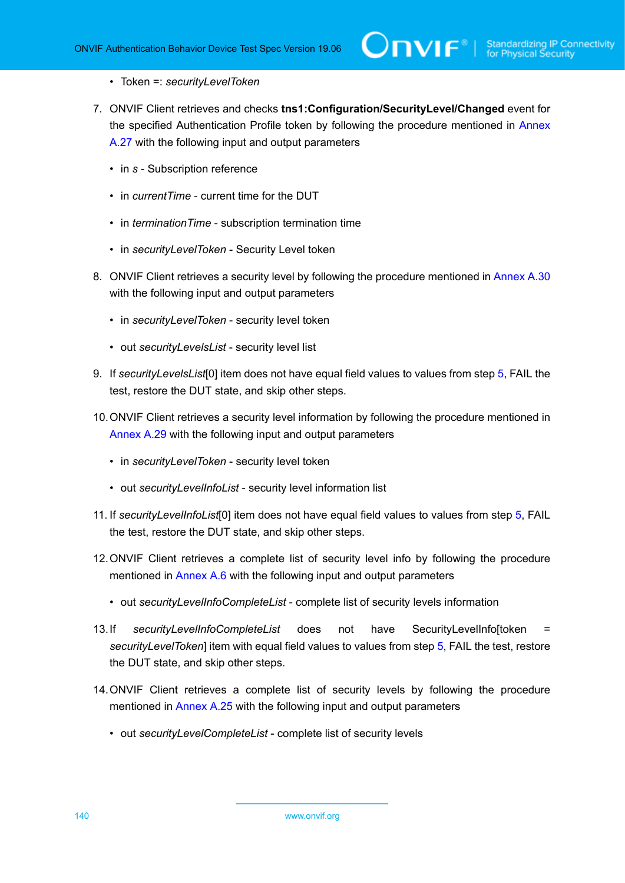- Token =: *securityLevelToken*
- 7. ONVIF Client retrieves and checks **tns1:Configuration/SecurityLevel/Changed** event for the specified Authentication Profile token by following the procedure mentioned in [Annex](#page-230-0) [A.27](#page-230-0) with the following input and output parameters
	- in *s* Subscription reference
	- in *currentTime* current time for the DUT
	- in *terminationTime* subscription termination time
	- in *securityLevelToken* Security Level token
- 8. ONVIF Client retrieves a security level by following the procedure mentioned in [Annex A.30](#page-233-0) with the following input and output parameters
	- in *securityLevelToken* security level token
	- out *securityLevelsList* security level list
- <span id="page-139-0"></span>9. If *securityLevelsList*[0] item does not have equal field values to values from step [5](#page-138-0), FAIL the test, restore the DUT state, and skip other steps.
- 10.ONVIF Client retrieves a security level information by following the procedure mentioned in [Annex A.29](#page-232-0) with the following input and output parameters
	- in *securityLevelToken* security level token
	- out *securityLevelInfoList* security level information list
- <span id="page-139-2"></span>11. If *securityLevelInfoList*[0] item does not have equal field values to values from step [5,](#page-138-0) FAIL the test, restore the DUT state, and skip other steps.
- 12.ONVIF Client retrieves a complete list of security level info by following the procedure mentioned in [Annex A.6](#page-210-0) with the following input and output parameters
	- out *securityLevelInfoCompleteList* complete list of security levels information
- <span id="page-139-1"></span>13.If *securityLevelInfoCompleteList* does not have SecurityLevelInfo[token = *securityLevelToken*] item with equal field values to values from step [5](#page-138-0), FAIL the test, restore the DUT state, and skip other steps.
- 14.ONVIF Client retrieves a complete list of security levels by following the procedure mentioned in [Annex A.25](#page-228-0) with the following input and output parameters
	- out *securityLevelCompleteList* complete list of security levels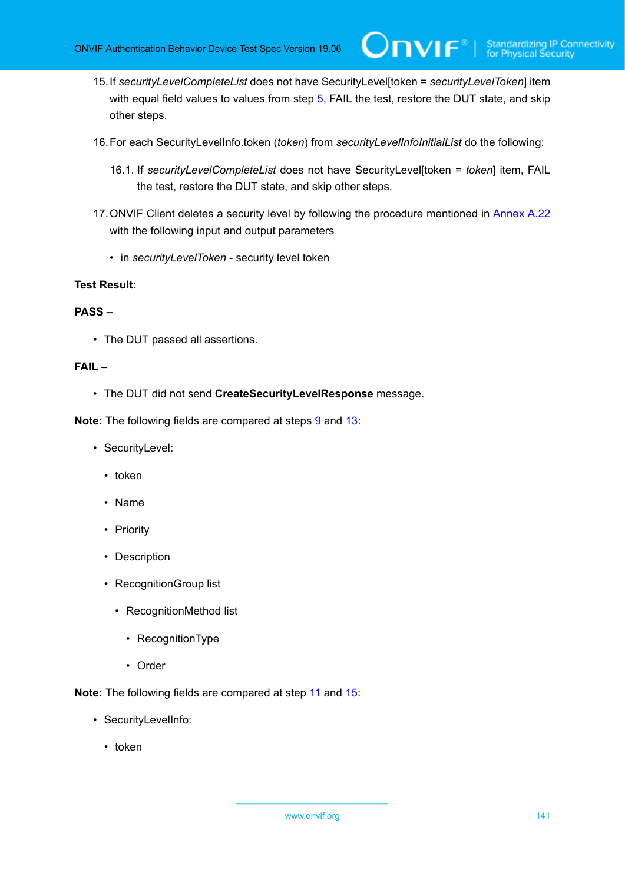<span id="page-140-0"></span>15.If *securityLevelCompleteList* does not have SecurityLevel[token = *securityLevelToken*] item with equal field values to values from step [5](#page-138-0), FAIL the test, restore the DUT state, and skip other steps.

 $\mathsf{D}\mathsf{N}\mathsf{H}^*$ l

- 16.For each SecurityLevelInfo.token (*token*) from *securityLevelInfoInitialList* do the following:
	- 16.1. If *securityLevelCompleteList* does not have SecurityLevel[token = *token*] item, FAIL the test, restore the DUT state, and skip other steps.
- 17.ONVIF Client deletes a security level by following the procedure mentioned in [Annex A.22](#page-225-0) with the following input and output parameters
	- in *securityLevelToken* security level token

#### **Test Result:**

#### **PASS –**

• The DUT passed all assertions.

#### **FAIL –**

• The DUT did not send **CreateSecurityLevelResponse** message.

**Note:** The following fields are compared at steps [9](#page-139-0) and [13:](#page-139-1)

- SecurityLevel:
	- token
	- Name
	- Priority
	- Description
	- RecognitionGroup list
		- RecognitionMethod list
			- RecognitionType
			- Order

**Note:** The following fields are compared at step [11](#page-139-2) and [15:](#page-140-0)

- SecurityLevelInfo:
	- token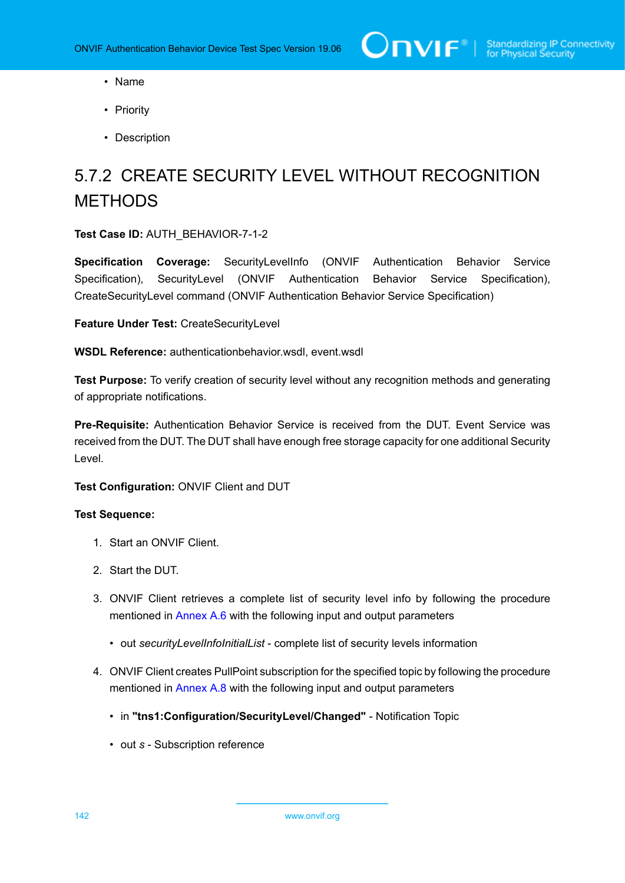- Name
- Priority
- Description

# 5.7.2 CREATE SECURITY LEVEL WITHOUT RECOGNITION **METHODS**

**Test Case ID:** AUTH\_BEHAVIOR-7-1-2

**Specification Coverage:** SecurityLevelInfo (ONVIF Authentication Behavior Service Specification), SecurityLevel (ONVIF Authentication Behavior Service Specification), CreateSecurityLevel command (ONVIF Authentication Behavior Service Specification)

**Feature Under Test:** CreateSecurityLevel

**WSDL Reference:** authenticationbehavior.wsdl, event.wsdl

**Test Purpose:** To verify creation of security level without any recognition methods and generating of appropriate notifications.

**Pre-Requisite:** Authentication Behavior Service is received from the DUT. Event Service was received from the DUT. The DUT shall have enough free storage capacity for one additional Security Level.

**Test Configuration:** ONVIF Client and DUT

- 1. Start an ONVIF Client.
- 2. Start the DUT.
- 3. ONVIF Client retrieves a complete list of security level info by following the procedure mentioned in [Annex A.6](#page-210-0) with the following input and output parameters
	- out *securityLevelInfoInitialList* complete list of security levels information
- 4. ONVIF Client creates PullPoint subscription for the specified topic by following the procedure mentioned in [Annex A.8](#page-212-0) with the following input and output parameters
	- in **"tns1:Configuration/SecurityLevel/Changed"** Notification Topic
	- out *s* Subscription reference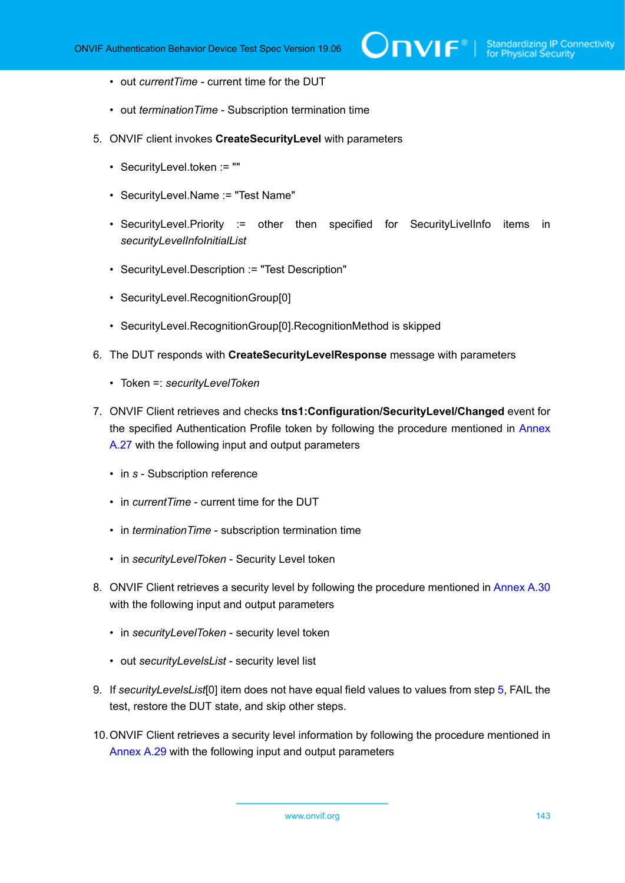- out *currentTime* current time for the DUT
- out *terminationTime* Subscription termination time
- <span id="page-142-0"></span>5. ONVIF client invokes **CreateSecurityLevel** with parameters
	- SecurityLevel.token := ""
	- SecurityLevel.Name := "Test Name"
	- SecurityLevel.Priority := other then specified for SecurityLivelInfo items in *securityLevelInfoInitialList*
	- SecurityLevel.Description := "Test Description"
	- SecurityLevel.RecognitionGroup[0]
	- SecurityLevel.RecognitionGroup[0].RecognitionMethod is skipped
- 6. The DUT responds with **CreateSecurityLevelResponse** message with parameters
	- Token =: *securityLevelToken*
- 7. ONVIF Client retrieves and checks **tns1:Configuration/SecurityLevel/Changed** event for the specified Authentication Profile token by following the procedure mentioned in [Annex](#page-230-0) [A.27](#page-230-0) with the following input and output parameters
	- in *s* Subscription reference
	- in *currentTime* current time for the DUT
	- in *terminationTime* subscription termination time
	- in *securityLevelToken* Security Level token
- 8. ONVIF Client retrieves a security level by following the procedure mentioned in [Annex A.30](#page-233-0) with the following input and output parameters
	- in *securityLevelToken* security level token
	- out *securityLevelsList* security level list
- <span id="page-142-1"></span>9. If *securityLevelsList*[0] item does not have equal field values to values from step [5](#page-142-0), FAIL the test, restore the DUT state, and skip other steps.
- 10.ONVIF Client retrieves a security level information by following the procedure mentioned in [Annex A.29](#page-232-0) with the following input and output parameters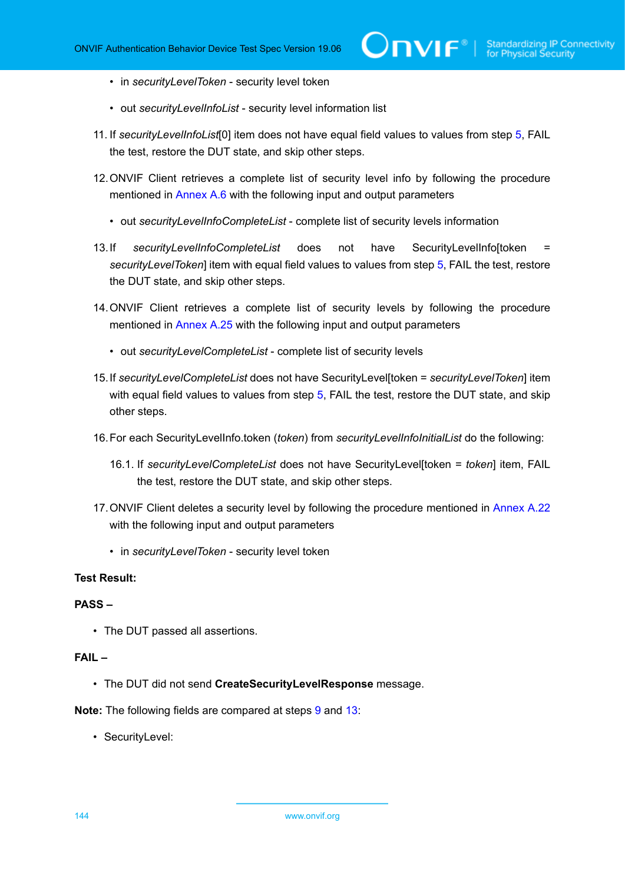- in *securityLevelToken* security level token
- out *securityLevelInfoList* security level information list
- 11. If *securityLevelInfoList*[0] item does not have equal field values to values from step [5,](#page-142-0) FAIL the test, restore the DUT state, and skip other steps.
- 12.ONVIF Client retrieves a complete list of security level info by following the procedure mentioned in [Annex A.6](#page-210-0) with the following input and output parameters
	- out *securityLevelInfoCompleteList* complete list of security levels information
- <span id="page-143-0"></span>13.If *securityLevelInfoCompleteList* does not have SecurityLevelInfo[token *securityLevelToken*] item with equal field values to values from step [5](#page-142-0), FAIL the test, restore the DUT state, and skip other steps.
- 14.ONVIF Client retrieves a complete list of security levels by following the procedure mentioned in [Annex A.25](#page-228-0) with the following input and output parameters
	- out *securityLevelCompleteList* complete list of security levels
- 15.If *securityLevelCompleteList* does not have SecurityLevel[token = *securityLevelToken*] item with equal field values to values from step [5](#page-142-0), FAIL the test, restore the DUT state, and skip other steps.
- 16.For each SecurityLevelInfo.token (*token*) from *securityLevelInfoInitialList* do the following:
	- 16.1. If *securityLevelCompleteList* does not have SecurityLevel[token = *token*] item, FAIL the test, restore the DUT state, and skip other steps.
- 17.ONVIF Client deletes a security level by following the procedure mentioned in [Annex A.22](#page-225-0) with the following input and output parameters
	- in *securityLevelToken* security level token

#### **PASS –**

• The DUT passed all assertions.

#### **FAIL –**

• The DUT did not send **CreateSecurityLevelResponse** message.

**Note:** The following fields are compared at steps [9](#page-142-1) and [13:](#page-143-0)

• SecurityLevel: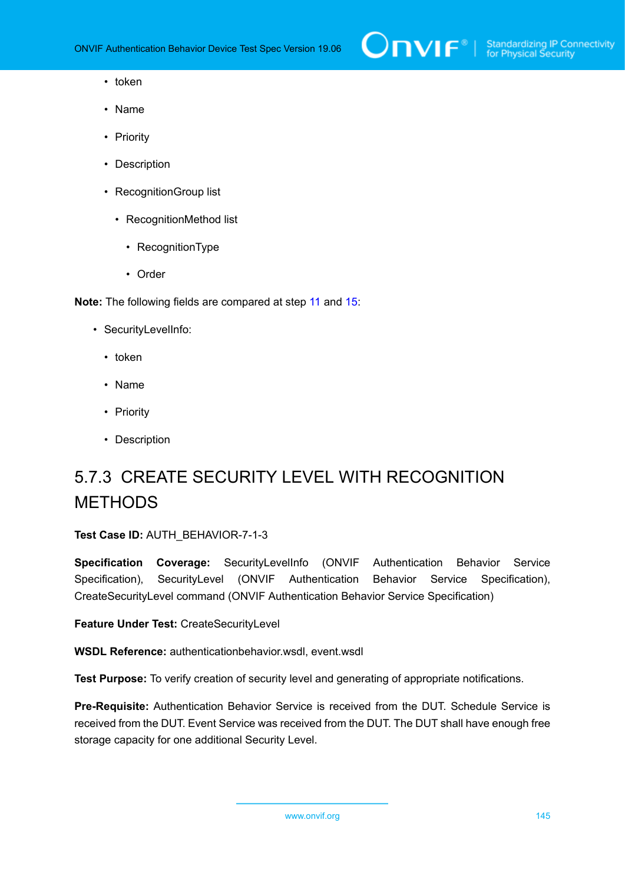- token
- Name
- Priority
- Description
- RecognitionGroup list
	- RecognitionMethod list
		- RecognitionType
		- Order

**Note:** The following fields are compared at step [11](#page-143-0) and [15:](#page-143-1)

- SecurityLevelInfo:
	- token
	- Name
	- Priority
	- Description

# 5.7.3 CREATE SECURITY LEVEL WITH RECOGNITION METHODS

### **Test Case ID:** AUTH\_BEHAVIOR-7-1-3

**Specification Coverage:** SecurityLevelInfo (ONVIF Authentication Behavior Service Specification), SecurityLevel (ONVIF Authentication Behavior Service Specification), CreateSecurityLevel command (ONVIF Authentication Behavior Service Specification)

**Feature Under Test:** CreateSecurityLevel

**WSDL Reference:** authenticationbehavior.wsdl, event.wsdl

**Test Purpose:** To verify creation of security level and generating of appropriate notifications.

**Pre-Requisite:** Authentication Behavior Service is received from the DUT. Schedule Service is received from the DUT. Event Service was received from the DUT. The DUT shall have enough free storage capacity for one additional Security Level.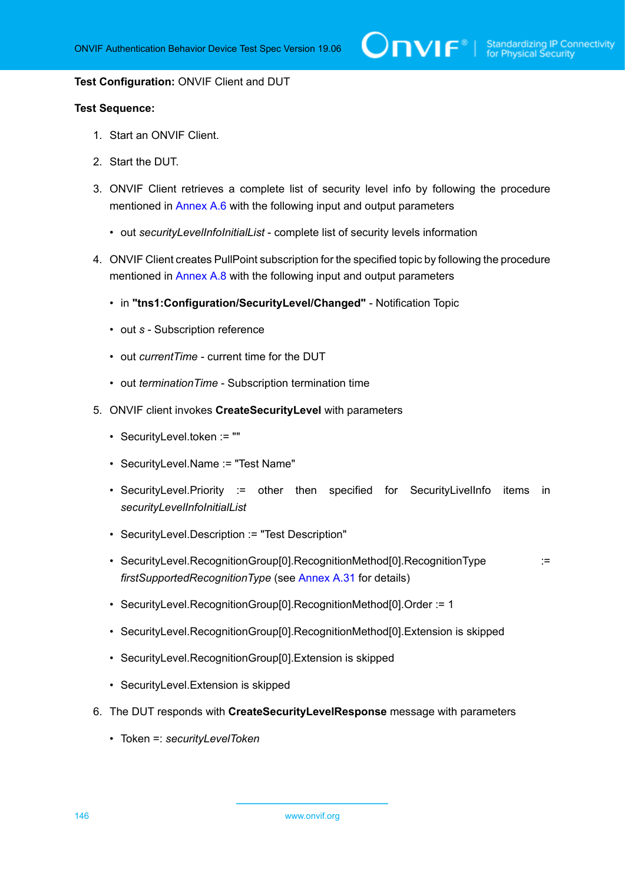#### **Test Configuration:** ONVIF Client and DUT

- 1. Start an ONVIF Client.
- 2. Start the DUT.
- 3. ONVIF Client retrieves a complete list of security level info by following the procedure mentioned in [Annex A.6](#page-210-0) with the following input and output parameters
	- out *securityLevelInfoInitialList* complete list of security levels information
- 4. ONVIF Client creates PullPoint subscription for the specified topic by following the procedure mentioned in [Annex A.8](#page-212-0) with the following input and output parameters
	- in **"tns1:Configuration/SecurityLevel/Changed"** Notification Topic
	- out *s* Subscription reference
	- out *currentTime* current time for the DUT
	- out *terminationTime* Subscription termination time
- <span id="page-145-0"></span>5. ONVIF client invokes **CreateSecurityLevel** with parameters
	- SecurityLevel.token := ""
	- SecurityLevel.Name := "Test Name"
	- SecurityLevel.Priority := other then specified for SecurityLivelInfo items in *securityLevelInfoInitialList*
	- SecurityLevel.Description := "Test Description"
	- SecurityLevel.RecognitionGroup[0].RecognitionMethod[0].RecognitionType := *firstSupportedRecognitionType* (see [Annex A.31](#page-233-0) for details)
	- SecurityLevel.RecognitionGroup[0].RecognitionMethod[0].Order := 1
	- SecurityLevel.RecognitionGroup[0].RecognitionMethod[0].Extension is skipped
	- SecurityLevel.RecognitionGroup[0].Extension is skipped
	- SecurityLevel.Extension is skipped
- 6. The DUT responds with **CreateSecurityLevelResponse** message with parameters
	- Token =: *securityLevelToken*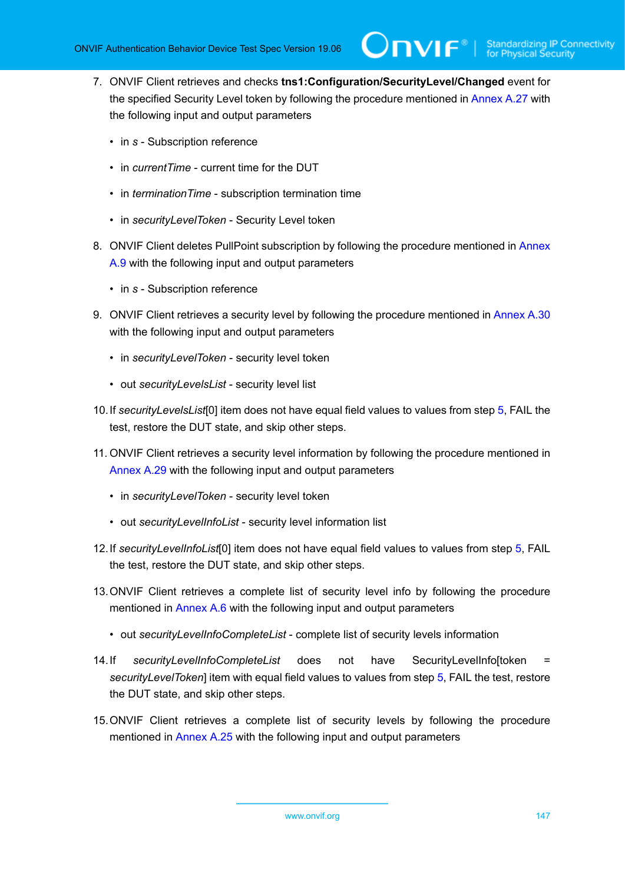- 7. ONVIF Client retrieves and checks **tns1:Configuration/SecurityLevel/Changed** event for the specified Security Level token by following the procedure mentioned in [Annex A.27](#page-230-0) with the following input and output parameters
	- in *s* Subscription reference
	- in *currentTime* current time for the DUT
	- in *terminationTime* subscription termination time
	- in *securityLevelToken* Security Level token
- 8. ONVIF Client deletes PullPoint subscription by following the procedure mentioned in [Annex](#page-213-0) [A.9](#page-213-0) with the following input and output parameters
	- in *s* Subscription reference
- 9. ONVIF Client retrieves a security level by following the procedure mentioned in [Annex A.30](#page-233-1) with the following input and output parameters
	- in *securityLevelToken* security level token
	- out *securityLevelsList* security level list
- <span id="page-146-0"></span>10.If *securityLevelsList*[0] item does not have equal field values to values from step [5](#page-145-0), FAIL the test, restore the DUT state, and skip other steps.
- 11. ONVIF Client retrieves a security level information by following the procedure mentioned in [Annex A.29](#page-232-0) with the following input and output parameters
	- in *securityLevelToken* security level token
	- out *securityLevelInfoList* security level information list
- <span id="page-146-2"></span>12.If *securityLevelInfoList*[0] item does not have equal field values to values from step [5,](#page-145-0) FAIL the test, restore the DUT state, and skip other steps.
- 13.ONVIF Client retrieves a complete list of security level info by following the procedure mentioned in [Annex A.6](#page-210-0) with the following input and output parameters
	- out *securityLevelInfoCompleteList* complete list of security levels information
- <span id="page-146-1"></span>14.If *securityLevelInfoCompleteList* does not have SecurityLevelInfo[token *securityLevelToken*] item with equal field values to values from step [5](#page-145-0), FAIL the test, restore the DUT state, and skip other steps.
- 15.ONVIF Client retrieves a complete list of security levels by following the procedure mentioned in [Annex A.25](#page-228-0) with the following input and output parameters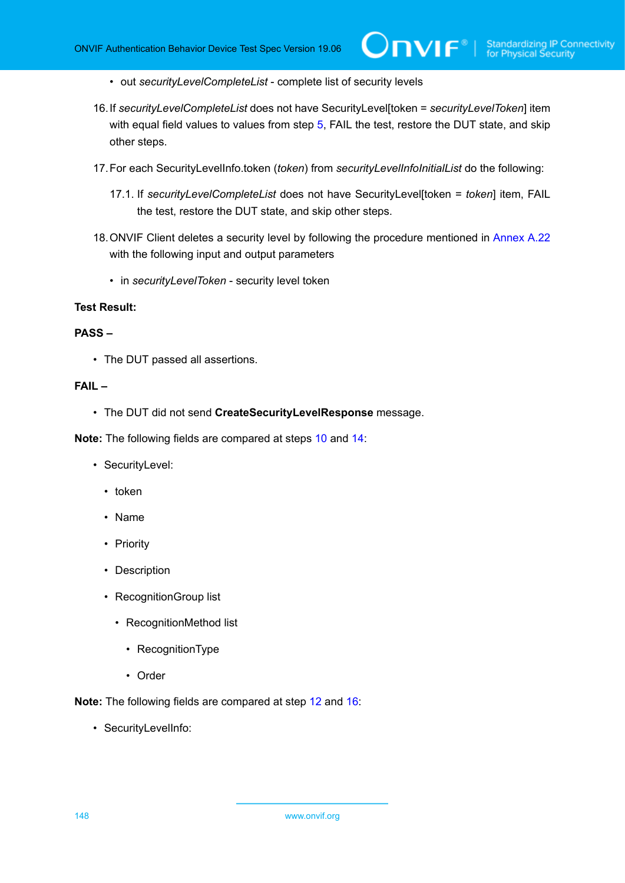- out *securityLevelCompleteList* complete list of security levels
- <span id="page-147-0"></span>16.If *securityLevelCompleteList* does not have SecurityLevel[token = *securityLevelToken*] item with equal field values to values from step [5](#page-145-0), FAIL the test, restore the DUT state, and skip other steps.
- 17.For each SecurityLevelInfo.token (*token*) from *securityLevelInfoInitialList* do the following:
	- 17.1. If *securityLevelCompleteList* does not have SecurityLevel[token = *token*] item, FAIL the test, restore the DUT state, and skip other steps.
- 18.ONVIF Client deletes a security level by following the procedure mentioned in [Annex A.22](#page-225-0) with the following input and output parameters
	- in *securityLevelToken* security level token

#### **PASS –**

• The DUT passed all assertions.

### **FAIL –**

• The DUT did not send **CreateSecurityLevelResponse** message.

**Note:** The following fields are compared at steps [10](#page-146-0) and [14:](#page-146-1)

- SecurityLevel:
	- token
	- Name
	- Priority
	- Description
	- RecognitionGroup list
		- RecognitionMethod list
			- RecognitionType
			- Order

**Note:** The following fields are compared at step [12](#page-146-2) and [16](#page-147-0):

• SecurityLevelInfo: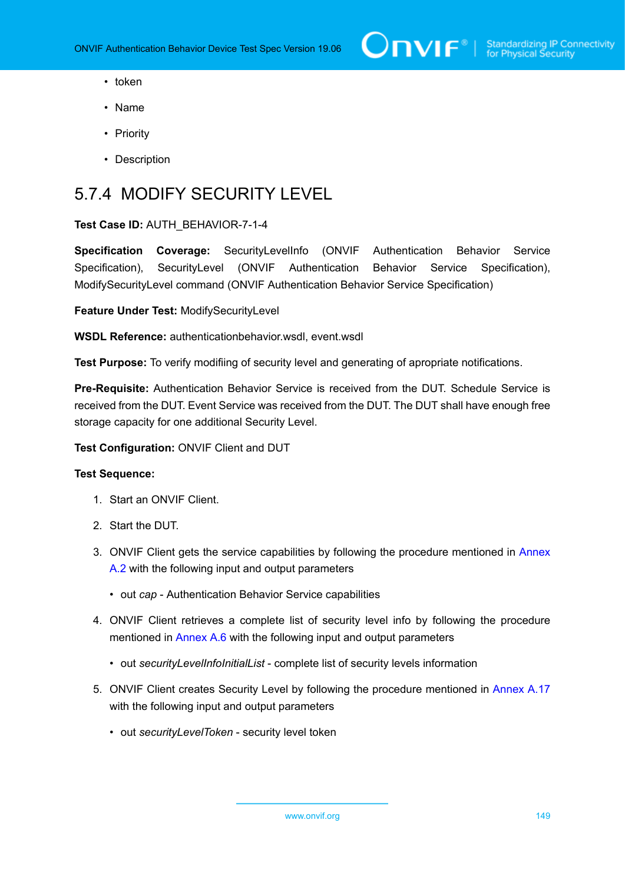- token
- Name
- Priority
- Description

# 5.7.4 MODIFY SECURITY LEVEL

### **Test Case ID:** AUTH\_BEHAVIOR-7-1-4

**Specification Coverage:** SecurityLevelInfo (ONVIF Authentication Behavior Service Specification), SecurityLevel (ONVIF Authentication Behavior Service Specification), ModifySecurityLevel command (ONVIF Authentication Behavior Service Specification)

**Feature Under Test:** ModifySecurityLevel

**WSDL Reference:** authenticationbehavior.wsdl, event.wsdl

**Test Purpose:** To verify modifiing of security level and generating of apropriate notifications.

**Pre-Requisite:** Authentication Behavior Service is received from the DUT. Schedule Service is received from the DUT. Event Service was received from the DUT. The DUT shall have enough free storage capacity for one additional Security Level.

**Test Configuration:** ONVIF Client and DUT

- 1. Start an ONVIF Client.
- 2. Start the DUT.
- 3. ONVIF Client gets the service capabilities by following the procedure mentioned in [Annex](#page-205-0) [A.2](#page-205-0) with the following input and output parameters
	- out *cap* Authentication Behavior Service capabilities
- 4. ONVIF Client retrieves a complete list of security level info by following the procedure mentioned in [Annex A.6](#page-210-0) with the following input and output parameters
	- out *securityLevelInfoInitialList* complete list of security levels information
- 5. ONVIF Client creates Security Level by following the procedure mentioned in [Annex A.17](#page-220-0) with the following input and output parameters
	- out *securityLevelToken* security level token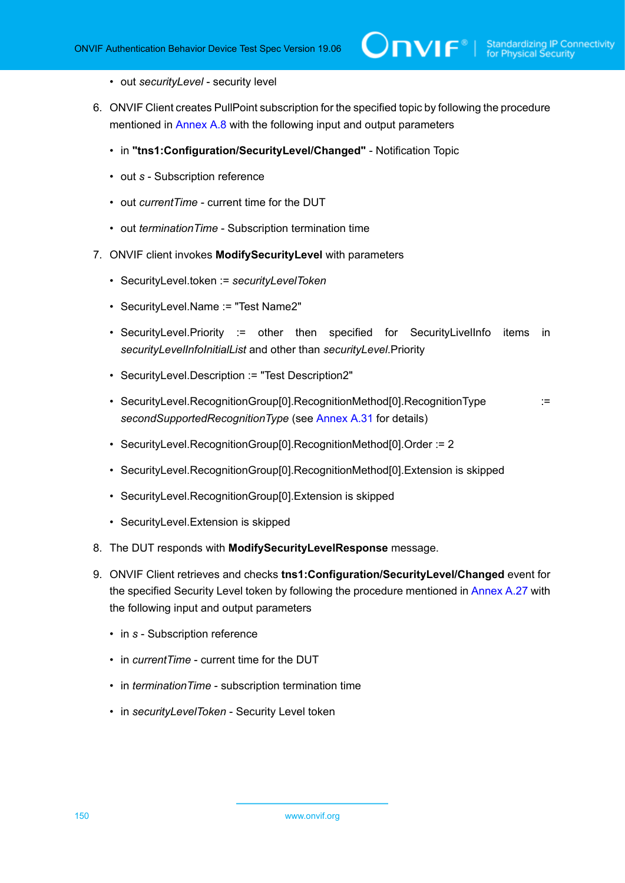- out *securityLevel* security level
- 6. ONVIF Client creates PullPoint subscription for the specified topic by following the procedure mentioned in [Annex A.8](#page-212-0) with the following input and output parameters
	- in **"tns1:Configuration/SecurityLevel/Changed"** Notification Topic
	- out *s* Subscription reference
	- out *currentTime* current time for the DUT
	- out *terminationTime* Subscription termination time
- <span id="page-149-0"></span>7. ONVIF client invokes **ModifySecurityLevel** with parameters
	- SecurityLevel.token := *securityLevelToken*
	- SecurityLevel.Name := "Test Name2"
	- SecurityLevel.Priority := other then specified for SecurityLivelInfo items in *securityLevelInfoInitialList* and other than *securityLevel*.Priority
	- SecurityLevel.Description := "Test Description2"
	- SecurityLevel.RecognitionGroup[0].RecognitionMethod[0].RecognitionType := *secondSupportedRecognitionType* (see [Annex A.31](#page-233-0) for details)
	- SecurityLevel.RecognitionGroup[0].RecognitionMethod[0].Order := 2
	- SecurityLevel.RecognitionGroup[0].RecognitionMethod[0].Extension is skipped
	- SecurityLevel.RecognitionGroup[0].Extension is skipped
	- SecurityLevel.Extension is skipped
- 8. The DUT responds with **ModifySecurityLevelResponse** message.
- 9. ONVIF Client retrieves and checks **tns1:Configuration/SecurityLevel/Changed** event for the specified Security Level token by following the procedure mentioned in [Annex A.27](#page-230-0) with the following input and output parameters
	- in *s* Subscription reference
	- in *currentTime* current time for the DUT
	- in *terminationTime* subscription termination time
	- in *securityLevelToken* Security Level token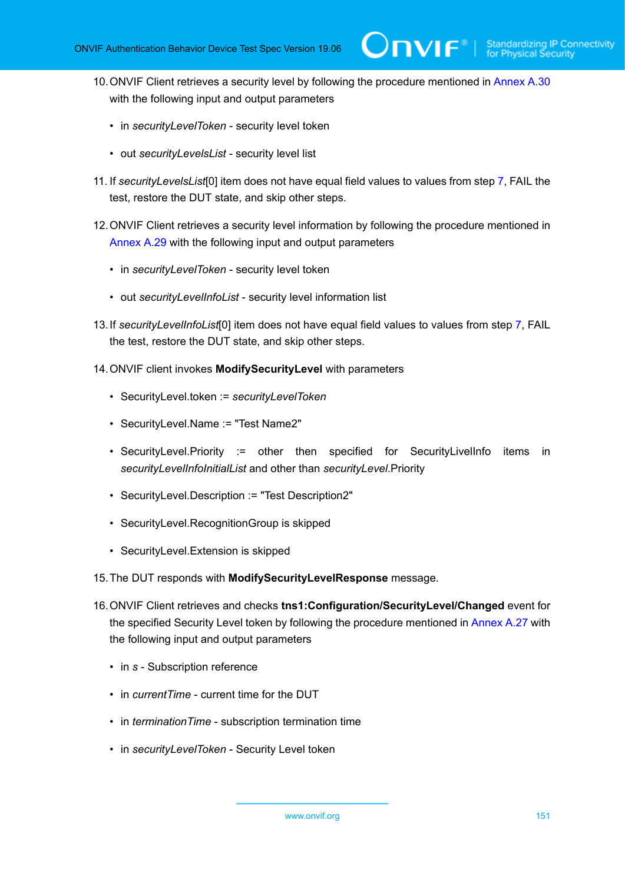- 10.ONVIF Client retrieves a security level by following the procedure mentioned in [Annex A.30](#page-233-1) with the following input and output parameters
	- in *securityLevelToken* security level token
	- out *securityLevelsList* security level list
- <span id="page-150-1"></span>11. If *securityLevelsList*[0] item does not have equal field values to values from step [7](#page-149-0), FAIL the test, restore the DUT state, and skip other steps.
- 12.ONVIF Client retrieves a security level information by following the procedure mentioned in [Annex A.29](#page-232-0) with the following input and output parameters
	- in *securityLevelToken* security level token
	- out *securityLevelInfoList* security level information list
- <span id="page-150-2"></span>13.If *securityLevelInfoList*[0] item does not have equal field values to values from step [7,](#page-149-0) FAIL the test, restore the DUT state, and skip other steps.
- <span id="page-150-0"></span>14.ONVIF client invokes **ModifySecurityLevel** with parameters
	- SecurityLevel.token := *securityLevelToken*
	- SecurityLevel.Name := "Test Name2"
	- SecurityLevel.Priority := other then specified for SecurityLivelInfo items in *securityLevelInfoInitialList* and other than *securityLevel*.Priority
	- SecurityLevel.Description := "Test Description2"
	- SecurityLevel.RecognitionGroup is skipped
	- SecurityLevel.Extension is skipped
- 15.The DUT responds with **ModifySecurityLevelResponse** message.
- 16.ONVIF Client retrieves and checks **tns1:Configuration/SecurityLevel/Changed** event for the specified Security Level token by following the procedure mentioned in [Annex A.27](#page-230-0) with the following input and output parameters
	- in *s* Subscription reference
	- in *currentTime* current time for the DUT
	- in *terminationTime* subscription termination time
	- in *securityLevelToken* Security Level token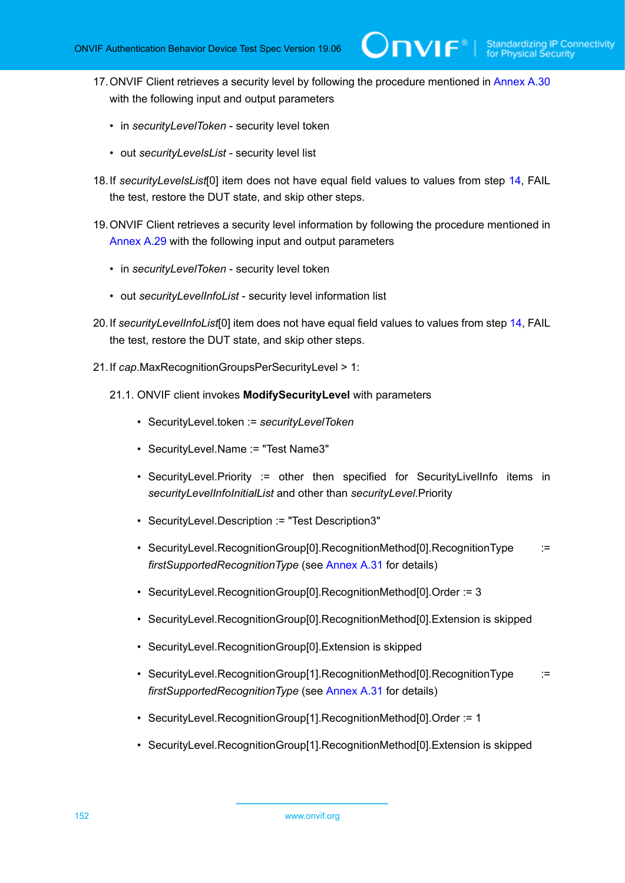17.ONVIF Client retrieves a security level by following the procedure mentioned in [Annex A.30](#page-233-1) with the following input and output parameters

 $\mathsf{D}\mathbf{N}\mathsf{I}\mathsf{F}^\ast$ l

- in *securityLevelToken* security level token
- out *securityLevelsList* security level list
- <span id="page-151-1"></span>18.If *securityLevelsList*[0] item does not have equal field values to values from step [14](#page-150-0), FAIL the test, restore the DUT state, and skip other steps.
- 19.ONVIF Client retrieves a security level information by following the procedure mentioned in [Annex A.29](#page-232-0) with the following input and output parameters
	- in *securityLevelToken* security level token
	- out *securityLevelInfoList* security level information list
- <span id="page-151-2"></span>20.If *securityLevelInfoList*[0] item does not have equal field values to values from step [14](#page-150-0), FAIL the test, restore the DUT state, and skip other steps.
- <span id="page-151-0"></span>21.If *cap*.MaxRecognitionGroupsPerSecurityLevel > 1:
	- 21.1. ONVIF client invokes **ModifySecurityLevel** with parameters
		- SecurityLevel.token := *securityLevelToken*
		- SecurityLevel.Name := "Test Name3"
		- SecurityLevel.Priority := other then specified for SecurityLivelInfo items in *securityLevelInfoInitialList* and other than *securityLevel*.Priority
		- SecurityLevel.Description := "Test Description3"
		- SecurityLevel.RecognitionGroup[0].RecognitionMethod[0].RecognitionType := *firstSupportedRecognitionType* (see [Annex A.31](#page-233-0) for details)
		- SecurityLevel.RecognitionGroup[0].RecognitionMethod[0].Order := 3
		- SecurityLevel.RecognitionGroup[0].RecognitionMethod[0].Extension is skipped
		- SecurityLevel.RecognitionGroup[0].Extension is skipped
		- SecurityLevel.RecognitionGroup[1].RecognitionMethod[0].RecognitionType := *firstSupportedRecognitionType* (see [Annex A.31](#page-233-0) for details)
		- SecurityLevel.RecognitionGroup[1].RecognitionMethod[0].Order := 1
		- SecurityLevel.RecognitionGroup[1].RecognitionMethod[0].Extension is skipped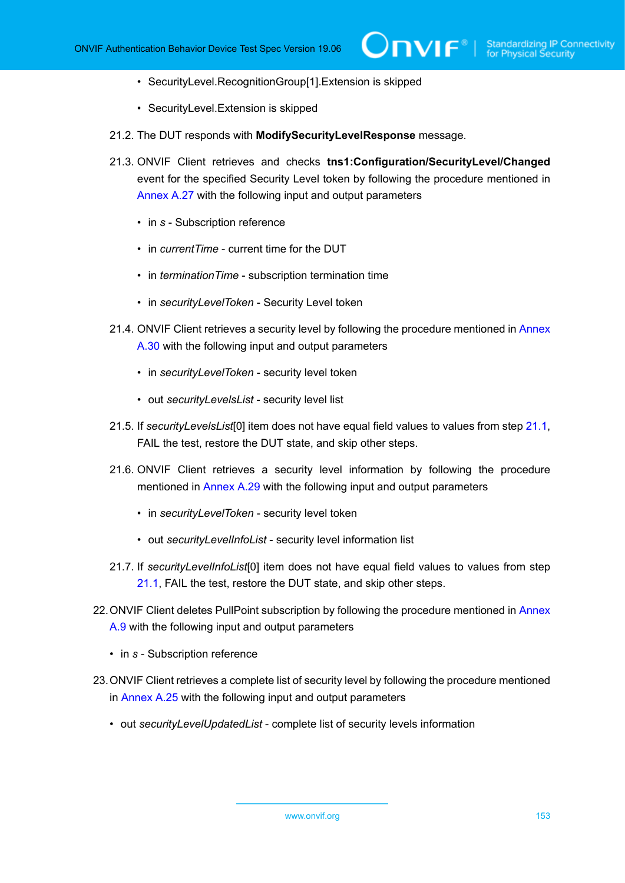- SecurityLevel.RecognitionGroup[1].Extension is skipped
- SecurityLevel.Extension is skipped
- 21.2. The DUT responds with **ModifySecurityLevelResponse** message.
- 21.3. ONVIF Client retrieves and checks **tns1:Configuration/SecurityLevel/Changed** event for the specified Security Level token by following the procedure mentioned in [Annex A.27](#page-230-0) with the following input and output parameters
	- in *s* Subscription reference
	- in *currentTime* current time for the DUT
	- in *terminationTime* subscription termination time
	- in *securityLevelToken* Security Level token
- 21.4. ONVIF Client retrieves a security level by following the procedure mentioned in [Annex](#page-233-1) [A.30](#page-233-1) with the following input and output parameters
	- in *securityLevelToken* security level token
	- out *securityLevelsList* security level list
- <span id="page-152-0"></span>21.5. If *securityLevelsList*[0] item does not have equal field values to values from step [21.1,](#page-151-0) FAIL the test, restore the DUT state, and skip other steps.
- 21.6. ONVIF Client retrieves a security level information by following the procedure mentioned in [Annex A.29](#page-232-0) with the following input and output parameters
	- in *securityLevelToken* security level token
	- out *securityLevelInfoList* security level information list
- <span id="page-152-1"></span>21.7. If *securityLevelInfoList*[0] item does not have equal field values to values from step [21.1](#page-151-0), FAIL the test, restore the DUT state, and skip other steps.
- 22. ONVIF Client deletes PullPoint subscription by following the procedure mentioned in [Annex](#page-213-0) [A.9](#page-213-0) with the following input and output parameters
	- in *s* Subscription reference
- 23.ONVIF Client retrieves a complete list of security level by following the procedure mentioned in [Annex A.25](#page-228-0) with the following input and output parameters
	- out *securityLevelUpdatedList* complete list of security levels information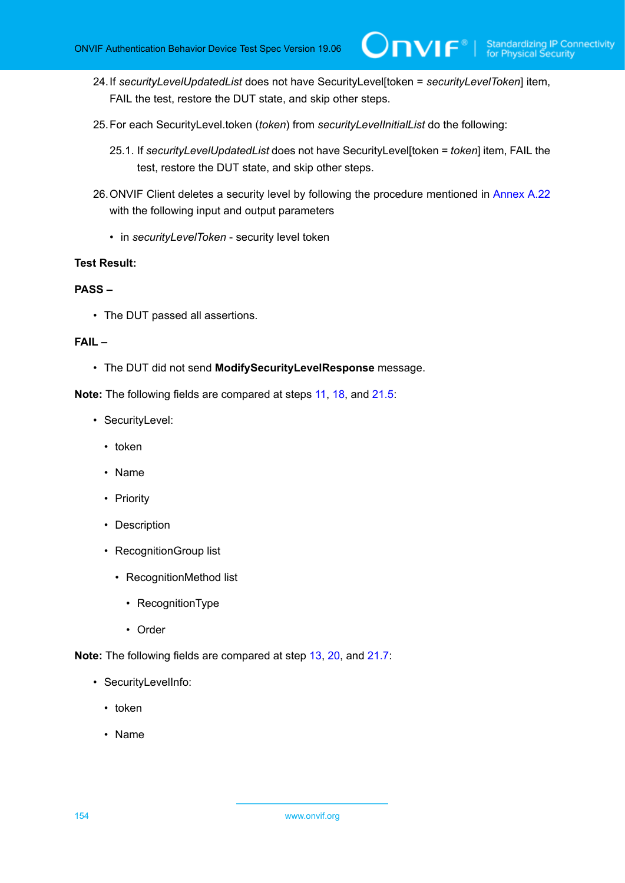24.If *securityLevelUpdatedList* does not have SecurityLevel[token = *securityLevelToken*] item, FAIL the test, restore the DUT state, and skip other steps.

 $\mathsf{Dnv}$ F $^{\circ}$ l

- 25.For each SecurityLevel.token (*token*) from *securityLevelInitialList* do the following:
	- 25.1. If *securityLevelUpdatedList* does not have SecurityLevel[token = *token*] item, FAIL the test, restore the DUT state, and skip other steps.
- 26.ONVIF Client deletes a security level by following the procedure mentioned in [Annex A.22](#page-225-0) with the following input and output parameters
	- in *securityLevelToken* security level token

#### **Test Result:**

#### **PASS –**

• The DUT passed all assertions.

#### **FAIL –**

• The DUT did not send **ModifySecurityLevelResponse** message.

**Note:** The following fields are compared at steps [11,](#page-150-1) [18](#page-151-1), and [21.5](#page-152-0):

- SecurityLevel:
	- token
	- Name
	- Priority
	- Description
	- RecognitionGroup list
		- RecognitionMethod list
			- RecognitionType
			- Order

**Note:** The following fields are compared at step [13](#page-150-2), [20,](#page-151-2) and [21.7:](#page-152-1)

- SecurityLevelInfo:
	- token
	- Name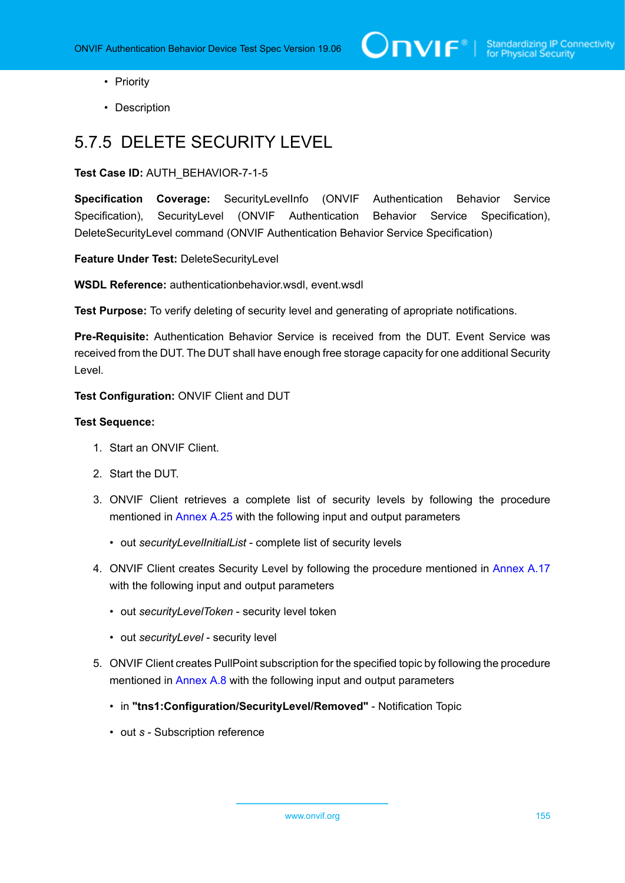- Priority
- Description

# 5.7.5 DELETE SECURITY LEVEL

**Test Case ID:** AUTH\_BEHAVIOR-7-1-5

**Specification Coverage:** SecurityLevelInfo (ONVIF Authentication Behavior Service Specification), SecurityLevel (ONVIF Authentication Behavior Service Specification), DeleteSecurityLevel command (ONVIF Authentication Behavior Service Specification)

**Feature Under Test:** DeleteSecurityLevel

**WSDL Reference:** authenticationbehavior.wsdl, event.wsdl

**Test Purpose:** To verify deleting of security level and generating of apropriate notifications.

**Pre-Requisite:** Authentication Behavior Service is received from the DUT. Event Service was received from the DUT. The DUT shall have enough free storage capacity for one additional Security Level.

**Test Configuration:** ONVIF Client and DUT

- 1. Start an ONVIF Client.
- 2. Start the DUT.
- 3. ONVIF Client retrieves a complete list of security levels by following the procedure mentioned in [Annex A.25](#page-228-0) with the following input and output parameters
	- out *securityLevelInitialList* complete list of security levels
- 4. ONVIF Client creates Security Level by following the procedure mentioned in [Annex A.17](#page-220-0) with the following input and output parameters
	- out *securityLevelToken* security level token
	- out *securityLevel* security level
- 5. ONVIF Client creates PullPoint subscription for the specified topic by following the procedure mentioned in [Annex A.8](#page-212-0) with the following input and output parameters
	- in **"tns1:Configuration/SecurityLevel/Removed"** Notification Topic
	- out *s* Subscription reference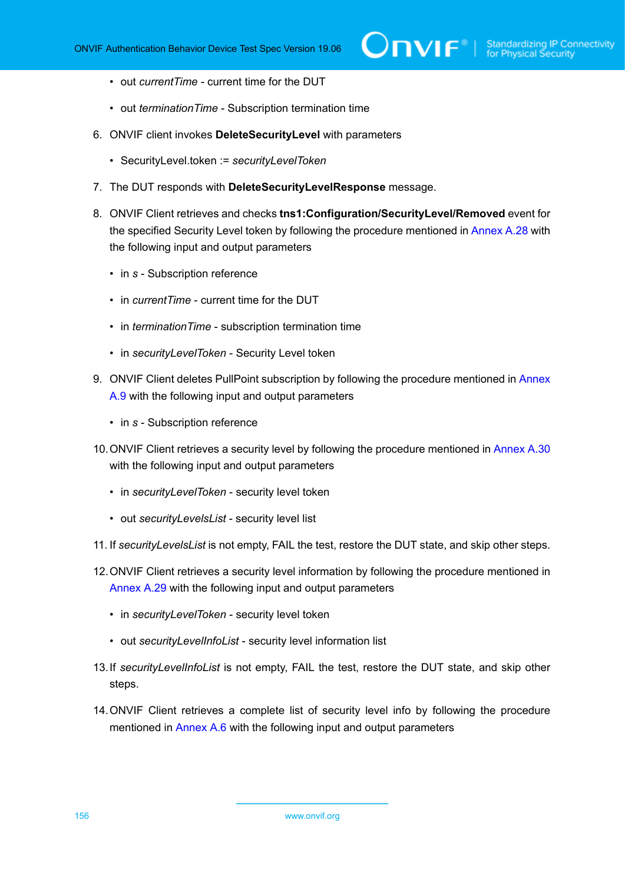- out *currentTime* current time for the DUT
- out *terminationTime* Subscription termination time
- 6. ONVIF client invokes **DeleteSecurityLevel** with parameters
	- SecurityLevel.token := *securityLevelToken*
- 7. The DUT responds with **DeleteSecurityLevelResponse** message.
- 8. ONVIF Client retrieves and checks **tns1:Configuration/SecurityLevel/Removed** event for the specified Security Level token by following the procedure mentioned in [Annex A.28](#page-231-0) with the following input and output parameters
	- in *s* Subscription reference
	- in *currentTime* current time for the DUT
	- in *terminationTime* subscription termination time
	- in *securityLevelToken* Security Level token
- 9. ONVIF Client deletes PullPoint subscription by following the procedure mentioned in [Annex](#page-213-0) [A.9](#page-213-0) with the following input and output parameters
	- in *s* Subscription reference
- 10.ONVIF Client retrieves a security level by following the procedure mentioned in [Annex A.30](#page-233-1) with the following input and output parameters
	- in *securityLevelToken* security level token
	- out *securityLevelsList* security level list
- 11. If *securityLevelsList* is not empty, FAIL the test, restore the DUT state, and skip other steps.
- 12.ONVIF Client retrieves a security level information by following the procedure mentioned in [Annex A.29](#page-232-0) with the following input and output parameters
	- in *securityLevelToken* security level token
	- out *securityLevelInfoList* security level information list
- 13.If *securityLevelInfoList* is not empty, FAIL the test, restore the DUT state, and skip other steps.
- 14.ONVIF Client retrieves a complete list of security level info by following the procedure mentioned in [Annex A.6](#page-210-0) with the following input and output parameters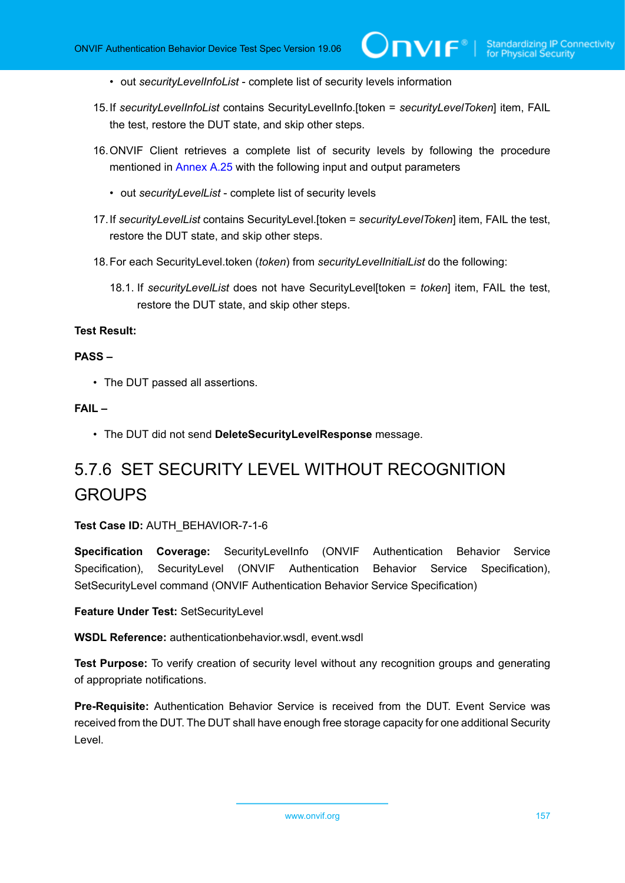- out *securityLevelInfoList* complete list of security levels information
- 15.If *securityLevelInfoList* contains SecurityLevelInfo.[token = *securityLevelToken*] item, FAIL the test, restore the DUT state, and skip other steps.
- 16.ONVIF Client retrieves a complete list of security levels by following the procedure mentioned in [Annex A.25](#page-228-0) with the following input and output parameters
	- out *securityLevelList* complete list of security levels
- 17.If *securityLevelList* contains SecurityLevel.[token = *securityLevelToken*] item, FAIL the test, restore the DUT state, and skip other steps.
- 18.For each SecurityLevel.token (*token*) from *securityLevelInitialList* do the following:
	- 18.1. If *securityLevelList* does not have SecurityLevel[token = *token*] item, FAIL the test, restore the DUT state, and skip other steps.

#### **PASS –**

• The DUT passed all assertions.

### **FAIL –**

• The DUT did not send **DeleteSecurityLevelResponse** message.

# 5.7.6 SET SECURITY LEVEL WITHOUT RECOGNITION **GROUPS**

#### **Test Case ID:** AUTH\_BEHAVIOR-7-1-6

**Specification Coverage:** SecurityLevelInfo (ONVIF Authentication Behavior Service Specification), SecurityLevel (ONVIF Authentication Behavior Service Specification), SetSecurityLevel command (ONVIF Authentication Behavior Service Specification)

**Feature Under Test:** SetSecurityLevel

**WSDL Reference:** authenticationbehavior.wsdl, event.wsdl

**Test Purpose:** To verify creation of security level without any recognition groups and generating of appropriate notifications.

**Pre-Requisite:** Authentication Behavior Service is received from the DUT. Event Service was received from the DUT. The DUT shall have enough free storage capacity for one additional Security Level.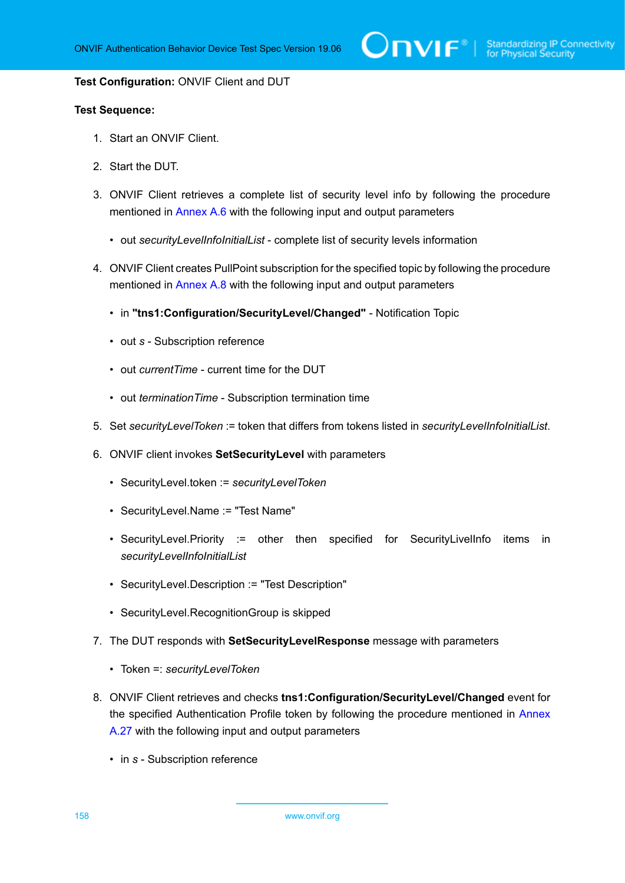#### **Test Configuration:** ONVIF Client and DUT

- 1. Start an ONVIF Client.
- 2. Start the DUT.
- 3. ONVIF Client retrieves a complete list of security level info by following the procedure mentioned in [Annex A.6](#page-210-0) with the following input and output parameters
	- out *securityLevelInfoInitialList* complete list of security levels information
- 4. ONVIF Client creates PullPoint subscription for the specified topic by following the procedure mentioned in [Annex A.8](#page-212-0) with the following input and output parameters
	- in **"tns1:Configuration/SecurityLevel/Changed"** Notification Topic
	- out *s* Subscription reference
	- out *currentTime* current time for the DUT
	- out *terminationTime* Subscription termination time
- 5. Set *securityLevelToken* := token that differs from tokens listed in *securityLevelInfoInitialList*.
- <span id="page-157-0"></span>6. ONVIF client invokes **SetSecurityLevel** with parameters
	- SecurityLevel.token := *securityLevelToken*
	- SecurityLevel.Name := "Test Name"
	- SecurityLevel.Priority := other then specified for SecurityLivelInfo items in *securityLevelInfoInitialList*
	- SecurityLevel.Description := "Test Description"
	- SecurityLevel.RecognitionGroup is skipped
- 7. The DUT responds with **SetSecurityLevelResponse** message with parameters
	- Token =: *securityLevelToken*
- 8. ONVIF Client retrieves and checks **tns1:Configuration/SecurityLevel/Changed** event for the specified Authentication Profile token by following the procedure mentioned in [Annex](#page-230-0) [A.27](#page-230-0) with the following input and output parameters
	- in *s* Subscription reference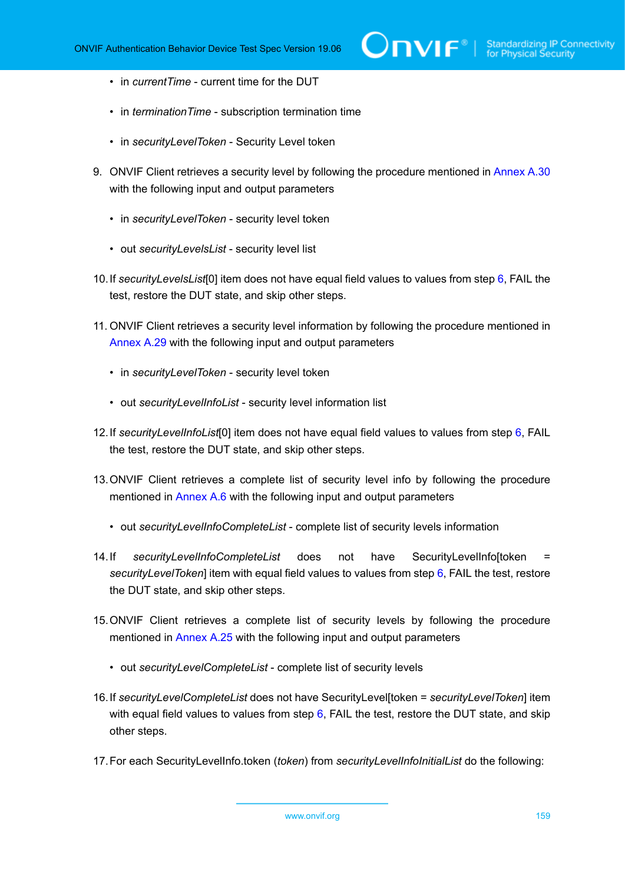- in *currentTime* current time for the DUT
- in *terminationTime* subscription termination time
- in *securityLevelToken* Security Level token
- 9. ONVIF Client retrieves a security level by following the procedure mentioned in [Annex A.30](#page-233-1) with the following input and output parameters
	- in *securityLevelToken* security level token
	- out *securityLevelsList* security level list
- <span id="page-158-0"></span>10.If *securityLevelsList*[0] item does not have equal field values to values from step [6](#page-157-0), FAIL the test, restore the DUT state, and skip other steps.
- 11. ONVIF Client retrieves a security level information by following the procedure mentioned in [Annex A.29](#page-232-0) with the following input and output parameters
	- in *securityLevelToken* security level token
	- out *securityLevelInfoList* security level information list
- <span id="page-158-2"></span>12.If *securityLevelInfoList*[0] item does not have equal field values to values from step [6,](#page-157-0) FAIL the test, restore the DUT state, and skip other steps.
- 13.ONVIF Client retrieves a complete list of security level info by following the procedure mentioned in [Annex A.6](#page-210-0) with the following input and output parameters
	- out *securityLevelInfoCompleteList* complete list of security levels information
- <span id="page-158-1"></span>14.If *securityLevelInfoCompleteList* does not have SecurityLevelInfo[token = *securityLevelToken*] item with equal field values to values from step [6](#page-157-0), FAIL the test, restore the DUT state, and skip other steps.
- 15.ONVIF Client retrieves a complete list of security levels by following the procedure mentioned in [Annex A.25](#page-228-0) with the following input and output parameters
	- out *securityLevelCompleteList* complete list of security levels
- <span id="page-158-3"></span>16.If *securityLevelCompleteList* does not have SecurityLevel[token = *securityLevelToken*] item with equal field values to values from step  $6$ , FAIL the test, restore the DUT state, and skip other steps.
- 17.For each SecurityLevelInfo.token (*token*) from *securityLevelInfoInitialList* do the following: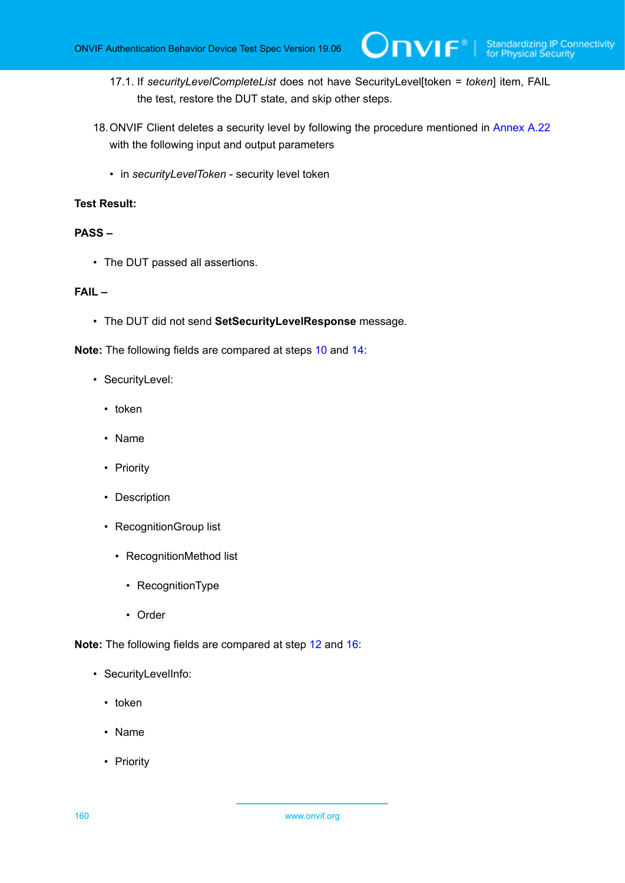- 17.1. If *securityLevelCompleteList* does not have SecurityLevel[token = *token*] item, FAIL the test, restore the DUT state, and skip other steps.
- 18.ONVIF Client deletes a security level by following the procedure mentioned in [Annex A.22](#page-225-0) with the following input and output parameters
	- in *securityLevelToken* security level token

#### **PASS –**

• The DUT passed all assertions.

#### **FAIL –**

• The DUT did not send **SetSecurityLevelResponse** message.

**Note:** The following fields are compared at steps [10](#page-158-0) and [14:](#page-158-1)

- SecurityLevel:
	- token
	- Name
	- Priority
	- Description
	- RecognitionGroup list
		- RecognitionMethod list
			- RecognitionType
			- Order

**Note:** The following fields are compared at step [12](#page-158-2) and [16](#page-158-3):

- SecurityLevelInfo:
	- token
	- Name
	- Priority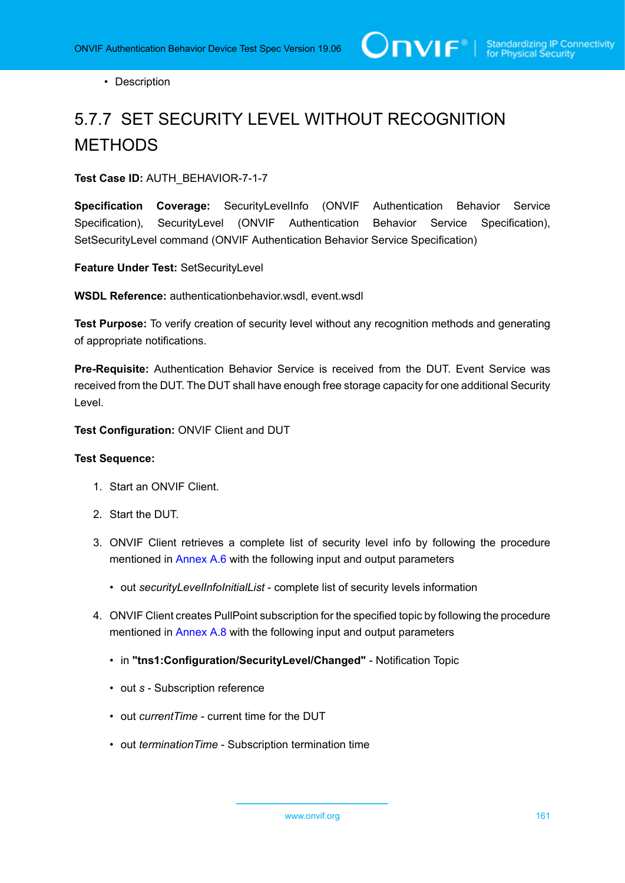• Description

# 5.7.7 SET SECURITY LEVEL WITHOUT RECOGNITION METHODS

**Test Case ID:** AUTH\_BEHAVIOR-7-1-7

**Specification Coverage:** SecurityLevelInfo (ONVIF Authentication Behavior Service Specification), SecurityLevel (ONVIF Authentication Behavior Service Specification), SetSecurityLevel command (ONVIF Authentication Behavior Service Specification)

**Feature Under Test:** SetSecurityLevel

**WSDL Reference:** authenticationbehavior.wsdl, event.wsdl

**Test Purpose:** To verify creation of security level without any recognition methods and generating of appropriate notifications.

**Pre-Requisite:** Authentication Behavior Service is received from the DUT. Event Service was received from the DUT. The DUT shall have enough free storage capacity for one additional Security Level.

**Test Configuration:** ONVIF Client and DUT

- 1. Start an ONVIF Client.
- 2. Start the DUT.
- 3. ONVIF Client retrieves a complete list of security level info by following the procedure mentioned in [Annex A.6](#page-210-0) with the following input and output parameters
	- out *securityLevelInfoInitialList* complete list of security levels information
- 4. ONVIF Client creates PullPoint subscription for the specified topic by following the procedure mentioned in [Annex A.8](#page-212-0) with the following input and output parameters
	- in **"tns1:Configuration/SecurityLevel/Changed"** Notification Topic
	- out *s* Subscription reference
	- out *currentTime* current time for the DUT
	- out *terminationTime* Subscription termination time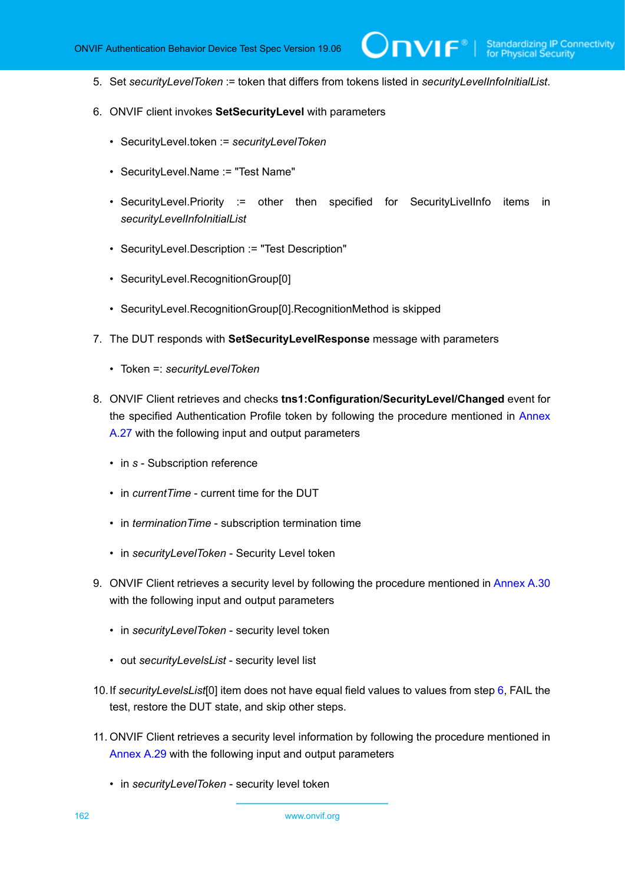5. Set *securityLevelToken* := token that differs from tokens listed in *securityLevelInfoInitialList*.

 $\mathsf{D}\mathbf{N}\mathsf{I}\mathsf{F}^*$ l

- <span id="page-161-0"></span>6. ONVIF client invokes **SetSecurityLevel** with parameters
	- SecurityLevel.token := *securityLevelToken*
	- SecurityLevel.Name := "Test Name"
	- SecurityLevel.Priority := other then specified for SecurityLivelInfo items in *securityLevelInfoInitialList*
	- SecurityLevel.Description := "Test Description"
	- SecurityLevel.RecognitionGroup[0]
	- SecurityLevel.RecognitionGroup[0].RecognitionMethod is skipped
- 7. The DUT responds with **SetSecurityLevelResponse** message with parameters
	- Token =: *securityLevelToken*
- 8. ONVIF Client retrieves and checks **tns1:Configuration/SecurityLevel/Changed** event for the specified Authentication Profile token by following the procedure mentioned in [Annex](#page-230-0) [A.27](#page-230-0) with the following input and output parameters
	- in *s* Subscription reference
	- in *currentTime* current time for the DUT
	- in *terminationTime* subscription termination time
	- in *securityLevelToken* Security Level token
- 9. ONVIF Client retrieves a security level by following the procedure mentioned in [Annex A.30](#page-233-1) with the following input and output parameters
	- in *securityLevelToken* security level token
	- out *securityLevelsList* security level list
- <span id="page-161-1"></span>10.If *securityLevelsList*[0] item does not have equal field values to values from step [6](#page-161-0), FAIL the test, restore the DUT state, and skip other steps.
- 11. ONVIF Client retrieves a security level information by following the procedure mentioned in [Annex A.29](#page-232-0) with the following input and output parameters
	- in *securityLevelToken* security level token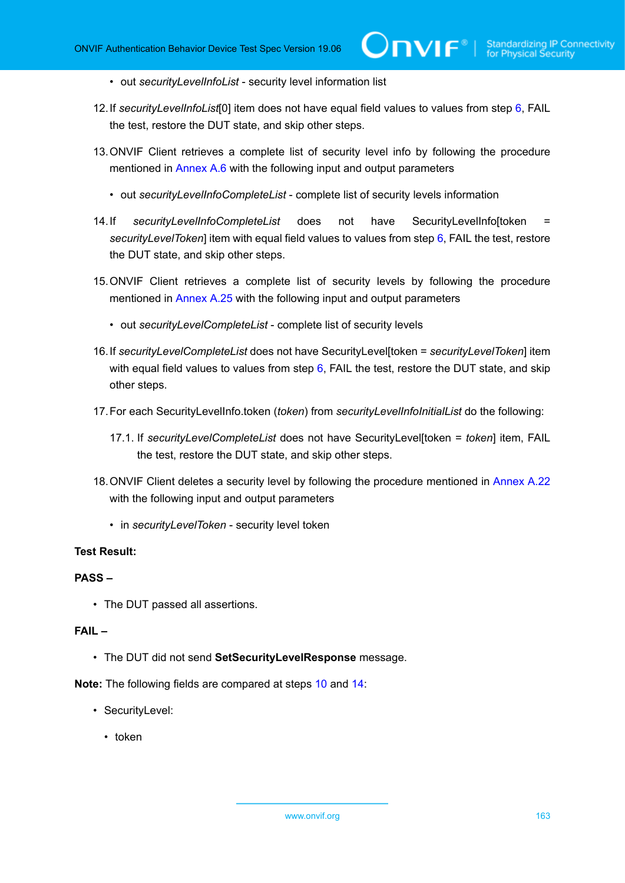- out *securityLevelInfoList* security level information list
- <span id="page-162-1"></span>12.If *securityLevelInfoList*[0] item does not have equal field values to values from step [6,](#page-161-0) FAIL the test, restore the DUT state, and skip other steps.
- 13.ONVIF Client retrieves a complete list of security level info by following the procedure mentioned in [Annex A.6](#page-210-0) with the following input and output parameters
	- out *securityLevelInfoCompleteList* complete list of security levels information
- <span id="page-162-0"></span>14.If *securityLevelInfoCompleteList* does not have SecurityLevelInfo[token = *securityLevelToken*] item with equal field values to values from step [6](#page-161-0), FAIL the test, restore the DUT state, and skip other steps.
- 15.ONVIF Client retrieves a complete list of security levels by following the procedure mentioned in [Annex A.25](#page-228-0) with the following input and output parameters
	- out *securityLevelCompleteList* complete list of security levels
- <span id="page-162-2"></span>16.If *securityLevelCompleteList* does not have SecurityLevel[token = *securityLevelToken*] item with equal field values to values from step  $6$ , FAIL the test, restore the DUT state, and skip other steps.
- 17.For each SecurityLevelInfo.token (*token*) from *securityLevelInfoInitialList* do the following:
	- 17.1. If *securityLevelCompleteList* does not have SecurityLevel[token = *token*] item, FAIL the test, restore the DUT state, and skip other steps.
- 18.ONVIF Client deletes a security level by following the procedure mentioned in [Annex A.22](#page-225-0) with the following input and output parameters
	- in *securityLevelToken* security level token

#### **PASS –**

• The DUT passed all assertions.

## **FAIL –**

• The DUT did not send **SetSecurityLevelResponse** message.

**Note:** The following fields are compared at steps [10](#page-161-1) and [14:](#page-162-0)

- SecurityLevel:
	- token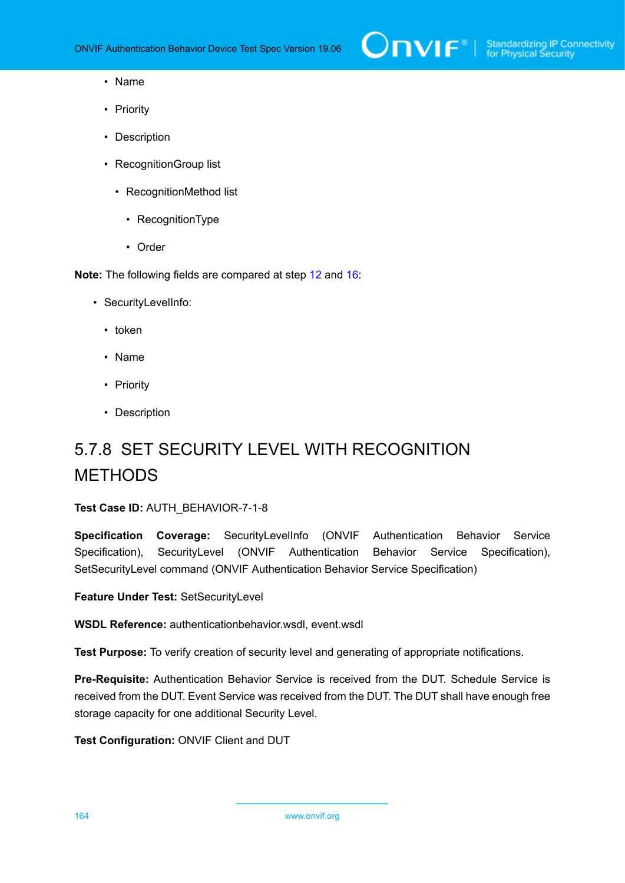- Name
- Priority
- Description
- RecognitionGroup list
	- RecognitionMethod list
		- RecognitionType
		- Order

**Note:** The following fields are compared at step [12](#page-162-1) and [16](#page-162-2):

- SecurityLevelInfo:
	- token
	- Name
	- Priority
	- Description

# 5.7.8 SET SECURITY LEVEL WITH RECOGNITION **METHODS**

**Test Case ID:** AUTH\_BEHAVIOR-7-1-8

**Specification Coverage:** SecurityLevelInfo (ONVIF Authentication Behavior Service Specification), SecurityLevel (ONVIF Authentication Behavior Service Specification), SetSecurityLevel command (ONVIF Authentication Behavior Service Specification)

**Feature Under Test:** SetSecurityLevel

**WSDL Reference:** authenticationbehavior.wsdl, event.wsdl

**Test Purpose:** To verify creation of security level and generating of appropriate notifications.

**Pre-Requisite:** Authentication Behavior Service is received from the DUT. Schedule Service is received from the DUT. Event Service was received from the DUT. The DUT shall have enough free storage capacity for one additional Security Level.

**Test Configuration:** ONVIF Client and DUT

164 www.onvif.org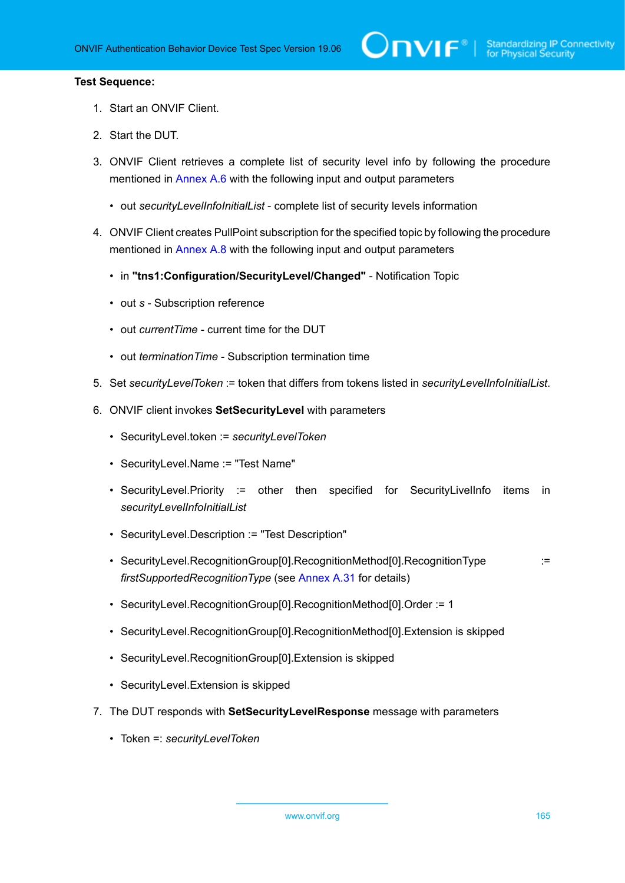- 1. Start an ONVIF Client.
- 2. Start the DUT.
- 3. ONVIF Client retrieves a complete list of security level info by following the procedure mentioned in [Annex A.6](#page-210-0) with the following input and output parameters
	- out *securityLevelInfoInitialList* complete list of security levels information
- 4. ONVIF Client creates PullPoint subscription for the specified topic by following the procedure mentioned in [Annex A.8](#page-212-0) with the following input and output parameters
	- in **"tns1:Configuration/SecurityLevel/Changed"** Notification Topic
	- out *s* Subscription reference
	- out *currentTime* current time for the DUT
	- out *terminationTime* Subscription termination time
- 5. Set *securityLevelToken* := token that differs from tokens listed in *securityLevelInfoInitialList*.
- <span id="page-164-0"></span>6. ONVIF client invokes **SetSecurityLevel** with parameters
	- SecurityLevel.token := *securityLevelToken*
	- SecurityLevel.Name := "Test Name"
	- SecurityLevel.Priority := other then specified for SecurityLivelInfo items in *securityLevelInfoInitialList*
	- SecurityLevel.Description := "Test Description"
	- SecurityLevel.RecognitionGroup[0].RecognitionMethod[0].RecognitionType := *firstSupportedRecognitionType* (see [Annex A.31](#page-233-0) for details)
	- SecurityLevel.RecognitionGroup[0].RecognitionMethod[0].Order := 1
	- SecurityLevel.RecognitionGroup[0].RecognitionMethod[0].Extension is skipped
	- SecurityLevel.RecognitionGroup[0].Extension is skipped
	- SecurityLevel.Extension is skipped
- 7. The DUT responds with **SetSecurityLevelResponse** message with parameters
	- Token =: *securityLevelToken*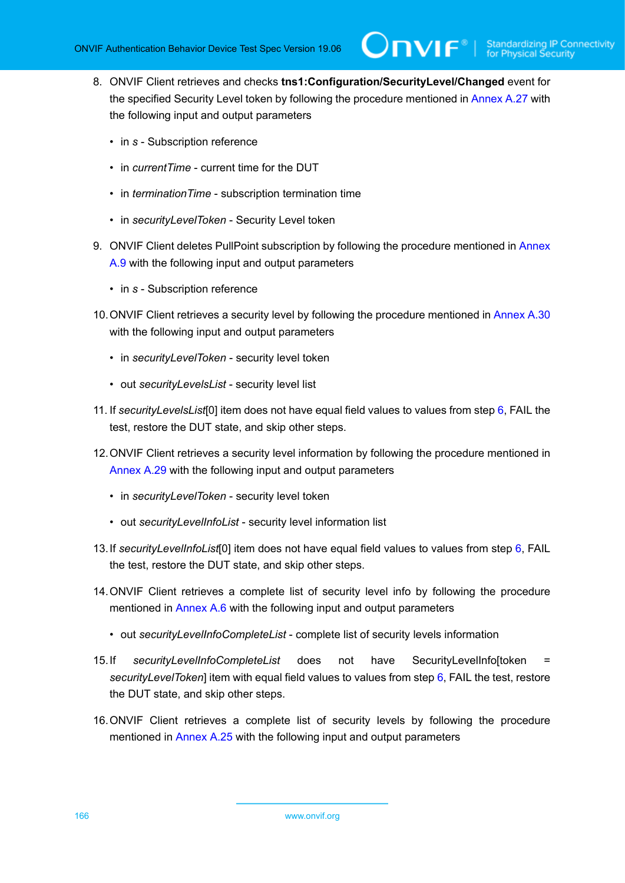- 8. ONVIF Client retrieves and checks **tns1:Configuration/SecurityLevel/Changed** event for the specified Security Level token by following the procedure mentioned in [Annex A.27](#page-230-0) with the following input and output parameters
	- in *s* Subscription reference
	- in *currentTime* current time for the DUT
	- in *terminationTime* subscription termination time
	- in *securityLevelToken* Security Level token
- 9. ONVIF Client deletes PullPoint subscription by following the procedure mentioned in [Annex](#page-213-0) [A.9](#page-213-0) with the following input and output parameters
	- in *s* Subscription reference
- 10.ONVIF Client retrieves a security level by following the procedure mentioned in [Annex A.30](#page-233-1) with the following input and output parameters
	- in *securityLevelToken* security level token
	- out *securityLevelsList* security level list
- <span id="page-165-0"></span>11. If *securityLevelsList*[0] item does not have equal field values to values from step [6](#page-164-0), FAIL the test, restore the DUT state, and skip other steps.
- 12.ONVIF Client retrieves a security level information by following the procedure mentioned in [Annex A.29](#page-232-0) with the following input and output parameters
	- in *securityLevelToken* security level token
	- out *securityLevelInfoList* security level information list
- <span id="page-165-2"></span>13.If *securityLevelInfoList*[0] item does not have equal field values to values from step [6,](#page-164-0) FAIL the test, restore the DUT state, and skip other steps.
- 14.ONVIF Client retrieves a complete list of security level info by following the procedure mentioned in [Annex A.6](#page-210-0) with the following input and output parameters
	- out *securityLevelInfoCompleteList* complete list of security levels information
- <span id="page-165-1"></span>15.If *securityLevelInfoCompleteList* does not have SecurityLevelInfo[token *securityLevelToken*] item with equal field values to values from step [6](#page-164-0), FAIL the test, restore the DUT state, and skip other steps.
- 16.ONVIF Client retrieves a complete list of security levels by following the procedure mentioned in [Annex A.25](#page-228-0) with the following input and output parameters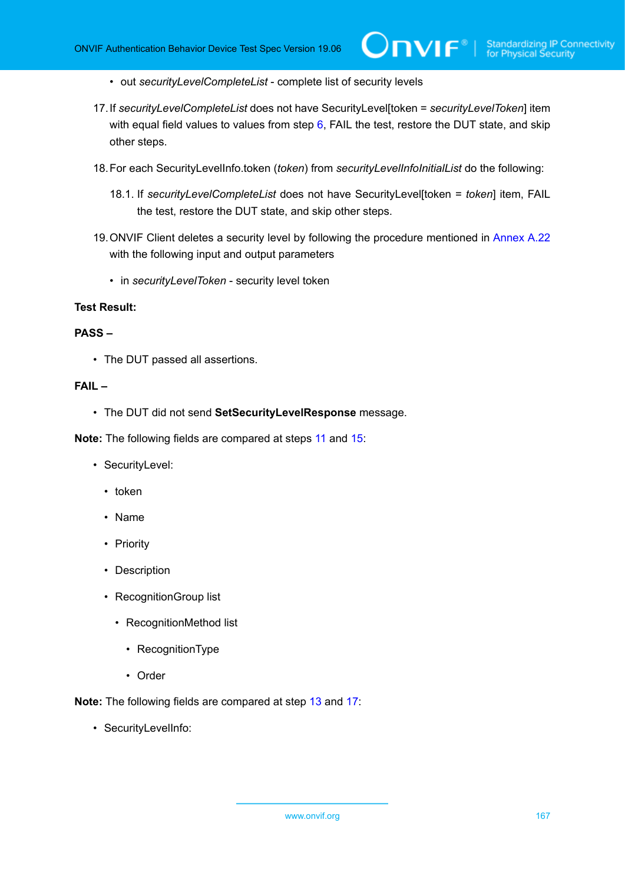- out *securityLevelCompleteList* complete list of security levels
- <span id="page-166-0"></span>17.If *securityLevelCompleteList* does not have SecurityLevel[token = *securityLevelToken*] item with equal field values to values from step  $6$ , FAIL the test, restore the DUT state, and skip other steps.
- 18.For each SecurityLevelInfo.token (*token*) from *securityLevelInfoInitialList* do the following:
	- 18.1. If *securityLevelCompleteList* does not have SecurityLevel[token = *token*] item, FAIL the test, restore the DUT state, and skip other steps.
- 19.ONVIF Client deletes a security level by following the procedure mentioned in [Annex A.22](#page-225-0) with the following input and output parameters
	- in *securityLevelToken* security level token

#### **PASS –**

• The DUT passed all assertions.

#### **FAIL –**

• The DUT did not send **SetSecurityLevelResponse** message.

**Note:** The following fields are compared at steps [11](#page-165-0) and [15:](#page-165-1)

- SecurityLevel:
	- token
	- Name
	- Priority
	- Description
	- RecognitionGroup list
		- RecognitionMethod list
			- RecognitionType
			- Order

**Note:** The following fields are compared at step [13](#page-165-2) and [17](#page-166-0):

• SecurityLevelInfo: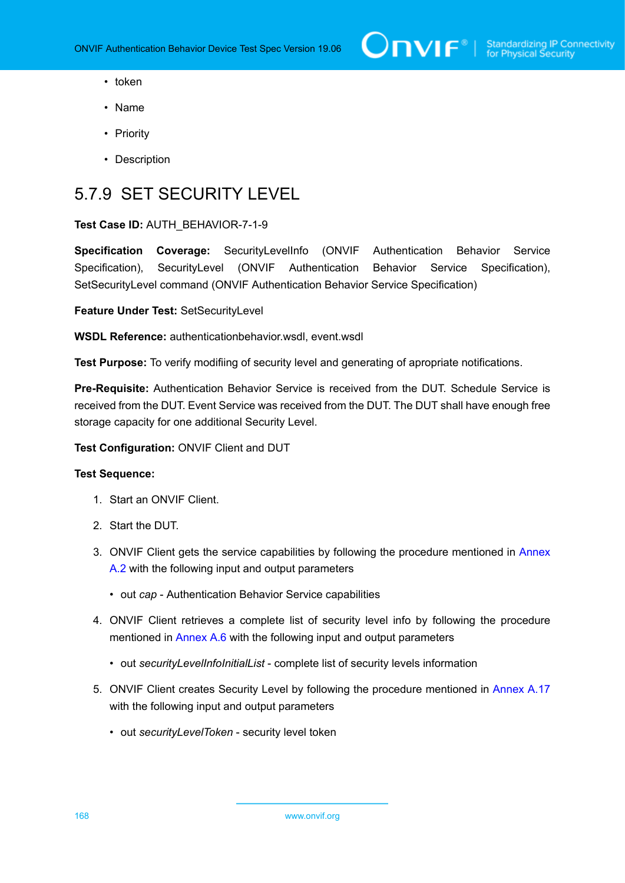- token
- Name
- Priority
- Description

# 5.7.9 SET SECURITY LEVEL

### **Test Case ID:** AUTH\_BEHAVIOR-7-1-9

**Specification Coverage:** SecurityLevelInfo (ONVIF Authentication Behavior Service Specification), SecurityLevel (ONVIF Authentication Behavior Service Specification), SetSecurityLevel command (ONVIF Authentication Behavior Service Specification)

**Feature Under Test:** SetSecurityLevel

**WSDL Reference:** authenticationbehavior.wsdl, event.wsdl

**Test Purpose:** To verify modifiing of security level and generating of apropriate notifications.

**Pre-Requisite:** Authentication Behavior Service is received from the DUT. Schedule Service is received from the DUT. Event Service was received from the DUT. The DUT shall have enough free storage capacity for one additional Security Level.

**Test Configuration:** ONVIF Client and DUT

- 1. Start an ONVIF Client.
- 2. Start the DUT.
- 3. ONVIF Client gets the service capabilities by following the procedure mentioned in [Annex](#page-205-0) [A.2](#page-205-0) with the following input and output parameters
	- out *cap* Authentication Behavior Service capabilities
- 4. ONVIF Client retrieves a complete list of security level info by following the procedure mentioned in [Annex A.6](#page-210-0) with the following input and output parameters
	- out *securityLevelInfoInitialList* complete list of security levels information
- 5. ONVIF Client creates Security Level by following the procedure mentioned in [Annex A.17](#page-220-0) with the following input and output parameters
	- out *securityLevelToken* security level token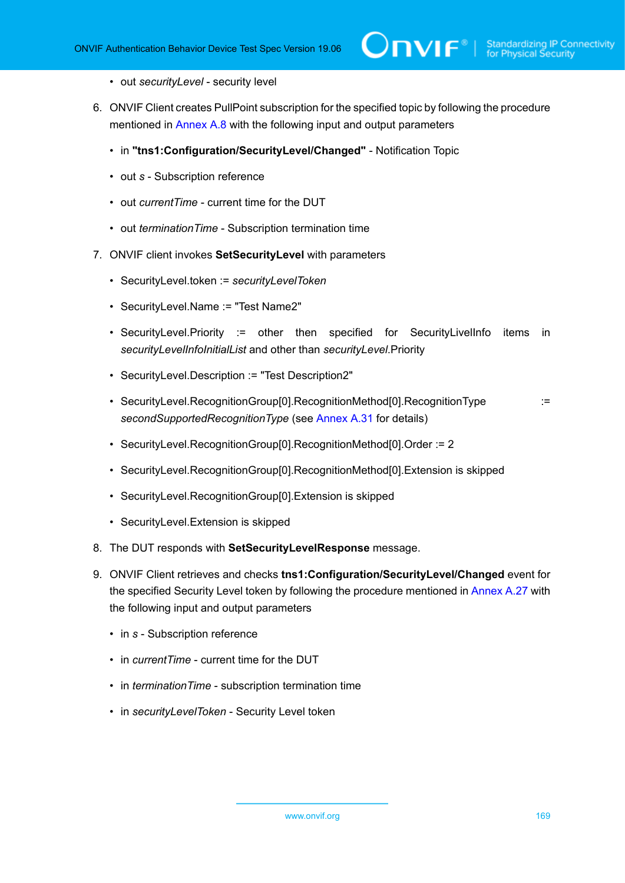- out *securityLevel* security level
- 6. ONVIF Client creates PullPoint subscription for the specified topic by following the procedure mentioned in [Annex A.8](#page-212-0) with the following input and output parameters
	- in **"tns1:Configuration/SecurityLevel/Changed"** Notification Topic
	- out *s* Subscription reference
	- out *currentTime* current time for the DUT
	- out *terminationTime* Subscription termination time
- <span id="page-168-0"></span>7. ONVIF client invokes **SetSecurityLevel** with parameters
	- SecurityLevel.token := *securityLevelToken*
	- SecurityLevel.Name := "Test Name2"
	- SecurityLevel.Priority := other then specified for SecurityLivelInfo items in *securityLevelInfoInitialList* and other than *securityLevel*.Priority
	- SecurityLevel.Description := "Test Description2"
	- SecurityLevel.RecognitionGroup[0].RecognitionMethod[0].RecognitionType := *secondSupportedRecognitionType* (see [Annex A.31](#page-233-0) for details)
	- SecurityLevel.RecognitionGroup[0].RecognitionMethod[0].Order := 2
	- SecurityLevel.RecognitionGroup[0].RecognitionMethod[0].Extension is skipped
	- SecurityLevel.RecognitionGroup[0].Extension is skipped
	- SecurityLevel.Extension is skipped
- 8. The DUT responds with **SetSecurityLevelResponse** message.
- 9. ONVIF Client retrieves and checks **tns1:Configuration/SecurityLevel/Changed** event for the specified Security Level token by following the procedure mentioned in [Annex A.27](#page-230-0) with the following input and output parameters
	- in *s* Subscription reference
	- in *currentTime* current time for the DUT
	- in *terminationTime* subscription termination time
	- in *securityLevelToken* Security Level token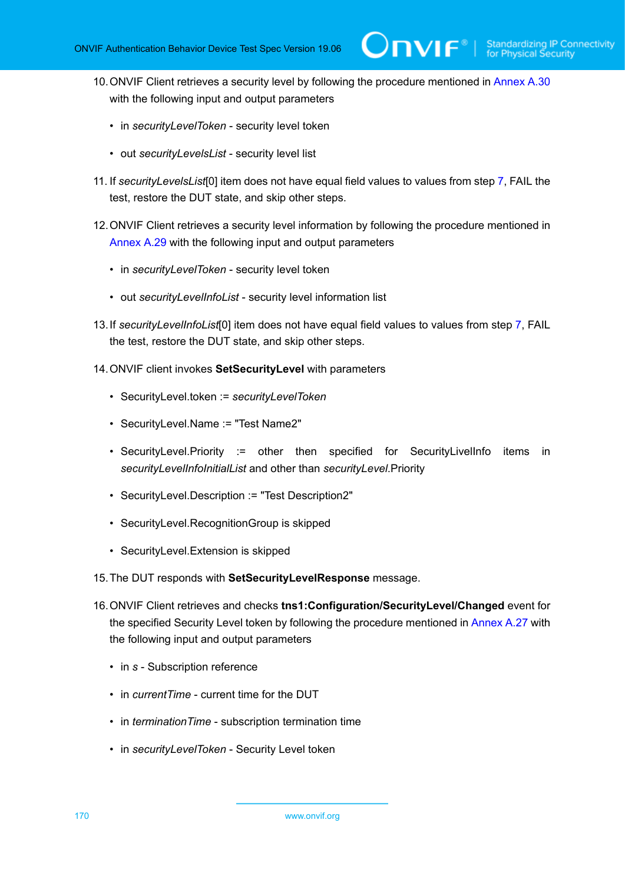- 10.ONVIF Client retrieves a security level by following the procedure mentioned in [Annex A.30](#page-233-1) with the following input and output parameters
	- in *securityLevelToken* security level token
	- out *securityLevelsList* security level list
- <span id="page-169-1"></span>11. If *securityLevelsList*[0] item does not have equal field values to values from step [7](#page-168-0), FAIL the test, restore the DUT state, and skip other steps.
- 12.ONVIF Client retrieves a security level information by following the procedure mentioned in [Annex A.29](#page-232-0) with the following input and output parameters
	- in *securityLevelToken* security level token
	- out *securityLevelInfoList* security level information list
- <span id="page-169-2"></span>13.If *securityLevelInfoList*[0] item does not have equal field values to values from step [7,](#page-168-0) FAIL the test, restore the DUT state, and skip other steps.
- <span id="page-169-0"></span>14.ONVIF client invokes **SetSecurityLevel** with parameters
	- SecurityLevel.token := *securityLevelToken*
	- SecurityLevel.Name := "Test Name2"
	- SecurityLevel.Priority := other then specified for SecurityLivelInfo items in *securityLevelInfoInitialList* and other than *securityLevel*.Priority
	- SecurityLevel.Description := "Test Description2"
	- SecurityLevel.RecognitionGroup is skipped
	- SecurityLevel.Extension is skipped
- 15.The DUT responds with **SetSecurityLevelResponse** message.
- 16.ONVIF Client retrieves and checks **tns1:Configuration/SecurityLevel/Changed** event for the specified Security Level token by following the procedure mentioned in [Annex A.27](#page-230-0) with the following input and output parameters
	- in *s* Subscription reference
	- in *currentTime* current time for the DUT
	- in *terminationTime* subscription termination time
	- in *securityLevelToken* Security Level token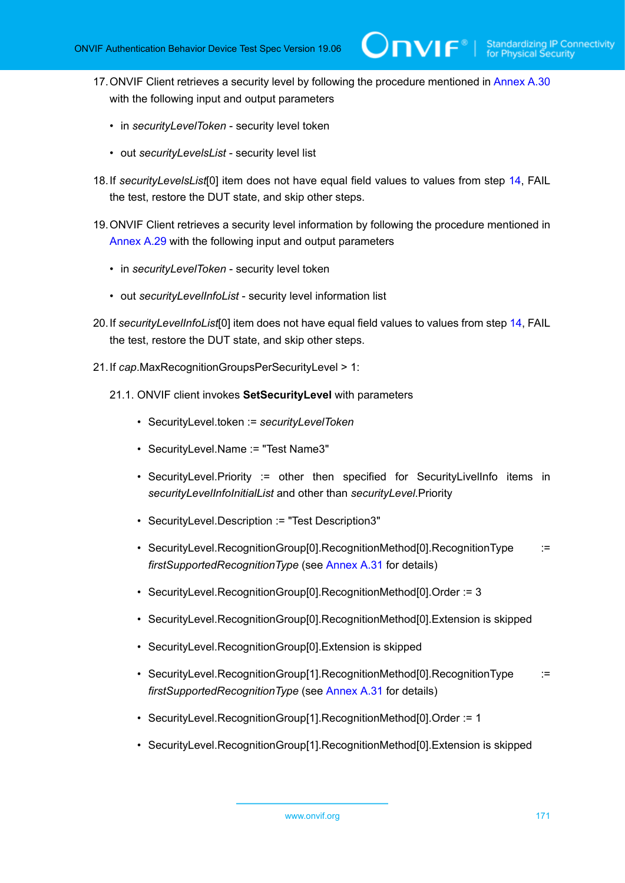- 17.ONVIF Client retrieves a security level by following the procedure mentioned in [Annex A.30](#page-233-1) with the following input and output parameters
	- in *securityLevelToken* security level token
	- out *securityLevelsList* security level list
- <span id="page-170-1"></span>18.If *securityLevelsList*[0] item does not have equal field values to values from step [14](#page-169-0), FAIL the test, restore the DUT state, and skip other steps.
- 19.ONVIF Client retrieves a security level information by following the procedure mentioned in [Annex A.29](#page-232-0) with the following input and output parameters
	- in *securityLevelToken* security level token
	- out *securityLevelInfoList* security level information list
- <span id="page-170-2"></span>20.If *securityLevelInfoList*[0] item does not have equal field values to values from step [14](#page-169-0), FAIL the test, restore the DUT state, and skip other steps.
- <span id="page-170-0"></span>21.If *cap*.MaxRecognitionGroupsPerSecurityLevel > 1:
	- 21.1. ONVIF client invokes **SetSecurityLevel** with parameters
		- SecurityLevel.token := *securityLevelToken*
		- SecurityLevel.Name := "Test Name3"
		- SecurityLevel.Priority := other then specified for SecurityLivelInfo items in *securityLevelInfoInitialList* and other than *securityLevel*.Priority
		- SecurityLevel.Description := "Test Description3"
		- SecurityLevel.RecognitionGroup[0].RecognitionMethod[0].RecognitionType := *firstSupportedRecognitionType* (see [Annex A.31](#page-233-0) for details)
		- SecurityLevel.RecognitionGroup[0].RecognitionMethod[0].Order := 3
		- SecurityLevel.RecognitionGroup[0].RecognitionMethod[0].Extension is skipped
		- SecurityLevel.RecognitionGroup[0].Extension is skipped
		- SecurityLevel.RecognitionGroup[1].RecognitionMethod[0].RecognitionType := *firstSupportedRecognitionType* (see [Annex A.31](#page-233-0) for details)
		- SecurityLevel.RecognitionGroup[1].RecognitionMethod[0].Order := 1
		- SecurityLevel.RecognitionGroup[1].RecognitionMethod[0].Extension is skipped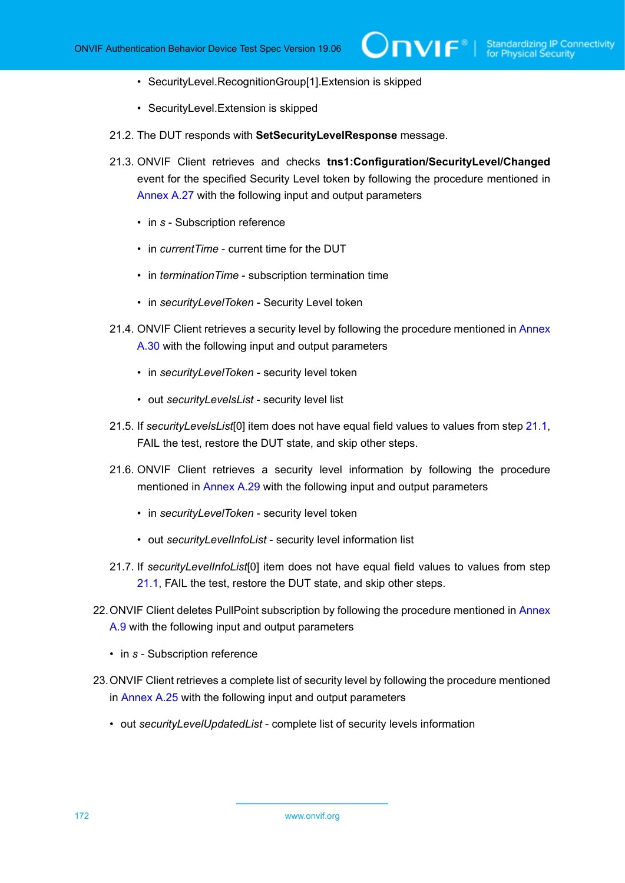- SecurityLevel.RecognitionGroup[1].Extension is skipped
- SecurityLevel.Extension is skipped
- 21.2. The DUT responds with **SetSecurityLevelResponse** message.
- 21.3. ONVIF Client retrieves and checks **tns1:Configuration/SecurityLevel/Changed** event for the specified Security Level token by following the procedure mentioned in [Annex A.27](#page-230-0) with the following input and output parameters
	- in *s* Subscription reference
	- in *currentTime* current time for the DUT
	- in *terminationTime* subscription termination time
	- in *securityLevelToken* Security Level token
- 21.4. ONVIF Client retrieves a security level by following the procedure mentioned in [Annex](#page-233-1) [A.30](#page-233-1) with the following input and output parameters
	- in *securityLevelToken* security level token
	- out *securityLevelsList* security level list
- <span id="page-171-0"></span>21.5. If *securityLevelsList*[0] item does not have equal field values to values from step [21.1,](#page-170-0) FAIL the test, restore the DUT state, and skip other steps.
- 21.6. ONVIF Client retrieves a security level information by following the procedure mentioned in [Annex A.29](#page-232-0) with the following input and output parameters
	- in *securityLevelToken* security level token
	- out *securityLevelInfoList* security level information list
- <span id="page-171-1"></span>21.7. If *securityLevelInfoList*[0] item does not have equal field values to values from step [21.1](#page-170-0), FAIL the test, restore the DUT state, and skip other steps.
- 22. ONVIF Client deletes PullPoint subscription by following the procedure mentioned in [Annex](#page-213-0) [A.9](#page-213-0) with the following input and output parameters
	- in *s* Subscription reference
- 23.ONVIF Client retrieves a complete list of security level by following the procedure mentioned in [Annex A.25](#page-228-0) with the following input and output parameters
	- out *securityLevelUpdatedList* complete list of security levels information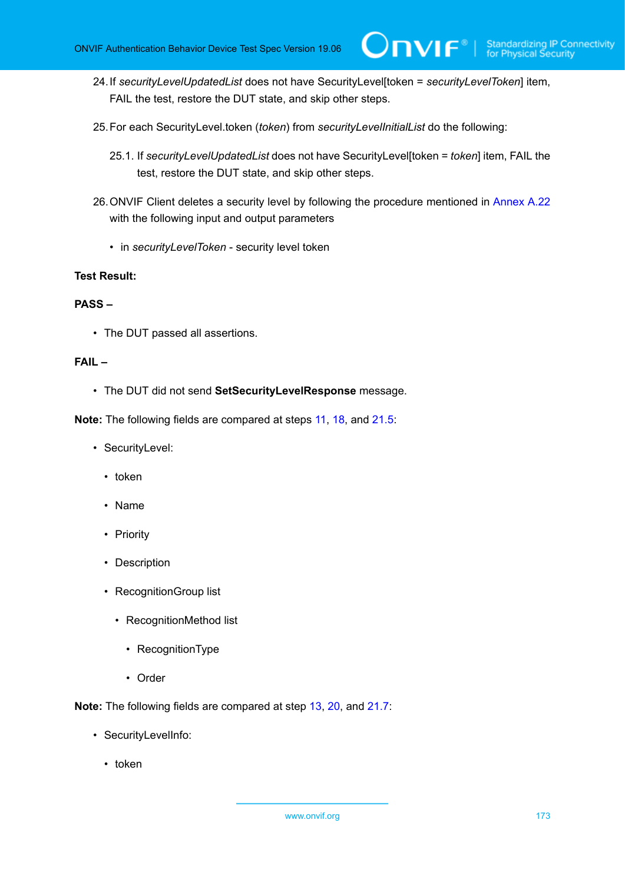24.If *securityLevelUpdatedList* does not have SecurityLevel[token = *securityLevelToken*] item, FAIL the test, restore the DUT state, and skip other steps.

 $\mathsf{Dnvir}^*$  i

- 25.For each SecurityLevel.token (*token*) from *securityLevelInitialList* do the following:
	- 25.1. If *securityLevelUpdatedList* does not have SecurityLevel[token = *token*] item, FAIL the test, restore the DUT state, and skip other steps.
- 26.ONVIF Client deletes a security level by following the procedure mentioned in [Annex A.22](#page-225-0) with the following input and output parameters
	- in *securityLevelToken* security level token

## **Test Result:**

### **PASS –**

• The DUT passed all assertions.

#### **FAIL –**

• The DUT did not send **SetSecurityLevelResponse** message.

**Note:** The following fields are compared at steps [11,](#page-169-1) [18](#page-170-1), and [21.5](#page-171-0):

- SecurityLevel:
	- token
	- Name
	- Priority
	- Description
	- RecognitionGroup list
		- RecognitionMethod list
			- RecognitionType
			- Order

**Note:** The following fields are compared at step [13](#page-169-2), [20,](#page-170-2) and [21.7:](#page-171-1)

- SecurityLevelInfo:
	- token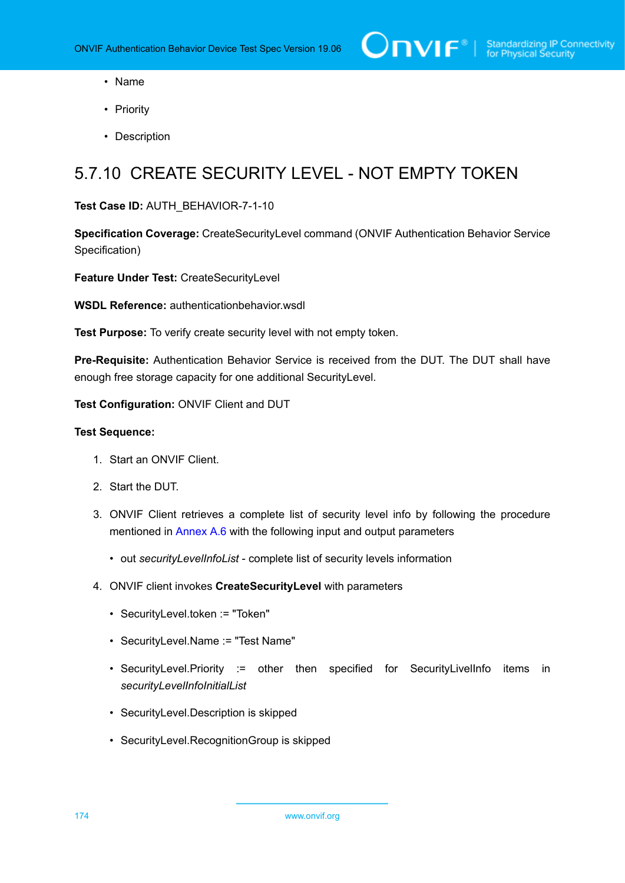- Name
- Priority
- Description

# 5.7.10 CREATE SECURITY LEVEL - NOT EMPTY TOKEN

#### **Test Case ID:** AUTH\_BEHAVIOR-7-1-10

**Specification Coverage:** CreateSecurityLevel command (ONVIF Authentication Behavior Service Specification)

**Feature Under Test:** CreateSecurityLevel

**WSDL Reference:** authenticationbehavior.wsdl

**Test Purpose:** To verify create security level with not empty token.

**Pre-Requisite:** Authentication Behavior Service is received from the DUT. The DUT shall have enough free storage capacity for one additional SecurityLevel.

**Test Configuration:** ONVIF Client and DUT

- 1. Start an ONVIF Client.
- 2. Start the DUT.
- 3. ONVIF Client retrieves a complete list of security level info by following the procedure mentioned in [Annex A.6](#page-210-0) with the following input and output parameters
	- out *securityLevelInfoList* complete list of security levels information
- 4. ONVIF client invokes **CreateSecurityLevel** with parameters
	- SecurityLevel.token := "Token"
	- SecurityLevel.Name := "Test Name"
	- SecurityLevel.Priority := other then specified for SecurityLivelInfo items in *securityLevelInfoInitialList*
	- SecurityLevel.Description is skipped
	- SecurityLevel.RecognitionGroup is skipped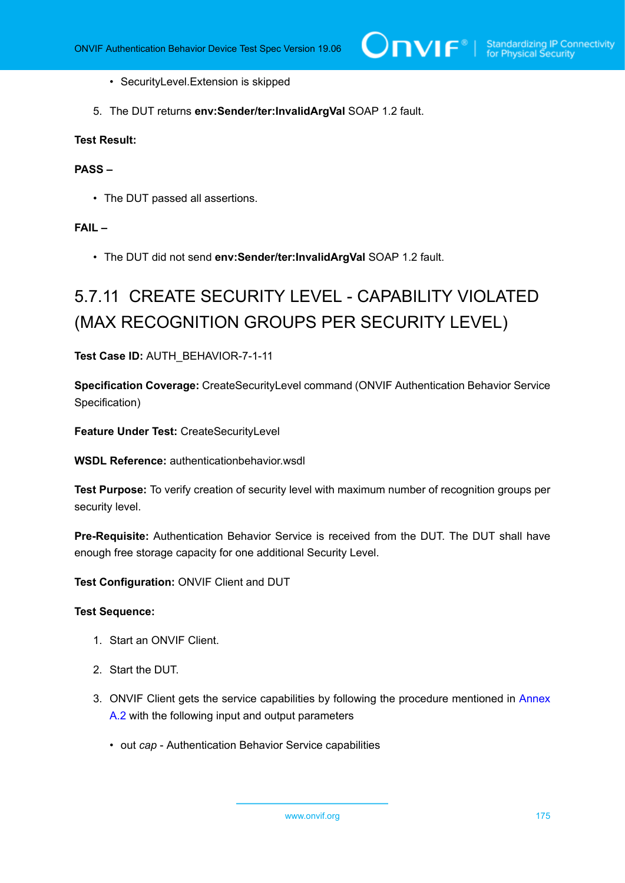- SecurityLevel.Extension is skipped
- 5. The DUT returns **env:Sender/ter:InvalidArgVal** SOAP 1.2 fault.

## **PASS –**

• The DUT passed all assertions.

# **FAIL –**

• The DUT did not send **env:Sender/ter:InvalidArgVal** SOAP 1.2 fault.

# 5.7.11 CREATE SECURITY LEVEL - CAPABILITY VIOLATED (MAX RECOGNITION GROUPS PER SECURITY LEVEL)

#### **Test Case ID:** AUTH\_BEHAVIOR-7-1-11

**Specification Coverage:** CreateSecurityLevel command (ONVIF Authentication Behavior Service Specification)

**Feature Under Test:** CreateSecurityLevel

**WSDL Reference:** authenticationbehavior.wsdl

**Test Purpose:** To verify creation of security level with maximum number of recognition groups per security level.

**Pre-Requisite:** Authentication Behavior Service is received from the DUT. The DUT shall have enough free storage capacity for one additional Security Level.

**Test Configuration:** ONVIF Client and DUT

- 1. Start an ONVIF Client.
- 2. Start the DUT.
- 3. ONVIF Client gets the service capabilities by following the procedure mentioned in [Annex](#page-205-0) [A.2](#page-205-0) with the following input and output parameters
	- out *cap* Authentication Behavior Service capabilities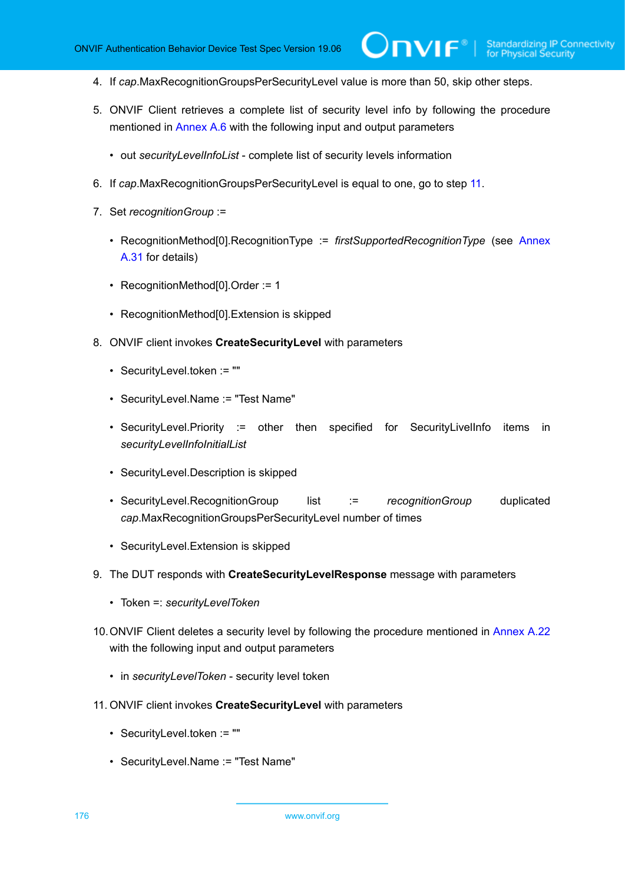- 4. If *cap*.MaxRecognitionGroupsPerSecurityLevel value is more than 50, skip other steps.
- 5. ONVIF Client retrieves a complete list of security level info by following the procedure mentioned in [Annex A.6](#page-210-0) with the following input and output parameters

 $\mathsf{J}\mathsf{N}\mathsf{N}\mathsf{F}^\ast$  .

- out *securityLevelInfoList* complete list of security levels information
- 6. If *cap*.MaxRecognitionGroupsPerSecurityLevel is equal to one, go to step [11.](#page-175-0)
- 7. Set *recognitionGroup* :=
	- RecognitionMethod[0].RecognitionType := *firstSupportedRecognitionType* (see [Annex](#page-233-0) [A.31](#page-233-0) for details)
	- RecognitionMethod[0].Order := 1
	- RecognitionMethod[0].Extension is skipped
- 8. ONVIF client invokes **CreateSecurityLevel** with parameters
	- SecurityLevel.token := ""
	- SecurityLevel.Name := "Test Name"
	- SecurityLevel.Priority := other then specified for SecurityLivelInfo items in *securityLevelInfoInitialList*
	- SecurityLevel.Description is skipped
	- SecurityLevel.RecognitionGroup list := *recognitionGroup* duplicated *cap*.MaxRecognitionGroupsPerSecurityLevel number of times
	- SecurityLevel.Extension is skipped
- 9. The DUT responds with **CreateSecurityLevelResponse** message with parameters
	- Token =: *securityLevelToken*
- 10.ONVIF Client deletes a security level by following the procedure mentioned in [Annex A.22](#page-225-0) with the following input and output parameters
	- in *securityLevelToken* security level token
- <span id="page-175-0"></span>11. ONVIF client invokes **CreateSecurityLevel** with parameters
	- SecurityLevel.token := ""
	- SecurityLevel.Name := "Test Name"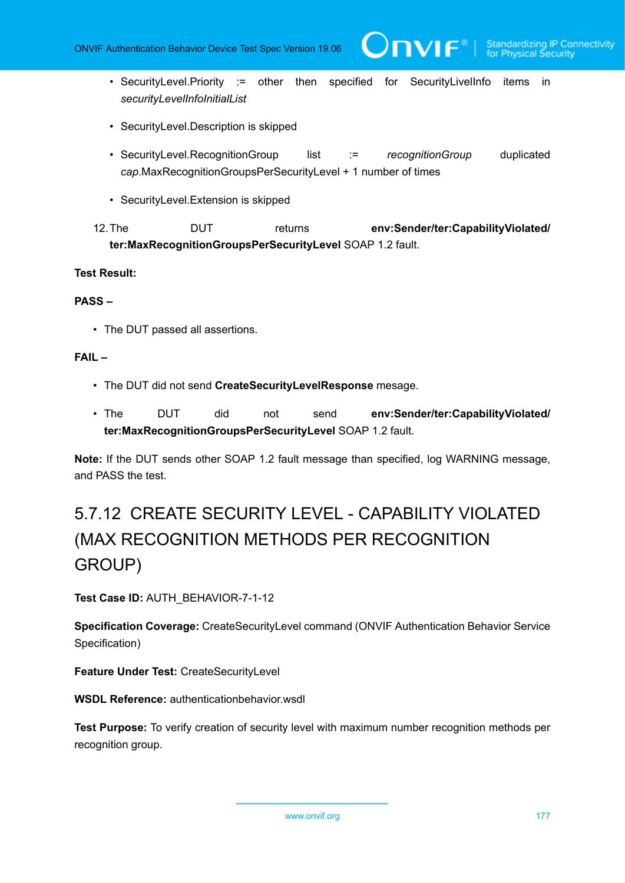• SecurityLevel.Priority := other then specified for SecurityLivelInfo items in *securityLevelInfoInitialList*

 $\mathsf{D}\mathsf{N}\mathsf{H}^*$ l

- SecurityLevel.Description is skipped
- SecurityLevel.RecognitionGroup list := *recognitionGroup* duplicated *cap*.MaxRecognitionGroupsPerSecurityLevel + 1 number of times
- SecurityLevel.Extension is skipped

12.The DUT returns **env:Sender/ter:CapabilityViolated/ ter:MaxRecognitionGroupsPerSecurityLevel** SOAP 1.2 fault.

#### **Test Result:**

#### **PASS –**

• The DUT passed all assertions.

## **FAIL –**

- The DUT did not send **CreateSecurityLevelResponse** mesage.
- The DUT did not send **env:Sender/ter:CapabilityViolated/ ter:MaxRecognitionGroupsPerSecurityLevel** SOAP 1.2 fault.

**Note:** If the DUT sends other SOAP 1.2 fault message than specified, log WARNING message, and PASS the test.

# 5.7.12 CREATE SECURITY LEVEL - CAPABILITY VIOLATED (MAX RECOGNITION METHODS PER RECOGNITION GROUP)

**Test Case ID:** AUTH\_BEHAVIOR-7-1-12

**Specification Coverage:** CreateSecurityLevel command (ONVIF Authentication Behavior Service Specification)

**Feature Under Test:** CreateSecurityLevel

**WSDL Reference:** authenticationbehavior.wsdl

**Test Purpose:** To verify creation of security level with maximum number recognition methods per recognition group.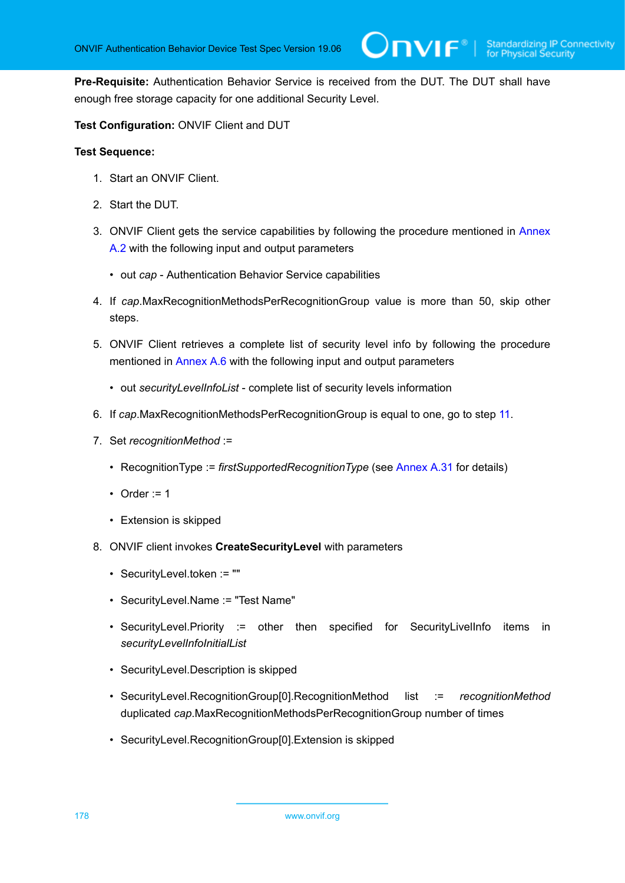**Pre-Requisite:** Authentication Behavior Service is received from the DUT. The DUT shall have enough free storage capacity for one additional Security Level.

**Test Configuration:** ONVIF Client and DUT

- 1. Start an ONVIF Client.
- 2. Start the DUT.
- 3. ONVIF Client gets the service capabilities by following the procedure mentioned in [Annex](#page-205-0) [A.2](#page-205-0) with the following input and output parameters
	- out *cap* Authentication Behavior Service capabilities
- 4. If *cap*.MaxRecognitionMethodsPerRecognitionGroup value is more than 50, skip other steps.
- 5. ONVIF Client retrieves a complete list of security level info by following the procedure mentioned in [Annex A.6](#page-210-0) with the following input and output parameters
	- out *securityLevelInfoList* complete list of security levels information
- 6. If *cap*.MaxRecognitionMethodsPerRecognitionGroup is equal to one, go to step [11](#page-178-0).
- 7. Set *recognitionMethod* :=
	- RecognitionType := *firstSupportedRecognitionType* (see [Annex A.31](#page-233-0) for details)
	- Order  $:= 1$
	- Extension is skipped
- 8. ONVIF client invokes **CreateSecurityLevel** with parameters
	- SecurityLevel.token := ""
	- SecurityLevel.Name := "Test Name"
	- SecurityLevel.Priority := other then specified for SecurityLivelInfo items in *securityLevelInfoInitialList*
	- SecurityLevel.Description is skipped
	- SecurityLevel.RecognitionGroup[0].RecognitionMethod list := *recognitionMethod* duplicated *cap*.MaxRecognitionMethodsPerRecognitionGroup number of times
	- SecurityLevel.RecognitionGroup[0].Extension is skipped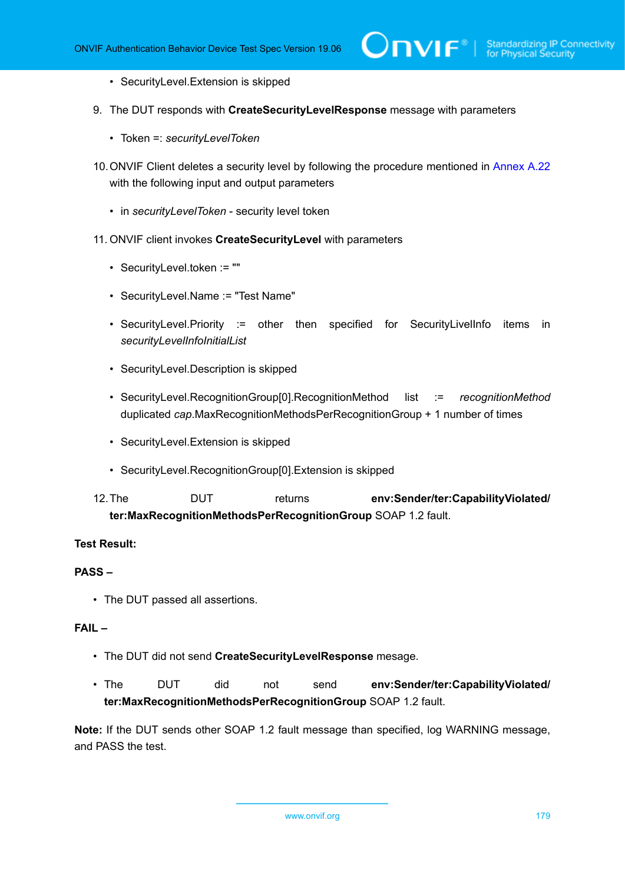- SecurityLevel.Extension is skipped
- 9. The DUT responds with **CreateSecurityLevelResponse** message with parameters
	- Token =: *securityLevelToken*
- 10.ONVIF Client deletes a security level by following the procedure mentioned in [Annex A.22](#page-225-0) with the following input and output parameters
	- in *securityLevelToken* security level token
- <span id="page-178-0"></span>11. ONVIF client invokes **CreateSecurityLevel** with parameters
	- SecurityLevel.token := ""
	- SecurityLevel.Name := "Test Name"
	- SecurityLevel.Priority := other then specified for SecurityLivelInfo items in *securityLevelInfoInitialList*
	- SecurityLevel.Description is skipped
	- SecurityLevel.RecognitionGroup[0].RecognitionMethod list := *recognitionMethod* duplicated *cap*.MaxRecognitionMethodsPerRecognitionGroup + 1 number of times
	- SecurityLevel.Extension is skipped
	- SecurityLevel.RecognitionGroup[0].Extension is skipped
- 12.The DUT returns **env:Sender/ter:CapabilityViolated/ ter:MaxRecognitionMethodsPerRecognitionGroup** SOAP 1.2 fault.

### **PASS –**

• The DUT passed all assertions.

## **FAIL –**

- The DUT did not send **CreateSecurityLevelResponse** mesage.
- The DUT did not send **env:Sender/ter:CapabilityViolated/ ter:MaxRecognitionMethodsPerRecognitionGroup** SOAP 1.2 fault.

**Note:** If the DUT sends other SOAP 1.2 fault message than specified, log WARNING message, and PASS the test.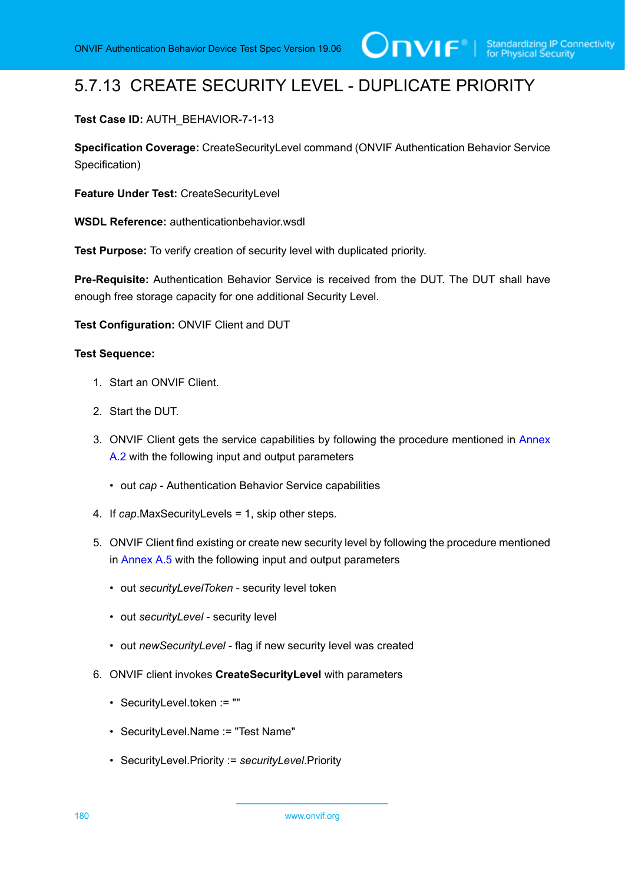# 5.7.13 CREATE SECURITY LEVEL - DUPLICATE PRIORITY

## **Test Case ID:** AUTH\_BEHAVIOR-7-1-13

**Specification Coverage:** CreateSecurityLevel command (ONVIF Authentication Behavior Service Specification)

**Feature Under Test:** CreateSecurityLevel

**WSDL Reference:** authenticationbehavior.wsdl

**Test Purpose:** To verify creation of security level with duplicated priority.

**Pre-Requisite:** Authentication Behavior Service is received from the DUT. The DUT shall have enough free storage capacity for one additional Security Level.

**Test Configuration:** ONVIF Client and DUT

- 1. Start an ONVIF Client.
- 2. Start the DUT.
- 3. ONVIF Client gets the service capabilities by following the procedure mentioned in [Annex](#page-205-0) [A.2](#page-205-0) with the following input and output parameters
	- out *cap* Authentication Behavior Service capabilities
- 4. If *cap*.MaxSecurityLevels = 1, skip other steps.
- 5. ONVIF Client find existing or create new security level by following the procedure mentioned in [Annex A.5](#page-208-0) with the following input and output parameters
	- out *securityLevelToken* security level token
	- out *securityLevel* security level
	- out *newSecurityLevel* flag if new security level was created
- 6. ONVIF client invokes **CreateSecurityLevel** with parameters
	- SecurityLevel.token := ""
	- SecurityLevel.Name := "Test Name"
	- SecurityLevel.Priority := *securityLevel*.Priority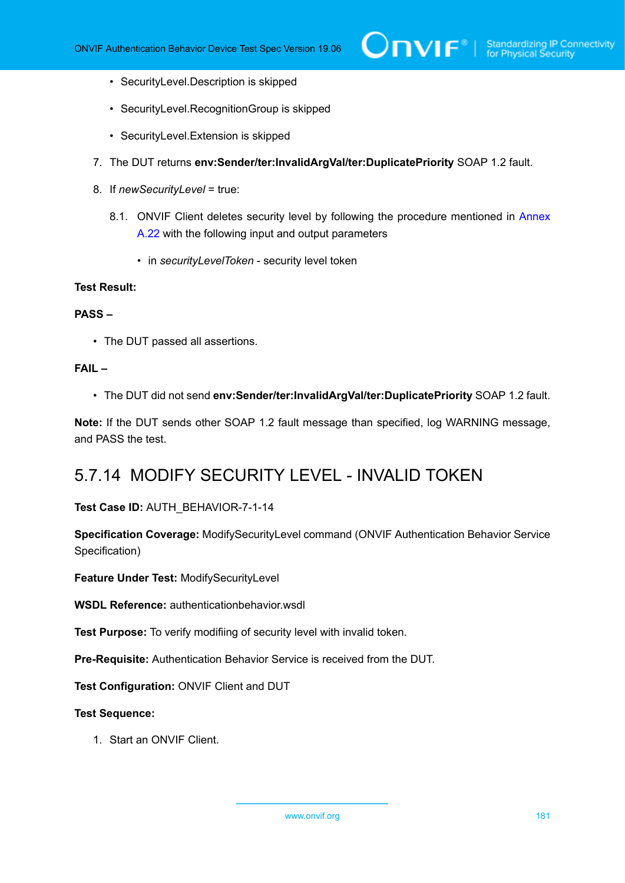- SecurityLevel.Description is skipped
- SecurityLevel.RecognitionGroup is skipped
- SecurityLevel.Extension is skipped
- 7. The DUT returns **env:Sender/ter:InvalidArgVal/ter:DuplicatePriority** SOAP 1.2 fault.
- 8. If *newSecurityLevel* = true:
	- 8.1. ONVIF Client deletes security level by following the procedure mentioned in [Annex](#page-225-0) [A.22](#page-225-0) with the following input and output parameters
		- in *securityLevelToken* security level token

### **PASS –**

• The DUT passed all assertions.

### **FAIL –**

• The DUT did not send **env:Sender/ter:InvalidArgVal/ter:DuplicatePriority** SOAP 1.2 fault.

**Note:** If the DUT sends other SOAP 1.2 fault message than specified, log WARNING message, and PASS the test.

## 5.7.14 MODIFY SECURITY LEVEL - INVALID TOKEN

### **Test Case ID:** AUTH\_BEHAVIOR-7-1-14

**Specification Coverage:** ModifySecurityLevel command (ONVIF Authentication Behavior Service Specification)

**Feature Under Test:** ModifySecurityLevel

**WSDL Reference:** authenticationbehavior.wsdl

**Test Purpose:** To verify modifiing of security level with invalid token.

**Pre-Requisite:** Authentication Behavior Service is received from the DUT.

**Test Configuration:** ONVIF Client and DUT

### **Test Sequence:**

1. Start an ONVIF Client.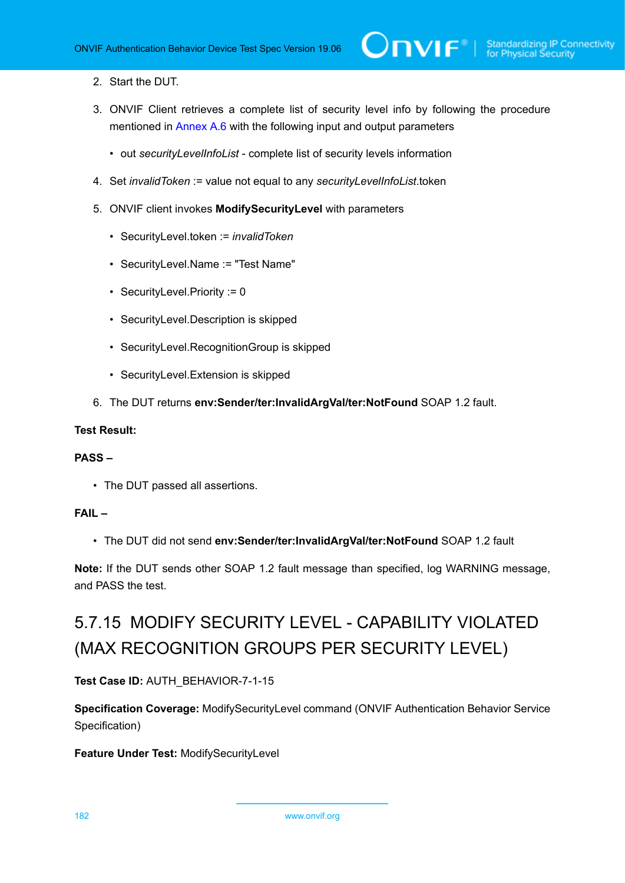### 2. Start the DUT.

- 3. ONVIF Client retrieves a complete list of security level info by following the procedure mentioned in [Annex A.6](#page-210-0) with the following input and output parameters
	- out *securityLevelInfoList* complete list of security levels information
- 4. Set *invalidToken* := value not equal to any *securityLevelInfoList*.token
- 5. ONVIF client invokes **ModifySecurityLevel** with parameters
	- SecurityLevel.token := *invalidToken*
	- SecurityLevel.Name := "Test Name"
	- SecurityLevel.Priority := 0
	- SecurityLevel.Description is skipped
	- SecurityLevel.RecognitionGroup is skipped
	- SecurityLevel.Extension is skipped
- 6. The DUT returns **env:Sender/ter:InvalidArgVal/ter:NotFound** SOAP 1.2 fault.

### **Test Result:**

### **PASS –**

• The DUT passed all assertions.

### **FAIL –**

• The DUT did not send **env:Sender/ter:InvalidArgVal/ter:NotFound** SOAP 1.2 fault

**Note:** If the DUT sends other SOAP 1.2 fault message than specified, log WARNING message, and PASS the test.

# 5.7.15 MODIFY SECURITY LEVEL - CAPABILITY VIOLATED (MAX RECOGNITION GROUPS PER SECURITY LEVEL)

### **Test Case ID:** AUTH\_BEHAVIOR-7-1-15

**Specification Coverage:** ModifySecurityLevel command (ONVIF Authentication Behavior Service Specification)

**Feature Under Test:** ModifySecurityLevel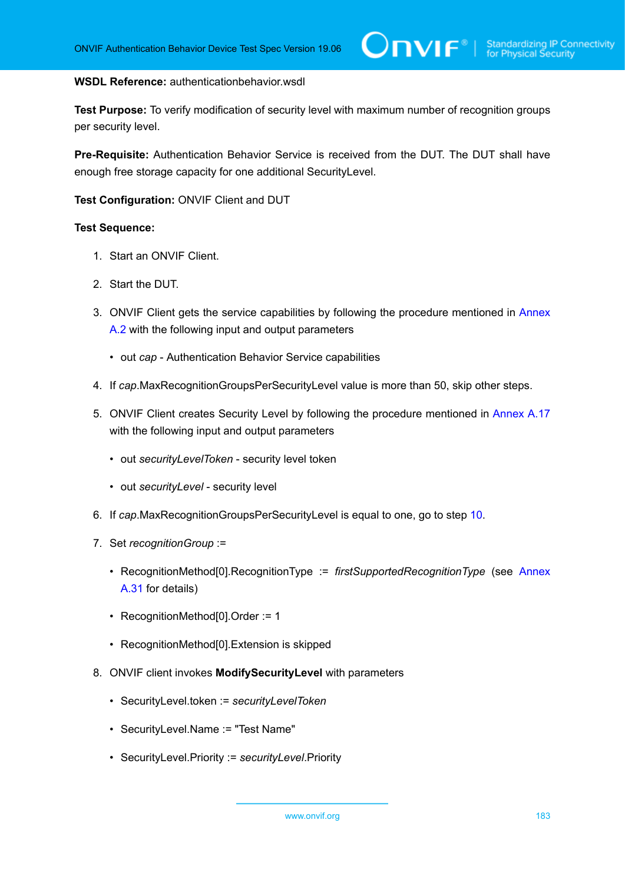### **WSDL Reference:** authenticationbehavior.wsdl

**Test Purpose:** To verify modification of security level with maximum number of recognition groups per security level.

**Pre-Requisite:** Authentication Behavior Service is received from the DUT. The DUT shall have enough free storage capacity for one additional SecurityLevel.

**Test Configuration:** ONVIF Client and DUT

- 1. Start an ONVIF Client.
- 2. Start the DUT.
- 3. ONVIF Client gets the service capabilities by following the procedure mentioned in [Annex](#page-205-0) [A.2](#page-205-0) with the following input and output parameters
	- out *cap* Authentication Behavior Service capabilities
- 4. If *cap*.MaxRecognitionGroupsPerSecurityLevel value is more than 50, skip other steps.
- 5. ONVIF Client creates Security Level by following the procedure mentioned in [Annex A.17](#page-220-0) with the following input and output parameters
	- out *securityLevelToken* security level token
	- out *securityLevel* security level
- 6. If *cap*.MaxRecognitionGroupsPerSecurityLevel is equal to one, go to step [10.](#page-183-0)
- 7. Set *recognitionGroup* :=
	- RecognitionMethod[0].RecognitionType := *firstSupportedRecognitionType* (see [Annex](#page-233-0) [A.31](#page-233-0) for details)
	- RecognitionMethod[0].Order := 1
	- RecognitionMethod[0].Extension is skipped
- 8. ONVIF client invokes **ModifySecurityLevel** with parameters
	- SecurityLevel.token := *securityLevelToken*
	- SecurityLevel.Name := "Test Name"
	- SecurityLevel.Priority := *securityLevel*.Priority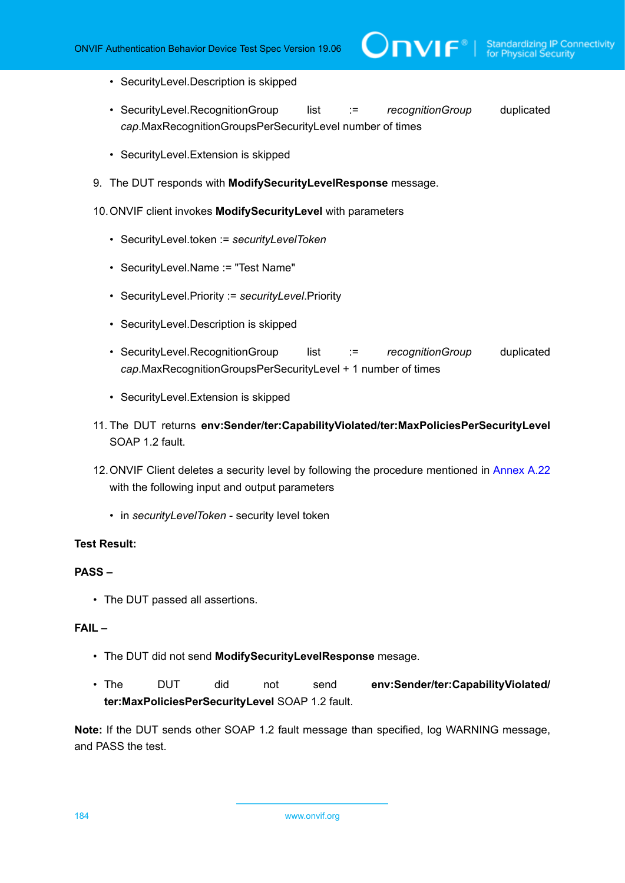- SecurityLevel.Description is skipped
- SecurityLevel.RecognitionGroup list := *recognitionGroup* duplicated *cap*.MaxRecognitionGroupsPerSecurityLevel number of times

 $\partial$ DVIF $^{\circ}$ l

- SecurityLevel.Extension is skipped
- 9. The DUT responds with **ModifySecurityLevelResponse** message.

### <span id="page-183-0"></span>10.ONVIF client invokes **ModifySecurityLevel** with parameters

- SecurityLevel.token := *securityLevelToken*
- SecurityLevel.Name := "Test Name"
- SecurityLevel.Priority := *securityLevel*.Priority
- SecurityLevel.Description is skipped
- SecurityLevel.RecognitionGroup list := *recognitionGroup* duplicated *cap*.MaxRecognitionGroupsPerSecurityLevel + 1 number of times
- SecurityLevel.Extension is skipped
- 11. The DUT returns **env:Sender/ter:CapabilityViolated/ter:MaxPoliciesPerSecurityLevel** SOAP 1.2 fault.
- 12.ONVIF Client deletes a security level by following the procedure mentioned in [Annex A.22](#page-225-0) with the following input and output parameters
	- in *securityLevelToken* security level token

### **Test Result:**

### **PASS –**

• The DUT passed all assertions.

### **FAIL –**

- The DUT did not send **ModifySecurityLevelResponse** mesage.
- The DUT did not send **env:Sender/ter:CapabilityViolated/ ter:MaxPoliciesPerSecurityLevel** SOAP 1.2 fault.

**Note:** If the DUT sends other SOAP 1.2 fault message than specified, log WARNING message, and PASS the test.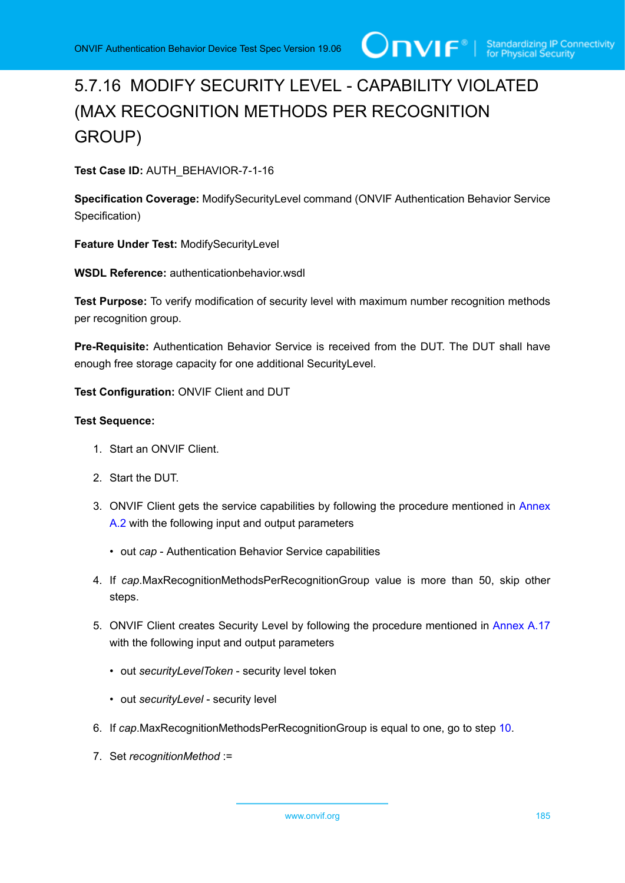# 5.7.16 MODIFY SECURITY LEVEL - CAPABILITY VIOLATED (MAX RECOGNITION METHODS PER RECOGNITION GROUP)

**Test Case ID:** AUTH\_BEHAVIOR-7-1-16

**Specification Coverage:** ModifySecurityLevel command (ONVIF Authentication Behavior Service Specification)

**Feature Under Test:** ModifySecurityLevel

**WSDL Reference:** authenticationbehavior.wsdl

**Test Purpose:** To verify modification of security level with maximum number recognition methods per recognition group.

**Pre-Requisite:** Authentication Behavior Service is received from the DUT. The DUT shall have enough free storage capacity for one additional SecurityLevel.

**Test Configuration:** ONVIF Client and DUT

- 1. Start an ONVIF Client.
- 2. Start the DUT.
- 3. ONVIF Client gets the service capabilities by following the procedure mentioned in [Annex](#page-205-0) [A.2](#page-205-0) with the following input and output parameters
	- out *cap* Authentication Behavior Service capabilities
- 4. If *cap*.MaxRecognitionMethodsPerRecognitionGroup value is more than 50, skip other steps.
- 5. ONVIF Client creates Security Level by following the procedure mentioned in [Annex A.17](#page-220-0) with the following input and output parameters
	- out *securityLevelToken* security level token
	- out *securityLevel* security level
- 6. If *cap*.MaxRecognitionMethodsPerRecognitionGroup is equal to one, go to step [10](#page-185-0).
- 7. Set *recognitionMethod* :=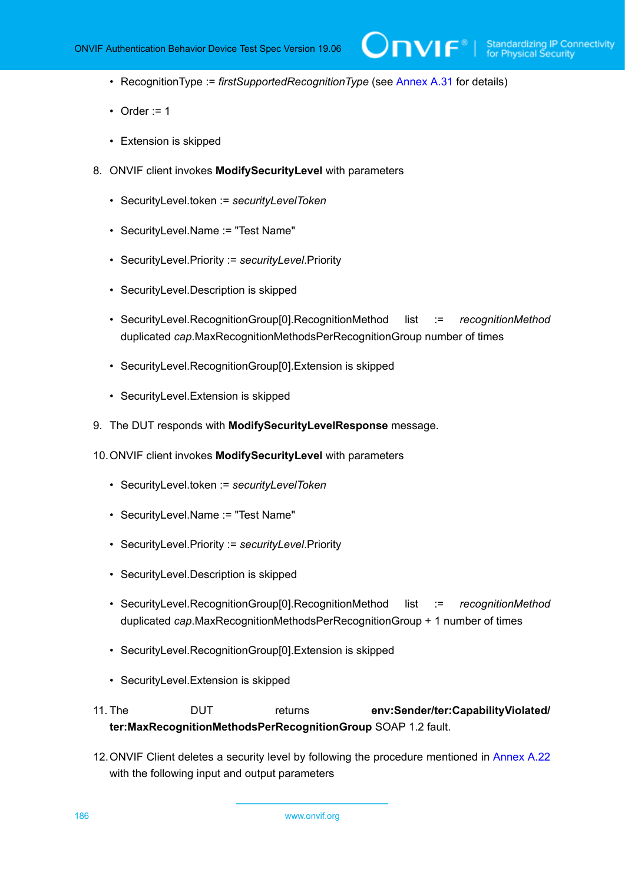$\overline{L}$ 

- RecognitionType := *firstSupportedRecognitionType* (see [Annex A.31](#page-233-0) for details)
- Order  $:= 1$
- Extension is skipped
- 8. ONVIF client invokes **ModifySecurityLevel** with parameters
	- SecurityLevel.token := *securityLevelToken*
	- SecurityLevel.Name := "Test Name"
	- SecurityLevel.Priority := *securityLevel*.Priority
	- SecurityLevel.Description is skipped
	- SecurityLevel.RecognitionGroup[0].RecognitionMethod list := *recognitionMethod* duplicated *cap*.MaxRecognitionMethodsPerRecognitionGroup number of times
	- SecurityLevel.RecognitionGroup[0].Extension is skipped
	- SecurityLevel.Extension is skipped
- 9. The DUT responds with **ModifySecurityLevelResponse** message.
- <span id="page-185-0"></span>10.ONVIF client invokes **ModifySecurityLevel** with parameters
	- SecurityLevel.token := *securityLevelToken*
	- SecurityLevel.Name := "Test Name"
	- SecurityLevel.Priority := *securityLevel*.Priority
	- SecurityLevel.Description is skipped
	- SecurityLevel.RecognitionGroup[0].RecognitionMethod list := *recognitionMethod* duplicated *cap*.MaxRecognitionMethodsPerRecognitionGroup + 1 number of times
	- SecurityLevel.RecognitionGroup[0].Extension is skipped
	- SecurityLevel.Extension is skipped

11. The DUT returns **env:Sender/ter:CapabilityViolated/ ter:MaxRecognitionMethodsPerRecognitionGroup** SOAP 1.2 fault.

12.ONVIF Client deletes a security level by following the procedure mentioned in [Annex A.22](#page-225-0) with the following input and output parameters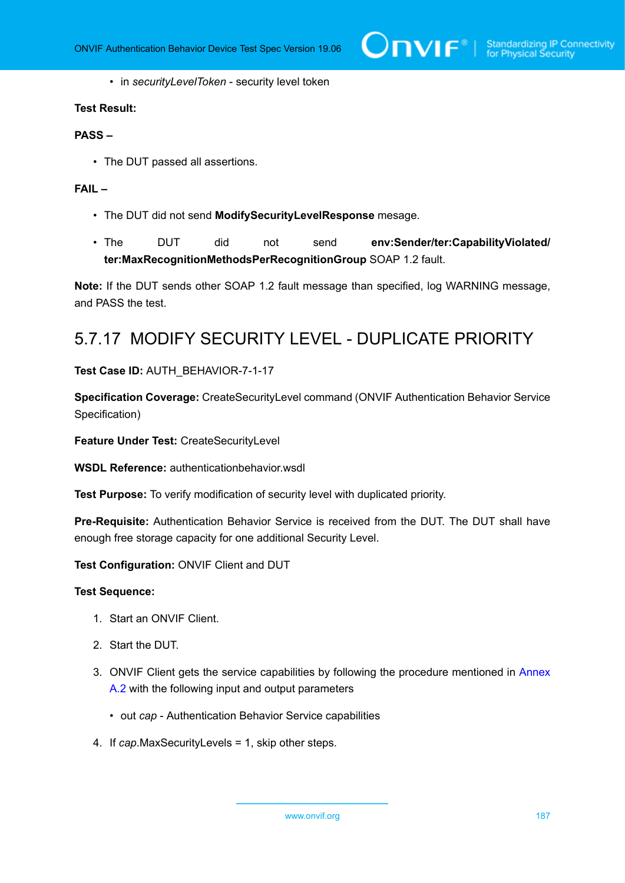$\bigcirc$   $\bigcap$   $\bigvee$   $\bigcirc$   $\bigcirc$   $\bigcirc$   $\bigcirc$  Standardizing IP Connectivity

• in *securityLevelToken* - security level token

### **Test Result:**

### **PASS –**

• The DUT passed all assertions.

### **FAIL –**

- The DUT did not send **ModifySecurityLevelResponse** mesage.
- The DUT did not send **env:Sender/ter:CapabilityViolated/ ter:MaxRecognitionMethodsPerRecognitionGroup** SOAP 1.2 fault.

**Note:** If the DUT sends other SOAP 1.2 fault message than specified, log WARNING message, and PASS the test.

## 5.7.17 MODIFY SECURITY LEVEL - DUPLICATE PRIORITY

### **Test Case ID:** AUTH\_BEHAVIOR-7-1-17

**Specification Coverage:** CreateSecurityLevel command (ONVIF Authentication Behavior Service Specification)

**Feature Under Test:** CreateSecurityLevel

**WSDL Reference:** authenticationbehavior.wsdl

**Test Purpose:** To verify modification of security level with duplicated priority.

**Pre-Requisite:** Authentication Behavior Service is received from the DUT. The DUT shall have enough free storage capacity for one additional Security Level.

**Test Configuration:** ONVIF Client and DUT

- 1. Start an ONVIF Client.
- 2. Start the DUT.
- 3. ONVIF Client gets the service capabilities by following the procedure mentioned in [Annex](#page-205-0) [A.2](#page-205-0) with the following input and output parameters
	- out *cap* Authentication Behavior Service capabilities
- 4. If *cap*.MaxSecurityLevels = 1, skip other steps.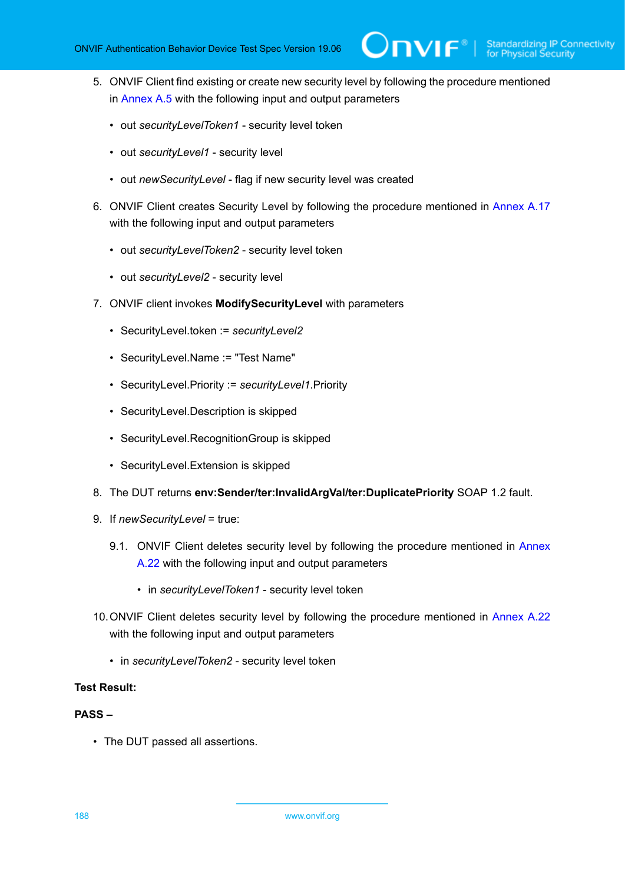5. ONVIF Client find existing or create new security level by following the procedure mentioned in [Annex A.5](#page-208-0) with the following input and output parameters

 $\mathsf{D}\mathbf{N}\mathsf{I}\mathsf{F}^\ast$ l

- out *securityLevelToken1* security level token
- out *securityLevel1* security level
- out *newSecurityLevel* flag if new security level was created
- 6. ONVIF Client creates Security Level by following the procedure mentioned in [Annex A.17](#page-220-0) with the following input and output parameters
	- out *securityLevelToken2* security level token
	- out *securityLevel2* security level
- 7. ONVIF client invokes **ModifySecurityLevel** with parameters
	- SecurityLevel.token := *securityLevel2*
	- SecurityLevel.Name := "Test Name"
	- SecurityLevel.Priority := *securityLevel1*.Priority
	- SecurityLevel.Description is skipped
	- SecurityLevel.RecognitionGroup is skipped
	- SecurityLevel.Extension is skipped
- 8. The DUT returns **env:Sender/ter:InvalidArgVal/ter:DuplicatePriority** SOAP 1.2 fault.
- 9. If *newSecurityLevel* = true:
	- 9.1. ONVIF Client deletes security level by following the procedure mentioned in [Annex](#page-225-0) [A.22](#page-225-0) with the following input and output parameters
		- in *securityLevelToken1* security level token
- 10.ONVIF Client deletes security level by following the procedure mentioned in [Annex A.22](#page-225-0) with the following input and output parameters
	- in *securityLevelToken2* security level token

### **Test Result:**

### **PASS –**

• The DUT passed all assertions.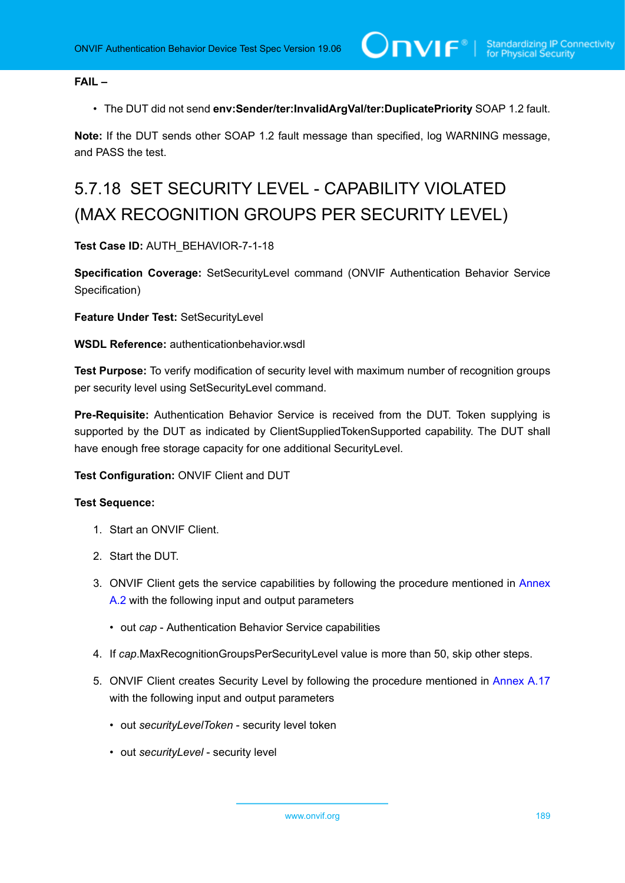**FAIL –**

• The DUT did not send **env:Sender/ter:InvalidArgVal/ter:DuplicatePriority** SOAP 1.2 fault.

**Note:** If the DUT sends other SOAP 1.2 fault message than specified, log WARNING message, and PASS the test.

# 5.7.18 SET SECURITY LEVEL - CAPABILITY VIOLATED (MAX RECOGNITION GROUPS PER SECURITY LEVEL)

**Test Case ID:** AUTH\_BEHAVIOR-7-1-18

**Specification Coverage:** SetSecurityLevel command (ONVIF Authentication Behavior Service Specification)

**Feature Under Test:** SetSecurityLevel

**WSDL Reference:** authenticationbehavior.wsdl

**Test Purpose:** To verify modification of security level with maximum number of recognition groups per security level using SetSecurityLevel command.

**Pre-Requisite:** Authentication Behavior Service is received from the DUT. Token supplying is supported by the DUT as indicated by ClientSuppliedTokenSupported capability. The DUT shall have enough free storage capacity for one additional SecurityLevel.

### **Test Configuration:** ONVIF Client and DUT

- 1. Start an ONVIF Client.
- 2. Start the DUT.
- 3. ONVIF Client gets the service capabilities by following the procedure mentioned in [Annex](#page-205-0) [A.2](#page-205-0) with the following input and output parameters
	- out *cap* Authentication Behavior Service capabilities
- 4. If *cap*.MaxRecognitionGroupsPerSecurityLevel value is more than 50, skip other steps.
- 5. ONVIF Client creates Security Level by following the procedure mentioned in [Annex A.17](#page-220-0) with the following input and output parameters
	- out *securityLevelToken* security level token
	- out *securityLevel* security level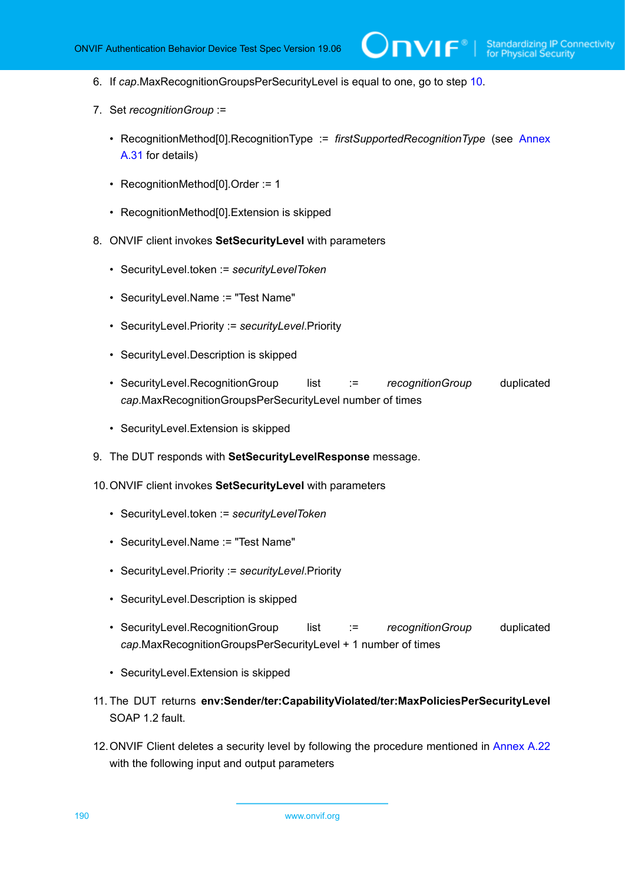**IVIF**®

- 6. If *cap*.MaxRecognitionGroupsPerSecurityLevel is equal to one, go to step [10.](#page-189-0)
- 7. Set *recognitionGroup* :=
	- RecognitionMethod[0].RecognitionType := *firstSupportedRecognitionType* (see [Annex](#page-233-0) [A.31](#page-233-0) for details)
	- RecognitionMethod[0].Order := 1
	- RecognitionMethod[0].Extension is skipped
- 8. ONVIF client invokes **SetSecurityLevel** with parameters
	- SecurityLevel.token := *securityLevelToken*
	- SecurityLevel.Name := "Test Name"
	- SecurityLevel.Priority := *securityLevel*.Priority
	- SecurityLevel.Description is skipped
	- SecurityLevel.RecognitionGroup list := *recognitionGroup* duplicated *cap*.MaxRecognitionGroupsPerSecurityLevel number of times
	- SecurityLevel.Extension is skipped
- 9. The DUT responds with **SetSecurityLevelResponse** message.
- <span id="page-189-0"></span>10.ONVIF client invokes **SetSecurityLevel** with parameters
	- SecurityLevel.token := *securityLevelToken*
	- SecurityLevel.Name := "Test Name"
	- SecurityLevel.Priority := *securityLevel*.Priority
	- SecurityLevel.Description is skipped
	- SecurityLevel.RecognitionGroup list := *recognitionGroup* duplicated *cap*.MaxRecognitionGroupsPerSecurityLevel + 1 number of times
	- SecurityLevel.Extension is skipped
- 11. The DUT returns **env:Sender/ter:CapabilityViolated/ter:MaxPoliciesPerSecurityLevel** SOAP 1.2 fault.
- 12.ONVIF Client deletes a security level by following the procedure mentioned in [Annex A.22](#page-225-0) with the following input and output parameters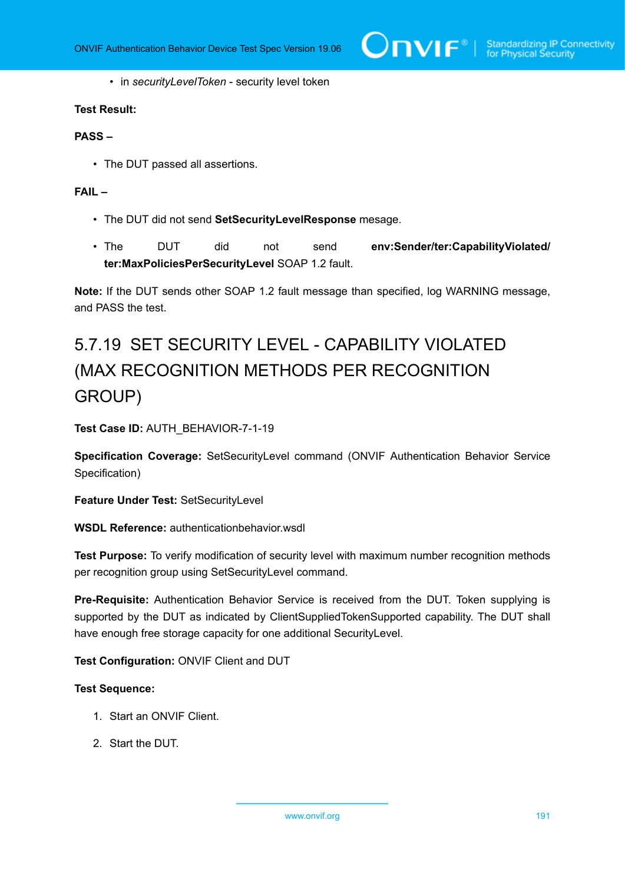$\bigcirc$  MVIF  $^{\circ}$  | Standardizing IP Connectivity

• in *securityLevelToken* - security level token

### **Test Result:**

### **PASS –**

• The DUT passed all assertions.

### **FAIL –**

- The DUT did not send **SetSecurityLevelResponse** mesage.
- The DUT did not send **env:Sender/ter:CapabilityViolated/ ter:MaxPoliciesPerSecurityLevel** SOAP 1.2 fault.

**Note:** If the DUT sends other SOAP 1.2 fault message than specified, log WARNING message, and PASS the test.

# 5.7.19 SET SECURITY LEVEL - CAPABILITY VIOLATED (MAX RECOGNITION METHODS PER RECOGNITION GROUP)

**Test Case ID:** AUTH\_BEHAVIOR-7-1-19

**Specification Coverage:** SetSecurityLevel command (ONVIF Authentication Behavior Service Specification)

**Feature Under Test:** SetSecurityLevel

**WSDL Reference:** authenticationbehavior.wsdl

**Test Purpose:** To verify modification of security level with maximum number recognition methods per recognition group using SetSecurityLevel command.

**Pre-Requisite:** Authentication Behavior Service is received from the DUT. Token supplying is supported by the DUT as indicated by ClientSuppliedTokenSupported capability. The DUT shall have enough free storage capacity for one additional SecurityLevel.

**Test Configuration:** ONVIF Client and DUT

- 1. Start an ONVIF Client.
- 2. Start the DUT.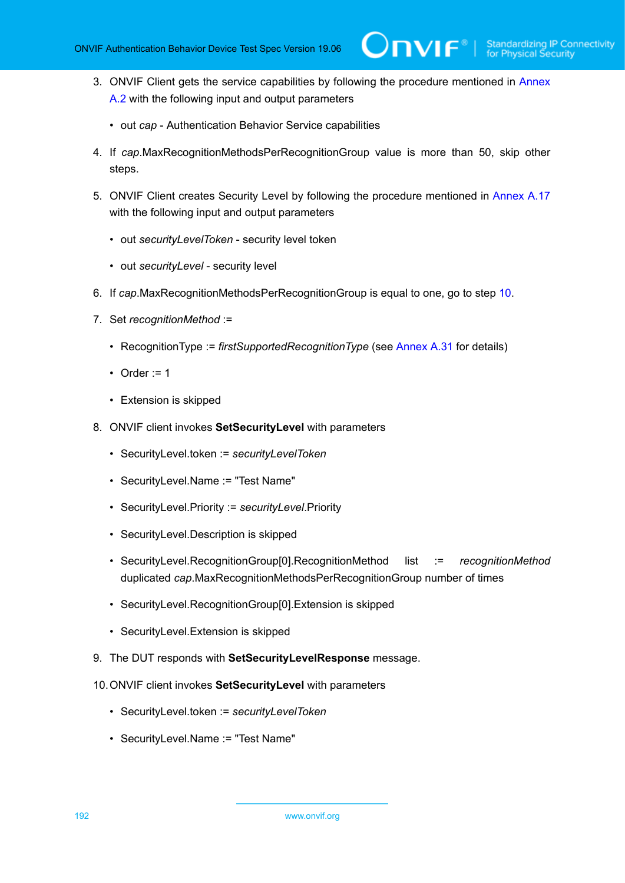- 3. ONVIF Client gets the service capabilities by following the procedure mentioned in [Annex](#page-205-0) [A.2](#page-205-0) with the following input and output parameters
	- out *cap* Authentication Behavior Service capabilities
- 4. If *cap*.MaxRecognitionMethodsPerRecognitionGroup value is more than 50, skip other steps.
- 5. ONVIF Client creates Security Level by following the procedure mentioned in [Annex A.17](#page-220-0) with the following input and output parameters
	- out *securityLevelToken* security level token
	- out *securityLevel* security level
- 6. If *cap*.MaxRecognitionMethodsPerRecognitionGroup is equal to one, go to step [10](#page-191-0).
- 7. Set *recognitionMethod* :=
	- RecognitionType := *firstSupportedRecognitionType* (see [Annex A.31](#page-233-0) for details)
	- Order  $:= 1$
	- Extension is skipped
- 8. ONVIF client invokes **SetSecurityLevel** with parameters
	- SecurityLevel.token := *securityLevelToken*
	- SecurityLevel.Name := "Test Name"
	- SecurityLevel.Priority := *securityLevel*.Priority
	- SecurityLevel.Description is skipped
	- SecurityLevel.RecognitionGroup[0].RecognitionMethod list := *recognitionMethod* duplicated *cap*.MaxRecognitionMethodsPerRecognitionGroup number of times
	- SecurityLevel.RecognitionGroup[0].Extension is skipped
	- SecurityLevel.Extension is skipped
- 9. The DUT responds with **SetSecurityLevelResponse** message.
- <span id="page-191-0"></span>10.ONVIF client invokes **SetSecurityLevel** with parameters
	- SecurityLevel.token := *securityLevelToken*
	- SecurityLevel.Name := "Test Name"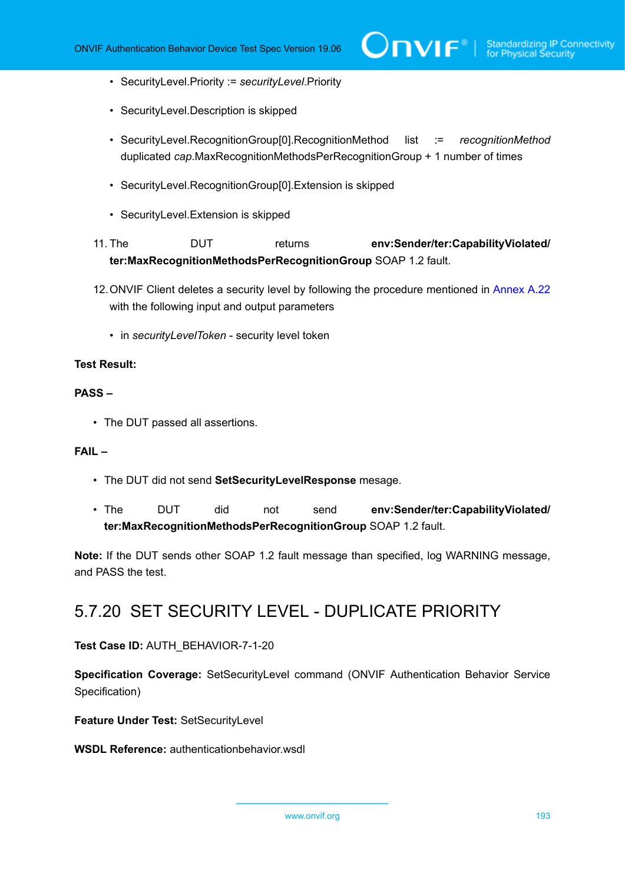- SecurityLevel.Priority := *securityLevel*.Priority
- SecurityLevel.Description is skipped
- SecurityLevel.RecognitionGroup[0].RecognitionMethod list := *recognitionMethod* duplicated *cap*.MaxRecognitionMethodsPerRecognitionGroup + 1 number of times
- SecurityLevel.RecognitionGroup[0].Extension is skipped
- SecurityLevel.Extension is skipped
- 11. The DUT returns **env:Sender/ter:CapabilityViolated/ ter:MaxRecognitionMethodsPerRecognitionGroup** SOAP 1.2 fault.
- 12.ONVIF Client deletes a security level by following the procedure mentioned in [Annex A.22](#page-225-0) with the following input and output parameters
	- in *securityLevelToken* security level token

### **PASS –**

• The DUT passed all assertions.

### **FAIL –**

- The DUT did not send **SetSecurityLevelResponse** mesage.
- The DUT did not send **env:Sender/ter:CapabilityViolated/ ter:MaxRecognitionMethodsPerRecognitionGroup** SOAP 1.2 fault.

**Note:** If the DUT sends other SOAP 1.2 fault message than specified, log WARNING message, and PASS the test.

## 5.7.20 SET SECURITY LEVEL - DUPLICATE PRIORITY

### **Test Case ID:** AUTH\_BEHAVIOR-7-1-20

**Specification Coverage:** SetSecurityLevel command (ONVIF Authentication Behavior Service Specification)

**Feature Under Test:** SetSecurityLevel

**WSDL Reference:** authenticationbehavior.wsdl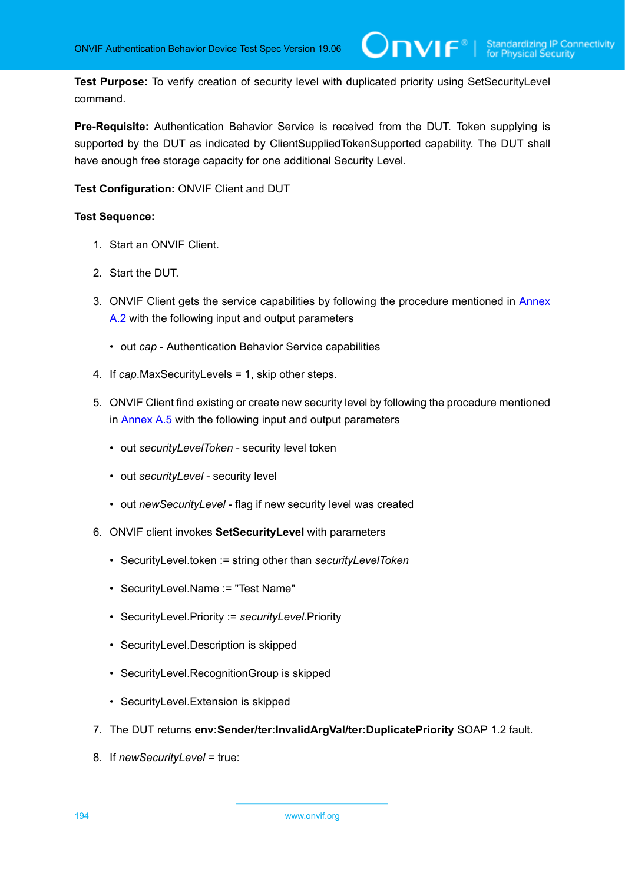**Test Purpose:** To verify creation of security level with duplicated priority using SetSecurityLevel command.

**Pre-Requisite:** Authentication Behavior Service is received from the DUT. Token supplying is supported by the DUT as indicated by ClientSuppliedTokenSupported capability. The DUT shall have enough free storage capacity for one additional Security Level.

**Test Configuration:** ONVIF Client and DUT

- 1. Start an ONVIF Client.
- 2. Start the DUT.
- 3. ONVIF Client gets the service capabilities by following the procedure mentioned in [Annex](#page-205-0) [A.2](#page-205-0) with the following input and output parameters
	- out *cap* Authentication Behavior Service capabilities
- 4. If *cap*.MaxSecurityLevels = 1, skip other steps.
- 5. ONVIF Client find existing or create new security level by following the procedure mentioned in [Annex A.5](#page-208-0) with the following input and output parameters
	- out *securityLevelToken* security level token
	- out *securityLevel* security level
	- out *newSecurityLevel* flag if new security level was created
- 6. ONVIF client invokes **SetSecurityLevel** with parameters
	- SecurityLevel.token := string other than *securityLevelToken*
	- SecurityLevel.Name := "Test Name"
	- SecurityLevel.Priority := *securityLevel*.Priority
	- SecurityLevel.Description is skipped
	- SecurityLevel.RecognitionGroup is skipped
	- SecurityLevel.Extension is skipped
- 7. The DUT returns **env:Sender/ter:InvalidArgVal/ter:DuplicatePriority** SOAP 1.2 fault.
- 8. If *newSecurityLevel* = true: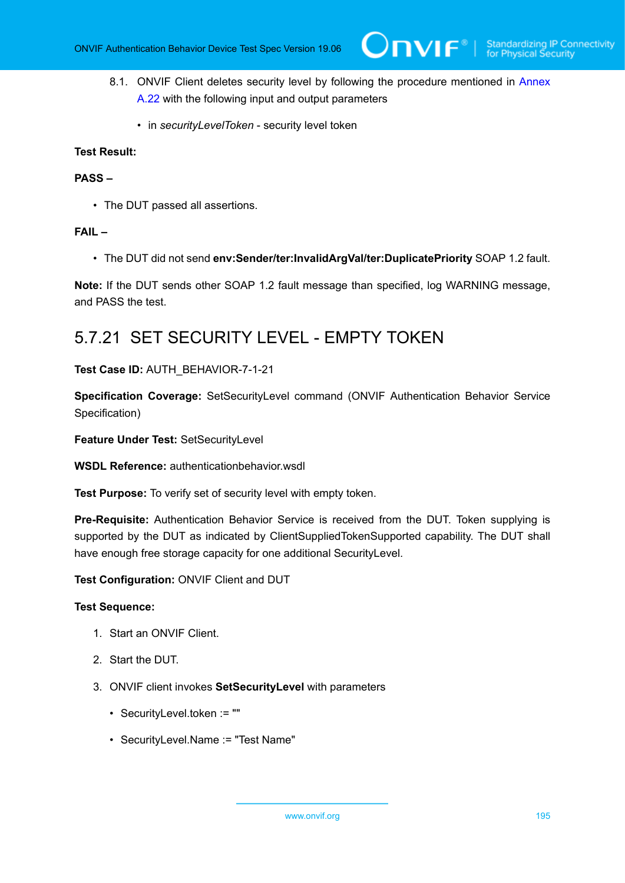- 8.1. ONVIF Client deletes security level by following the procedure mentioned in [Annex](#page-225-0) [A.22](#page-225-0) with the following input and output parameters
	- in *securityLevelToken* security level token

### **PASS –**

• The DUT passed all assertions.

### **FAIL –**

• The DUT did not send **env:Sender/ter:InvalidArgVal/ter:DuplicatePriority** SOAP 1.2 fault.

**Note:** If the DUT sends other SOAP 1.2 fault message than specified, log WARNING message, and PASS the test.

### 5.7.21 SET SECURITY LEVEL - EMPTY TOKEN

### **Test Case ID:** AUTH\_BEHAVIOR-7-1-21

**Specification Coverage:** SetSecurityLevel command (ONVIF Authentication Behavior Service Specification)

**Feature Under Test:** SetSecurityLevel

**WSDL Reference:** authenticationbehavior.wsdl

**Test Purpose:** To verify set of security level with empty token.

**Pre-Requisite:** Authentication Behavior Service is received from the DUT. Token supplying is supported by the DUT as indicated by ClientSuppliedTokenSupported capability. The DUT shall have enough free storage capacity for one additional SecurityLevel.

**Test Configuration:** ONVIF Client and DUT

- 1. Start an ONVIF Client.
- 2. Start the DUT.
- 3. ONVIF client invokes **SetSecurityLevel** with parameters
	- SecurityLevel.token := ""
	- SecurityLevel.Name := "Test Name"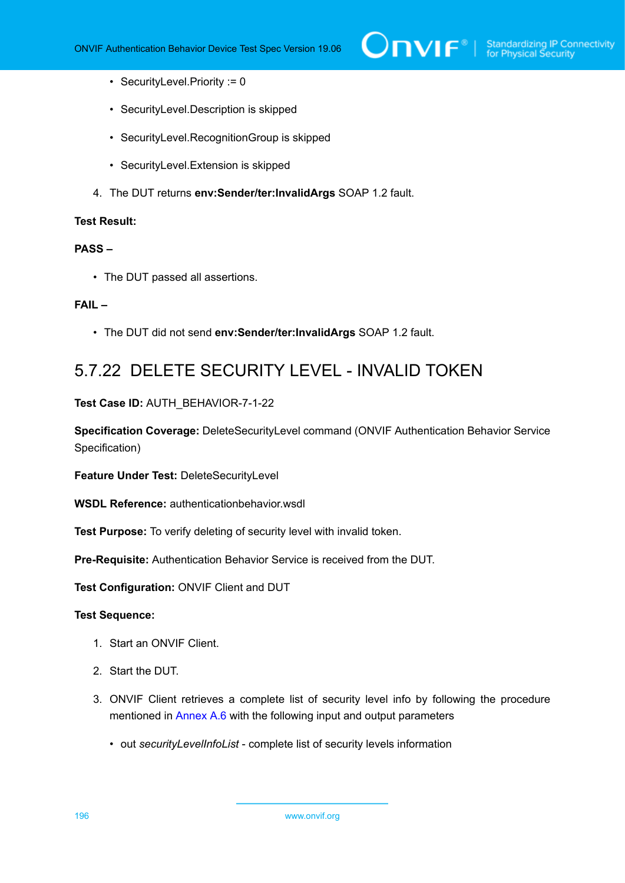- SecurityLevel.Priority := 0
- SecurityLevel.Description is skipped
- SecurityLevel.RecognitionGroup is skipped
- SecurityLevel.Extension is skipped
- 4. The DUT returns **env:Sender/ter:InvalidArgs** SOAP 1.2 fault.

### **PASS –**

• The DUT passed all assertions.

### **FAIL –**

• The DUT did not send **env:Sender/ter:InvalidArgs** SOAP 1.2 fault.

## 5.7.22 DELETE SECURITY LEVEL - INVALID TOKEN

**Test Case ID:** AUTH\_BEHAVIOR-7-1-22

**Specification Coverage:** DeleteSecurityLevel command (ONVIF Authentication Behavior Service Specification)

**Feature Under Test:** DeleteSecurityLevel

**WSDL Reference:** authenticationbehavior.wsdl

**Test Purpose:** To verify deleting of security level with invalid token.

**Pre-Requisite:** Authentication Behavior Service is received from the DUT.

**Test Configuration:** ONVIF Client and DUT

- 1. Start an ONVIF Client.
- 2. Start the DUT.
- 3. ONVIF Client retrieves a complete list of security level info by following the procedure mentioned in [Annex A.6](#page-210-0) with the following input and output parameters
	- out *securityLevelInfoList* complete list of security levels information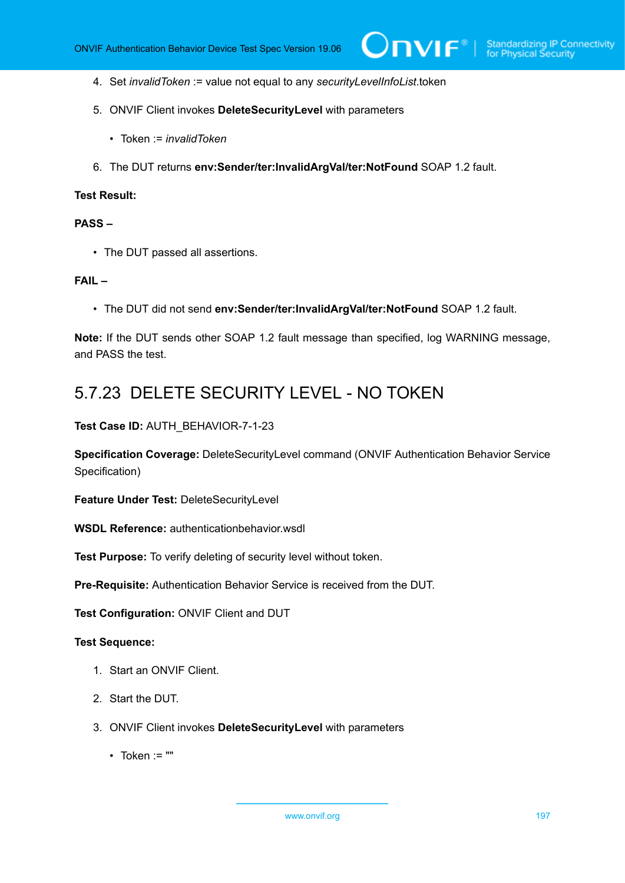- 4. Set *invalidToken* := value not equal to any *securityLevelInfoList*.token
- 5. ONVIF Client invokes **DeleteSecurityLevel** with parameters
	- Token := *invalidToken*
- 6. The DUT returns **env:Sender/ter:InvalidArgVal/ter:NotFound** SOAP 1.2 fault.

### **PASS –**

• The DUT passed all assertions.

### **FAIL –**

• The DUT did not send **env:Sender/ter:InvalidArgVal/ter:NotFound** SOAP 1.2 fault.

**Note:** If the DUT sends other SOAP 1.2 fault message than specified, log WARNING message, and PASS the test.

### 5.7.23 DELETE SECURITY LEVEL - NO TOKEN

**Test Case ID:** AUTH\_BEHAVIOR-7-1-23

**Specification Coverage:** DeleteSecurityLevel command (ONVIF Authentication Behavior Service Specification)

**Feature Under Test:** DeleteSecurityLevel

**WSDL Reference:** authenticationbehavior.wsdl

**Test Purpose:** To verify deleting of security level without token.

**Pre-Requisite:** Authentication Behavior Service is received from the DUT.

**Test Configuration:** ONVIF Client and DUT

- 1. Start an ONVIF Client.
- 2. Start the DUT.
- 3. ONVIF Client invokes **DeleteSecurityLevel** with parameters
	- $\cdot$  Token := ""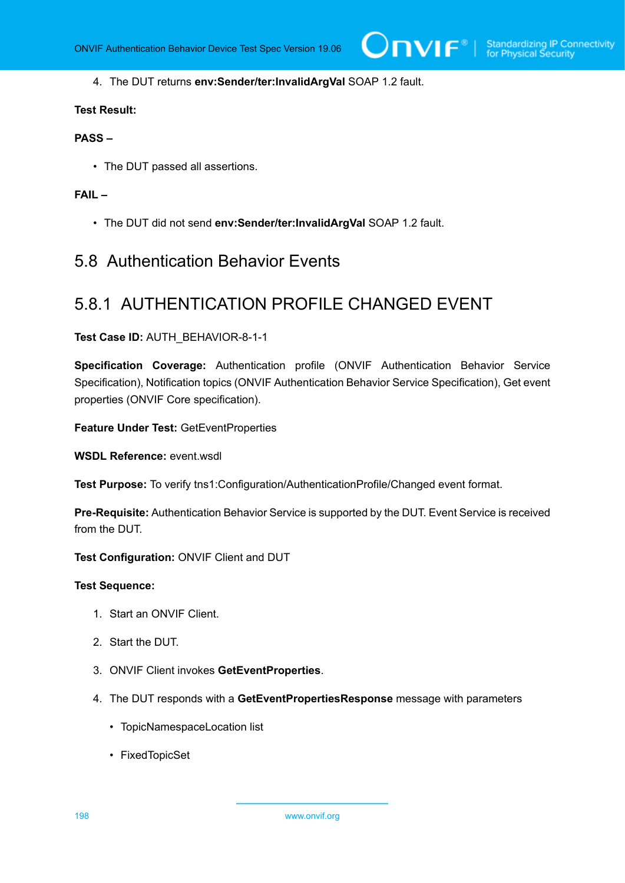### 4. The DUT returns **env:Sender/ter:InvalidArgVal** SOAP 1.2 fault.

### **Test Result:**

### **PASS –**

• The DUT passed all assertions.

### **FAIL –**

• The DUT did not send **env:Sender/ter:InvalidArgVal** SOAP 1.2 fault.

### 5.8 Authentication Behavior Events

### 5.8.1 AUTHENTICATION PROFILE CHANGED EVENT

### **Test Case ID:** AUTH\_BEHAVIOR-8-1-1

**Specification Coverage:** Authentication profile (ONVIF Authentication Behavior Service Specification), Notification topics (ONVIF Authentication Behavior Service Specification), Get event properties (ONVIF Core specification).

**Feature Under Test:** GetEventProperties

**WSDL Reference:** event.wsdl

**Test Purpose:** To verify tns1:Configuration/AuthenticationProfile/Changed event format.

**Pre-Requisite:** Authentication Behavior Service is supported by the DUT. Event Service is received from the DUT.

**Test Configuration:** ONVIF Client and DUT

- 1. Start an ONVIF Client.
- 2. Start the DUT.
- 3. ONVIF Client invokes **GetEventProperties**.
- 4. The DUT responds with a **GetEventPropertiesResponse** message with parameters
	- TopicNamespaceLocation list
	- FixedTopicSet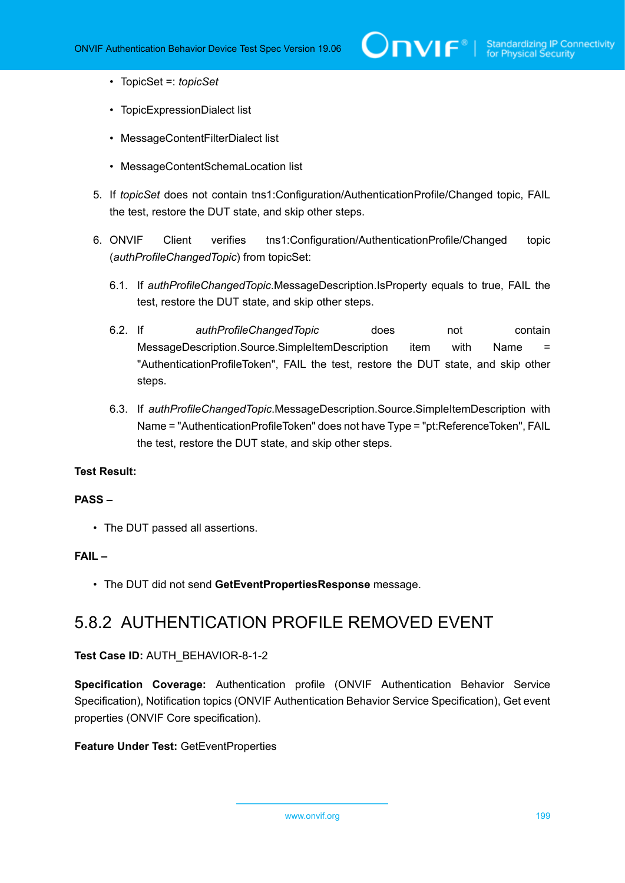- TopicSet =: *topicSet*
- TopicExpressionDialect list
- MessageContentFilterDialect list
- MessageContentSchemaLocation list
- 5. If *topicSet* does not contain tns1:Configuration/AuthenticationProfile/Changed topic, FAIL the test, restore the DUT state, and skip other steps.
- 6. ONVIF Client verifies tns1:Configuration/AuthenticationProfile/Changed topic (*authProfileChangedTopic*) from topicSet:
	- 6.1. If *authProfileChangedTopic*.MessageDescription.IsProperty equals to true, FAIL the test, restore the DUT state, and skip other steps.
	- 6.2. If *authProfileChangedTopic* does not contain MessageDescription.Source.SimpleItemDescription item with Name = "AuthenticationProfileToken", FAIL the test, restore the DUT state, and skip other steps.
	- 6.3. If *authProfileChangedTopic*.MessageDescription.Source.SimpleItemDescription with Name = "AuthenticationProfileToken" does not have Type = "pt:ReferenceToken", FAIL the test, restore the DUT state, and skip other steps.

### **PASS –**

• The DUT passed all assertions.

### **FAIL –**

• The DUT did not send **GetEventPropertiesResponse** message.

### 5.8.2 AUTHENTICATION PROFILE REMOVED EVENT

### **Test Case ID:** AUTH\_BEHAVIOR-8-1-2

**Specification Coverage:** Authentication profile (ONVIF Authentication Behavior Service Specification), Notification topics (ONVIF Authentication Behavior Service Specification), Get event properties (ONVIF Core specification).

### **Feature Under Test:** GetEventProperties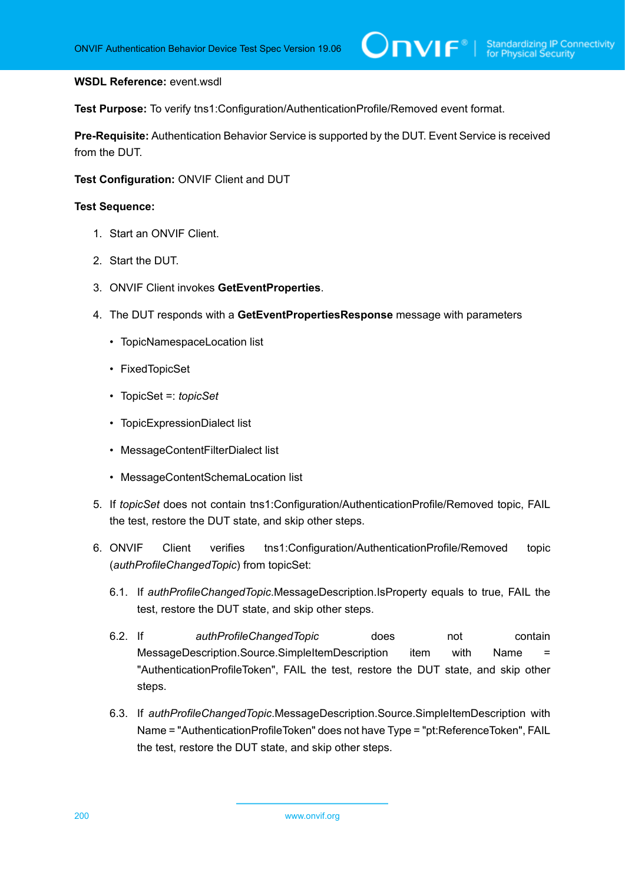### **WSDL Reference:** event.wsdl

**Test Purpose:** To verify tns1:Configuration/AuthenticationProfile/Removed event format.

**Pre-Requisite:** Authentication Behavior Service is supported by the DUT. Event Service is received from the DUT.

### **Test Configuration:** ONVIF Client and DUT

- 1. Start an ONVIF Client.
- 2. Start the DUT.
- 3. ONVIF Client invokes **GetEventProperties**.
- 4. The DUT responds with a **GetEventPropertiesResponse** message with parameters
	- TopicNamespaceLocation list
	- FixedTopicSet
	- TopicSet =: *topicSet*
	- TopicExpressionDialect list
	- MessageContentFilterDialect list
	- MessageContentSchemaLocation list
- 5. If *topicSet* does not contain tns1:Configuration/AuthenticationProfile/Removed topic, FAIL the test, restore the DUT state, and skip other steps.
- 6. ONVIF Client verifies tns1:Configuration/AuthenticationProfile/Removed topic (*authProfileChangedTopic*) from topicSet:
	- 6.1. If *authProfileChangedTopic*.MessageDescription.IsProperty equals to true, FAIL the test, restore the DUT state, and skip other steps.
	- 6.2. If *authProfileChangedTopic* does not contain MessageDescription.Source.SimpleItemDescription item with Name = "AuthenticationProfileToken", FAIL the test, restore the DUT state, and skip other steps.
	- 6.3. If *authProfileChangedTopic*.MessageDescription.Source.SimpleItemDescription with Name = "AuthenticationProfileToken" does not have Type = "pt:ReferenceToken", FAIL the test, restore the DUT state, and skip other steps.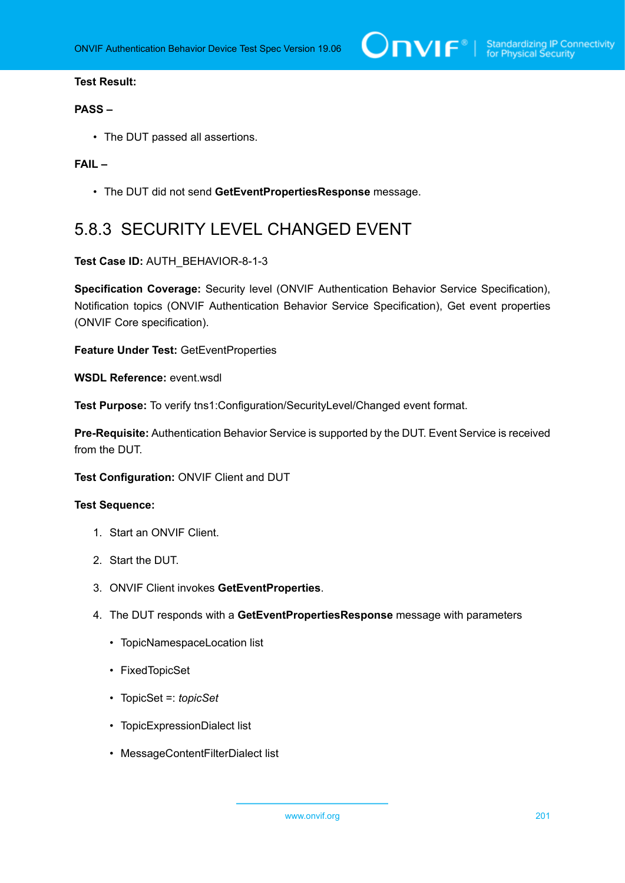### **PASS –**

• The DUT passed all assertions.

### **FAIL –**

• The DUT did not send **GetEventPropertiesResponse** message.

# 5.8.3 SECURITY LEVEL CHANGED EVENT

### **Test Case ID:** AUTH\_BEHAVIOR-8-1-3

**Specification Coverage:** Security level (ONVIF Authentication Behavior Service Specification), Notification topics (ONVIF Authentication Behavior Service Specification), Get event properties (ONVIF Core specification).

**Feature Under Test:** GetEventProperties

**WSDL Reference:** event.wsdl

**Test Purpose:** To verify tns1:Configuration/SecurityLevel/Changed event format.

**Pre-Requisite:** Authentication Behavior Service is supported by the DUT. Event Service is received from the DUT.

**Test Configuration:** ONVIF Client and DUT

- 1. Start an ONVIF Client.
- 2. Start the DUT.
- 3. ONVIF Client invokes **GetEventProperties**.
- 4. The DUT responds with a **GetEventPropertiesResponse** message with parameters
	- TopicNamespaceLocation list
	- FixedTopicSet
	- TopicSet =: *topicSet*
	- TopicExpressionDialect list
	- MessageContentFilterDialect list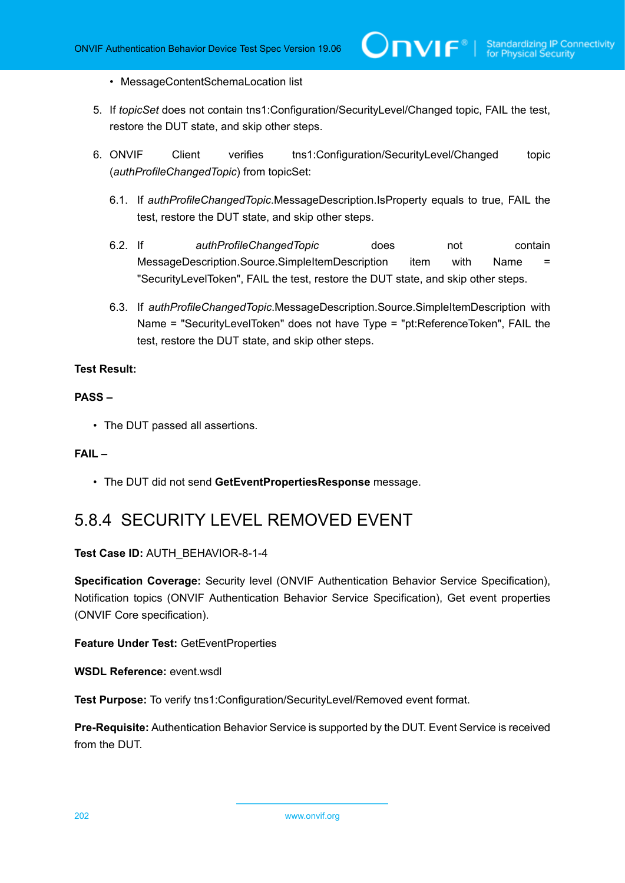- MessageContentSchemaLocation list
- 5. If *topicSet* does not contain tns1:Configuration/SecurityLevel/Changed topic, FAIL the test, restore the DUT state, and skip other steps.
- 6. ONVIF Client verifies tns1:Configuration/SecurityLevel/Changed topic (*authProfileChangedTopic*) from topicSet:
	- 6.1. If *authProfileChangedTopic*.MessageDescription.IsProperty equals to true, FAIL the test, restore the DUT state, and skip other steps.
	- 6.2. If *authProfileChangedTopic* does not contain MessageDescription.Source.SimpleItemDescription item with Name = "SecurityLevelToken", FAIL the test, restore the DUT state, and skip other steps.
	- 6.3. If *authProfileChangedTopic*.MessageDescription.Source.SimpleItemDescription with Name = "SecurityLevelToken" does not have Type = "pt:ReferenceToken", FAIL the test, restore the DUT state, and skip other steps.

### **PASS –**

• The DUT passed all assertions.

### **FAIL –**

• The DUT did not send **GetEventPropertiesResponse** message.

## 5.8.4 SECURITY LEVEL REMOVED EVENT

### **Test Case ID:** AUTH\_BEHAVIOR-8-1-4

**Specification Coverage:** Security level (ONVIF Authentication Behavior Service Specification), Notification topics (ONVIF Authentication Behavior Service Specification), Get event properties (ONVIF Core specification).

### **Feature Under Test:** GetEventProperties

**WSDL Reference:** event.wsdl

**Test Purpose:** To verify tns1:Configuration/SecurityLevel/Removed event format.

**Pre-Requisite:** Authentication Behavior Service is supported by the DUT. Event Service is received from the DUT.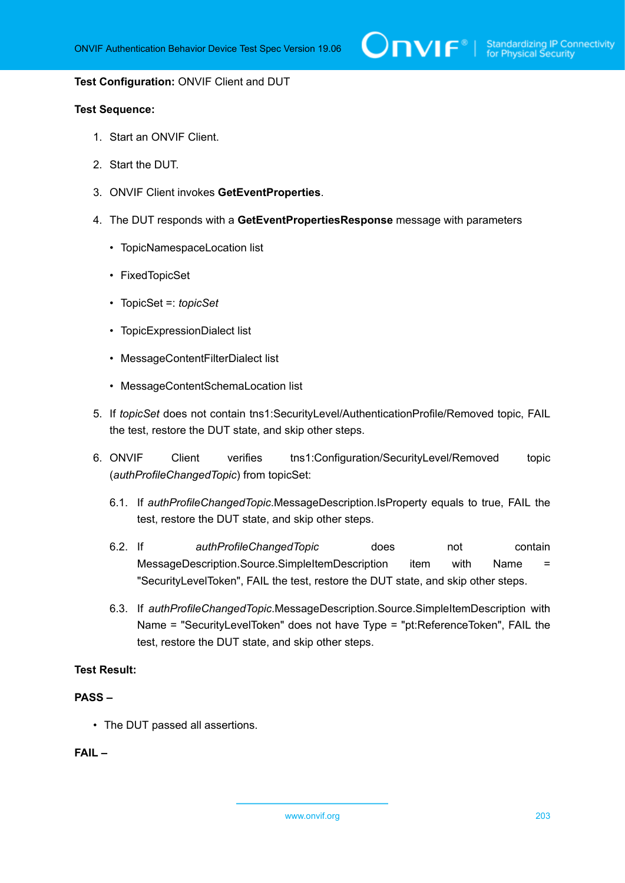

#### **Test Configuration:** ONVIF Client and DUT

### **Test Sequence:**

- 1. Start an ONVIF Client.
- 2. Start the DUT.
- 3. ONVIF Client invokes **GetEventProperties**.
- 4. The DUT responds with a **GetEventPropertiesResponse** message with parameters
	- TopicNamespaceLocation list
	- FixedTopicSet
	- TopicSet =: *topicSet*
	- TopicExpressionDialect list
	- MessageContentFilterDialect list
	- MessageContentSchemaLocation list
- 5. If *topicSet* does not contain tns1:SecurityLevel/AuthenticationProfile/Removed topic, FAIL the test, restore the DUT state, and skip other steps.
- 6. ONVIF Client verifies tns1:Configuration/SecurityLevel/Removed topic (*authProfileChangedTopic*) from topicSet:
	- 6.1. If *authProfileChangedTopic*.MessageDescription.IsProperty equals to true, FAIL the test, restore the DUT state, and skip other steps.
	- 6.2. If *authProfileChangedTopic* does not contain MessageDescription.Source.SimpleItemDescription item with Name = "SecurityLevelToken", FAIL the test, restore the DUT state, and skip other steps.
	- 6.3. If *authProfileChangedTopic*.MessageDescription.Source.SimpleItemDescription with Name = "SecurityLevelToken" does not have Type = "pt:ReferenceToken", FAIL the test, restore the DUT state, and skip other steps.

### **Test Result:**

### **PASS –**

• The DUT passed all assertions.

### **FAIL –**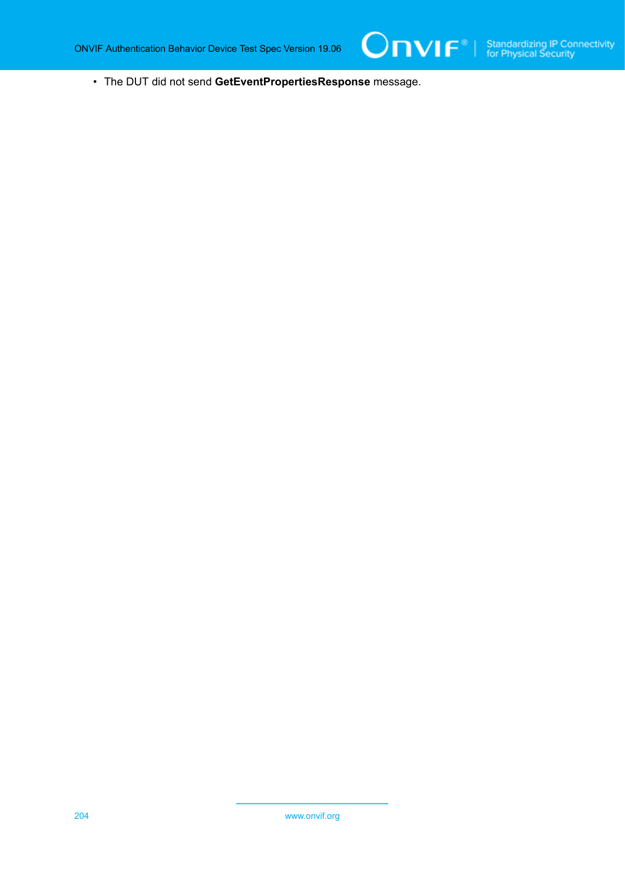• The DUT did not send **GetEventPropertiesResponse** message.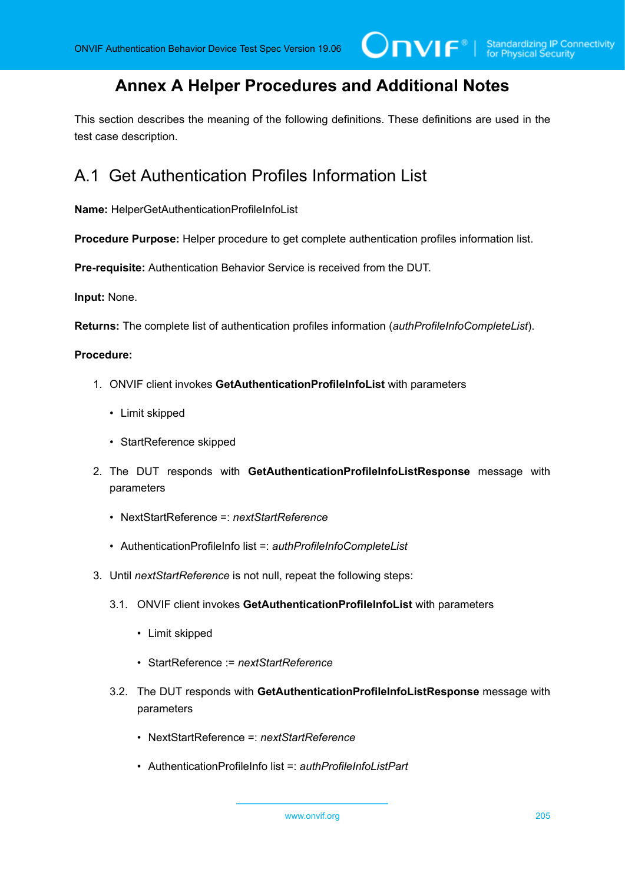## **Annex A Helper Procedures and Additional Notes**

This section describes the meaning of the following definitions. These definitions are used in the test case description.

## <span id="page-204-0"></span>A.1 Get Authentication Profiles Information List

**Name:** HelperGetAuthenticationProfileInfoList

**Procedure Purpose:** Helper procedure to get complete authentication profiles information list.

**Pre-requisite:** Authentication Behavior Service is received from the DUT.

**Input:** None.

**Returns:** The complete list of authentication profiles information (*authProfileInfoCompleteList*).

### **Procedure:**

- 1. ONVIF client invokes **GetAuthenticationProfileInfoList** with parameters
	- Limit skipped
	- StartReference skipped
- 2. The DUT responds with **GetAuthenticationProfileInfoListResponse** message with parameters
	- NextStartReference =: *nextStartReference*
	- AuthenticationProfileInfo list =: *authProfileInfoCompleteList*
- 3. Until *nextStartReference* is not null, repeat the following steps:
	- 3.1. ONVIF client invokes **GetAuthenticationProfileInfoList** with parameters
		- Limit skipped
		- StartReference := *nextStartReference*
	- 3.2. The DUT responds with **GetAuthenticationProfileInfoListResponse** message with parameters
		- NextStartReference =: *nextStartReference*
		- AuthenticationProfileInfo list =: *authProfileInfoListPart*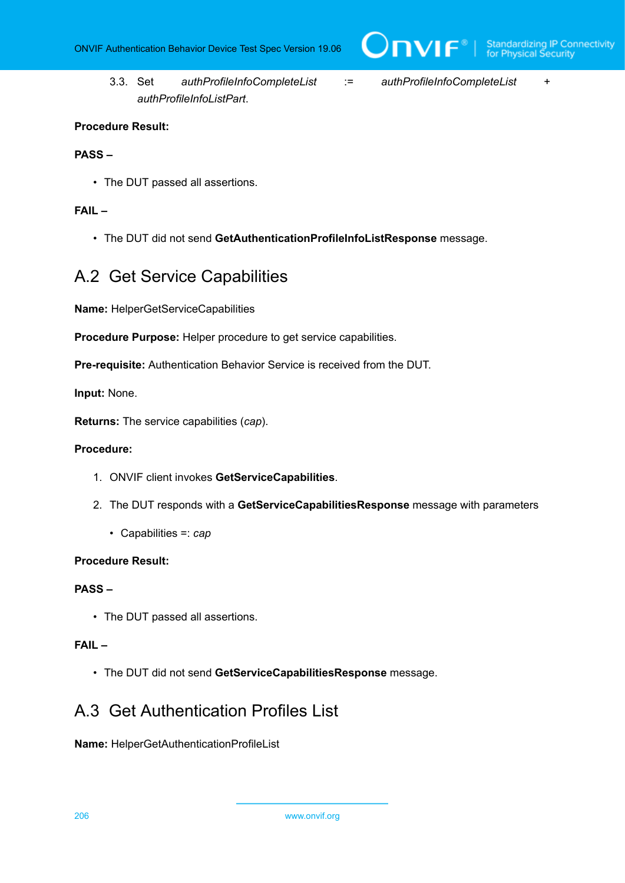$\overline{C}$ NIF $^{\circ}$ 

3.3. Set *authProfileInfoCompleteList* := *authProfileInfoCompleteList* + *authProfileInfoListPart*.

### **Procedure Result:**

### **PASS –**

• The DUT passed all assertions.

### **FAIL –**

• The DUT did not send **GetAuthenticationProfileInfoListResponse** message.

### <span id="page-205-0"></span>A.2 Get Service Capabilities

**Name:** HelperGetServiceCapabilities

**Procedure Purpose:** Helper procedure to get service capabilities.

**Pre-requisite:** Authentication Behavior Service is received from the DUT.

**Input:** None.

**Returns:** The service capabilities (*cap*).

### **Procedure:**

- 1. ONVIF client invokes **GetServiceCapabilities**.
- 2. The DUT responds with a **GetServiceCapabilitiesResponse** message with parameters
	- Capabilities =: *cap*

### **Procedure Result:**

### **PASS –**

• The DUT passed all assertions.

### **FAIL –**

• The DUT did not send **GetServiceCapabilitiesResponse** message.

### A.3 Get Authentication Profiles List

**Name:** HelperGetAuthenticationProfileList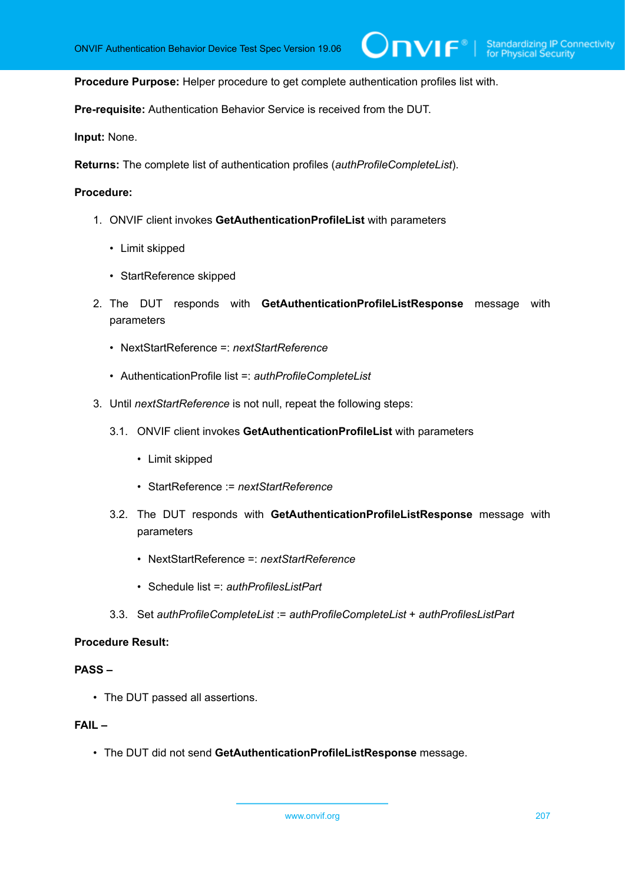$\mathsf{D}\mathbf{N}\mathsf{I}\mathsf{F}^\ast$  :

**Procedure Purpose:** Helper procedure to get complete authentication profiles list with.

**Pre-requisite:** Authentication Behavior Service is received from the DUT.

**Input:** None.

**Returns:** The complete list of authentication profiles (*authProfileCompleteList*).

### **Procedure:**

- 1. ONVIF client invokes **GetAuthenticationProfileList** with parameters
	- Limit skipped
	- StartReference skipped
- 2. The DUT responds with **GetAuthenticationProfileListResponse** message with parameters
	- NextStartReference =: *nextStartReference*
	- AuthenticationProfile list =: *authProfileCompleteList*
- 3. Until *nextStartReference* is not null, repeat the following steps:
	- 3.1. ONVIF client invokes **GetAuthenticationProfileList** with parameters
		- Limit skipped
		- StartReference := *nextStartReference*
	- 3.2. The DUT responds with **GetAuthenticationProfileListResponse** message with parameters
		- NextStartReference =: *nextStartReference*
		- Schedule list =: *authProfilesListPart*
	- 3.3. Set *authProfileCompleteList* := *authProfileCompleteList* + *authProfilesListPart*

### **Procedure Result:**

### **PASS –**

• The DUT passed all assertions.

### **FAIL –**

• The DUT did not send **GetAuthenticationProfileListResponse** message.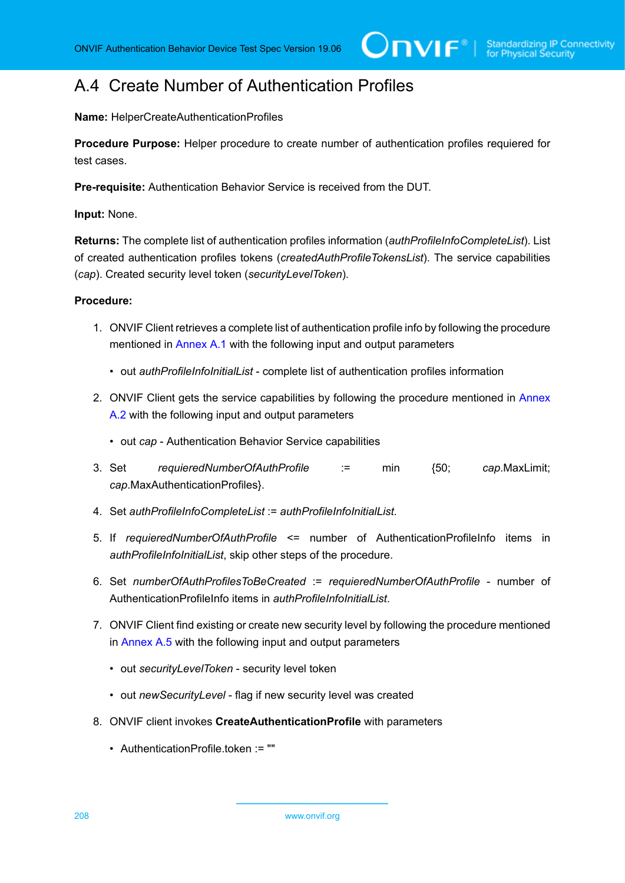### A.4 Create Number of Authentication Profiles

**Name:** HelperCreateAuthenticationProfiles

**Procedure Purpose:** Helper procedure to create number of authentication profiles requiered for test cases.

**Pre-requisite:** Authentication Behavior Service is received from the DUT.

**Input:** None.

**Returns:** The complete list of authentication profiles information (*authProfileInfoCompleteList*). List of created authentication profiles tokens (*createdAuthProfileTokensList*). The service capabilities (*cap*). Created security level token (*securityLevelToken*).

### **Procedure:**

- 1. ONVIF Client retrieves a complete list of authentication profile info by following the procedure mentioned in [Annex A.1](#page-204-0) with the following input and output parameters
	- out *authProfileInfoInitialList* complete list of authentication profiles information
- 2. ONVIF Client gets the service capabilities by following the procedure mentioned in [Annex](#page-205-0) [A.2](#page-205-0) with the following input and output parameters
	- out *cap* Authentication Behavior Service capabilities
- 3. Set *requieredNumberOfAuthProfile* := min {50; *cap*.MaxLimit; *cap*.MaxAuthenticationProfiles}.
- 4. Set *authProfileInfoCompleteList* := *authProfileInfoInitialList*.
- 5. If *requieredNumberOfAuthProfile* <= number of AuthenticationProfileInfo items in *authProfileInfoInitialList*, skip other steps of the procedure.
- 6. Set *numberOfAuthProfilesToBeCreated* := *requieredNumberOfAuthProfile* number of AuthenticationProfileInfo items in *authProfileInfoInitialList*.
- 7. ONVIF Client find existing or create new security level by following the procedure mentioned in [Annex A.5](#page-208-0) with the following input and output parameters
	- out *securityLevelToken* security level token
	- out *newSecurityLevel* flag if new security level was created
- <span id="page-207-0"></span>8. ONVIF client invokes **CreateAuthenticationProfile** with parameters
	- AuthenticationProfile.token := ""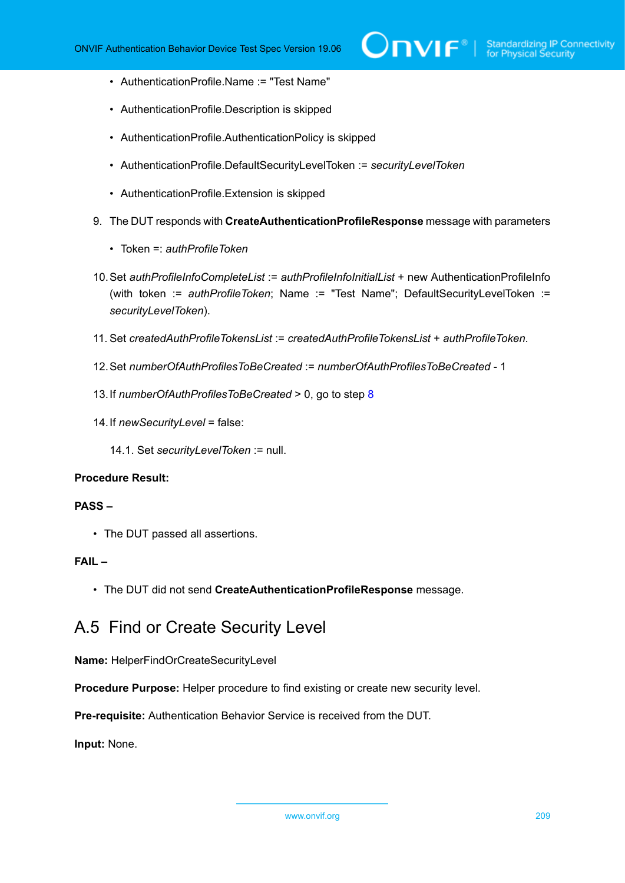- AuthenticationProfile.Name := "Test Name"
- AuthenticationProfile.Description is skipped
- AuthenticationProfile.AuthenticationPolicy is skipped
- AuthenticationProfile.DefaultSecurityLevelToken := *securityLevelToken*
- AuthenticationProfile.Extension is skipped
- 9. The DUT responds with **CreateAuthenticationProfileResponse** message with parameters
	- Token =: *authProfileToken*
- 10.Set *authProfileInfoCompleteList* := *authProfileInfoInitialList* + new AuthenticationProfileInfo (with token := *authProfileToken*; Name := "Test Name"; DefaultSecurityLevelToken := *securityLevelToken*).
- 11. Set *createdAuthProfileTokensList* := *createdAuthProfileTokensList* + *authProfileToken*.
- 12.Set *numberOfAuthProfilesToBeCreated* := *numberOfAuthProfilesToBeCreated* 1
- 13.If *numberOfAuthProfilesToBeCreated* > 0, go to step [8](#page-207-0)
- 14.If *newSecurityLevel* = false:
	- 14.1. Set *securityLevelToken* := null.

### **Procedure Result:**

### **PASS –**

• The DUT passed all assertions.

### **FAIL –**

• The DUT did not send **CreateAuthenticationProfileResponse** message.

### <span id="page-208-0"></span>A.5 Find or Create Security Level

**Name:** HelperFindOrCreateSecurityLevel

**Procedure Purpose:** Helper procedure to find existing or create new security level.

**Pre-requisite:** Authentication Behavior Service is received from the DUT.

**Input:** None.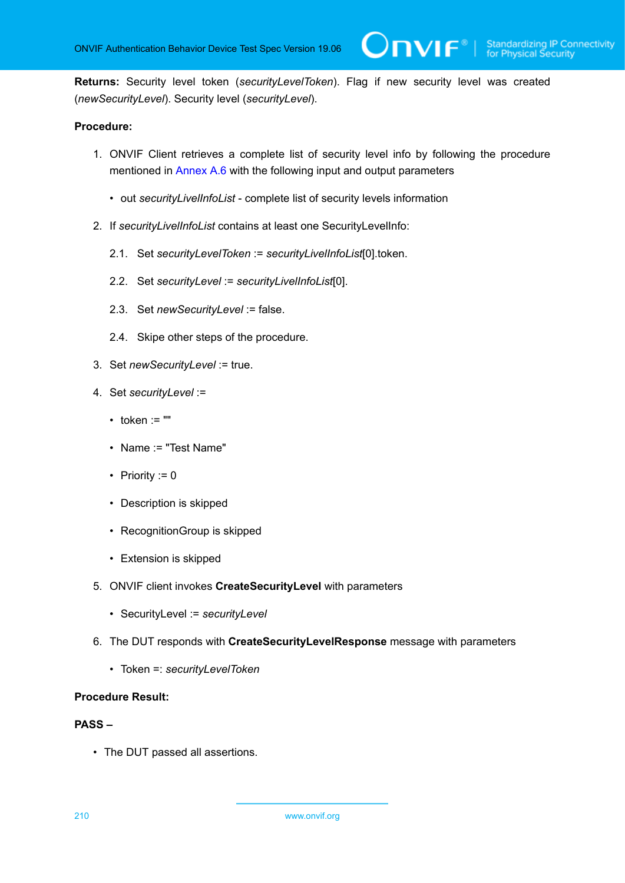**Returns:** Security level token (*securityLevelToken*). Flag if new security level was created (*newSecurityLevel*). Security level (*securityLevel*).

 $\mathsf{D}\mathbf{n}\mathsf{V}\mathsf{I}\mathsf{F}^\ast$  :

### **Procedure:**

- 1. ONVIF Client retrieves a complete list of security level info by following the procedure mentioned in [Annex A.6](#page-210-0) with the following input and output parameters
	- out *securityLivelInfoList* complete list of security levels information
- 2. If *securityLivelInfoList* contains at least one SecurityLevelInfo:
	- 2.1. Set *securityLevelToken* := *securityLivelInfoList*[0].token.
	- 2.2. Set *securityLevel* := *securityLivelInfoList*[0].
	- 2.3. Set *newSecurityLevel* := false.
	- 2.4. Skipe other steps of the procedure.
- 3. Set *newSecurityLevel* := true.
- 4. Set *securityLevel* :=
	- $\cdot$  token := ""
	- Name := "Test Name"
	- Priority  $:= 0$
	- Description is skipped
	- RecognitionGroup is skipped
	- Extension is skipped
- 5. ONVIF client invokes **CreateSecurityLevel** with parameters
	- SecurityLevel := *securityLevel*
- 6. The DUT responds with **CreateSecurityLevelResponse** message with parameters
	- Token =: *securityLevelToken*

### **Procedure Result:**

### **PASS –**

• The DUT passed all assertions.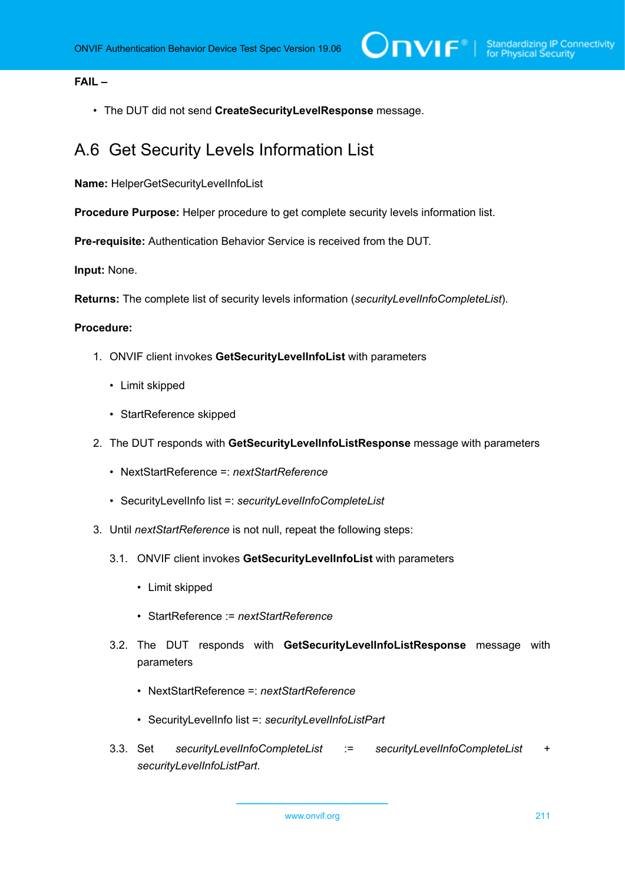### **FAIL –**

• The DUT did not send **CreateSecurityLevelResponse** message.

### <span id="page-210-0"></span>A.6 Get Security Levels Information List

**Name:** HelperGetSecurityLevelInfoList

**Procedure Purpose:** Helper procedure to get complete security levels information list.

**Pre-requisite:** Authentication Behavior Service is received from the DUT.

**Input:** None.

**Returns:** The complete list of security levels information (*securityLevelInfoCompleteList*).

### **Procedure:**

- 1. ONVIF client invokes **GetSecurityLevelInfoList** with parameters
	- Limit skipped
	- StartReference skipped
- 2. The DUT responds with **GetSecurityLevelInfoListResponse** message with parameters
	- NextStartReference =: *nextStartReference*
	- SecurityLevelInfo list =: *securityLevelInfoCompleteList*
- 3. Until *nextStartReference* is not null, repeat the following steps:
	- 3.1. ONVIF client invokes **GetSecurityLevelInfoList** with parameters
		- Limit skipped
		- StartReference := *nextStartReference*
	- 3.2. The DUT responds with **GetSecurityLevelInfoListResponse** message with parameters
		- NextStartReference =: *nextStartReference*
		- SecurityLevelInfo list =: *securityLevelInfoListPart*
	- 3.3. Set *securityLevelInfoCompleteList* := *securityLevelInfoCompleteList* + *securityLevelInfoListPart*.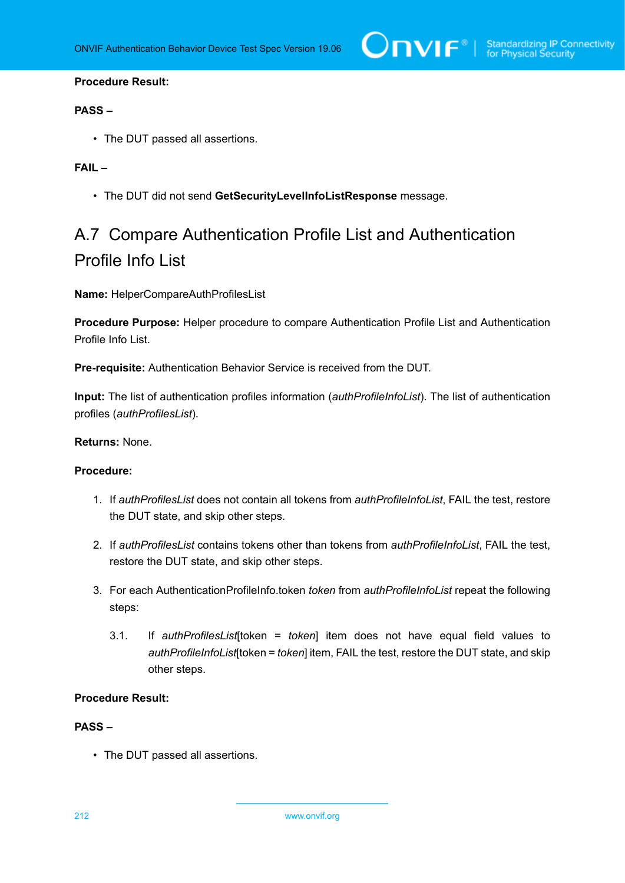### **Procedure Result:**

### **PASS –**

• The DUT passed all assertions.

### **FAIL –**

• The DUT did not send **GetSecurityLevelInfoListResponse** message.

# A.7 Compare Authentication Profile List and Authentication Profile Info List

**Name:** HelperCompareAuthProfilesList

**Procedure Purpose:** Helper procedure to compare Authentication Profile List and Authentication Profile Info List.

**Pre-requisite:** Authentication Behavior Service is received from the DUT.

**Input:** The list of authentication profiles information (*authProfileInfoList*). The list of authentication profiles (*authProfilesList*).

### **Returns:** None.

### **Procedure:**

- 1. If *authProfilesList* does not contain all tokens from *authProfileInfoList*, FAIL the test, restore the DUT state, and skip other steps.
- 2. If *authProfilesList* contains tokens other than tokens from *authProfileInfoList*, FAIL the test, restore the DUT state, and skip other steps.
- <span id="page-211-0"></span>3. For each AuthenticationProfileInfo.token *token* from *authProfileInfoList* repeat the following steps:
	- 3.1. If *authProfilesList*[token = *token*] item does not have equal field values to *authProfileInfoList*[token = *token*] item, FAIL the test, restore the DUT state, and skip other steps.

### **Procedure Result:**

### **PASS –**

• The DUT passed all assertions.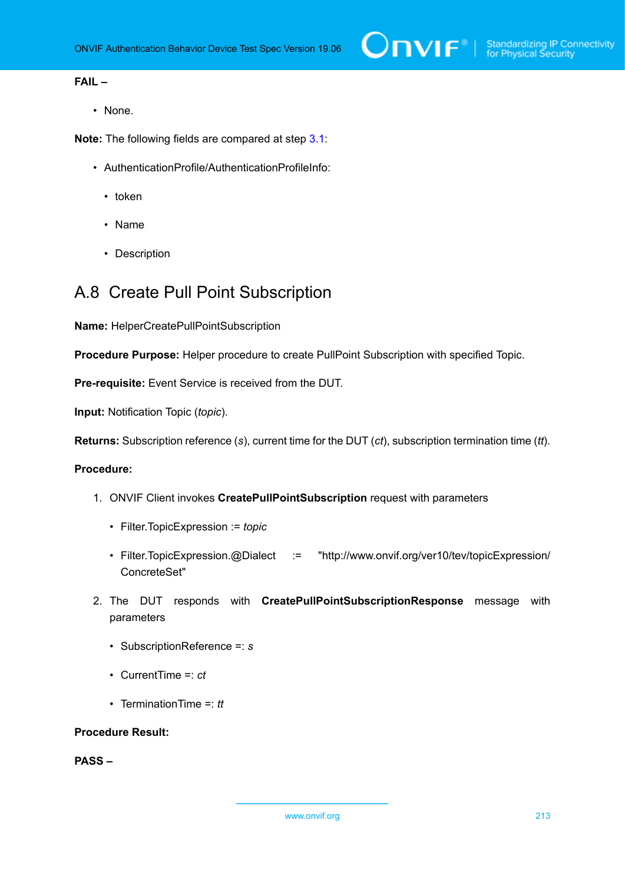### **FAIL –**

• None.

**Note:** The following fields are compared at step [3.1](#page-211-0):

- AuthenticationProfile/AuthenticationProfileInfo:
	- token
	- Name
	- Description

### A.8 Create Pull Point Subscription

**Name:** HelperCreatePullPointSubscription

**Procedure Purpose:** Helper procedure to create PullPoint Subscription with specified Topic.

**Pre-requisite:** Event Service is received from the DUT.

**Input:** Notification Topic (*topic*).

**Returns:** Subscription reference (*s*), current time for the DUT (*ct*), subscription termination time (*tt*).

### **Procedure:**

- 1. ONVIF Client invokes **CreatePullPointSubscription** request with parameters
	- Filter.TopicExpression := *topic*
	- Filter.TopicExpression.@Dialect := "http://www.onvif.org/ver10/tev/topicExpression/ ConcreteSet"
- 2. The DUT responds with **CreatePullPointSubscriptionResponse** message with parameters
	- SubscriptionReference =: *s*
	- CurrentTime =: *ct*
	- TerminationTime =: *tt*

#### **Procedure Result:**

**PASS –**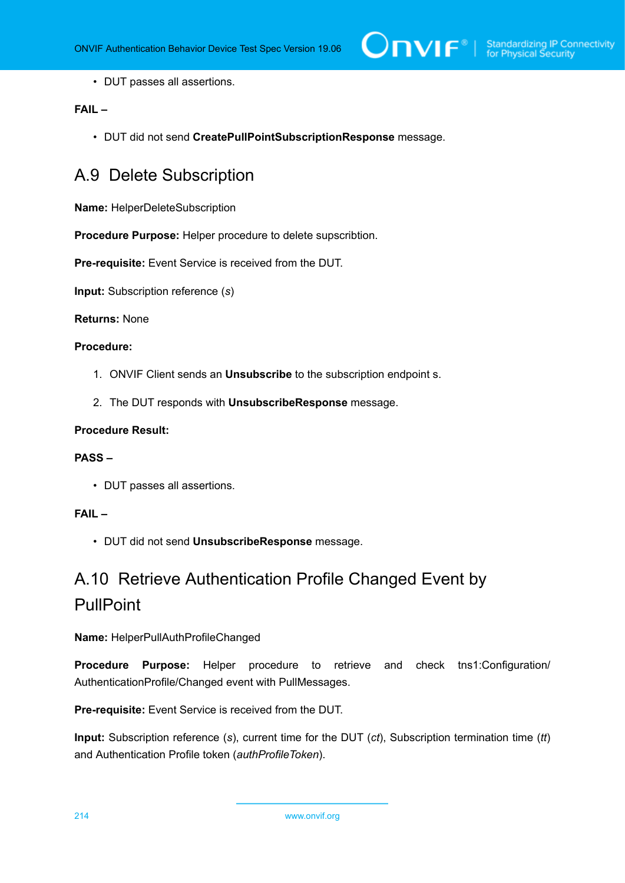• DUT passes all assertions.

### **FAIL –**

• DUT did not send **CreatePullPointSubscriptionResponse** message.

## A.9 Delete Subscription

**Name:** HelperDeleteSubscription

**Procedure Purpose:** Helper procedure to delete supscribtion.

**Pre-requisite:** Event Service is received from the DUT.

**Input:** Subscription reference (*s*)

### **Returns:** None

### **Procedure:**

- 1. ONVIF Client sends an **Unsubscribe** to the subscription endpoint s.
- 2. The DUT responds with **UnsubscribeResponse** message.

### **Procedure Result:**

### **PASS –**

• DUT passes all assertions.

### **FAIL –**

• DUT did not send **UnsubscribeResponse** message.

# A.10 Retrieve Authentication Profile Changed Event by **PullPoint**

### **Name:** HelperPullAuthProfileChanged

**Procedure Purpose:** Helper procedure to retrieve and check tns1:Configuration/ AuthenticationProfile/Changed event with PullMessages.

**Pre-requisite:** Event Service is received from the DUT.

**Input:** Subscription reference (*s*), current time for the DUT (*ct*), Subscription termination time (*tt*) and Authentication Profile token (*authProfileToken*).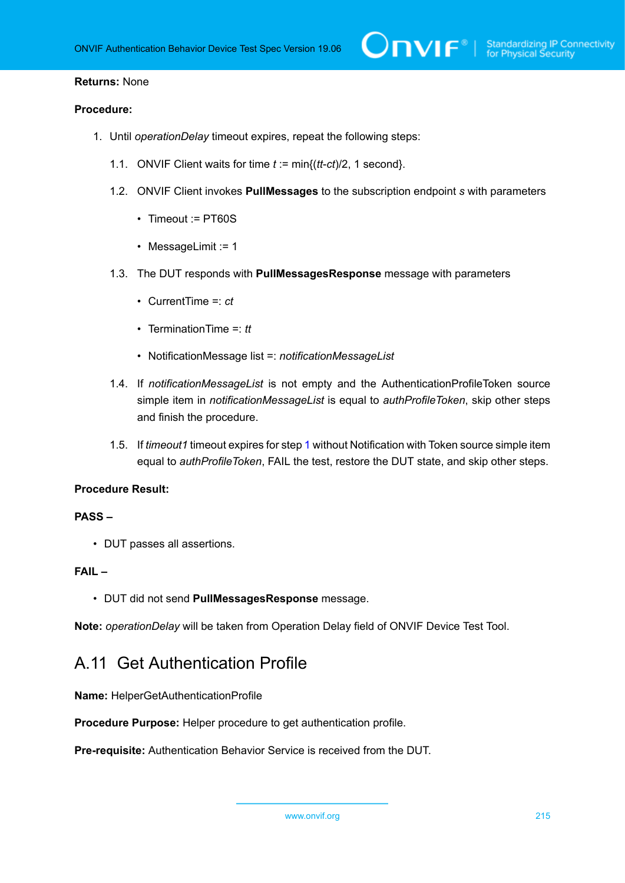### **Returns:** None

### **Procedure:**

- <span id="page-214-0"></span>1. Until *operationDelay* timeout expires, repeat the following steps:
	- 1.1. ONVIF Client waits for time *t* := min{(*tt*-*ct*)/2, 1 second}.
	- 1.2. ONVIF Client invokes **PullMessages** to the subscription endpoint *s* with parameters
		- Timeout := PT60S
		- MessageLimit := 1
	- 1.3. The DUT responds with **PullMessagesResponse** message with parameters
		- CurrentTime =: *ct*
		- TerminationTime =: *tt*
		- NotificationMessage list =: *notificationMessageList*
	- 1.4. If *notificationMessageList* is not empty and the AuthenticationProfileToken source simple item in *notificationMessageList* is equal to *authProfileToken*, skip other steps and finish the procedure.
	- 1.5. If *timeout1* timeout expires for step [1](#page-214-0) without Notification with Token source simple item equal to *authProfileToken*, FAIL the test, restore the DUT state, and skip other steps.

### **Procedure Result:**

### **PASS –**

• DUT passes all assertions.

### **FAIL –**

• DUT did not send **PullMessagesResponse** message.

**Note:** *operationDelay* will be taken from Operation Delay field of ONVIF Device Test Tool.

### A.11 Get Authentication Profile

**Name:** HelperGetAuthenticationProfile

**Procedure Purpose:** Helper procedure to get authentication profile.

**Pre-requisite:** Authentication Behavior Service is received from the DUT.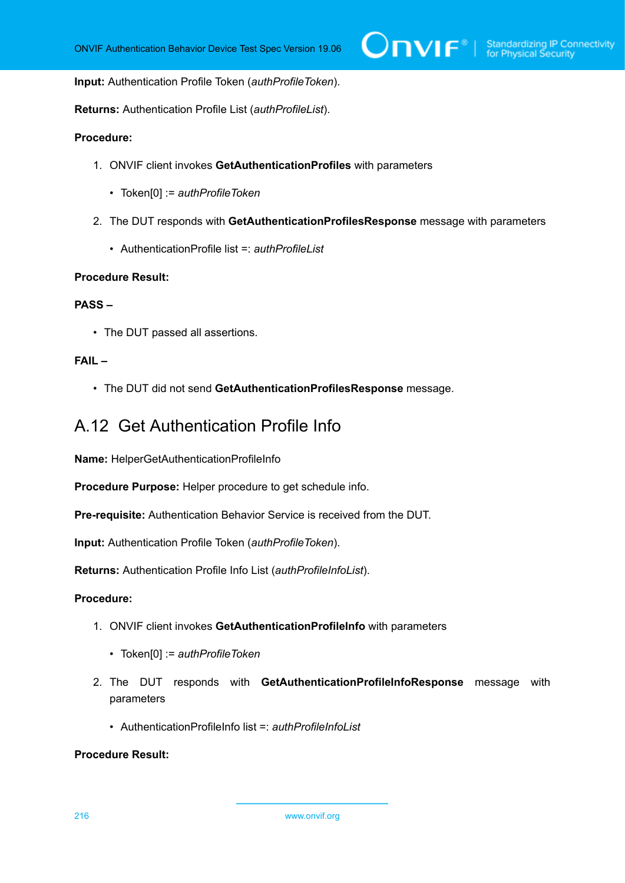$\bigcirc$   $\bigcap$   $\bigvee$   $\bigcirc$   $\bigcirc$   $\bigcirc$  Standardizing IP Connectivity

**Input:** Authentication Profile Token (*authProfileToken*).

**Returns:** Authentication Profile List (*authProfileList*).

### **Procedure:**

- 1. ONVIF client invokes **GetAuthenticationProfiles** with parameters
	- Token[0] := *authProfileToken*
- 2. The DUT responds with **GetAuthenticationProfilesResponse** message with parameters
	- AuthenticationProfile list =: *authProfileList*

#### **Procedure Result:**

### **PASS –**

• The DUT passed all assertions.

### **FAIL –**

• The DUT did not send **GetAuthenticationProfilesResponse** message.

### A.12 Get Authentication Profile Info

**Name:** HelperGetAuthenticationProfileInfo

**Procedure Purpose:** Helper procedure to get schedule info.

**Pre-requisite:** Authentication Behavior Service is received from the DUT.

**Input:** Authentication Profile Token (*authProfileToken*).

**Returns:** Authentication Profile Info List (*authProfileInfoList*).

### **Procedure:**

- 1. ONVIF client invokes **GetAuthenticationProfileInfo** with parameters
	- Token[0] := *authProfileToken*
- 2. The DUT responds with **GetAuthenticationProfileInfoResponse** message with parameters
	- AuthenticationProfileInfo list =: *authProfileInfoList*

### **Procedure Result:**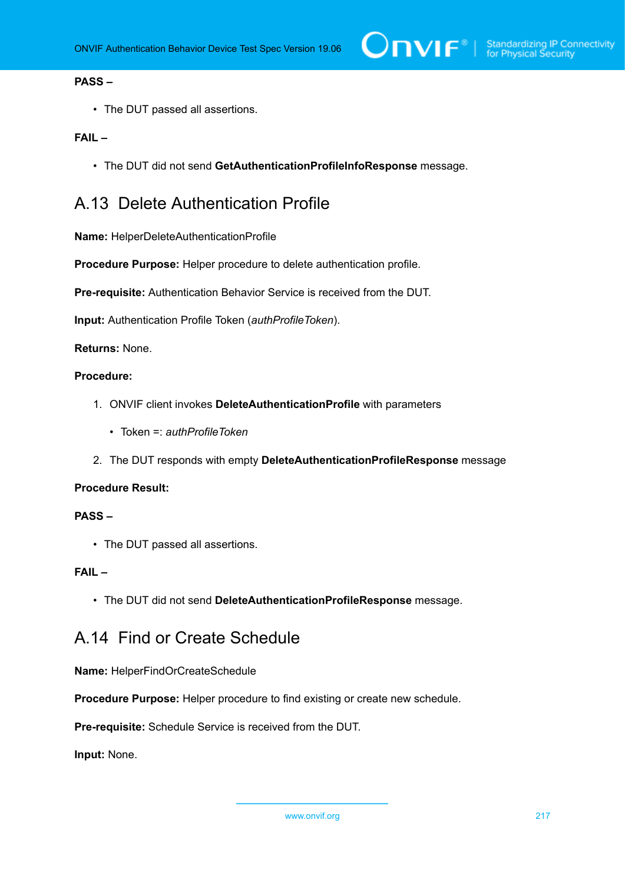# **PASS –**

• The DUT passed all assertions.

#### **FAIL –**

• The DUT did not send **GetAuthenticationProfileInfoResponse** message.

# A.13 Delete Authentication Profile

**Name:** HelperDeleteAuthenticationProfile

**Procedure Purpose:** Helper procedure to delete authentication profile.

**Pre-requisite:** Authentication Behavior Service is received from the DUT.

**Input:** Authentication Profile Token (*authProfileToken*).

**Returns:** None.

# **Procedure:**

- 1. ONVIF client invokes **DeleteAuthenticationProfile** with parameters
	- Token =: *authProfileToken*
- 2. The DUT responds with empty **DeleteAuthenticationProfileResponse** message

#### **Procedure Result:**

#### **PASS –**

• The DUT passed all assertions.

# **FAIL –**

• The DUT did not send **DeleteAuthenticationProfileResponse** message.

# <span id="page-216-0"></span>A.14 Find or Create Schedule

**Name:** HelperFindOrCreateSchedule

**Procedure Purpose:** Helper procedure to find existing or create new schedule.

**Pre-requisite:** Schedule Service is received from the DUT.

**Input:** None.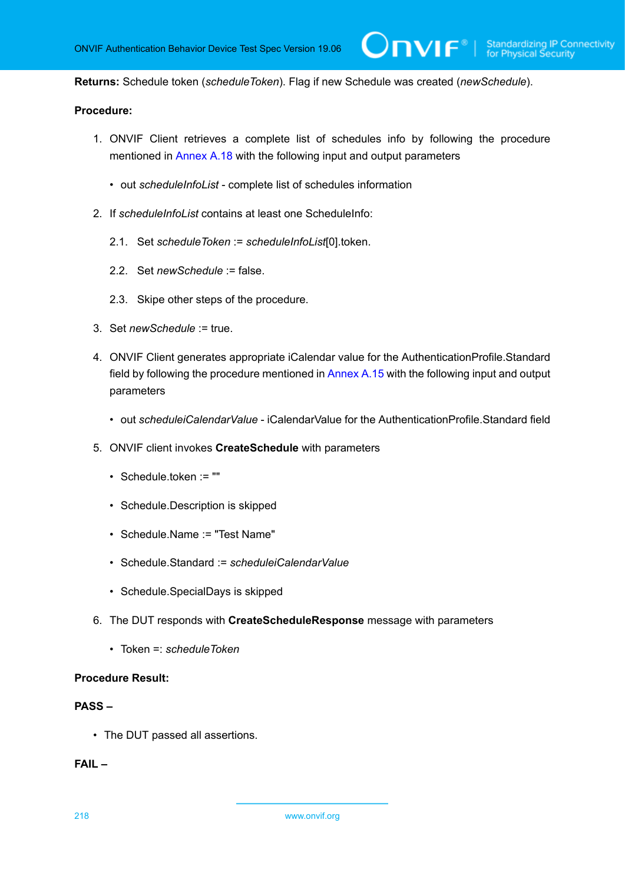**Returns:** Schedule token (*scheduleToken*). Flag if new Schedule was created (*newSchedule*).

# **Procedure:**

1. ONVIF Client retrieves a complete list of schedules info by following the procedure mentioned in [Annex A.18](#page-221-0) with the following input and output parameters

 $\mathsf{D}\mathbf{N}\mathsf{I}\mathsf{F}^*$ l

- out *scheduleInfoList* complete list of schedules information
- 2. If *scheduleInfoList* contains at least one ScheduleInfo:
	- 2.1. Set *scheduleToken* := *scheduleInfoList*[0].token.
	- 2.2. Set *newSchedule* := false.
	- 2.3. Skipe other steps of the procedure.
- 3. Set *newSchedule* := true.
- 4. ONVIF Client generates appropriate iCalendar value for the AuthenticationProfile.Standard field by following the procedure mentioned in [Annex A.15](#page-218-0) with the following input and output parameters
	- out *scheduleiCalendarValue* iCalendarValue for the AuthenticationProfile.Standard field
- 5. ONVIF client invokes **CreateSchedule** with parameters
	- Schedule.token := ""
	- Schedule.Description is skipped
	- Schedule.Name := "Test Name"
	- Schedule.Standard := *scheduleiCalendarValue*
	- Schedule.SpecialDays is skipped
- 6. The DUT responds with **CreateScheduleResponse** message with parameters
	- Token =: *scheduleToken*

### **Procedure Result:**

#### **PASS –**

• The DUT passed all assertions.

**FAIL –**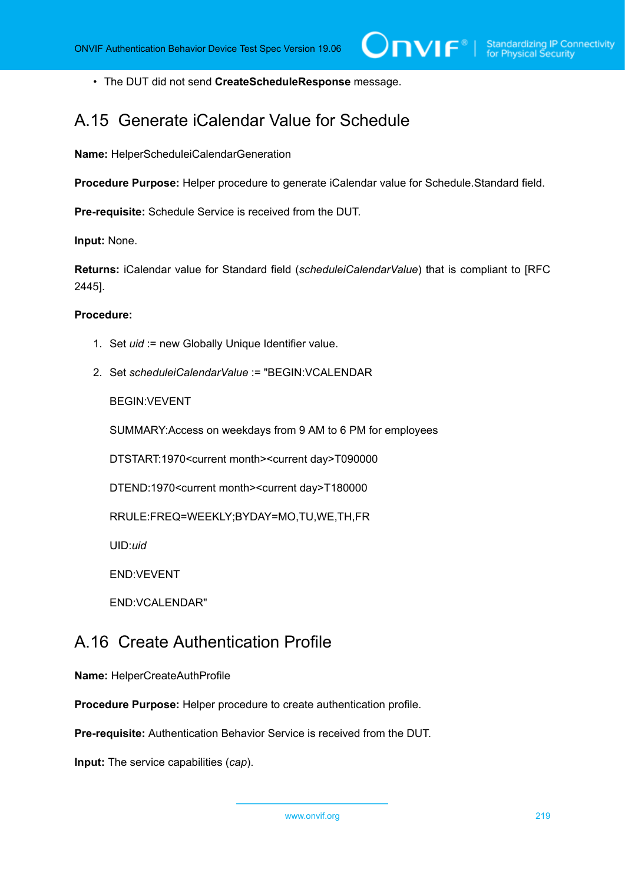• The DUT did not send **CreateScheduleResponse** message.

# <span id="page-218-0"></span>A.15 Generate iCalendar Value for Schedule

**Name:** HelperScheduleiCalendarGeneration

**Procedure Purpose:** Helper procedure to generate iCalendar value for Schedule.Standard field.

**Pre-requisite:** Schedule Service is received from the DUT.

**Input:** None.

**Returns:** iCalendar value for Standard field (*scheduleiCalendarValue*) that is compliant to [RFC 2445].

#### **Procedure:**

- 1. Set *uid* := new Globally Unique Identifier value.
- 2. Set *scheduleiCalendarValue* := "BEGIN:VCALENDAR

BEGIN:VEVENT

SUMMARY:Access on weekdays from 9 AM to 6 PM for employees

DTSTART:1970<current month><current day>T090000

DTEND:1970<current month><current day>T180000

RRULE:FREQ=WEEKLY;BYDAY=MO,TU,WE,TH,FR

UID:*uid*

END:VEVENT

END:VCALENDAR"

# A.16 Create Authentication Profile

**Name:** HelperCreateAuthProfile

**Procedure Purpose:** Helper procedure to create authentication profile.

**Pre-requisite:** Authentication Behavior Service is received from the DUT.

**Input:** The service capabilities (*cap*).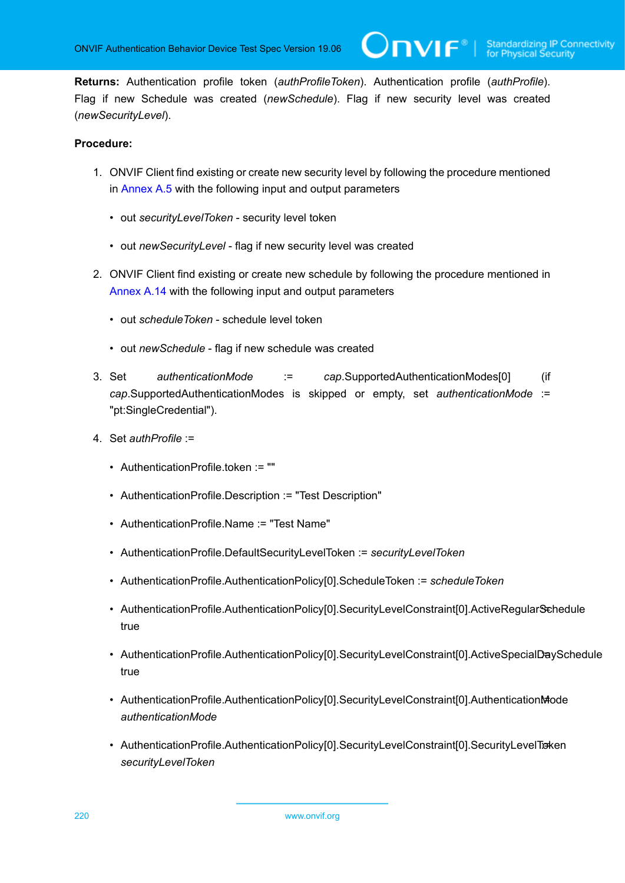$\overline{C}$ NIF $^{\circ}$  :

**Returns:** Authentication profile token (*authProfileToken*). Authentication profile (*authProfile*). Flag if new Schedule was created (*newSchedule*). Flag if new security level was created (*newSecurityLevel*).

- 1. ONVIF Client find existing or create new security level by following the procedure mentioned in [Annex A.5](#page-208-0) with the following input and output parameters
	- out *securityLevelToken* security level token
	- out *newSecurityLevel* flag if new security level was created
- 2. ONVIF Client find existing or create new schedule by following the procedure mentioned in [Annex A.14](#page-216-0) with the following input and output parameters
	- out *scheduleToken* schedule level token
	- out *newSchedule* flag if new schedule was created
- 3. Set *authenticationMode* := *cap*.SupportedAuthenticationModes[0] (if *cap*.SupportedAuthenticationModes is skipped or empty, set *authenticationMode* := "pt:SingleCredential").
- 4. Set *authProfile* :=
	- AuthenticationProfile.token := ""
	- AuthenticationProfile.Description := "Test Description"
	- AuthenticationProfile.Name := "Test Name"
	- AuthenticationProfile.DefaultSecurityLevelToken := *securityLevelToken*
	- AuthenticationProfile.AuthenticationPolicy[0].ScheduleToken := *scheduleToken*
	- AuthenticationProfile.AuthenticationPolicy[0].SecurityLevelConstraint[0].ActiveRegularSchedule true
	- AuthenticationProfile.AuthenticationPolicy[0].SecurityLevelConstraint[0].ActiveSpecialDaySchedule true
	- AuthenticationProfile.AuthenticationPolicy[0].SecurityLevelConstraint[0].AuthenticationMode *authenticationMode*
	- AuthenticationProfile.AuthenticationPolicy[0].SecurityLevelConstraint[0].SecurityLevelTicken *securityLevelToken*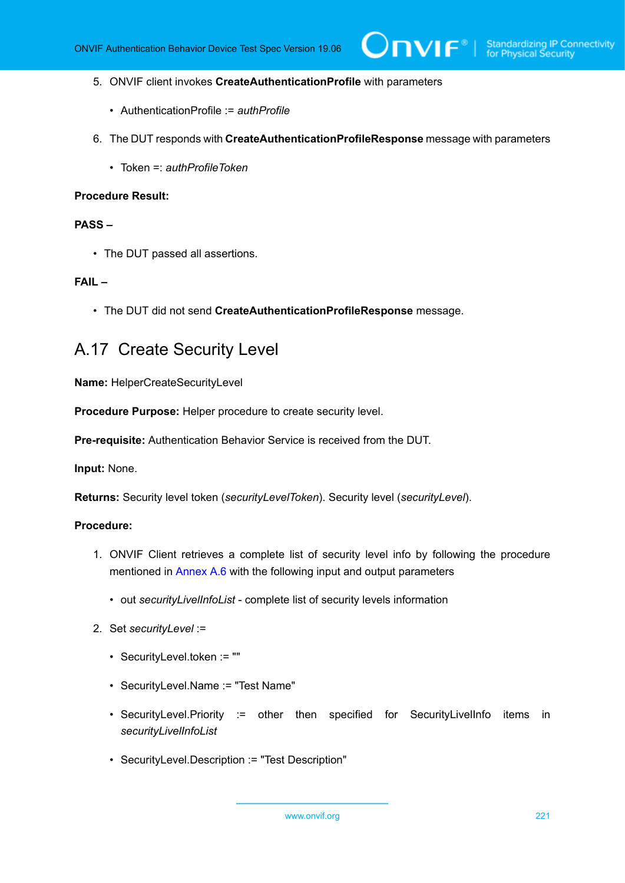- 5. ONVIF client invokes **CreateAuthenticationProfile** with parameters
	- AuthenticationProfile := *authProfile*
- 6. The DUT responds with **CreateAuthenticationProfileResponse** message with parameters
	- Token =: *authProfileToken*

# **PASS –**

• The DUT passed all assertions.

### **FAIL –**

• The DUT did not send **CreateAuthenticationProfileResponse** message.

# A.17 Create Security Level

**Name:** HelperCreateSecurityLevel

**Procedure Purpose:** Helper procedure to create security level.

**Pre-requisite:** Authentication Behavior Service is received from the DUT.

**Input:** None.

**Returns:** Security level token (*securityLevelToken*). Security level (*securityLevel*).

- 1. ONVIF Client retrieves a complete list of security level info by following the procedure mentioned in [Annex A.6](#page-210-0) with the following input and output parameters
	- out *securityLivelInfoList* complete list of security levels information
- 2. Set *securityLevel* :=
	- SecurityLevel.token := ""
	- SecurityLevel.Name := "Test Name"
	- SecurityLevel.Priority := other then specified for SecurityLivelInfo items in *securityLivelInfoList*
	- SecurityLevel.Description := "Test Description"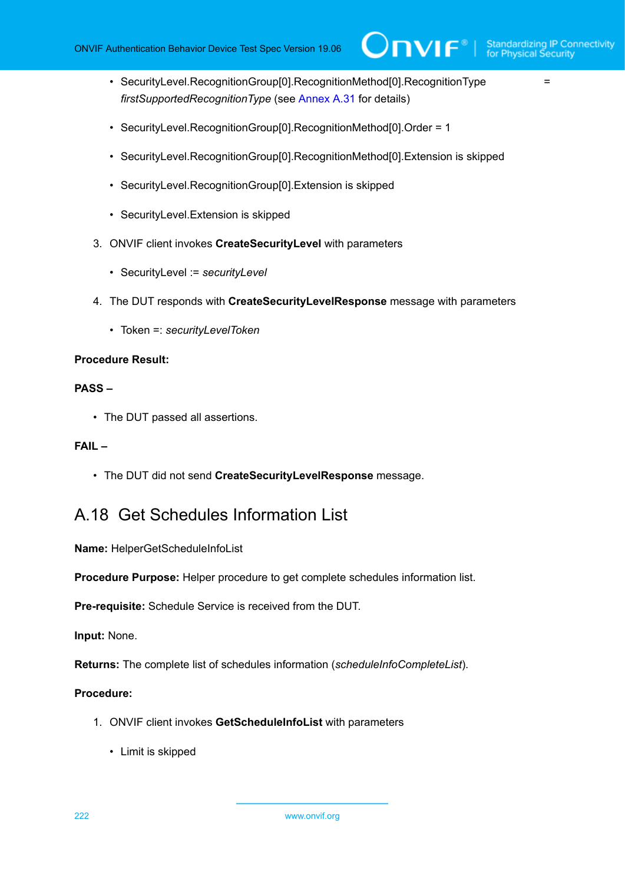$\bigcirc$ nvif $^{\circ}$ l

- SecurityLevel.RecognitionGroup[0].RecognitionMethod[0].RecognitionType = = = *firstSupportedRecognitionType* (see [Annex A.31](#page-233-0) for details)
- SecurityLevel.RecognitionGroup[0].RecognitionMethod[0].Order = 1
- SecurityLevel.RecognitionGroup[0].RecognitionMethod[0].Extension is skipped
- SecurityLevel.RecognitionGroup[0].Extension is skipped
- SecurityLevel.Extension is skipped
- 3. ONVIF client invokes **CreateSecurityLevel** with parameters
	- SecurityLevel := *securityLevel*
- 4. The DUT responds with **CreateSecurityLevelResponse** message with parameters
	- Token =: *securityLevelToken*

#### **Procedure Result:**

#### **PASS –**

• The DUT passed all assertions.

### **FAIL –**

• The DUT did not send **CreateSecurityLevelResponse** message.

# <span id="page-221-0"></span>A.18 Get Schedules Information List

### **Name:** HelperGetScheduleInfoList

**Procedure Purpose:** Helper procedure to get complete schedules information list.

**Pre-requisite:** Schedule Service is received from the DUT.

**Input:** None.

**Returns:** The complete list of schedules information (*scheduleInfoCompleteList*).

### **Procedure:**

- 1. ONVIF client invokes **GetScheduleInfoList** with parameters
	- Limit is skipped

222 www.onvif.org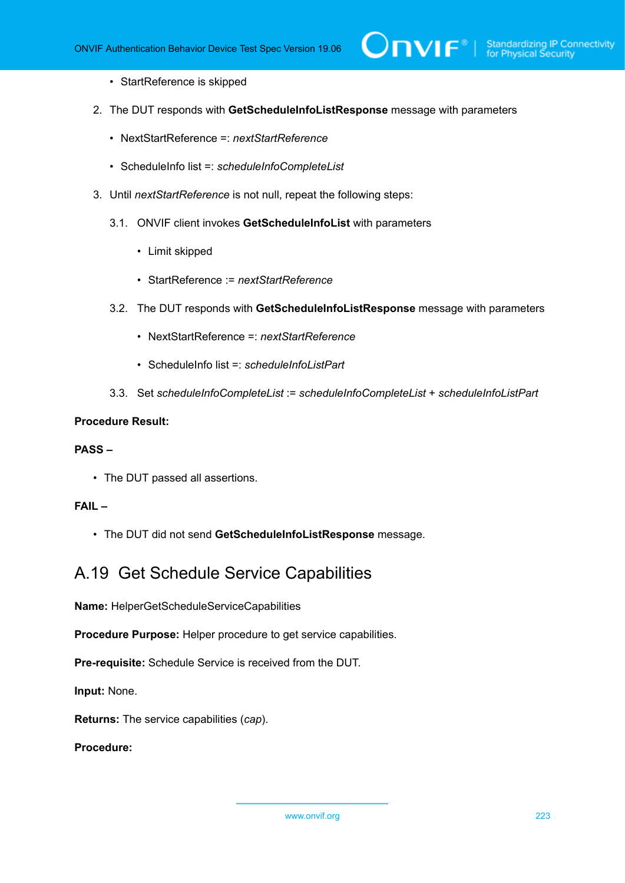- StartReference is skipped
- 2. The DUT responds with **GetScheduleInfoListResponse** message with parameters
	- NextStartReference =: *nextStartReference*
	- ScheduleInfo list =: *scheduleInfoCompleteList*
- 3. Until *nextStartReference* is not null, repeat the following steps:
	- 3.1. ONVIF client invokes **GetScheduleInfoList** with parameters
		- Limit skipped
		- StartReference := *nextStartReference*
	- 3.2. The DUT responds with **GetScheduleInfoListResponse** message with parameters
		- NextStartReference =: *nextStartReference*
		- ScheduleInfo list =: *scheduleInfoListPart*
	- 3.3. Set *scheduleInfoCompleteList* := *scheduleInfoCompleteList* + *scheduleInfoListPart*

### **PASS –**

• The DUT passed all assertions.

## **FAIL –**

• The DUT did not send **GetScheduleInfoListResponse** message.

# A.19 Get Schedule Service Capabilities

**Name:** HelperGetScheduleServiceCapabilities

**Procedure Purpose:** Helper procedure to get service capabilities.

**Pre-requisite:** Schedule Service is received from the DUT.

**Input:** None.

**Returns:** The service capabilities (*cap*).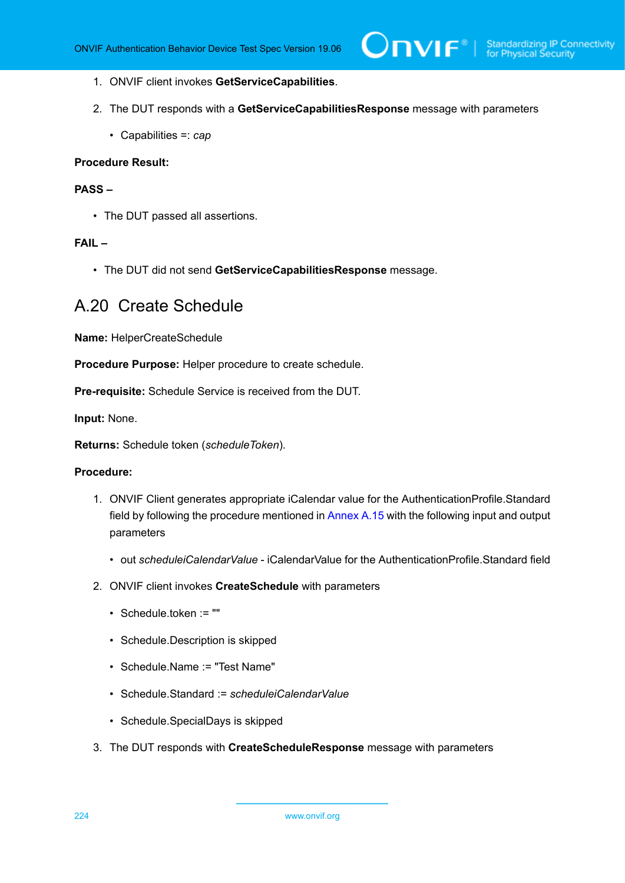- 1. ONVIF client invokes **GetServiceCapabilities**.
- 2. The DUT responds with a **GetServiceCapabilitiesResponse** message with parameters
	- Capabilities =: *cap*

# **PASS –**

• The DUT passed all assertions.

### **FAIL –**

• The DUT did not send **GetServiceCapabilitiesResponse** message.

# A.20 Create Schedule

**Name:** HelperCreateSchedule

**Procedure Purpose:** Helper procedure to create schedule.

**Pre-requisite:** Schedule Service is received from the DUT.

**Input:** None.

**Returns:** Schedule token (*scheduleToken*).

- 1. ONVIF Client generates appropriate iCalendar value for the AuthenticationProfile.Standard field by following the procedure mentioned in [Annex A.15](#page-218-0) with the following input and output parameters
	- out *scheduleiCalendarValue* iCalendarValue for the AuthenticationProfile.Standard field
- 2. ONVIF client invokes **CreateSchedule** with parameters
	- Schedule.token := ""
	- Schedule.Description is skipped
	- Schedule.Name := "Test Name"
	- Schedule.Standard := *scheduleiCalendarValue*
	- Schedule.SpecialDays is skipped
- 3. The DUT responds with **CreateScheduleResponse** message with parameters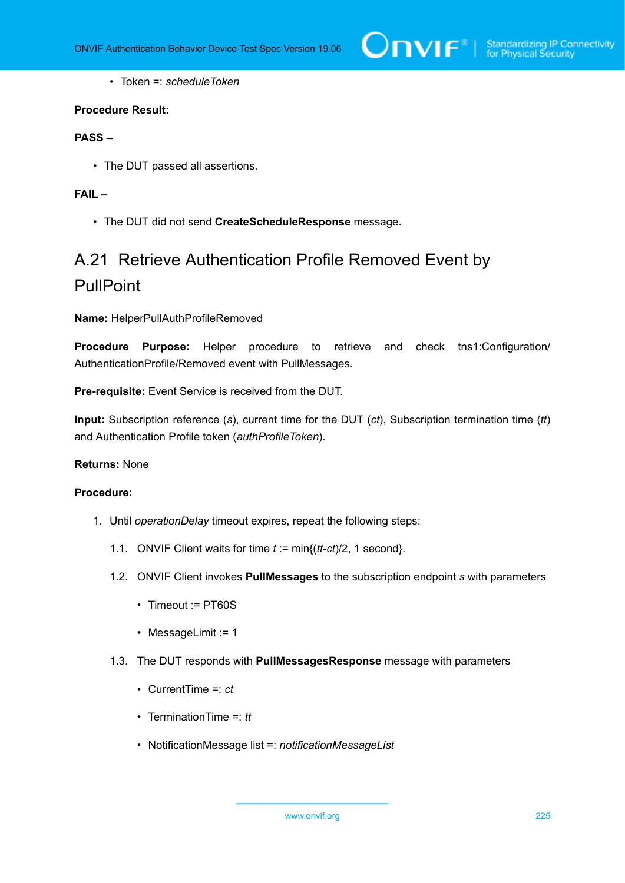

• Token =: *scheduleToken*

### **Procedure Result:**

# **PASS –**

• The DUT passed all assertions.

#### **FAIL –**

• The DUT did not send **CreateScheduleResponse** message.

# A.21 Retrieve Authentication Profile Removed Event by PullPoint

**Name:** HelperPullAuthProfileRemoved

**Procedure Purpose:** Helper procedure to retrieve and check tns1:Configuration/ AuthenticationProfile/Removed event with PullMessages.

**Pre-requisite:** Event Service is received from the DUT.

**Input:** Subscription reference (*s*), current time for the DUT (*ct*), Subscription termination time (*tt*) and Authentication Profile token (*authProfileToken*).

#### **Returns:** None

- <span id="page-224-0"></span>1. Until *operationDelay* timeout expires, repeat the following steps:
	- 1.1. ONVIF Client waits for time *t* := min{(*tt*-*ct*)/2, 1 second}.
	- 1.2. ONVIF Client invokes **PullMessages** to the subscription endpoint *s* with parameters
		- Timeout := PT60S
		- MessageLimit := 1
	- 1.3. The DUT responds with **PullMessagesResponse** message with parameters
		- CurrentTime =: *ct*
		- TerminationTime =: *tt*
		- NotificationMessage list =: *notificationMessageList*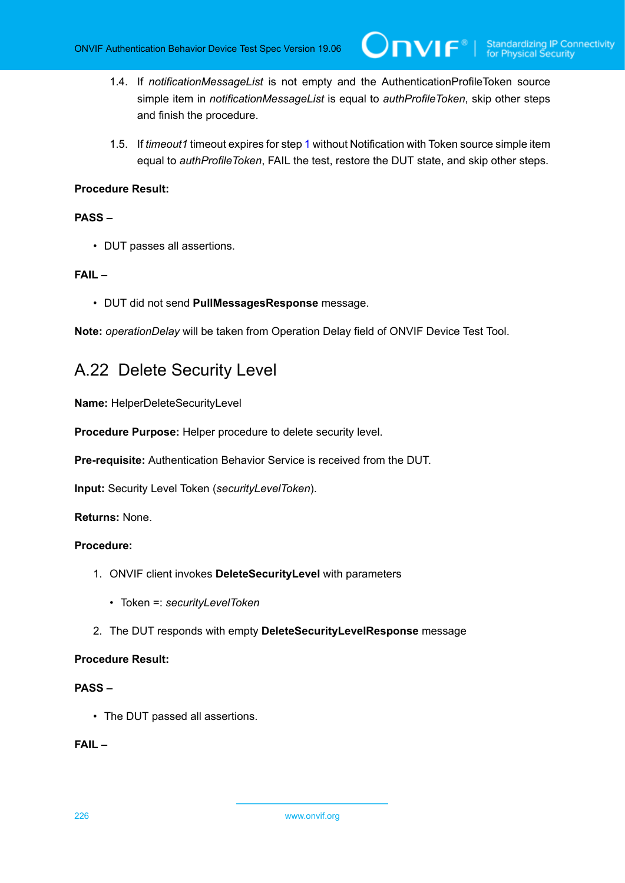- 1.4. If *notificationMessageList* is not empty and the AuthenticationProfileToken source simple item in *notificationMessageList* is equal to *authProfileToken*, skip other steps and finish the procedure.
- 1.5. If *timeout1* timeout expires for step [1](#page-224-0) without Notification with Token source simple item equal to *authProfileToken*, FAIL the test, restore the DUT state, and skip other steps.

# **PASS –**

• DUT passes all assertions.

# **FAIL –**

• DUT did not send **PullMessagesResponse** message.

**Note:** *operationDelay* will be taken from Operation Delay field of ONVIF Device Test Tool.

# A.22 Delete Security Level

**Name:** HelperDeleteSecurityLevel

**Procedure Purpose:** Helper procedure to delete security level.

**Pre-requisite:** Authentication Behavior Service is received from the DUT.

**Input:** Security Level Token (*securityLevelToken*).

**Returns:** None.

# **Procedure:**

- 1. ONVIF client invokes **DeleteSecurityLevel** with parameters
	- Token =: *securityLevelToken*
- 2. The DUT responds with empty **DeleteSecurityLevelResponse** message

### **Procedure Result:**

# **PASS –**

• The DUT passed all assertions.

# **FAIL –**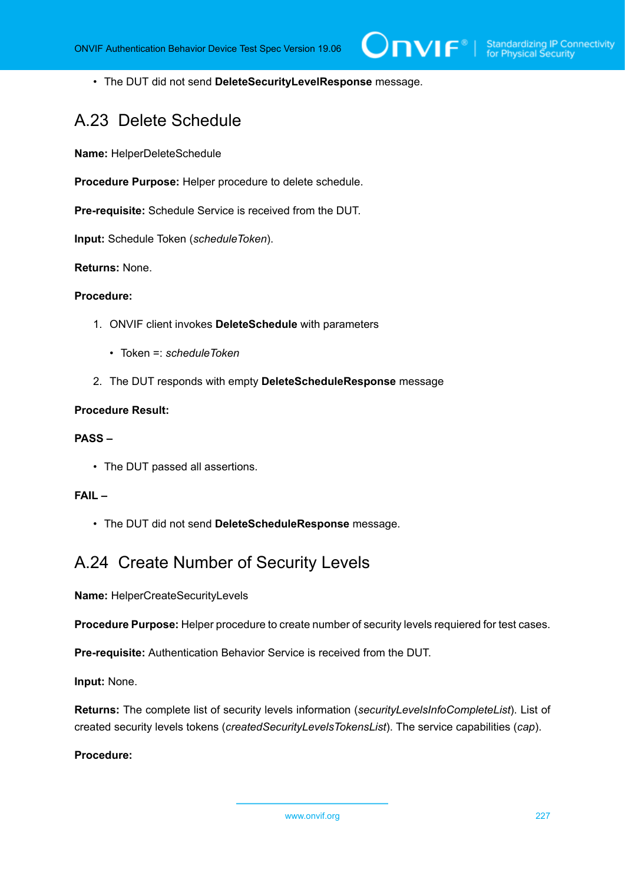• The DUT did not send **DeleteSecurityLevelResponse** message.

# A.23 Delete Schedule

**Name:** HelperDeleteSchedule

**Procedure Purpose:** Helper procedure to delete schedule.

**Pre-requisite:** Schedule Service is received from the DUT.

**Input:** Schedule Token (*scheduleToken*).

#### **Returns:** None.

#### **Procedure:**

- 1. ONVIF client invokes **DeleteSchedule** with parameters
	- Token =: *scheduleToken*
- 2. The DUT responds with empty **DeleteScheduleResponse** message

### **Procedure Result:**

#### **PASS –**

• The DUT passed all assertions.

### **FAIL –**

• The DUT did not send **DeleteScheduleResponse** message.

# A.24 Create Number of Security Levels

**Name:** HelperCreateSecurityLevels

**Procedure Purpose:** Helper procedure to create number of security levels requiered for test cases.

**Pre-requisite:** Authentication Behavior Service is received from the DUT.

**Input:** None.

**Returns:** The complete list of security levels information (*securityLevelsInfoCompleteList*). List of created security levels tokens (*createdSecurityLevelsTokensList*). The service capabilities (*cap*).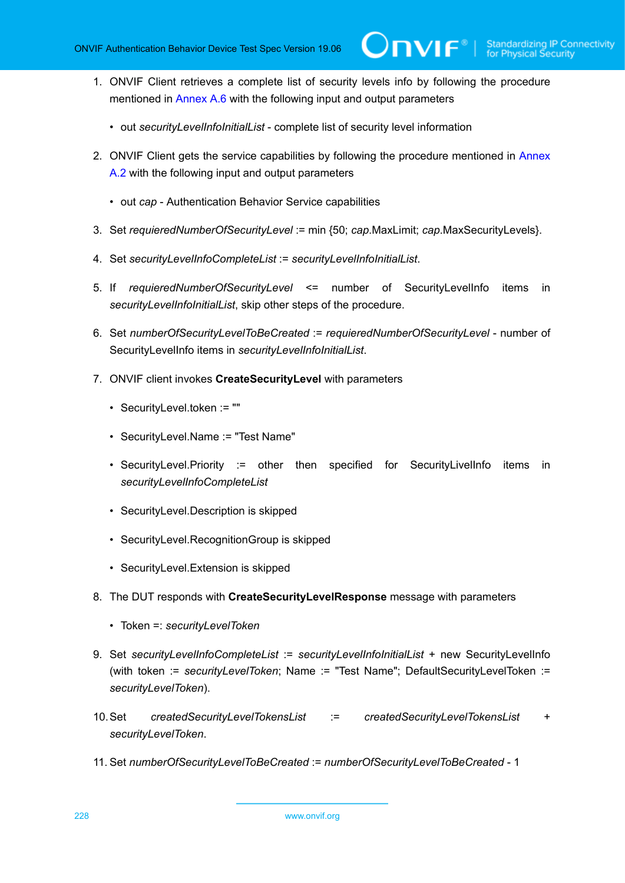- 1. ONVIF Client retrieves a complete list of security levels info by following the procedure mentioned in [Annex A.6](#page-210-0) with the following input and output parameters
	- out *securityLevelInfoInitialList* complete list of security level information
- 2. ONVIF Client gets the service capabilities by following the procedure mentioned in [Annex](#page-205-0) [A.2](#page-205-0) with the following input and output parameters
	- out *cap* Authentication Behavior Service capabilities
- 3. Set *requieredNumberOfSecurityLevel* := min {50; *cap*.MaxLimit; *cap*.MaxSecurityLevels}.
- 4. Set *securityLevelInfoCompleteList* := *securityLevelInfoInitialList*.
- 5. If *requieredNumberOfSecurityLevel* <= number of SecurityLevelInfo items in *securityLevelInfoInitialList*, skip other steps of the procedure.
- 6. Set *numberOfSecurityLevelToBeCreated* := *requieredNumberOfSecurityLevel* number of SecurityLevelInfo items in *securityLevelInfoInitialList*.
- <span id="page-227-0"></span>7. ONVIF client invokes **CreateSecurityLevel** with parameters
	- SecurityLevel.token := ""
	- SecurityLevel.Name := "Test Name"
	- SecurityLevel.Priority := other then specified for SecurityLivelInfo items in *securityLevelInfoCompleteList*
	- SecurityLevel.Description is skipped
	- SecurityLevel.RecognitionGroup is skipped
	- SecurityLevel.Extension is skipped
- 8. The DUT responds with **CreateSecurityLevelResponse** message with parameters
	- Token =: *securityLevelToken*
- 9. Set *securityLevelInfoCompleteList* := *securityLevelInfoInitialList* + new SecurityLevelInfo (with token := *securityLevelToken*; Name := "Test Name"; DefaultSecurityLevelToken := *securityLevelToken*).
- 10.Set *createdSecurityLevelTokensList* := *createdSecurityLevelTokensList* + *securityLevelToken*.
- 11. Set *numberOfSecurityLevelToBeCreated* := *numberOfSecurityLevelToBeCreated* 1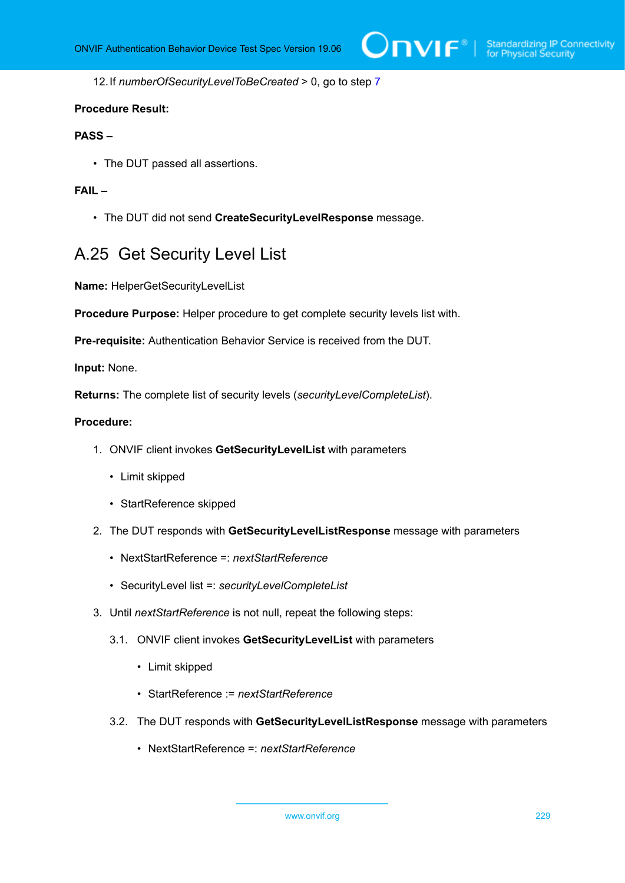12.If *numberOfSecurityLevelToBeCreated* > 0, go to step [7](#page-227-0)

#### **Procedure Result:**

#### **PASS –**

• The DUT passed all assertions.

# **FAIL –**

• The DUT did not send **CreateSecurityLevelResponse** message.

# A.25 Get Security Level List

**Name:** HelperGetSecurityLevelList

**Procedure Purpose:** Helper procedure to get complete security levels list with.

**Pre-requisite:** Authentication Behavior Service is received from the DUT.

**Input:** None.

**Returns:** The complete list of security levels (*securityLevelCompleteList*).

- 1. ONVIF client invokes **GetSecurityLevelList** with parameters
	- Limit skipped
	- StartReference skipped
- 2. The DUT responds with **GetSecurityLevelListResponse** message with parameters
	- NextStartReference =: *nextStartReference*
	- SecurityLevel list =: *securityLevelCompleteList*
- 3. Until *nextStartReference* is not null, repeat the following steps:
	- 3.1. ONVIF client invokes **GetSecurityLevelList** with parameters
		- Limit skipped
		- StartReference := *nextStartReference*
	- 3.2. The DUT responds with **GetSecurityLevelListResponse** message with parameters
		- NextStartReference =: *nextStartReference*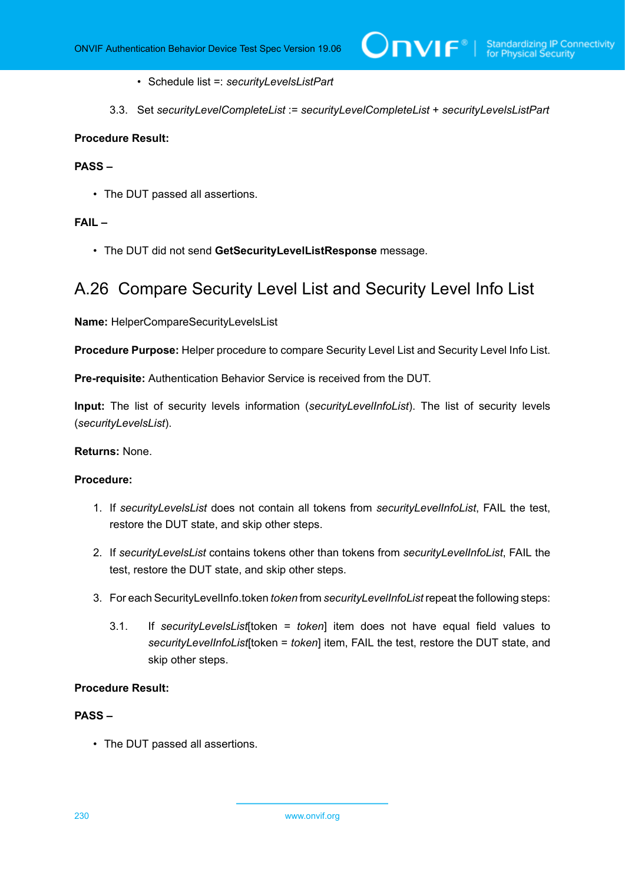- Schedule list =: *securityLevelsListPart*
- 3.3. Set *securityLevelCompleteList* := *securityLevelCompleteList* + *securityLevelsListPart*

### **PASS –**

• The DUT passed all assertions.

# **FAIL –**

• The DUT did not send **GetSecurityLevelListResponse** message.

# A.26 Compare Security Level List and Security Level Info List

**Name:** HelperCompareSecurityLevelsList

**Procedure Purpose:** Helper procedure to compare Security Level List and Security Level Info List.

**Pre-requisite:** Authentication Behavior Service is received from the DUT.

**Input:** The list of security levels information (*securityLevelInfoList*). The list of security levels (*securityLevelsList*).

#### **Returns:** None.

#### **Procedure:**

- 1. If *securityLevelsList* does not contain all tokens from *securityLevelInfoList*, FAIL the test, restore the DUT state, and skip other steps.
- 2. If *securityLevelsList* contains tokens other than tokens from *securityLevelInfoList*, FAIL the test, restore the DUT state, and skip other steps.
- <span id="page-229-0"></span>3. For each SecurityLevelInfo.token *token* from *securityLevelInfoList* repeat the following steps:
	- 3.1. If *securityLevelsList*[token = *token*] item does not have equal field values to *securityLevelInfoList*[token = *token*] item, FAIL the test, restore the DUT state, and skip other steps.

# **Procedure Result:**

# **PASS –**

• The DUT passed all assertions.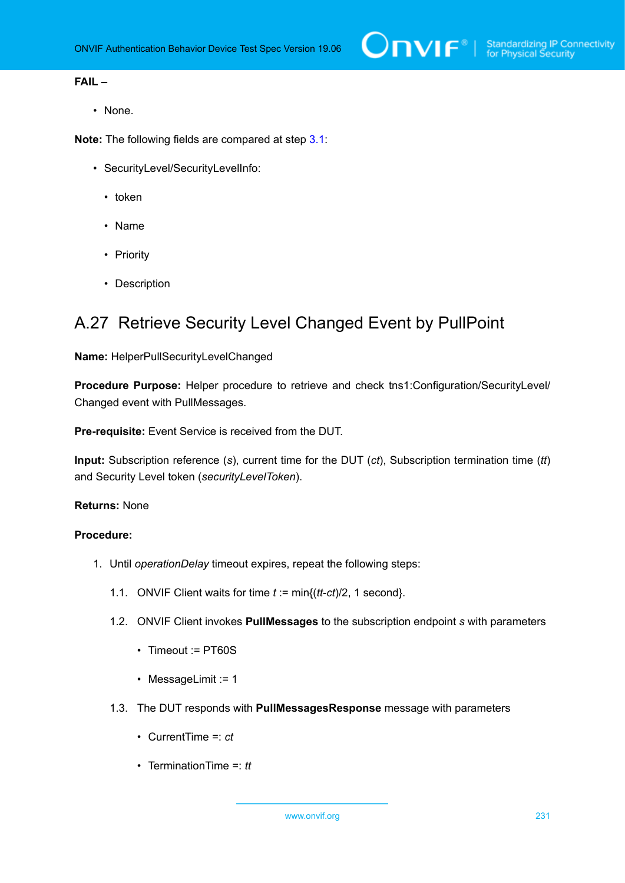# **FAIL –**

• None.

**Note:** The following fields are compared at step [3.1](#page-229-0):

- SecurityLevel/SecurityLevelInfo:
	- token
	- Name
	- Priority
	- Description

# A.27 Retrieve Security Level Changed Event by PullPoint

## **Name:** HelperPullSecurityLevelChanged

**Procedure Purpose:** Helper procedure to retrieve and check tns1:Configuration/SecurityLevel/ Changed event with PullMessages.

**Pre-requisite:** Event Service is received from the DUT.

**Input:** Subscription reference (*s*), current time for the DUT (*ct*), Subscription termination time (*tt*) and Security Level token (*securityLevelToken*).

#### **Returns:** None

- <span id="page-230-0"></span>1. Until *operationDelay* timeout expires, repeat the following steps:
	- 1.1. ONVIF Client waits for time *t* := min{(*tt*-*ct*)/2, 1 second}.
	- 1.2. ONVIF Client invokes **PullMessages** to the subscription endpoint *s* with parameters
		- Timeout := PT60S
		- MessageLimit := 1
	- 1.3. The DUT responds with **PullMessagesResponse** message with parameters
		- CurrentTime =: *ct*
		- TerminationTime =: *tt*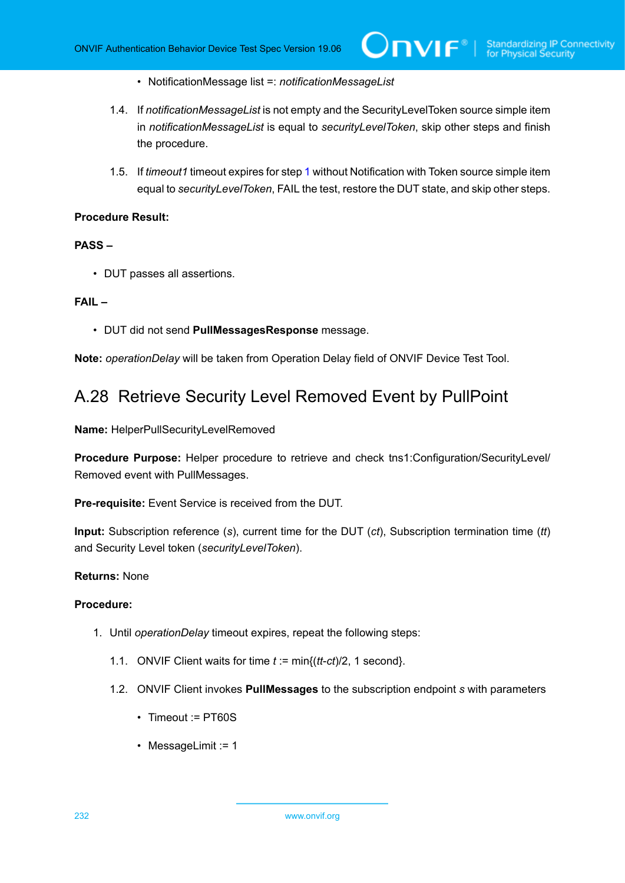- NotificationMessage list =: *notificationMessageList*
- 1.4. If *notificationMessageList* is not empty and the SecurityLevelToken source simple item in *notificationMessageList* is equal to *securityLevelToken*, skip other steps and finish the procedure.
- 1.5. If *timeout1* timeout expires for step [1](#page-230-0) without Notification with Token source simple item equal to *securityLevelToken*, FAIL the test, restore the DUT state, and skip other steps.

#### **PASS –**

• DUT passes all assertions.

#### **FAIL –**

• DUT did not send **PullMessagesResponse** message.

**Note:** *operationDelay* will be taken from Operation Delay field of ONVIF Device Test Tool.

# A.28 Retrieve Security Level Removed Event by PullPoint

**Name:** HelperPullSecurityLevelRemoved

**Procedure Purpose:** Helper procedure to retrieve and check tns1:Configuration/SecurityLevel/ Removed event with PullMessages.

**Pre-requisite:** Event Service is received from the DUT.

**Input:** Subscription reference (*s*), current time for the DUT (*ct*), Subscription termination time (*tt*) and Security Level token (*securityLevelToken*).

#### **Returns:** None

- <span id="page-231-0"></span>1. Until *operationDelay* timeout expires, repeat the following steps:
	- 1.1. ONVIF Client waits for time *t* := min{(*tt*-*ct*)/2, 1 second}.
	- 1.2. ONVIF Client invokes **PullMessages** to the subscription endpoint *s* with parameters
		- Timeout := PT60S
		- MessageLimit := 1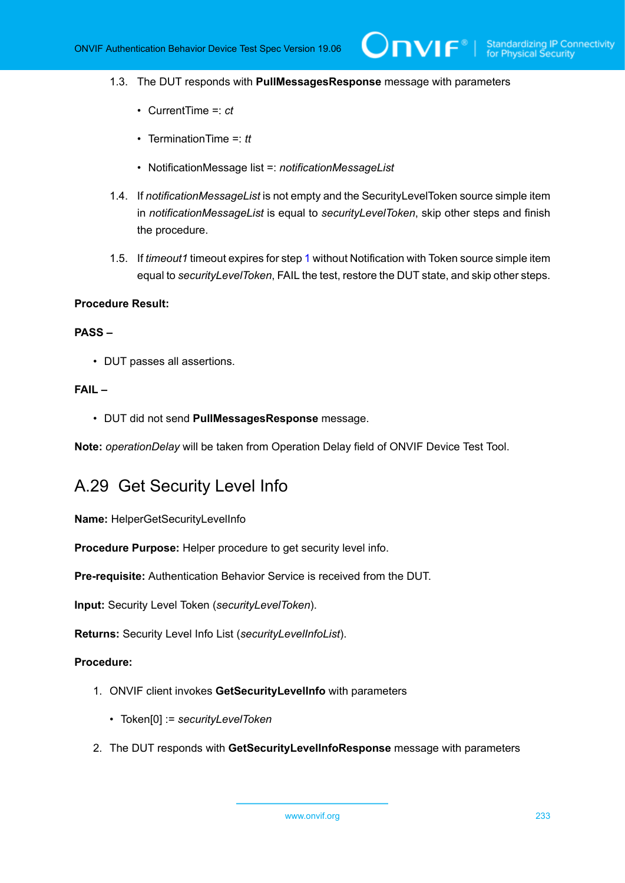1.3. The DUT responds with **PullMessagesResponse** message with parameters

 $\bm{\cup}$ NIF $^*$ l

- CurrentTime =: *ct*
- TerminationTime =: *tt*
- NotificationMessage list =: *notificationMessageList*
- 1.4. If *notificationMessageList* is not empty and the SecurityLevelToken source simple item in *notificationMessageList* is equal to *securityLevelToken*, skip other steps and finish the procedure.
- 1.5. If *timeout1* timeout expires for step [1](#page-231-0) without Notification with Token source simple item equal to *securityLevelToken*, FAIL the test, restore the DUT state, and skip other steps.

### **Procedure Result:**

#### **PASS –**

• DUT passes all assertions.

# **FAIL –**

• DUT did not send **PullMessagesResponse** message.

**Note:** *operationDelay* will be taken from Operation Delay field of ONVIF Device Test Tool.

# A.29 Get Security Level Info

**Name:** HelperGetSecurityLevelInfo

**Procedure Purpose:** Helper procedure to get security level info.

**Pre-requisite:** Authentication Behavior Service is received from the DUT.

**Input:** Security Level Token (*securityLevelToken*).

**Returns:** Security Level Info List (*securityLevelInfoList*).

- 1. ONVIF client invokes **GetSecurityLevelInfo** with parameters
	- Token[0] := *securityLevelToken*
- 2. The DUT responds with **GetSecurityLevelInfoResponse** message with parameters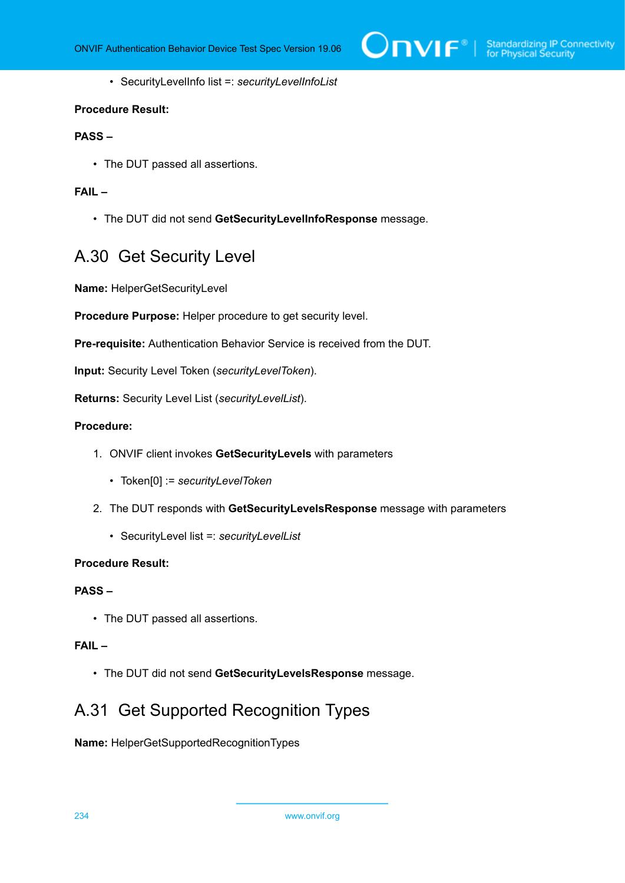

• SecurityLevelInfo list =: *securityLevelInfoList*

#### **Procedure Result:**

# **PASS –**

• The DUT passed all assertions.

# **FAIL –**

• The DUT did not send **GetSecurityLevelInfoResponse** message.

# A.30 Get Security Level

**Name:** HelperGetSecurityLevel

**Procedure Purpose:** Helper procedure to get security level.

**Pre-requisite:** Authentication Behavior Service is received from the DUT.

**Input:** Security Level Token (*securityLevelToken*).

**Returns:** Security Level List (*securityLevelList*).

## **Procedure:**

- 1. ONVIF client invokes **GetSecurityLevels** with parameters
	- Token[0] := *securityLevelToken*
- 2. The DUT responds with **GetSecurityLevelsResponse** message with parameters
	- SecurityLevel list =: *securityLevelList*

#### **Procedure Result:**

## **PASS –**

• The DUT passed all assertions.

# **FAIL –**

• The DUT did not send **GetSecurityLevelsResponse** message.

# <span id="page-233-0"></span>A.31 Get Supported Recognition Types

**Name:** HelperGetSupportedRecognitionTypes

234 www.onvif.org